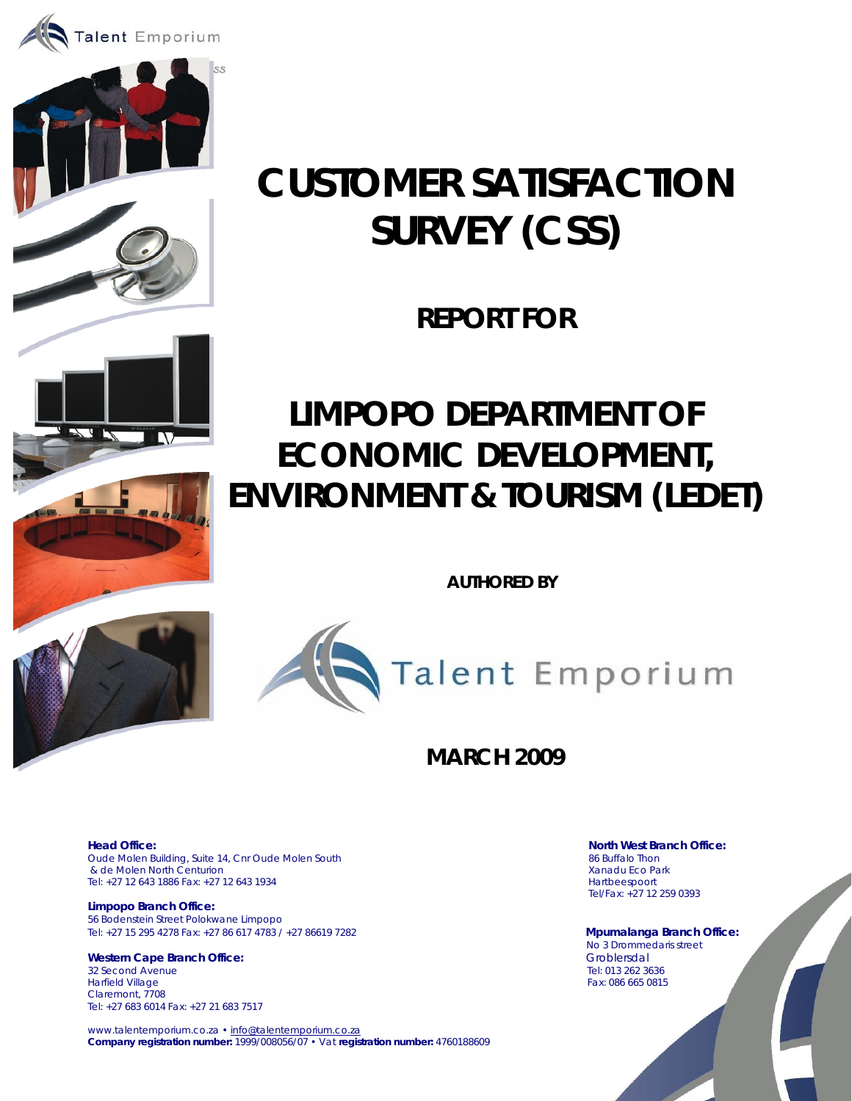



# **CUSTOMER SATISFACTION SURVEY (CSS)**

**REPORT FOR** 

# **LIMPOPO DEPARTMENT OF ECONOMIC DEVELOPMENT, ENVIRONMENT & TOURISM (LEDET)**

 **AUTHORED BY** 



# **MARCH 2009**

Oude Molen Building, Suite 14, Cnr Oude Molen South 86 Buffalo Thon 86 Buffalo Thon 86 Buffalo Thon 86 Buffalo Thon<br>86 Buffalo Thon 86 Buffalo Thon 86 Buffalo Thon 86 Buffalo Thon 86 Buffalo Thon 86 Buffalo Thon 86 Buffalo & de Molen North Centurion Tel: +27 12 643 1886 Fax: +27 12 643 1934 Hartbeespoort

**Limpopo Branch Office:**  56 Bodenstein Street Polokwane Limpopo Tel: +27 15 295 4278 Fax: +27 86 617 4783 / +27 86619 7282 **Mpumalanga Branch Office:**

**Western Cape Branch Office:** Groblersdal 32 Second Avenue Harfield Village Fax: 086 665 0815 Claremont, 7708 Tel: +27 683 6014 Fax: +27 21 683 7517

www.talentemporium.co.za · info@talentemporium.co.za **Company registration number:** 1999/008056/07 • Vat **registration number:** 4760188609

**Head Office:** North West Branch Office: North West Branch Office: Tel/Fax: +27 12 259 0393

No 3 Drommedaris street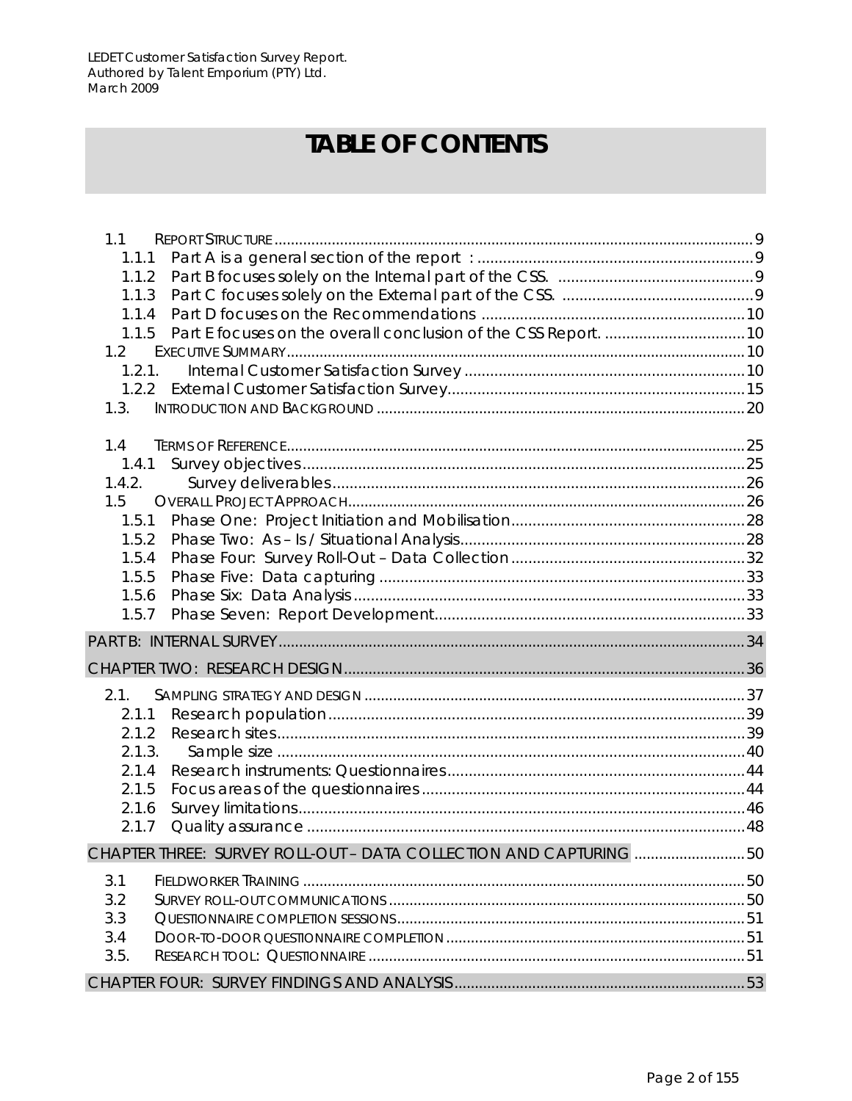# **TABLE OF CONTENTS**

| 1.1                                                                   |    |
|-----------------------------------------------------------------------|----|
| 1.1.1                                                                 |    |
| 1.1.2                                                                 |    |
| 1.1.3                                                                 |    |
|                                                                       |    |
| 1.1.5 Part E focuses on the overall conclusion of the CSS Report.  10 |    |
| 1.2                                                                   |    |
| 1.2.1.                                                                |    |
|                                                                       |    |
| 1.3.                                                                  |    |
| 1.4                                                                   |    |
| 1.4.1                                                                 |    |
| 1.4.2.                                                                |    |
| 1.5                                                                   |    |
| 1.5.1                                                                 |    |
|                                                                       |    |
| 1.5.4                                                                 |    |
| 1.5.5                                                                 |    |
| 1.5.6                                                                 |    |
| 1.5.7                                                                 |    |
|                                                                       |    |
|                                                                       |    |
| 2.1.                                                                  |    |
| 2.1.1                                                                 |    |
| 2.1.2                                                                 |    |
| 2.1.3.                                                                |    |
| 2.1.4                                                                 |    |
| 2.1.5                                                                 |    |
| 2.1.6                                                                 |    |
| 2.1.7                                                                 |    |
| CHAPTER THREE: SURVEY ROLL-OUT - DATA COLLECTION AND CAPTURING 50     |    |
| 3.1                                                                   |    |
| 3.2                                                                   |    |
| 3.3                                                                   |    |
| 3.4                                                                   |    |
| 3.5.                                                                  |    |
|                                                                       |    |
|                                                                       | 53 |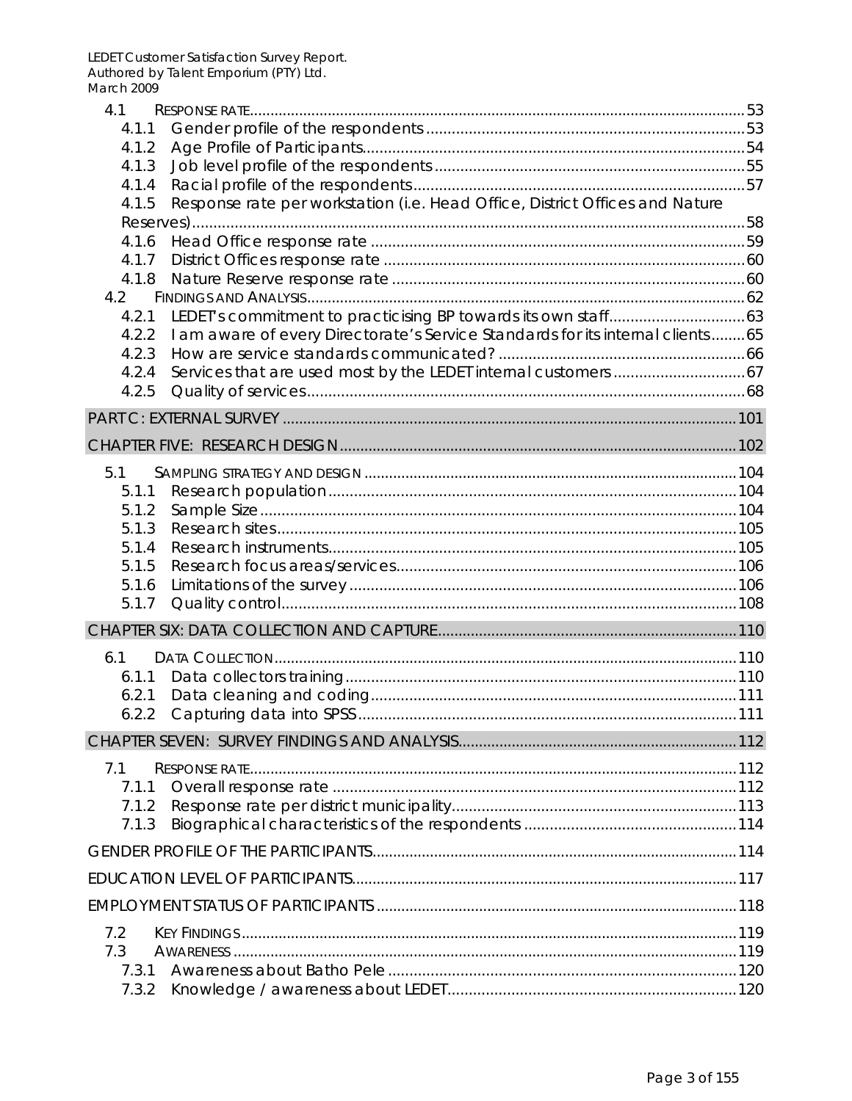| 4.1            |                                                                                      |  |
|----------------|--------------------------------------------------------------------------------------|--|
| 4.1.1          |                                                                                      |  |
| 4.1.2          |                                                                                      |  |
| 4.1.3          |                                                                                      |  |
| 4.1.4          |                                                                                      |  |
| 4.1.5          | Response rate per workstation (i.e. Head Office, District Offices and Nature         |  |
|                |                                                                                      |  |
| 4.1.6<br>4.1.7 |                                                                                      |  |
|                |                                                                                      |  |
| 4.2            |                                                                                      |  |
| 4.2.1          |                                                                                      |  |
|                | 4.2.2 I am aware of every Directorate's Service Standards for its internal clients65 |  |
| 4.2.3          |                                                                                      |  |
| 4.2.4          |                                                                                      |  |
| 4.2.5          |                                                                                      |  |
|                |                                                                                      |  |
|                |                                                                                      |  |
|                |                                                                                      |  |
| 5.1            |                                                                                      |  |
| 5.1.1          |                                                                                      |  |
| 5.1.2          |                                                                                      |  |
| 5.1.3          |                                                                                      |  |
| 5.1.4          |                                                                                      |  |
| 5.1.5          |                                                                                      |  |
| 5.1.6          |                                                                                      |  |
| 5.1.7          |                                                                                      |  |
|                |                                                                                      |  |
| 6.1            |                                                                                      |  |
| 6.1.1          |                                                                                      |  |
| 6.2.1          |                                                                                      |  |
| 6.2.2          |                                                                                      |  |
|                |                                                                                      |  |
| 7.1            |                                                                                      |  |
| 7.1.1          |                                                                                      |  |
| 7.1.2          |                                                                                      |  |
| 7.1.3          |                                                                                      |  |
|                |                                                                                      |  |
|                |                                                                                      |  |
|                |                                                                                      |  |
|                |                                                                                      |  |
| 7.2            |                                                                                      |  |
| 7.3            |                                                                                      |  |
|                |                                                                                      |  |
| 7.3.2          |                                                                                      |  |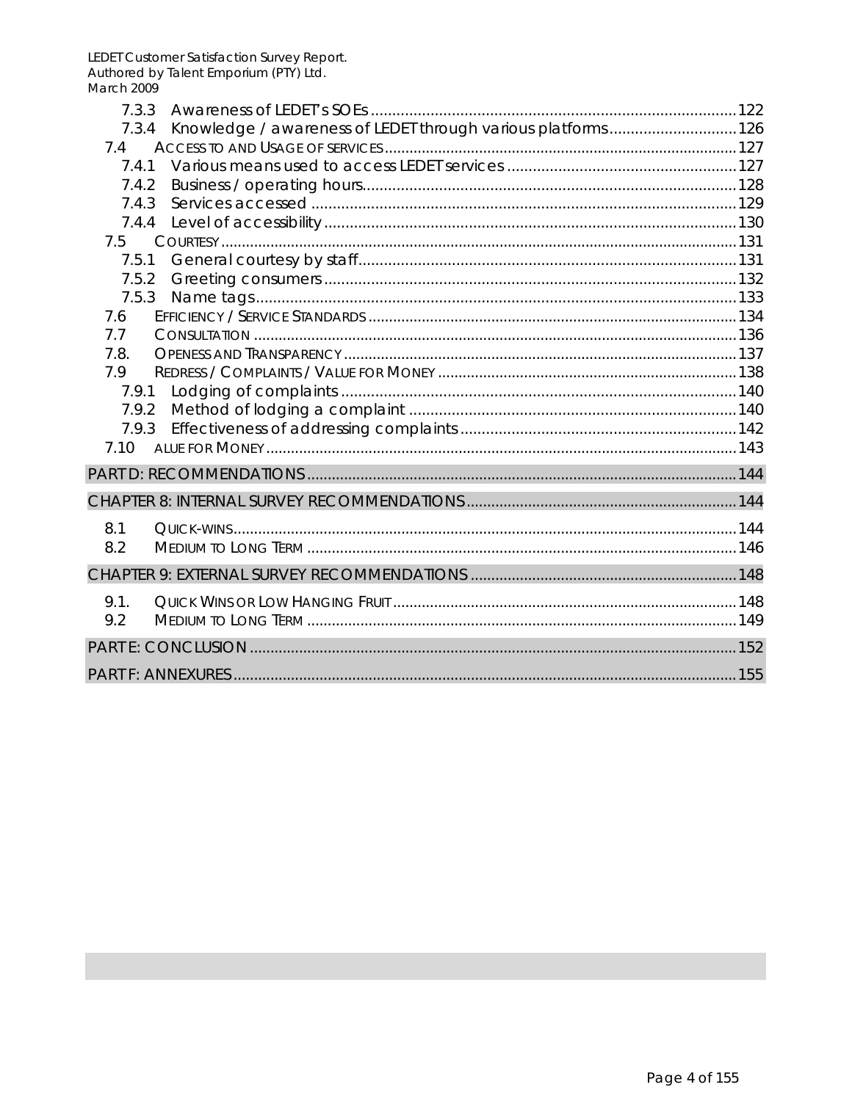| 733                                                                |
|--------------------------------------------------------------------|
| 7.3.4 Knowledge / awareness of LEDET through various platforms 126 |
| 7.4                                                                |
| 7.4.1                                                              |
| 7.4.2                                                              |
| 7.4.3                                                              |
|                                                                    |
| 7.5                                                                |
| 7.5.1                                                              |
| 7.5.2                                                              |
| 7.5.3                                                              |
| 7.6                                                                |
| 7.7                                                                |
| 7.8.                                                               |
| 79                                                                 |
| 7.9.1                                                              |
|                                                                    |
| 7.9.3                                                              |
| 7.10                                                               |
|                                                                    |
|                                                                    |
| 8.1                                                                |
| 8.2                                                                |
|                                                                    |
| 9.1.                                                               |
| 9.2                                                                |
|                                                                    |
|                                                                    |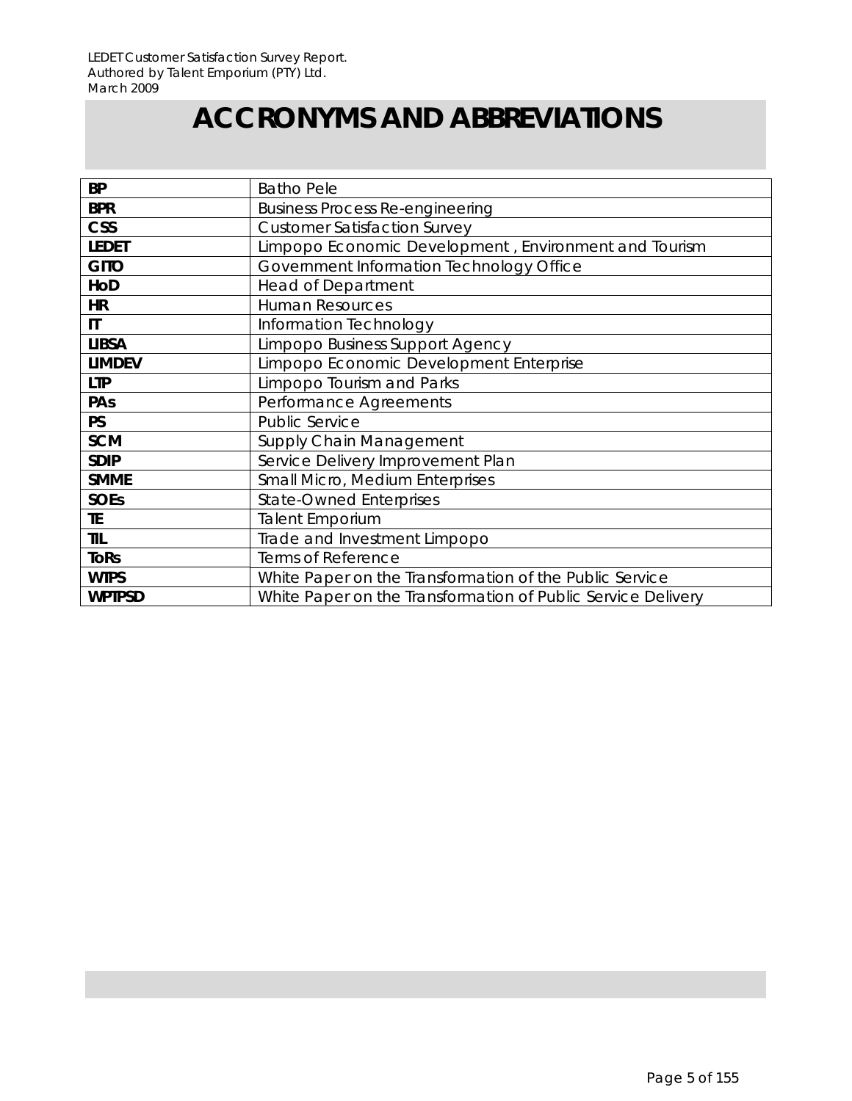# **ACCRONYMS AND ABBREVIATIONS**

| <b>BP</b>     | <b>Batho Pele</b>                                            |
|---------------|--------------------------------------------------------------|
| <b>BPR</b>    | <b>Business Process Re-engineering</b>                       |
| <b>CSS</b>    | <b>Customer Satisfaction Survey</b>                          |
| <b>LEDET</b>  | Limpopo Economic Development, Environment and Tourism        |
| <b>GITO</b>   | Government Information Technology Office                     |
| HoD           | <b>Head of Department</b>                                    |
| <b>HR</b>     | <b>Human Resources</b>                                       |
| $\mathsf{I}$  | Information Technology                                       |
| <b>LIBSA</b>  | Limpopo Business Support Agency                              |
| <b>LIMDEV</b> | Limpopo Economic Development Enterprise                      |
| <b>LTP</b>    | Limpopo Tourism and Parks                                    |
| PAs           | Performance Agreements                                       |
| <b>PS</b>     | <b>Public Service</b>                                        |
| <b>SCM</b>    | Supply Chain Management                                      |
| <b>SDIP</b>   | Service Delivery Improvement Plan                            |
| <b>SMME</b>   | Small Micro, Medium Enterprises                              |
| <b>SOEs</b>   | <b>State-Owned Enterprises</b>                               |
| TE.           | <b>Talent Emporium</b>                                       |
| <b>TIL</b>    | Trade and Investment Limpopo                                 |
| <b>ToRs</b>   | Terms of Reference                                           |
| <b>WTPS</b>   | White Paper on the Transformation of the Public Service      |
| <b>WPTPSD</b> | White Paper on the Transformation of Public Service Delivery |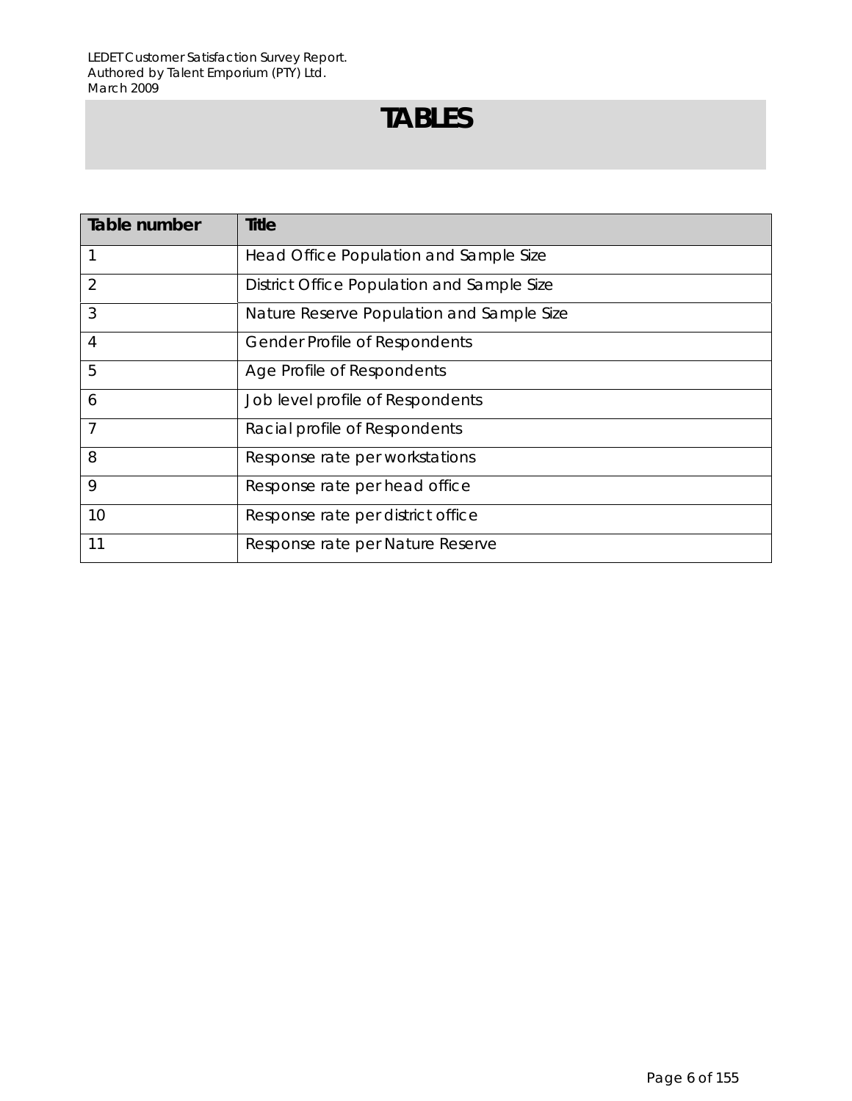# **TABLES**

| Table number | <b>Title</b>                               |
|--------------|--------------------------------------------|
|              | Head Office Population and Sample Size     |
| 2            | District Office Population and Sample Size |
| 3            | Nature Reserve Population and Sample Size  |
| 4            | <b>Gender Profile of Respondents</b>       |
| 5            | Age Profile of Respondents                 |
| 6            | Job level profile of Respondents           |
| 7            | Racial profile of Respondents              |
| 8            | Response rate per workstations             |
| 9            | Response rate per head office              |
| 10           | Response rate per district office          |
| 11           | Response rate per Nature Reserve           |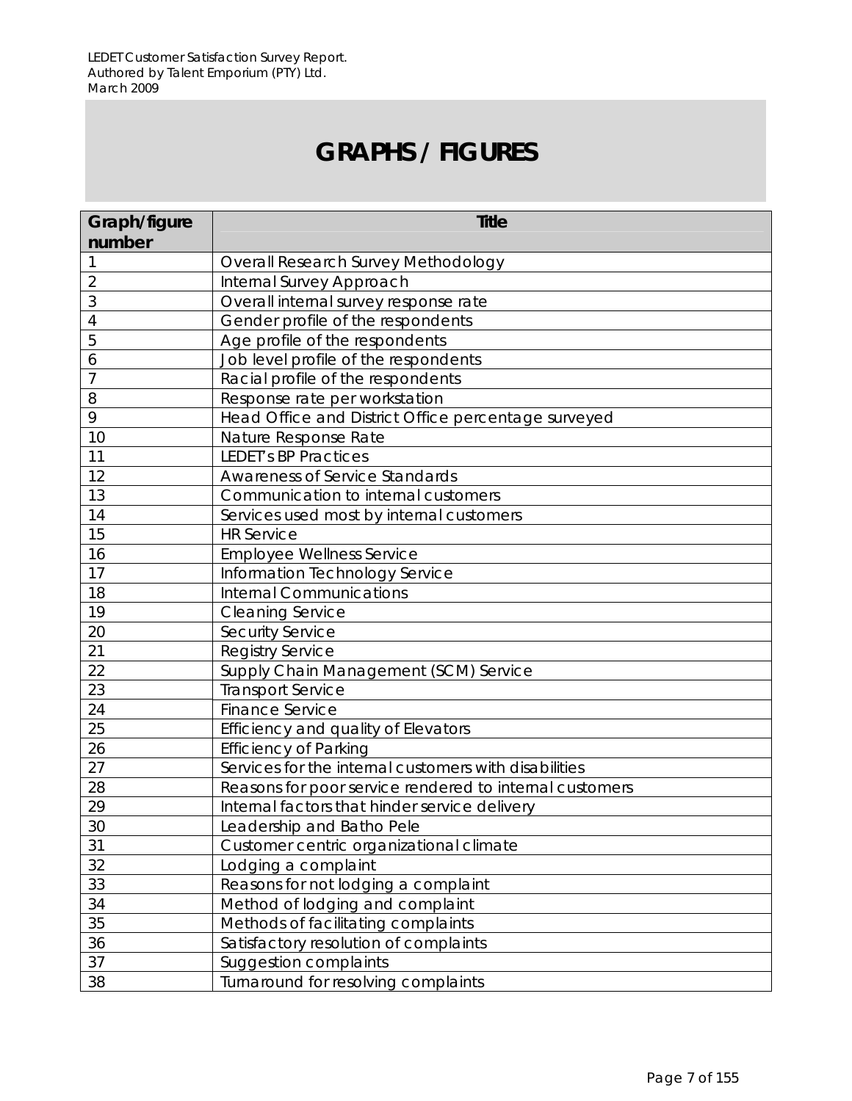# **GRAPHS / FIGURES**

| Graph/figure   | <b>Title</b>                                            |
|----------------|---------------------------------------------------------|
| number         |                                                         |
|                | Overall Research Survey Methodology                     |
| $\overline{2}$ | Internal Survey Approach                                |
| 3              | Overall internal survey response rate                   |
| 4              | Gender profile of the respondents                       |
| 5              | Age profile of the respondents                          |
| 6              | Job level profile of the respondents                    |
| $\overline{7}$ | Racial profile of the respondents                       |
| 8              | Response rate per workstation                           |
| 9              | Head Office and District Office percentage surveyed     |
| 10             | Nature Response Rate                                    |
| 11             | <b>LEDET's BP Practices</b>                             |
| 12             | <b>Awareness of Service Standards</b>                   |
| 13             | Communication to internal customers                     |
| 14             | Services used most by internal customers                |
| 15             | <b>HR Service</b>                                       |
| 16             | <b>Employee Wellness Service</b>                        |
| 17             | Information Technology Service                          |
| 18             | <b>Internal Communications</b>                          |
| 19             | <b>Cleaning Service</b>                                 |
| 20             | <b>Security Service</b>                                 |
| 21             | <b>Registry Service</b>                                 |
| 22             | Supply Chain Management (SCM) Service                   |
| 23             | <b>Transport Service</b>                                |
| 24             | <b>Finance Service</b>                                  |
| 25             | Efficiency and quality of Elevators                     |
| 26             | <b>Efficiency of Parking</b>                            |
| 27             | Services for the internal customers with disabilities   |
| 28             | Reasons for poor service rendered to internal customers |
| 29             | Internal factors that hinder service delivery           |
| 30             | Leadership and Batho Pele                               |
| 31             | Customer centric organizational climate                 |
| 32             | Lodging a complaint                                     |
| 33             | Reasons for not lodging a complaint                     |
| 34             | Method of lodging and complaint                         |
| 35             | Methods of facilitating complaints                      |
| 36             | Satisfactory resolution of complaints                   |
| 37             | Suggestion complaints                                   |
| 38             | Turnaround for resolving complaints                     |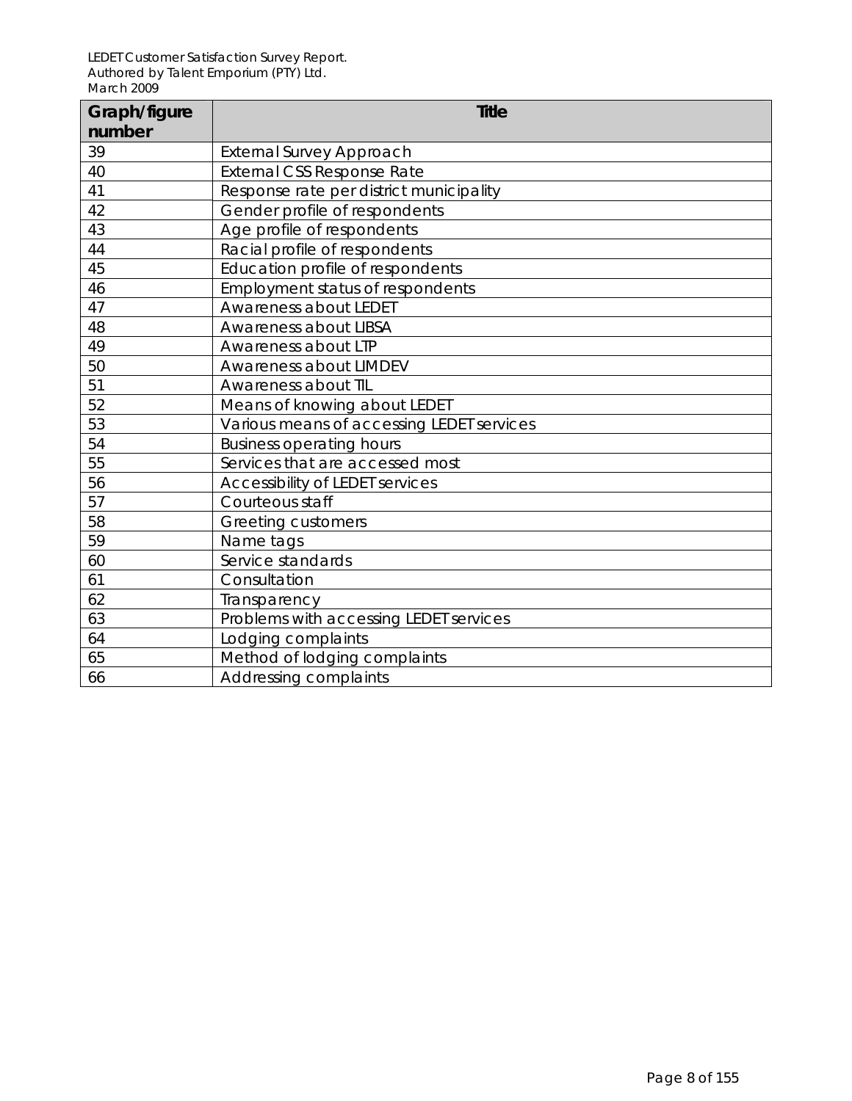| Graph/figure | <b>Title</b>                              |
|--------------|-------------------------------------------|
| number       |                                           |
| 39           | <b>External Survey Approach</b>           |
| 40           | <b>External CSS Response Rate</b>         |
| 41           | Response rate per district municipality   |
| 42           | Gender profile of respondents             |
| 43           | Age profile of respondents                |
| 44           | Racial profile of respondents             |
| 45           | Education profile of respondents          |
| 46           | Employment status of respondents          |
| 47           | Awareness about LEDET                     |
| 48           | Awareness about LIBSA                     |
| 49           | Awareness about LTP                       |
| 50           | Awareness about LIMDEV                    |
| 51           | Awareness about TIL                       |
| 52           | Means of knowing about LEDET              |
| 53           | Various means of accessing LEDET services |
| 54           | <b>Business operating hours</b>           |
| 55           | Services that are accessed most           |
| 56           | Accessibility of LEDET services           |
| 57           | Courteous staff                           |
| 58           | <b>Greeting customers</b>                 |
| 59           | Name tags                                 |
| 60           | Service standards                         |
| 61           | Consultation                              |
| 62           | Transparency                              |
| 63           | Problems with accessing LEDET services    |
| 64           | Lodging complaints                        |
| 65           | Method of lodging complaints              |
| 66           | Addressing complaints                     |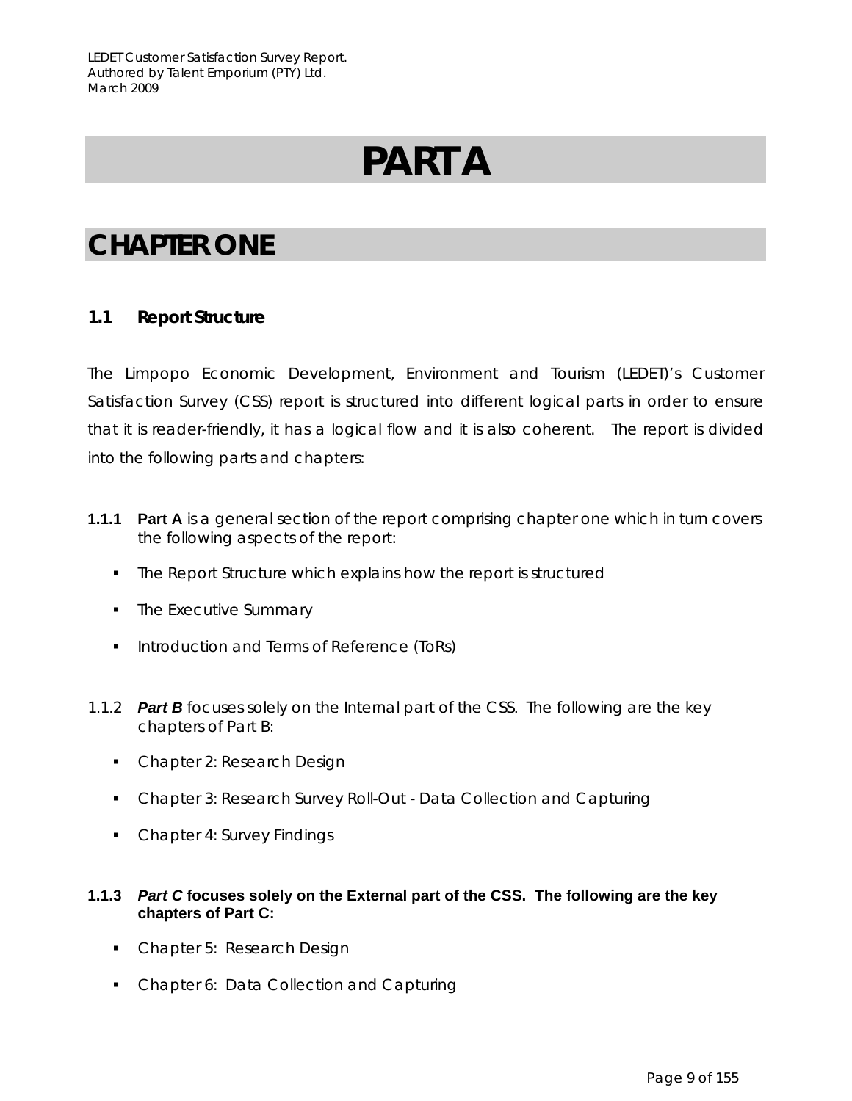# **PART A**

# **CHAPTER ONE**

## **1.1 Report Structure**

The Limpopo Economic Development, Environment and Tourism (LEDET)'s Customer Satisfaction Survey (CSS) report is structured into different logical parts in order to ensure that it is reader-friendly, it has a logical flow and it is also coherent. The report is divided into the following parts and chapters:

- **1.1.1 Part A** is a general section of the report comprising chapter one which in turn covers the following aspects of the report:
	- The Report Structure which explains how the report is structured
	- The Executive Summary
	- **Introduction and Terms of Reference (ToRs)**
- 1.1.2 *Part B* focuses solely on the Internal part of the CSS. The following are the key chapters of Part B:
	- Chapter 2: Research Design
	- Chapter 3: Research Survey Roll-Out Data Collection and Capturing
	- Chapter 4: Survey Findings

#### **1.1.3** *Part C* **focuses solely on the External part of the CSS. The following are the key chapters of Part C:**

- Chapter 5: Research Design
- Chapter 6: Data Collection and Capturing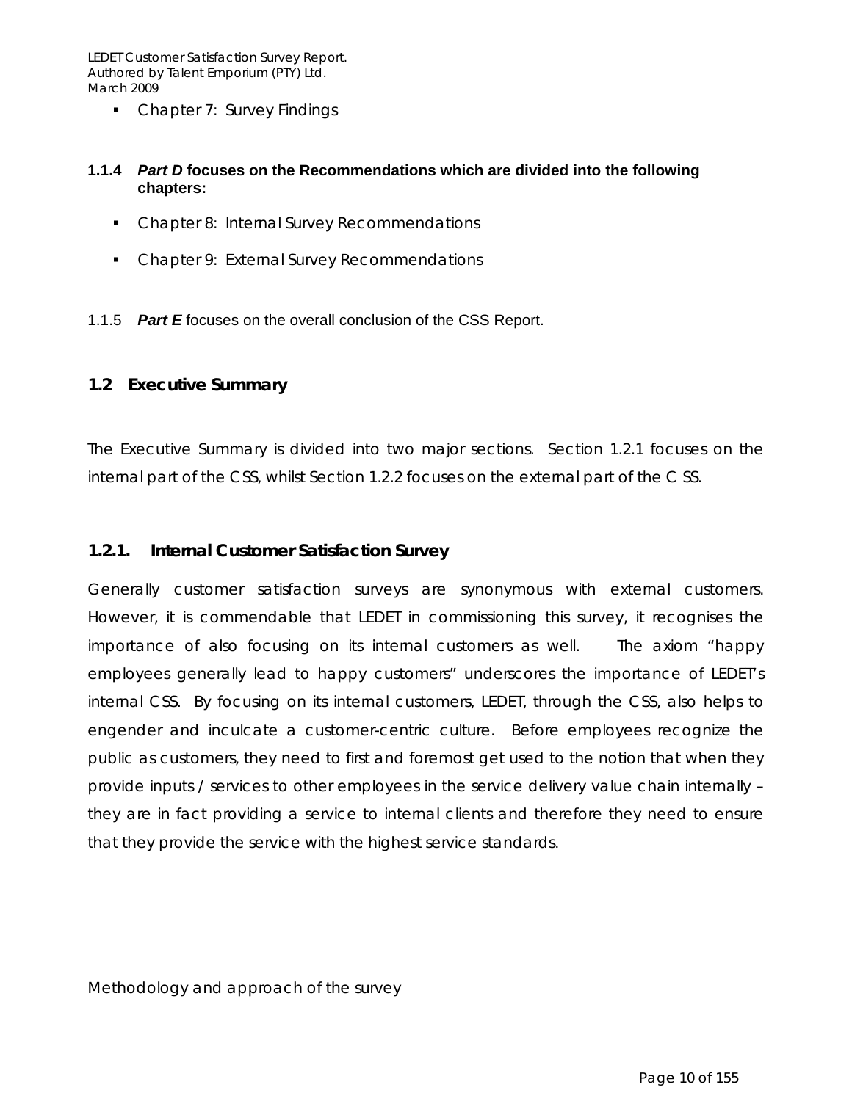• Chapter 7: Survey Findings

#### **1.1.4** *Part D* **focuses on the Recommendations which are divided into the following chapters:**

- **•** Chapter 8: Internal Survey Recommendations
- **Chapter 9: External Survey Recommendations**

1.1.5 *Part E* focuses on the overall conclusion of the CSS Report.

#### **1.2 Executive Summary**

The Executive Summary is divided into two major sections. Section 1.2.1 focuses on the internal part of the CSS, whilst Section 1.2.2 focuses on the external part of the C SS.

#### **1.2.1. Internal Customer Satisfaction Survey**

Generally customer satisfaction surveys are synonymous with external customers. However, it is commendable that LEDET in commissioning this survey, it recognises the importance of also focusing on its internal customers as well. The axiom "happy employees generally lead to happy customers" underscores the importance of LEDET's internal CSS. By focusing on its internal customers, LEDET, through the CSS, also helps to engender and inculcate a customer-centric culture. Before employees recognize the public as customers, they need to first and foremost get used to the notion that when they provide inputs / services to other employees in the service delivery value chain internally – they are in fact providing a service to internal clients and therefore they need to ensure that they provide the service with the highest service standards.

*Methodology and approach of the survey*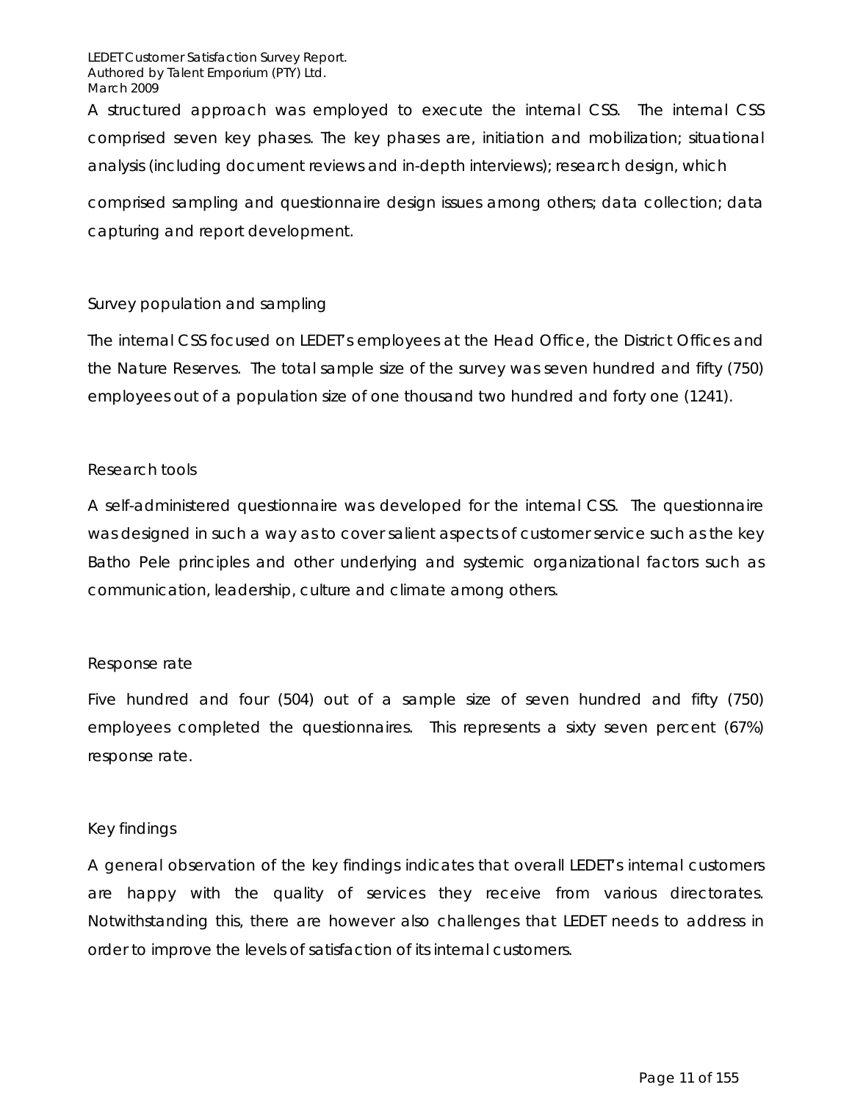A structured approach was employed to execute the internal CSS. The internal CSS comprised seven key phases. The key phases are, initiation and mobilization; situational analysis (including document reviews and in-depth interviews); research design, which

comprised sampling and questionnaire design issues among others; data collection; data capturing and report development.

#### *Survey population and sampling*

The internal CSS focused on LEDET's employees at the Head Office, the District Offices and the Nature Reserves. The total sample size of the survey was seven hundred and fifty (750) employees out of a population size of one thousand two hundred and forty one (1241).

#### *Research tools*

A self-administered questionnaire was developed for the internal CSS. The questionnaire was designed in such a way as to cover salient aspects of customer service such as the key Batho Pele principles and other underlying and systemic organizational factors such as communication, leadership, culture and climate among others.

#### *Response rate*

Five hundred and four (504) out of a sample size of seven hundred and fifty (750) employees completed the questionnaires. This represents a sixty seven percent (67%) response rate.

#### *Key findings*

A general observation of the key findings indicates that overall LEDET's internal customers are happy with the quality of services they receive from various directorates. Notwithstanding this, there are however also challenges that LEDET needs to address in order to improve the levels of satisfaction of its internal customers.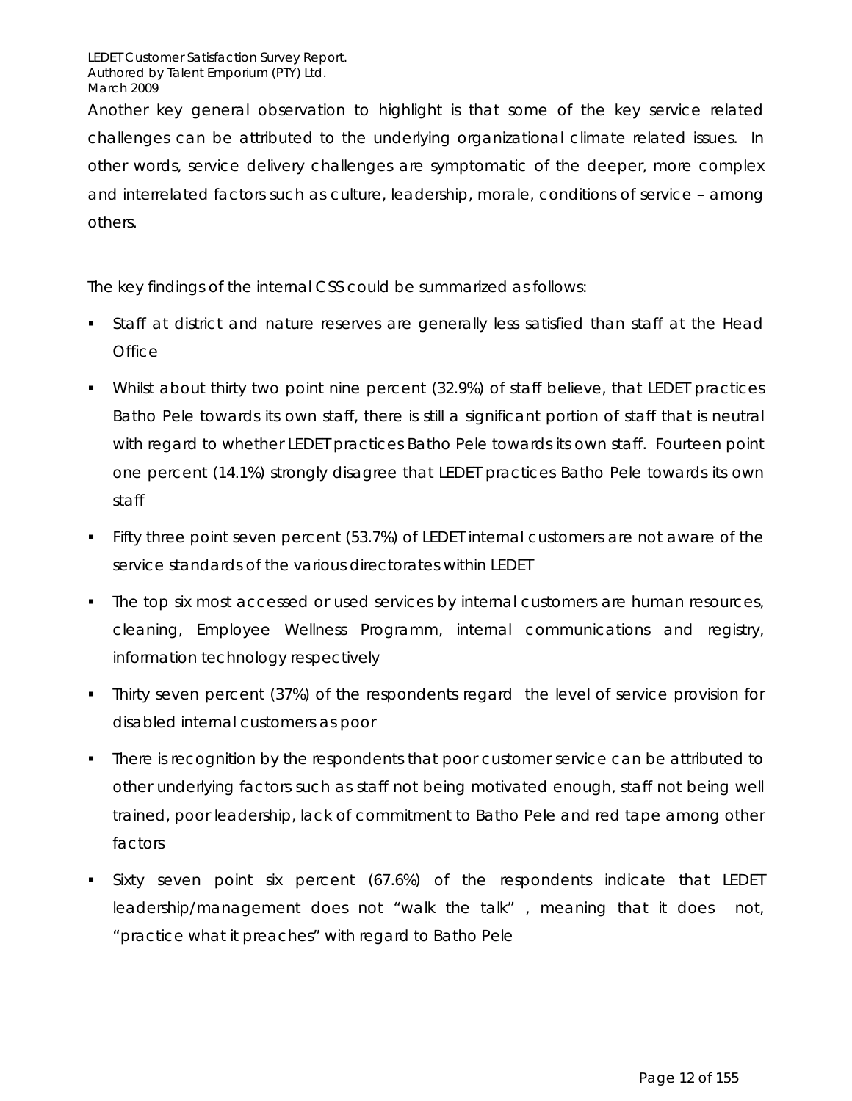Another key general observation to highlight is that some of the key service related challenges can be attributed to the underlying organizational climate related issues. In other words, service delivery challenges are symptomatic of the deeper, more complex and interrelated factors such as culture, leadership, morale, conditions of service – among others.

The key findings of the internal CSS could be summarized as follows:

- Staff at district and nature reserves are generally less satisfied than staff at the Head **Office**
- Whilst about thirty two point nine percent (32.9%) of staff believe, that LEDET practices Batho Pele towards its own staff, there is still a significant portion of staff that is neutral with regard to whether LEDET practices Batho Pele towards its own staff. Fourteen point one percent (14.1%) strongly disagree that LEDET practices Batho Pele towards its own staff
- Fifty three point seven percent (53.7%) of LEDET internal customers are not aware of the service standards of the various directorates within LEDET
- The top six most accessed or used services by internal customers are human resources, cleaning, Employee Wellness Programm, internal communications and registry, information technology respectively
- Thirty seven percent (37%) of the respondents regard the level of service provision for disabled internal customers as poor
- There is recognition by the respondents that poor customer service can be attributed to other underlying factors such as staff not being motivated enough, staff not being well trained, poor leadership, lack of commitment to Batho Pele and red tape among other factors
- Sixty seven point six percent (67.6%) of the respondents indicate that LEDET leadership/management does not "walk the talk" , meaning that it does not, "practice what it preaches" with regard to Batho Pele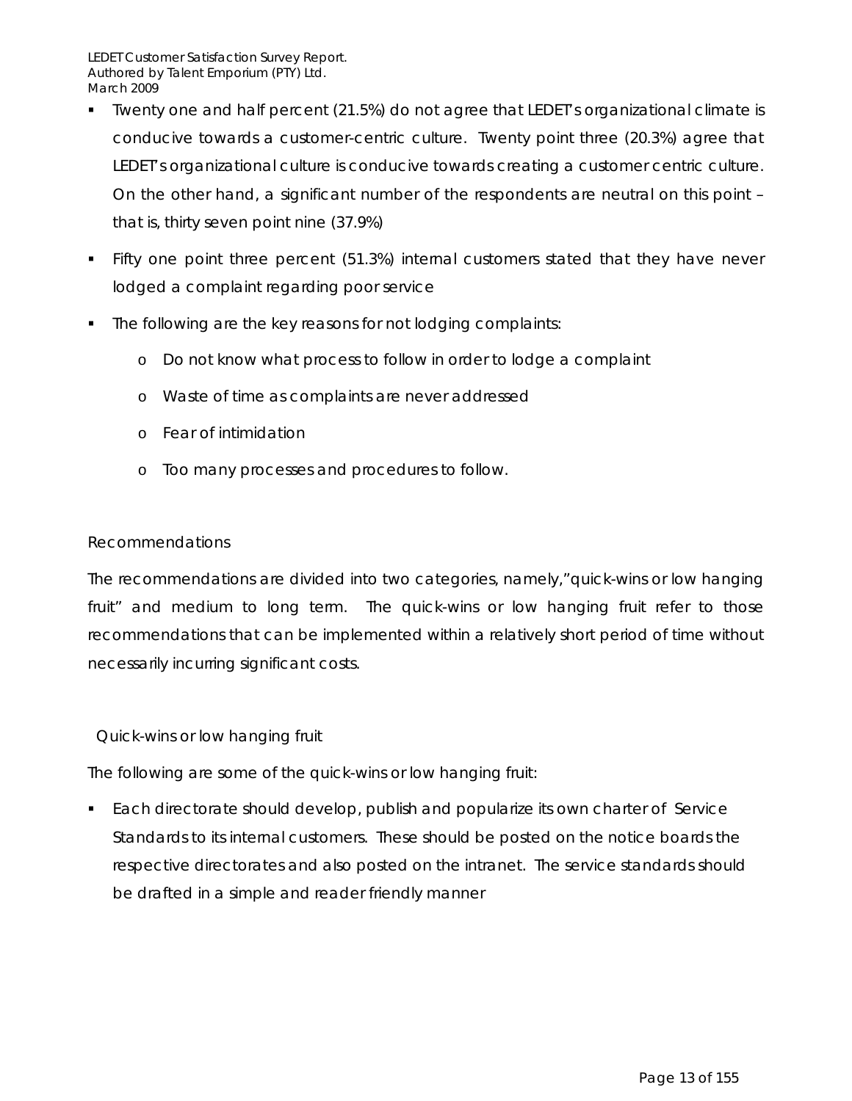- Twenty one and half percent (21.5%) do not agree that LEDET's organizational climate is conducive towards a customer-centric culture. Twenty point three (20.3%) agree that LEDET's organizational culture is conducive towards creating a customer centric culture. On the other hand, a significant number of the respondents are neutral on this point – that is, thirty seven point nine (37.9%)
- Fifty one point three percent (51.3%) internal customers stated that they have never lodged a complaint regarding poor service
- The following are the key reasons for not lodging complaints:
	- o Do not know what process to follow in order to lodge a complaint
	- o Waste of time as complaints are never addressed
	- o Fear of intimidation
	- o Too many processes and procedures to follow.

#### *Recommendations*

The recommendations are divided into two categories, namely,"quick-wins or low hanging fruit" and medium to long term. The quick-wins or low hanging fruit refer to those recommendations that can be implemented within a relatively short period of time without necessarily incurring significant costs.

#### *Quick-wins or low hanging fruit*

The following are some of the quick-wins or low hanging fruit:

 Each directorate should develop, publish and popularize its own charter of Service Standards to its internal customers. These should be posted on the notice boards the respective directorates and also posted on the intranet. The service standards should be drafted in a simple and reader friendly manner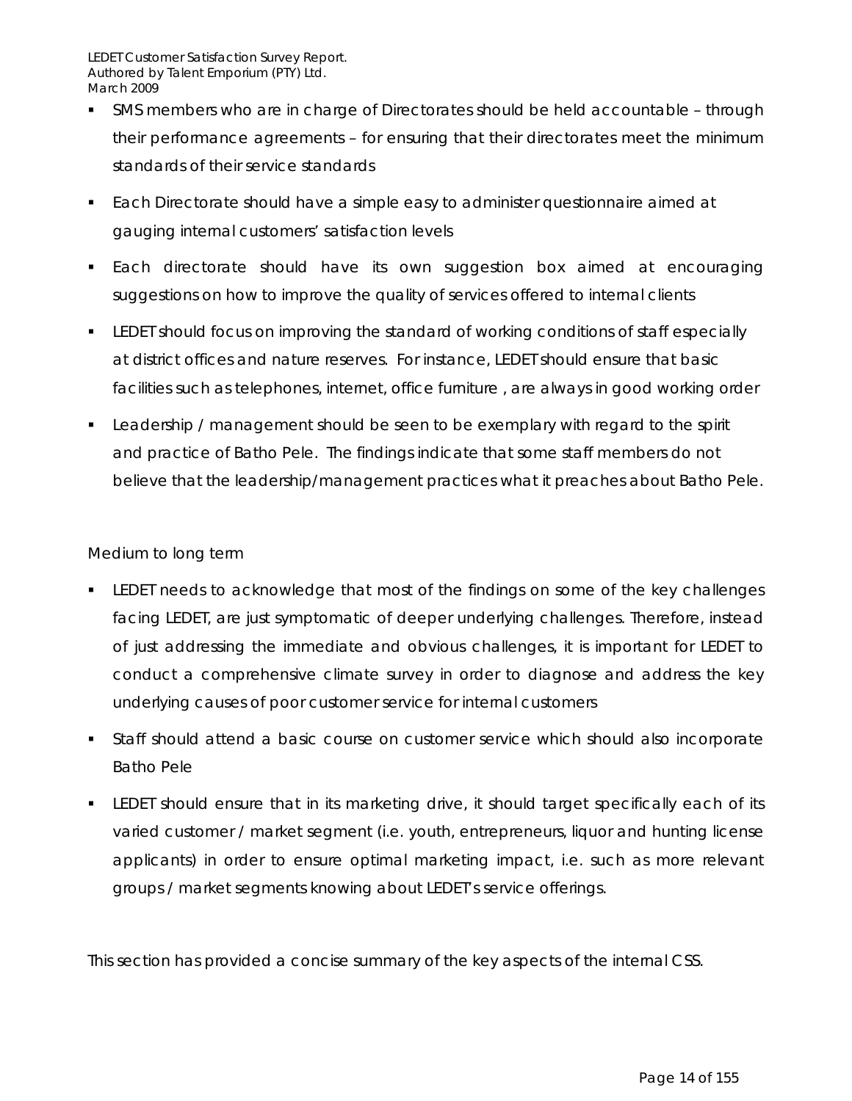- SMS members who are in charge of Directorates should be held accountable through their performance agreements – for ensuring that their directorates meet the minimum standards of their service standards
- Each Directorate should have a simple easy to administer questionnaire aimed at gauging internal customers' satisfaction levels
- **Each directorate should have its own suggestion box aimed at encouraging** suggestions on how to improve the quality of services offered to internal clients
- **ELEDET should focus on improving the standard of working conditions of staff especially** at district offices and nature reserves. For instance, LEDET should ensure that basic facilities such as telephones, internet, office furniture , are always in good working order
- **Leadership / management should be seen to be exemplary with regard to the spirit** and practice of Batho Pele. The findings indicate that some staff members do not believe that the leadership/management practices what it preaches about Batho Pele.

### *Medium to long term*

- LEDET needs to acknowledge that most of the findings on some of the key challenges facing LEDET, are just symptomatic of deeper underlying challenges. Therefore, instead of just addressing the immediate and obvious challenges, it is important for LEDET to conduct a comprehensive climate survey in order to diagnose and address the key underlying causes of poor customer service for internal customers
- Staff should attend a basic course on customer service which should also incorporate Batho Pele
- LEDET should ensure that in its marketing drive, it should target specifically each of its varied customer / market segment (i.e. youth, entrepreneurs, liquor and hunting license applicants) in order to ensure optimal marketing impact, i.e. such as more relevant groups / market segments knowing about LEDET's service offerings.

This section has provided a concise summary of the key aspects of the internal CSS.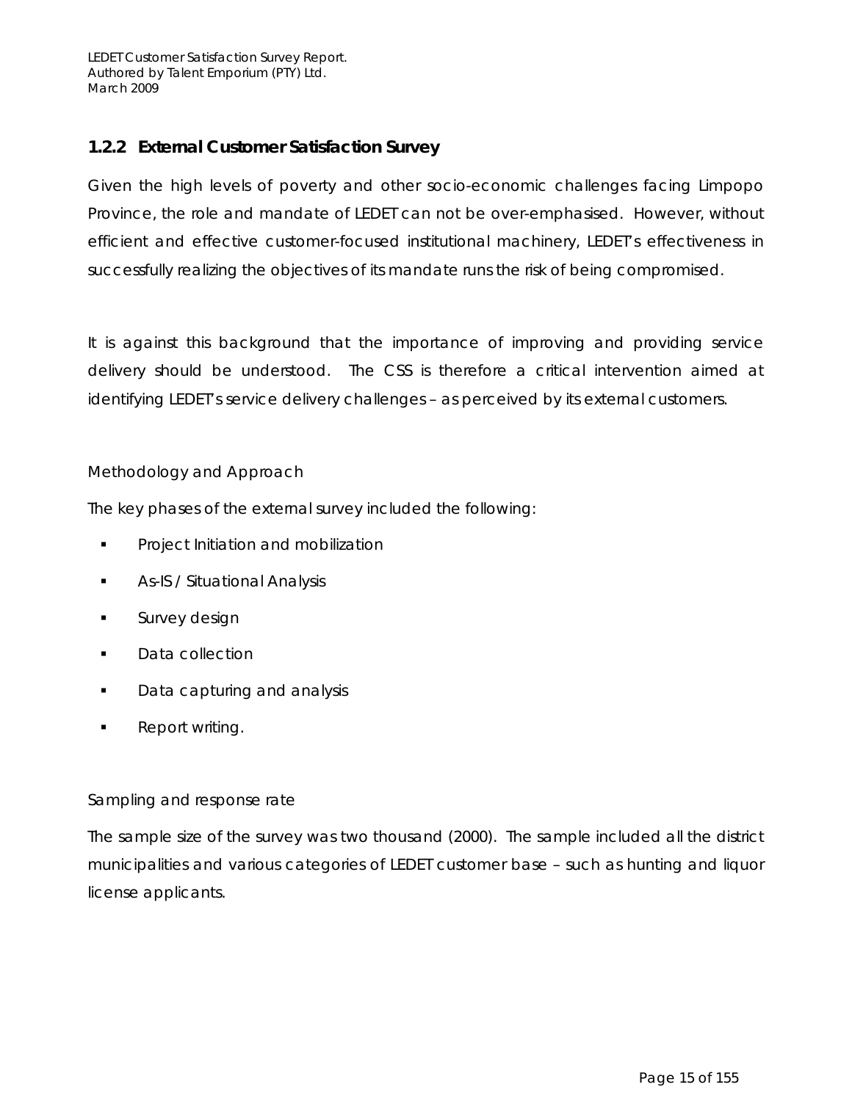## **1.2.2 External Customer Satisfaction Survey**

Given the high levels of poverty and other socio-economic challenges facing Limpopo Province, the role and mandate of LEDET can not be over-emphasised. However, without efficient and effective customer-focused institutional machinery, LEDET's effectiveness in successfully realizing the objectives of its mandate runs the risk of being compromised.

It is against this background that the importance of improving and providing service delivery should be understood. The CSS is therefore a critical intervention aimed at identifying LEDET's service delivery challenges – as perceived by its external customers.

### *Methodology and Approach*

The key phases of the external survey included the following:

- Project Initiation and mobilization
- **-** As-IS / Situational Analysis
- **Survey design**
- **Data collection**
- **Data capturing and analysis**
- Report writing.

#### *Sampling and response rate*

The sample size of the survey was two thousand (2000). The sample included all the district municipalities and various categories of LEDET customer base – such as hunting and liquor license applicants.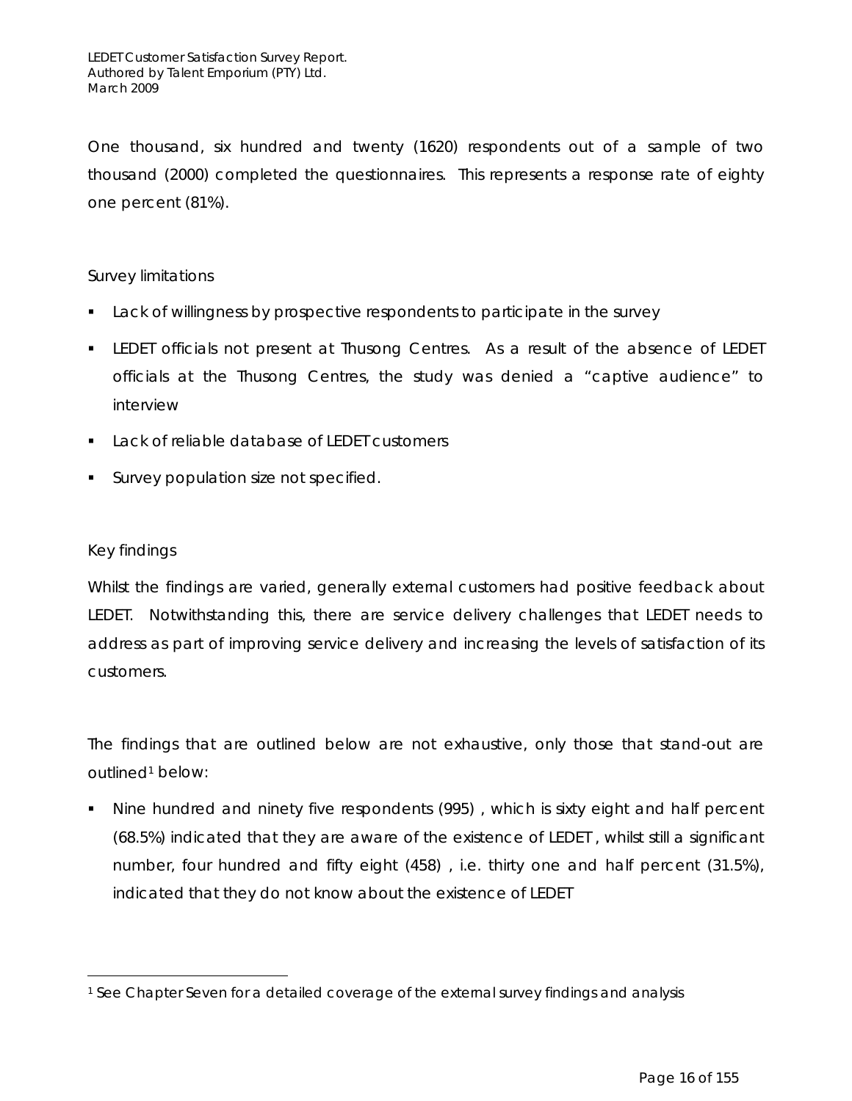One thousand, six hundred and twenty (1620) respondents out of a sample of two thousand (2000) completed the questionnaires. This represents a response rate of eighty one percent (81%).

#### *Survey limitations*

- **Lack of willingness by prospective respondents to participate in the survey**
- LEDET officials not present at Thusong Centres. As a result of the absence of LEDET officials at the Thusong Centres, the study was denied a "captive audience" to interview
- Lack of reliable database of LEDET customers
- **Survey population size not specified.**

#### *Key findings*

 $\overline{a}$ 

Whilst the findings are varied, generally external customers had positive feedback about LEDET. Notwithstanding this, there are service delivery challenges that LEDET needs to address as part of improving service delivery and increasing the levels of satisfaction of its customers.

The findings that are outlined below are not exhaustive, only those that stand-out are outlined<sup>1</sup> below:

 Nine hundred and ninety five respondents (995) , which is sixty eight and half percent (68.5%) indicated that they are aware of the existence of LEDET , whilst still a significant number, four hundred and fifty eight (458) , i.e. thirty one and half percent (31.5%), indicated that they do not know about the existence of LEDET

<sup>1</sup> See Chapter Seven for a detailed coverage of the external survey findings and analysis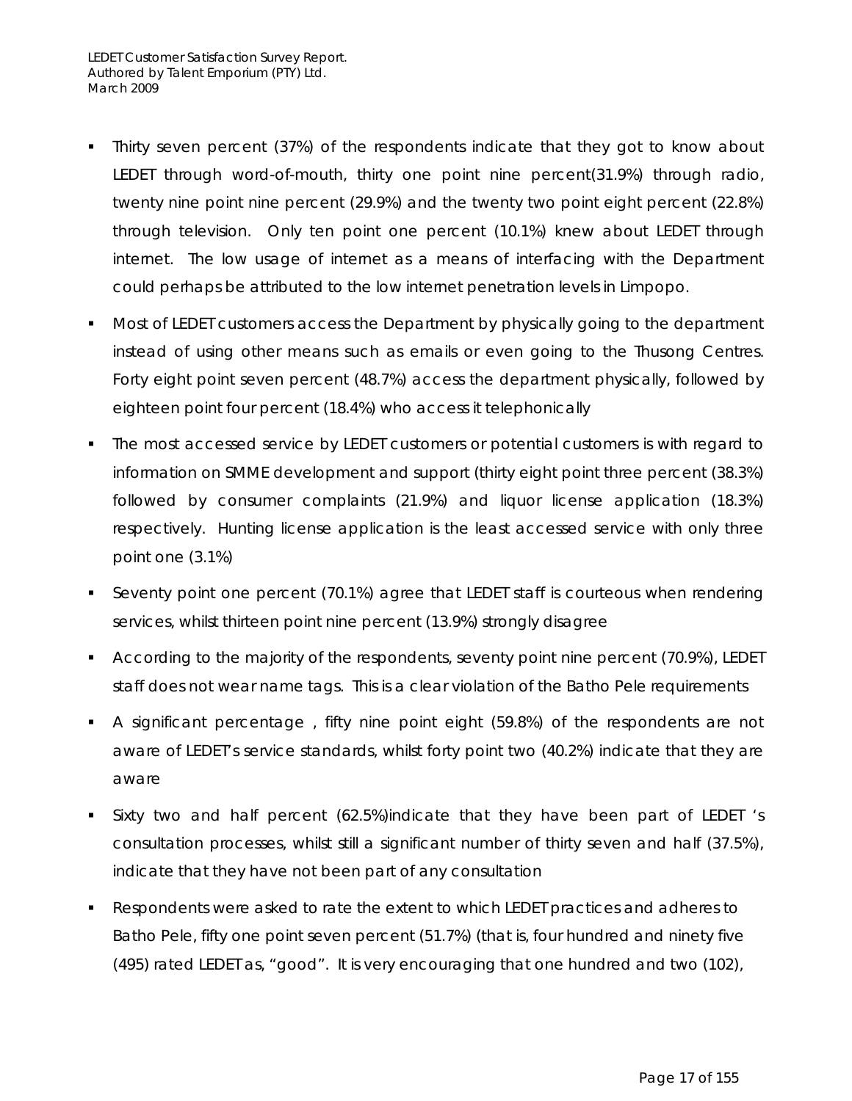- Thirty seven percent (37%) of the respondents indicate that they got to know about LEDET through word-of-mouth, thirty one point nine percent(31.9%) through radio, twenty nine point nine percent (29.9%) and the twenty two point eight percent (22.8%) through television. Only ten point one percent (10.1%) knew about LEDET through internet. The low usage of internet as a means of interfacing with the Department could perhaps be attributed to the low internet penetration levels in Limpopo.
- **Most of LEDET customers access the Department by physically going to the department** instead of using other means such as emails or even going to the Thusong Centres. Forty eight point seven percent (48.7%) access the department physically, followed by eighteen point four percent (18.4%) who access it telephonically
- The most accessed service by LEDET customers or potential customers is with regard to information on SMME development and support (thirty eight point three percent (38.3%) followed by consumer complaints (21.9%) and liquor license application (18.3%) respectively. Hunting license application is the least accessed service with only three point one (3.1%)
- Seventy point one percent (70.1%) agree that LEDET staff is courteous when rendering services, whilst thirteen point nine percent (13.9%) strongly disagree
- **According to the majority of the respondents, seventy point nine percent (70.9%), LEDET** staff does not wear name tags. This is a clear violation of the Batho Pele requirements
- A significant percentage , fifty nine point eight (59.8%) of the respondents are not aware of LEDET's service standards, whilst forty point two (40.2%) indicate that they are aware
- Sixty two and half percent (62.5%)indicate that they have been part of LEDET 's consultation processes, whilst still a significant number of thirty seven and half (37.5%), indicate that they have not been part of any consultation
- Respondents were asked to rate the extent to which LEDET practices and adheres to Batho Pele, fifty one point seven percent (51.7%) (that is, four hundred and ninety five (495) rated LEDET as, "good". It is very encouraging that one hundred and two (102),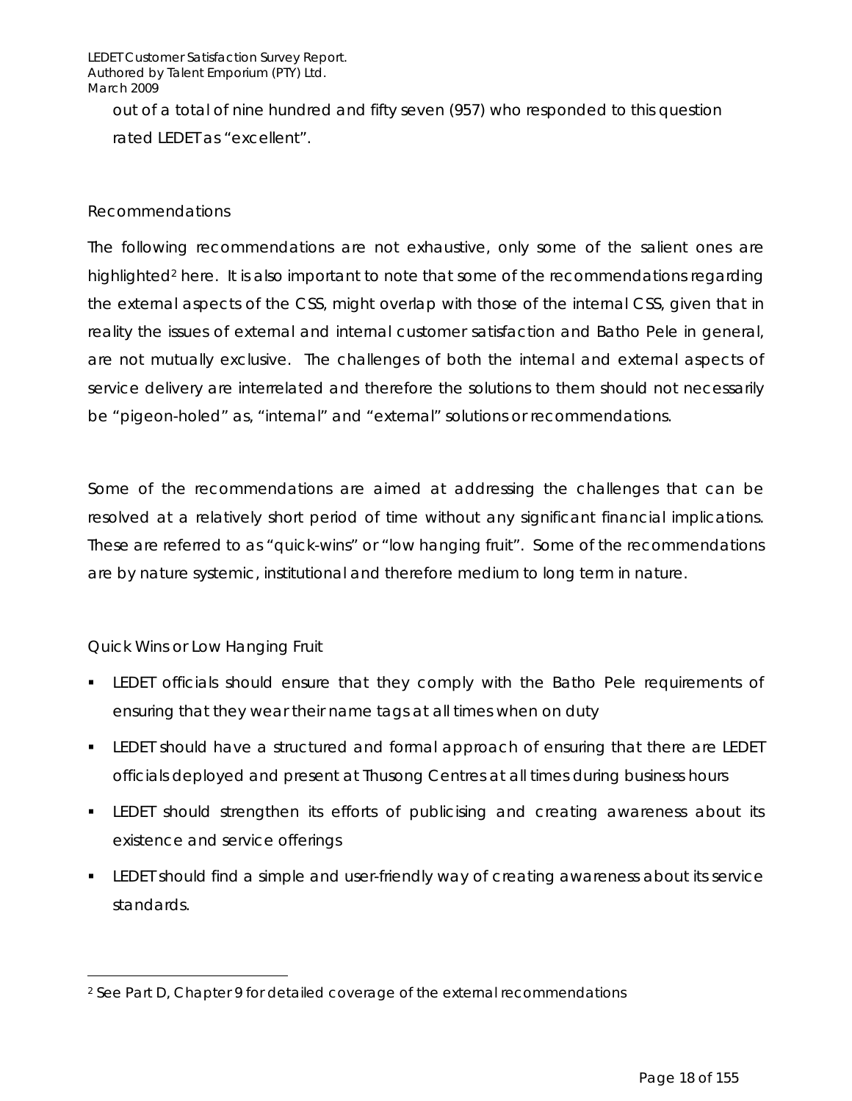out of a total of nine hundred and fifty seven (957) who responded to this question rated LEDET as "excellent".

#### *Recommendations*

The following recommendations are not exhaustive, only some of the salient ones are highlighted<sup>2</sup> here. It is also important to note that some of the recommendations regarding the external aspects of the CSS, might overlap with those of the internal CSS, given that in reality the issues of external and internal customer satisfaction and Batho Pele in general, are not mutually exclusive. The challenges of both the internal and external aspects of service delivery are interrelated and therefore the solutions to them should not necessarily be "pigeon-holed" as, "internal" and "external" solutions or recommendations.

Some of the recommendations are aimed at addressing the challenges that can be resolved at a relatively short period of time without any significant financial implications. These are referred to as "quick-wins" or "low hanging fruit". Some of the recommendations are by nature systemic, institutional and therefore medium to long term in nature.

#### *Quick Wins or Low Hanging Fruit*

 $\overline{a}$ 

- LEDET officials should ensure that they comply with the Batho Pele requirements of ensuring that they wear their name tags at all times when on duty
- **ELEDET** should have a structured and formal approach of ensuring that there are LEDET officials deployed and present at Thusong Centres at all times during business hours
- LEDET should strengthen its efforts of publicising and creating awareness about its existence and service offerings
- LEDET should find a simple and user-friendly way of creating awareness about its service standards.

<sup>2</sup> See Part D, Chapter 9 for detailed coverage of the external recommendations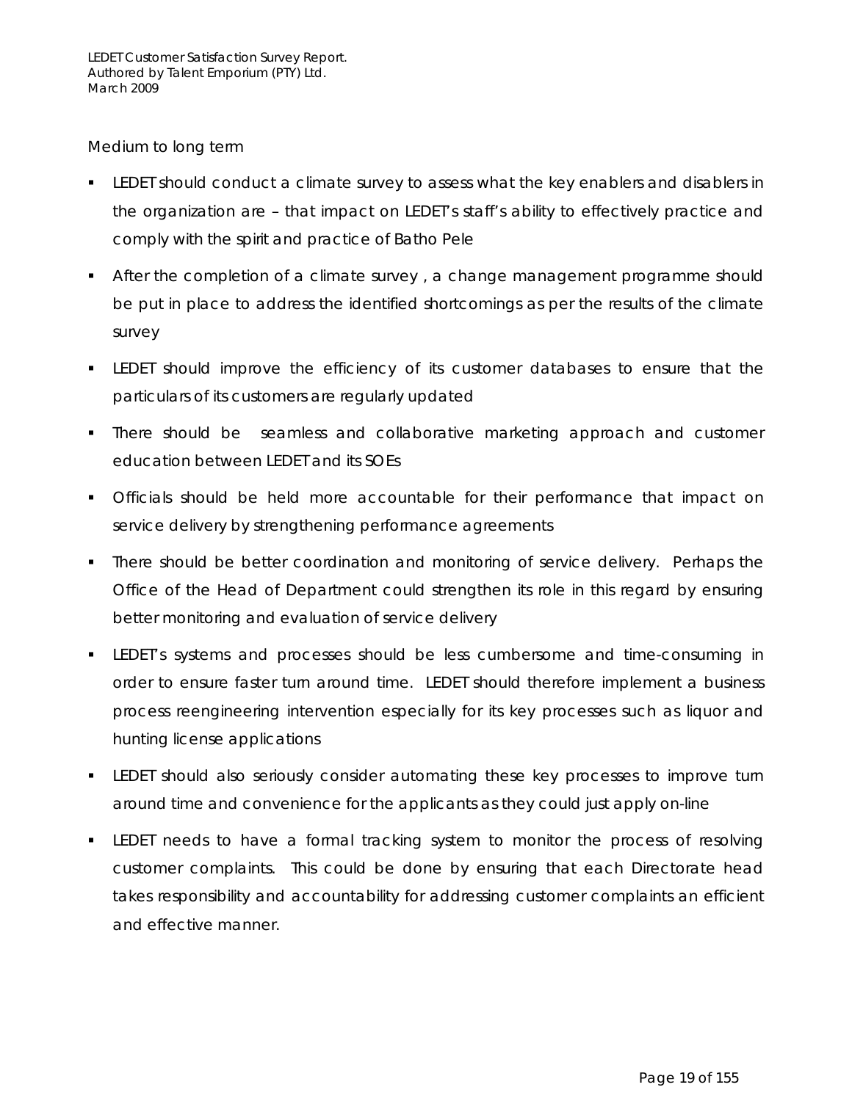#### *Medium to long term*

- **ELEDET** should conduct a climate survey to assess what the key enablers and disablers in the organization are – that impact on LEDET's staff's ability to effectively practice and comply with the spirit and practice of Batho Pele
- **After the completion of a climate survey, a change management programme should** be put in place to address the identified shortcomings as per the results of the climate survey
- LEDET should improve the efficiency of its customer databases to ensure that the particulars of its customers are regularly updated
- There should be seamless and collaborative marketing approach and customer education between LEDET and its SOEs
- Officials should be held more accountable for their performance that impact on service delivery by strengthening performance agreements
- There should be better coordination and monitoring of service delivery. Perhaps the Office of the Head of Department could strengthen its role in this regard by ensuring better monitoring and evaluation of service delivery
- LEDET's systems and processes should be less cumbersome and time-consuming in order to ensure faster turn around time. LEDET should therefore implement a business process reengineering intervention especially for its key processes such as liquor and hunting license applications
- LEDET should also seriously consider automating these key processes to improve turn around time and convenience for the applicants as they could just apply on-line
- **ELEDET** needs to have a formal tracking system to monitor the process of resolving customer complaints. This could be done by ensuring that each Directorate head takes responsibility and accountability for addressing customer complaints an efficient and effective manner.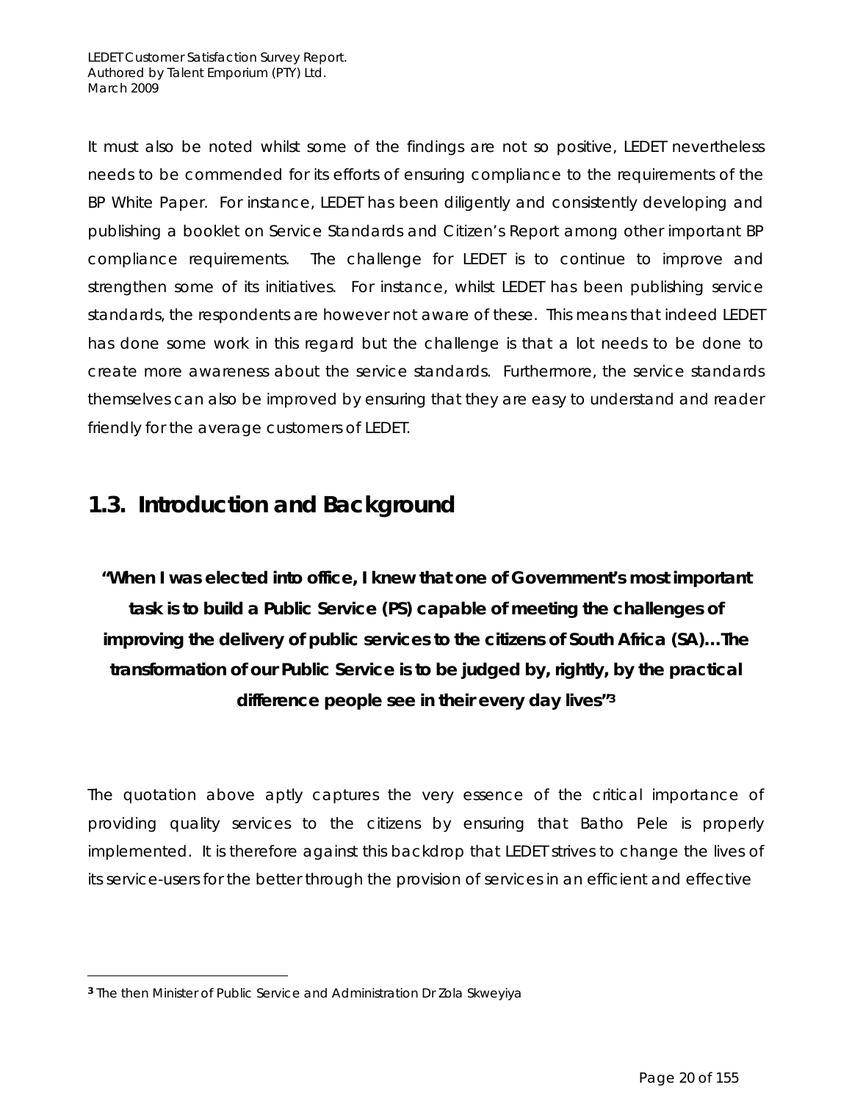It must also be noted whilst some of the findings are not so positive, LEDET nevertheless needs to be commended for its efforts of ensuring compliance to the requirements of the BP White Paper. For instance, LEDET has been diligently and consistently developing and publishing a booklet on Service Standards and Citizen's Report among other important BP compliance requirements. The challenge for LEDET is to continue to improve and strengthen some of its initiatives. For instance, whilst LEDET has been publishing service standards, the respondents are however not aware of these. This means that indeed LEDET has done some work in this regard but the challenge is that a lot needs to be done to create more awareness about the service standards. Furthermore, the service standards themselves can also be improved by ensuring that they are easy to understand and reader friendly for the average customers of LEDET.

# **1.3. Introduction and Background**

*"When I was elected into office, I knew that one of Government's most important task is to build a Public Service (PS) capable of meeting the challenges of improving the delivery of public services to the citizens of South Africa (SA)…The transformation of our Public Service is to be judged by, rightly, by the practical difference people see in their every day lives"3*

The quotation above aptly captures the very essence of the critical importance of providing quality services to the citizens by ensuring that Batho Pele is properly implemented. It is therefore against this backdrop that LEDET strives to change the lives of its service-users for the better through the provision of services in an efficient and effective

 $\overline{a}$ 

**<sup>3</sup>** The then Minister of Public Service and Administration Dr Zola Skweyiya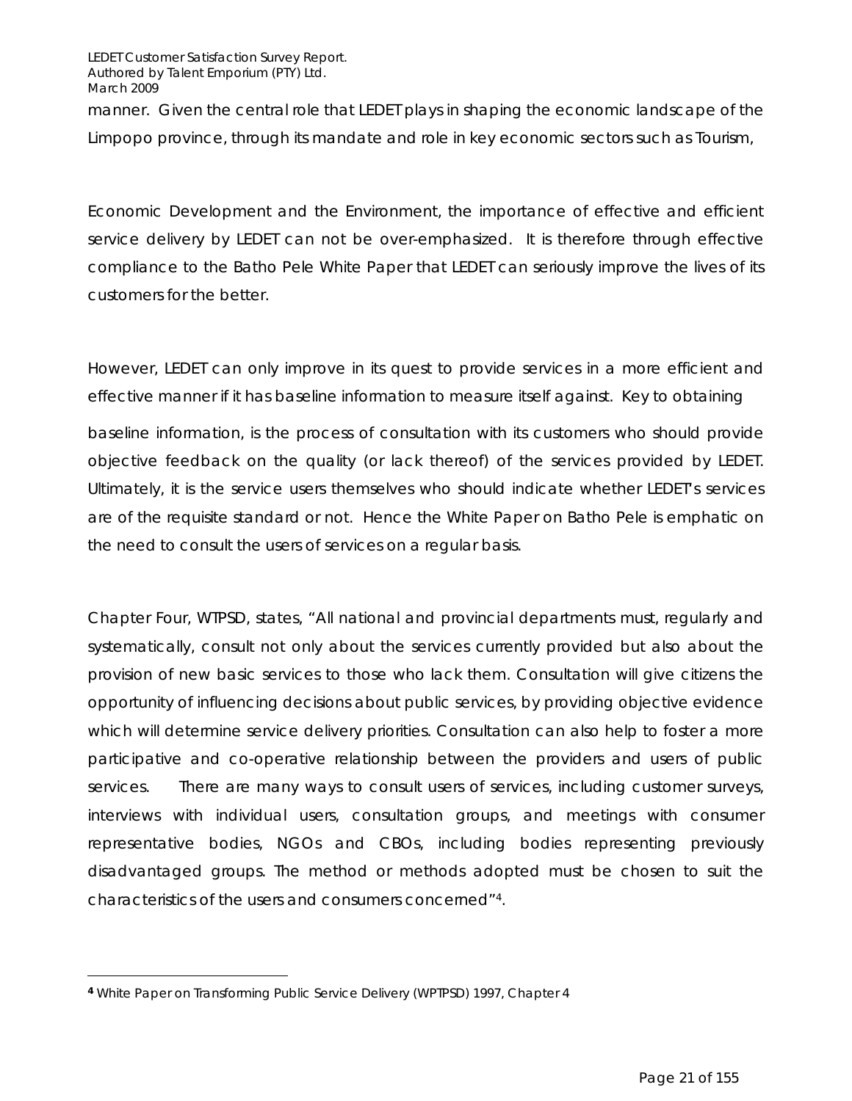manner. Given the central role that LEDET plays in shaping the economic landscape of the Limpopo province, through its mandate and role in key economic sectors such as Tourism,

Economic Development and the Environment, the importance of effective and efficient service delivery by LEDET can not be over-emphasized. It is therefore through effective compliance to the Batho Pele White Paper that LEDET can seriously improve the lives of its customers for the better.

However, LEDET can only improve in its quest to provide services in a more efficient and effective manner if it has baseline information to measure itself against. Key to obtaining baseline information, is the process of consultation with its customers who should provide objective feedback on the quality (or lack thereof) of the services provided by LEDET. Ultimately, it is the service users themselves who should indicate whether LEDET's services are of the requisite standard or not. Hence the White Paper on Batho Pele is emphatic on the need to consult the users of services on a regular basis.

Chapter Four, WTPSD, states, "All national and provincial departments must, regularly and systematically, consult not only about the services currently provided but also about the provision of new basic services to those who lack them*.* Consultation will give citizens the opportunity of influencing decisions about public services, by providing objective evidence which will determine service delivery priorities. Consultation can also help to foster a more participative and co-operative relationship between the providers and users of public services. There are many ways to consult users of services, including customer surveys, interviews with individual users, consultation groups, and meetings with consumer representative bodies, NGOs and CBOs, including bodies representing previously disadvantaged groups. The method or methods adopted must be chosen to suit the characteristics of the users and consumers concerned"4.

 $\overline{a}$ 

**<sup>4</sup>** White Paper on Transforming Public Service Delivery (WPTPSD) 1997, Chapter 4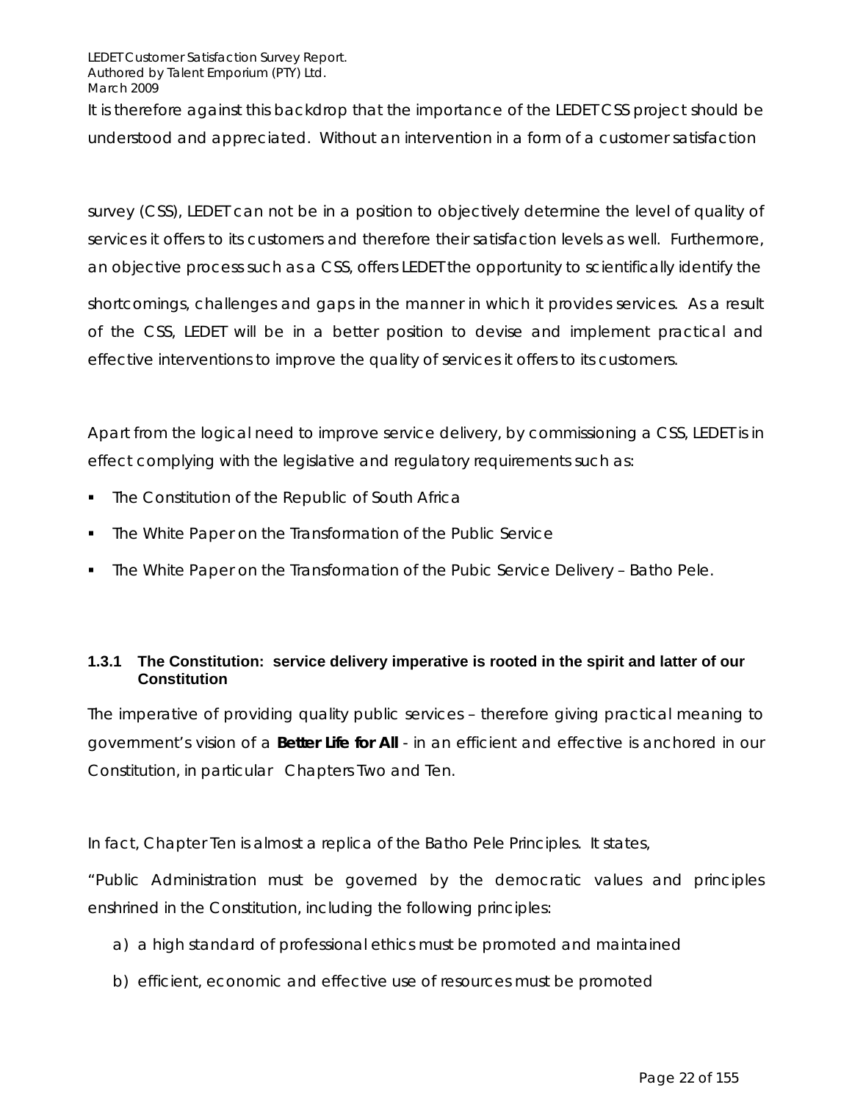It is therefore against this backdrop that the importance of the LEDET CSS project should be understood and appreciated. Without an intervention in a form of a customer satisfaction

survey (CSS), LEDET can not be in a position to objectively determine the level of quality of services it offers to its customers and therefore their satisfaction levels as well. Furthermore, an objective process such as a CSS, offers LEDET the opportunity to scientifically identify the

shortcomings, challenges and gaps in the manner in which it provides services. As a result of the CSS, LEDET will be in a better position to devise and implement practical and effective interventions to improve the quality of services it offers to its customers.

Apart from the logical need to improve service delivery, by commissioning a CSS, LEDET is in effect complying with the legislative and regulatory requirements such as:

- The Constitution of the Republic of South Africa
- The White Paper on the Transformation of the Public Service
- The White Paper on the Transformation of the Pubic Service Delivery Batho Pele.

#### **1.3.1 The Constitution: service delivery imperative is rooted in the spirit and latter of our Constitution**

The imperative of providing quality public services – therefore giving practical meaning to government's vision of a **Better Life for All** - in an efficient and effective is anchored in our Constitution, in particular Chapters Two and Ten.

In fact, Chapter Ten is almost a replica of the Batho Pele Principles. It states,

"*Public Administration must be governed by the democratic values and principles enshrined in the Constitution, including the following principles:* 

- *a) a high standard of professional ethics must be promoted and maintained*
- *b) efficient, economic and effective use of resources must be promoted*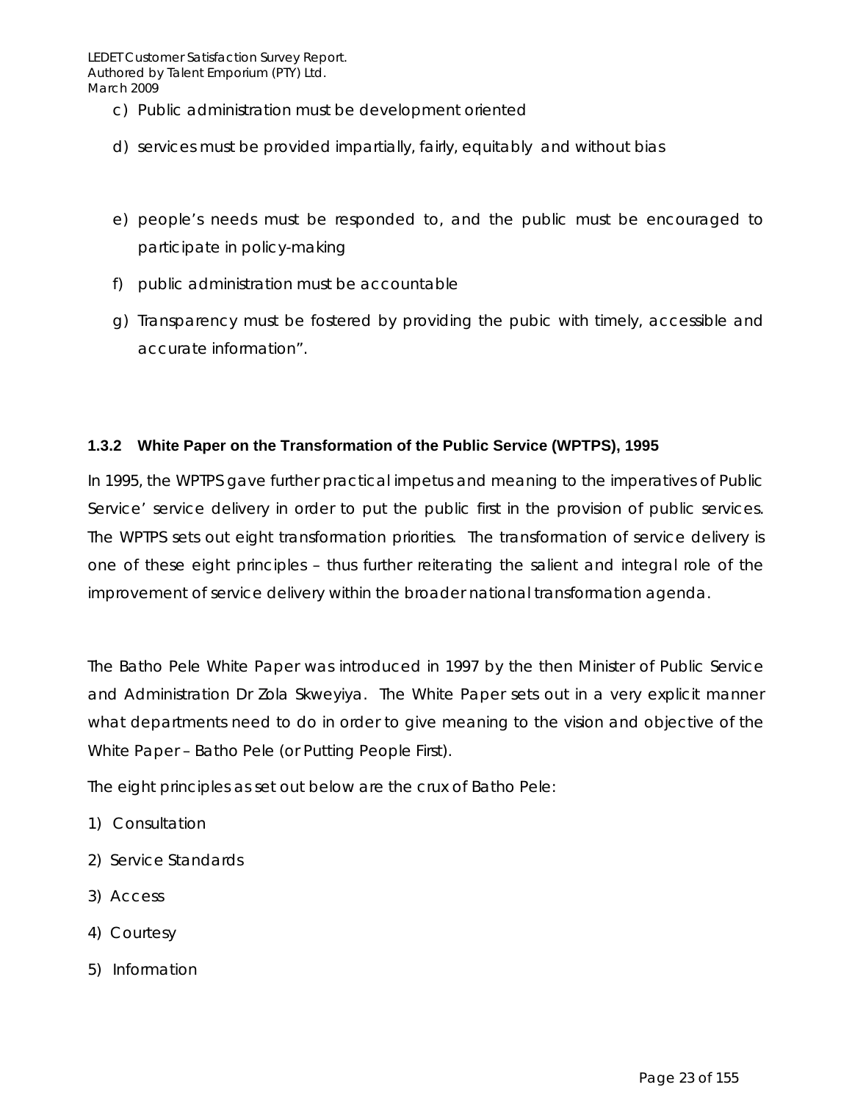- *c) Public administration must be development oriented*
- *d) services must be provided impartially, fairly, equitably and without bias*
- *e) people's needs must be responded to, and the public must be encouraged to participate in policy-making*
- *f) public administration must be accountable*
- *g) Transparency must be fostered by providing the pubic with timely, accessible and accurate information"*.

#### **1.3.2 White Paper on the Transformation of the Public Service (WPTPS), 1995**

In 1995, the WPTPS gave further practical impetus and meaning to the imperatives of Public Service' service delivery in order to put the public first in the provision of public services. The WPTPS sets out eight transformation priorities. The transformation of service delivery is one of these eight principles – thus further reiterating the salient and integral role of the improvement of service delivery within the broader national transformation agenda.

The Batho Pele White Paper was introduced in 1997 by the then Minister of Public Service and Administration Dr Zola Skweyiya. The White Paper sets out in a very explicit manner what departments need to do in order to give meaning to the vision and objective of the White Paper – Batho Pele (or Putting People First).

The eight principles as set out below are the crux of Batho Pele:

- 1) Consultation
- 2) Service Standards
- 3) Access
- 4) Courtesy
- 5) Information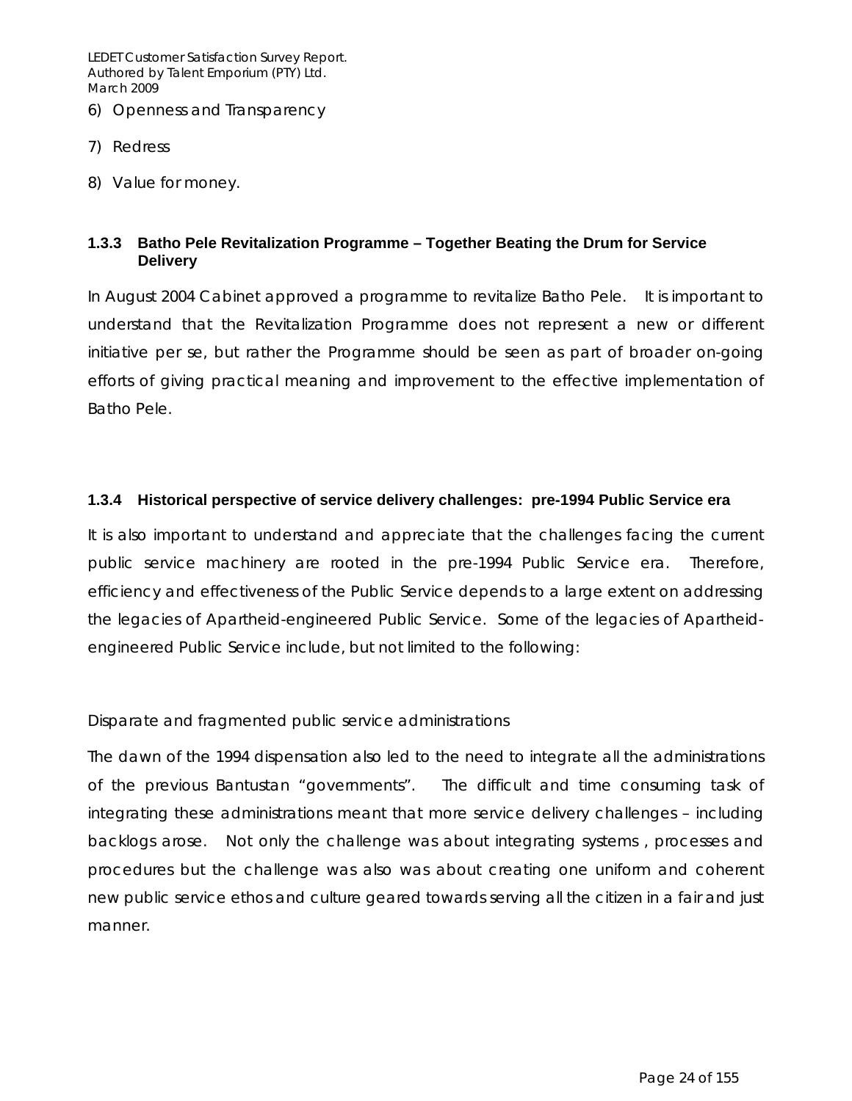- 6) Openness and Transparency
- 7) Redress
- 8) Value for money.

#### **1.3.3 Batho Pele Revitalization Programme – Together Beating the Drum for Service Delivery**

In August 2004 Cabinet approved a programme to revitalize Batho Pele. It is important to understand that the Revitalization Programme does not represent a new or different initiative *per se*, but rather the Programme should be seen as part of broader on-going efforts of giving practical meaning and improvement to the effective implementation of Batho Pele.

#### **1.3.4 Historical perspective of service delivery challenges: pre-1994 Public Service era**

It is also important to understand and appreciate that the challenges facing the current public service machinery are rooted in the pre-1994 Public Service era. Therefore, efficiency and effectiveness of the Public Service depends to a large extent on addressing the legacies of Apartheid-engineered Public Service. Some of the legacies of Apartheidengineered Public Service include, but not limited to the following:

#### *Disparate and fragmented public service administrations*

The dawn of the 1994 dispensation also led to the need to integrate all the administrations of the previous Bantustan "governments". The difficult and time consuming task of integrating these administrations meant that more service delivery challenges – including backlogs arose. Not only the challenge was about integrating systems , processes and procedures but the challenge was also was about creating one uniform and coherent new public service ethos and culture geared towards serving all the citizen in a fair and just manner.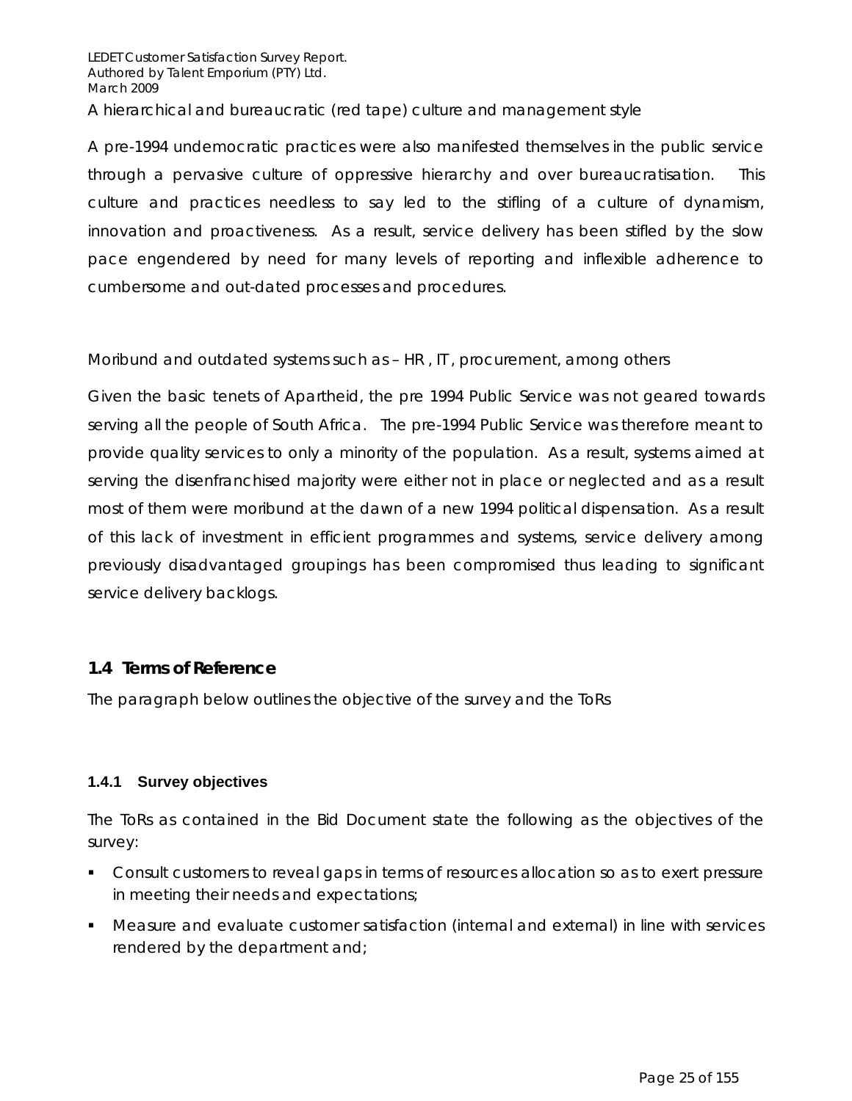A pre-1994 undemocratic practices were also manifested themselves in the public service through a pervasive culture of oppressive hierarchy and over bureaucratisation. This culture and practices needless to say led to the stifling of a culture of dynamism, innovation and proactiveness. As a result, service delivery has been stifled by the slow pace engendered by need for many levels of reporting and inflexible adherence to cumbersome and out-dated processes and procedures.

#### *Moribund and outdated systems such as – HR , IT , procurement, among others*

Given the basic tenets of Apartheid, the pre 1994 Public Service was not geared towards serving all the people of South Africa. The pre-1994 Public Service was therefore meant to provide quality services to only a minority of the population. As a result, systems aimed at serving the disenfranchised majority were either not in place or neglected and as a result most of them were moribund at the dawn of a new 1994 political dispensation. As a result of this lack of investment in efficient programmes and systems, service delivery among previously disadvantaged groupings has been compromised thus leading to significant service delivery backlogs.

#### **1.4 Terms of Reference**

The paragraph below outlines the objective of the survey and the ToRs

#### **1.4.1 Survey objectives**

The ToRs as contained in the Bid Document state the following as the objectives of the survey:

- Consult customers to reveal gaps in terms of resources allocation so as to exert pressure in meeting their needs and expectations;
- Measure and evaluate customer satisfaction (internal and external) in line with services rendered by the department and;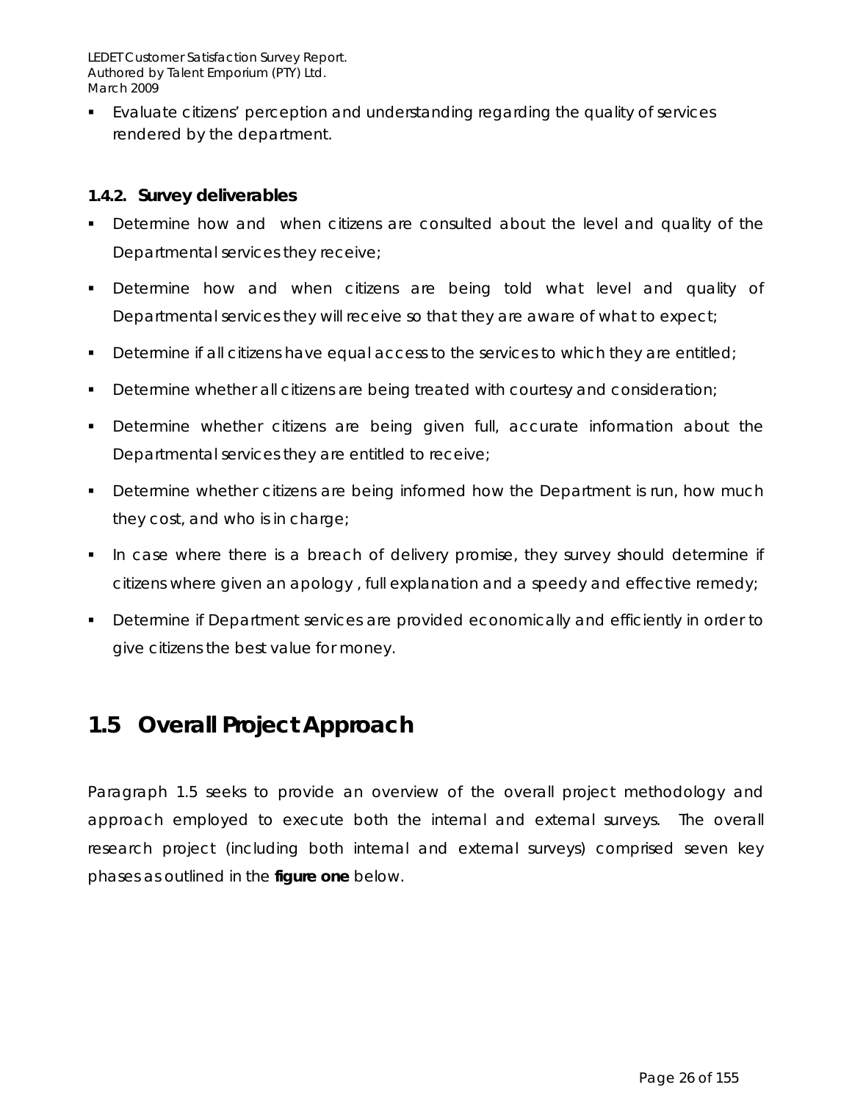Evaluate citizens' perception and understanding regarding the quality of services rendered by the department.

#### **1.4.2. Survey deliverables**

- Determine how and when citizens are consulted about the level and quality of the Departmental services they receive;
- Determine how and when citizens are being told what level and quality of Departmental services they will receive so that they are aware of what to expect;
- Determine if all citizens have equal access to the services to which they are entitled;
- Determine whether all citizens are being treated with courtesy and consideration;
- Determine whether citizens are being given full, accurate information about the Departmental services they are entitled to receive;
- **Determine whether citizens are being informed how the Department is run, how much** they cost, and who is in charge;
- In case where there is a breach of delivery promise, they survey should determine if citizens where given an apology , full explanation and a speedy and effective remedy;
- Determine if Department services are provided economically and efficiently in order to give citizens the best value for money.

## **1.5 Overall Project Approach**

Paragraph 1.5 seeks to provide an overview of the overall project methodology and approach employed to execute both the internal and external surveys. The overall research project (including both internal and external surveys) comprised seven key phases as outlined in the **figure one** below.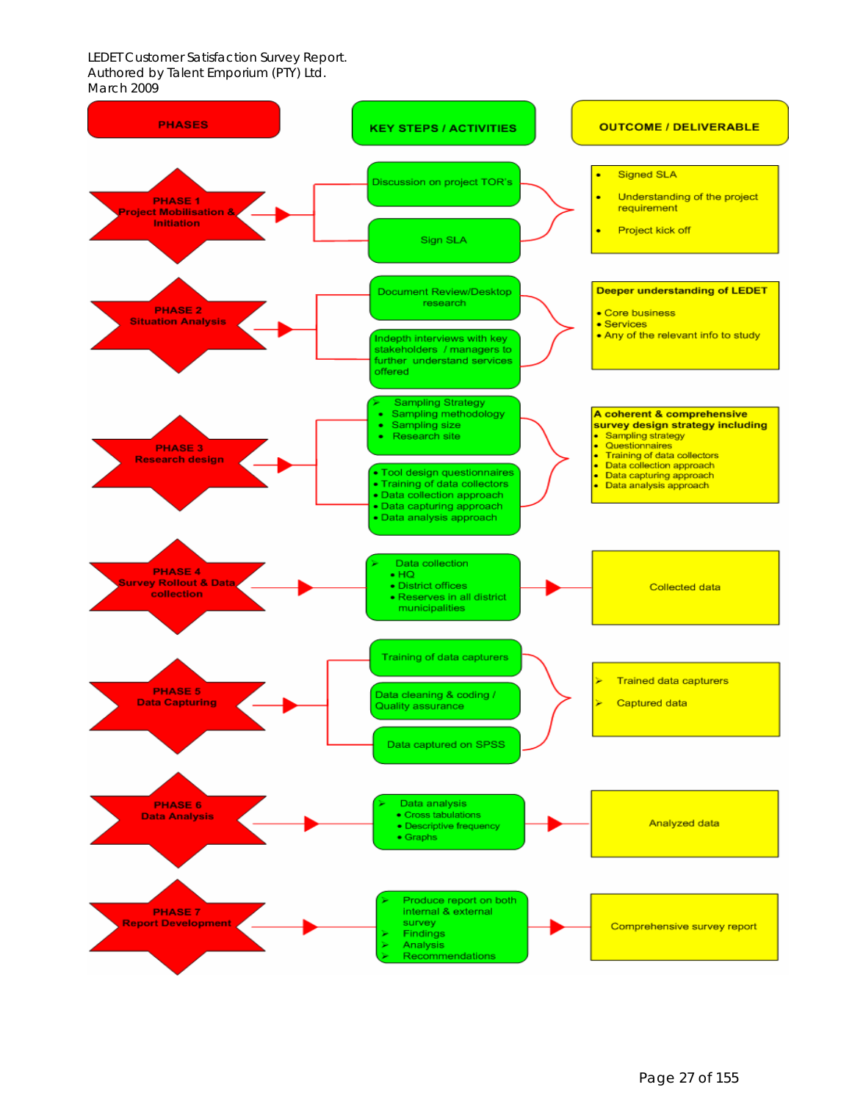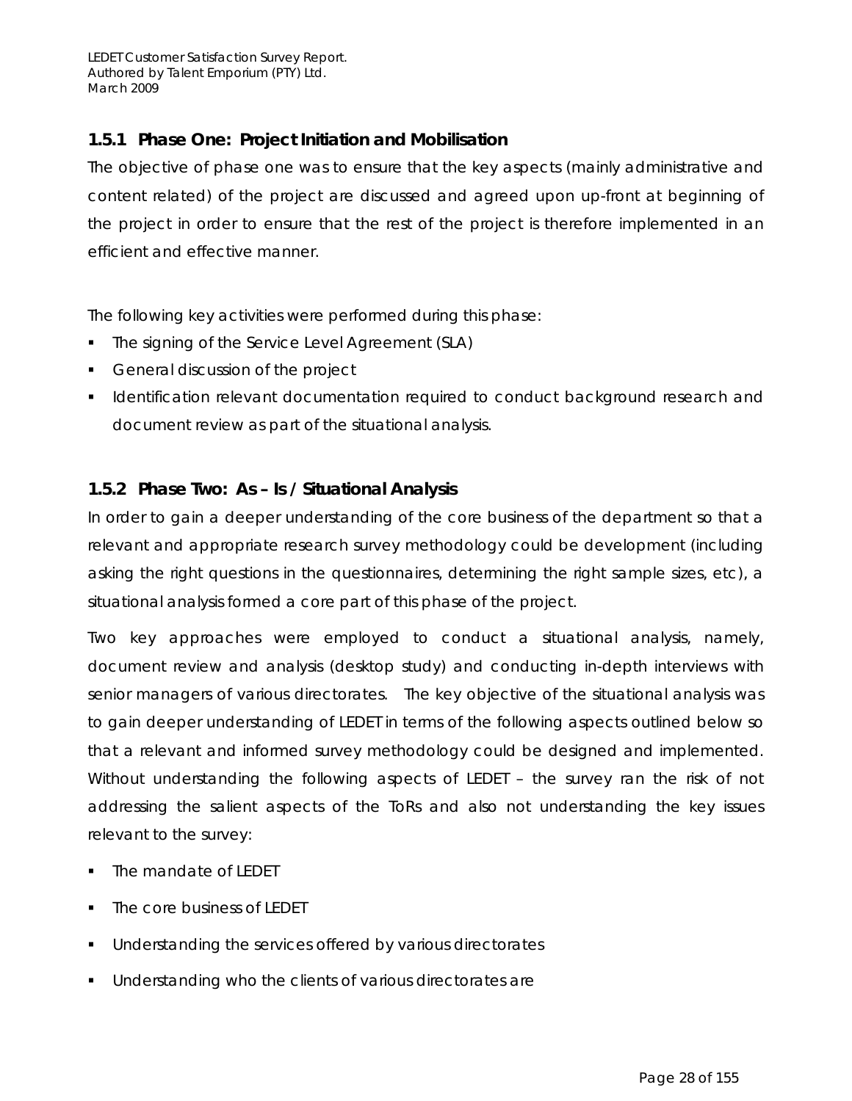## *1.5.1 Phase One: Project Initiation and Mobilisation*

The objective of phase one was to ensure that the key aspects (mainly administrative and content related) of the project are discussed and agreed upon up-front at beginning of the project in order to ensure that the rest of the project is therefore implemented in an efficient and effective manner.

The following key activities were performed during this phase:

- The signing of the Service Level Agreement (SLA)
- General discussion of the project
- **I** Identification relevant documentation required to conduct background research and document review as part of the situational analysis.

## *1.5.2 Phase Two: As – Is / Situational Analysis*

In order to gain a deeper understanding of the core business of the department so that a relevant and appropriate research survey methodology could be development (including asking the right questions in the questionnaires, determining the right sample sizes, etc), a situational analysis formed a core part of this phase of the project.

Two key approaches were employed to conduct a situational analysis, namely, document review and analysis (desktop study) and conducting in-depth interviews with senior managers of various directorates. The key objective of the situational analysis was to gain deeper understanding of LEDET in terms of the following aspects outlined below so that a relevant and informed survey methodology could be designed and implemented. Without understanding the following aspects of LEDET – the survey ran the risk of not addressing the salient aspects of the ToRs and also not understanding the key issues relevant to the survey:

- The mandate of LEDET
- The core business of LEDET
- **Understanding the services offered by various directorates**
- **Understanding who the clients of various directorates are**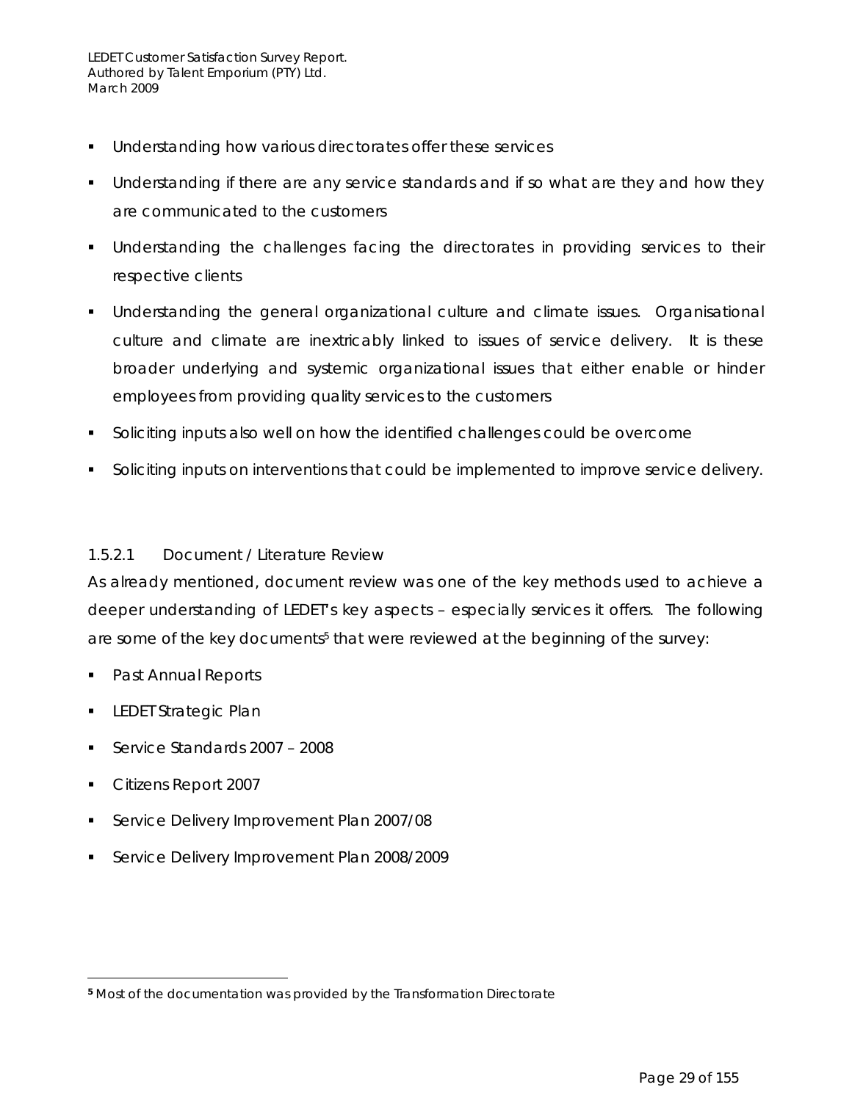- **Understanding how various directorates offer these services**
- **Understanding if there are any service standards and if so what are they and how they** are communicated to the customers
- Understanding the challenges facing the directorates in providing services to their respective clients
- Understanding the general organizational culture and climate issues. Organisational culture and climate are inextricably linked to issues of service delivery. It is these broader underlying and systemic organizational issues that either enable or hinder employees from providing quality services to the customers
- Soliciting inputs also well on how the identified challenges could be overcome
- **Soliciting inputs on interventions that could be implemented to improve service delivery.**

#### *1.5.2.1 Document / Literature Review*

As already mentioned, document review was one of the key methods used to achieve a deeper understanding of LEDET's key aspects – especially services it offers. The following are some of the key documents<sup>5</sup> that were reviewed at the beginning of the survey:

- Past Annual Reports
- LEDET Strategic Plan
- Service Standards 2007 2008
- **Citizens Report 2007**

 $\overline{a}$ 

- Service Delivery Improvement Plan 2007/08
- Service Delivery Improvement Plan 2008/2009

**<sup>5</sup>** Most of the documentation was provided by the Transformation Directorate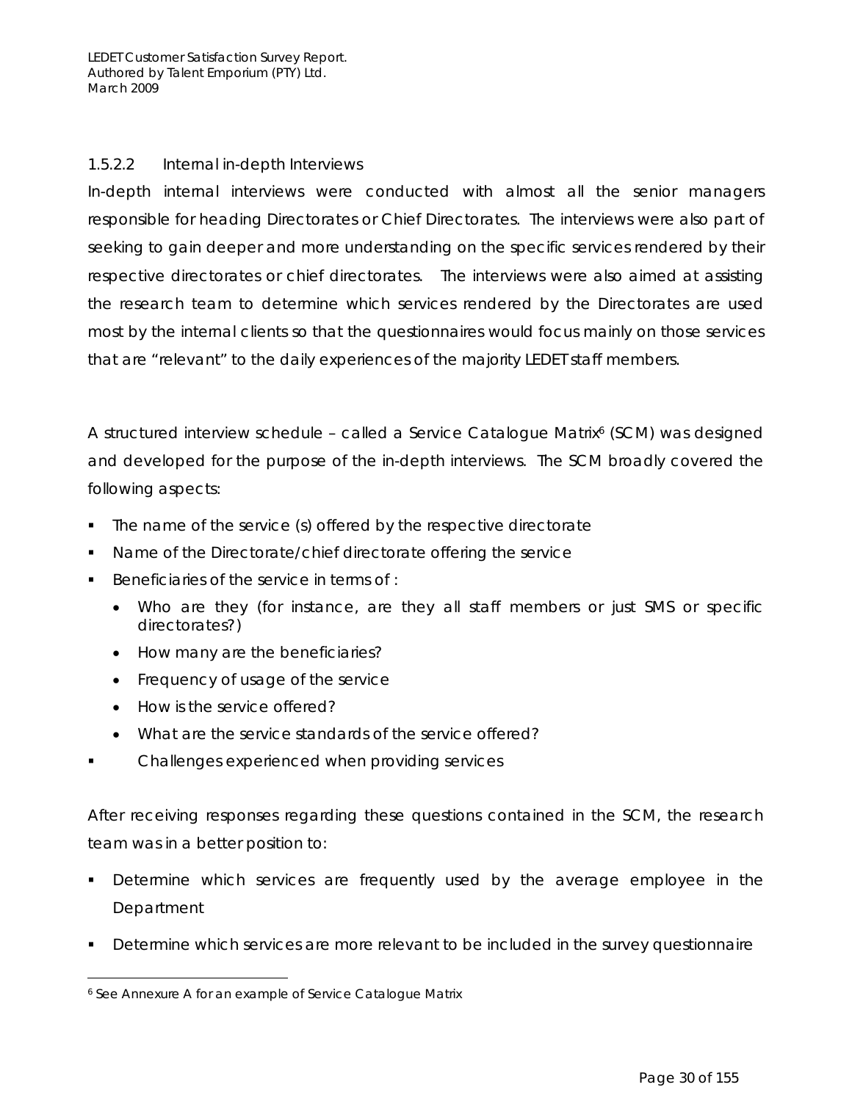### *1.5.2.2 Internal in-depth Interviews*

In-depth internal interviews were conducted with almost all the senior managers responsible for heading Directorates or Chief Directorates. The interviews were also part of seeking to gain deeper and more understanding on the specific services rendered by their respective directorates or chief directorates. The interviews were also aimed at assisting the research team to determine which services rendered by the Directorates are used most by the internal clients so that the questionnaires would focus mainly on those services that are "relevant" to the daily experiences of the majority LEDET staff members.

A structured interview schedule – called a Service Catalogue Matrix<sup>6</sup> (SCM) was designed and developed for the purpose of the in-depth interviews. The SCM broadly covered the following aspects:

- The name of the service (s) offered by the respective directorate
- Name of the Directorate/chief directorate offering the service
- Beneficiaries of the service in terms of :
	- Who are they (for instance, are they all staff members or just SMS or specific directorates?)
	- How many are the beneficiaries?
	- Frequency of usage of the service
	- How is the service offered?
	- What are the service standards of the service offered?
- Challenges experienced when providing services

After receiving responses regarding these questions contained in the SCM, the research team was in a better position to:

- Determine which services are frequently used by the average employee in the Department
- Determine which services are more relevant to be included in the survey questionnaire

 $\overline{a}$ 6 See Annexure A for an example of Service Catalogue Matrix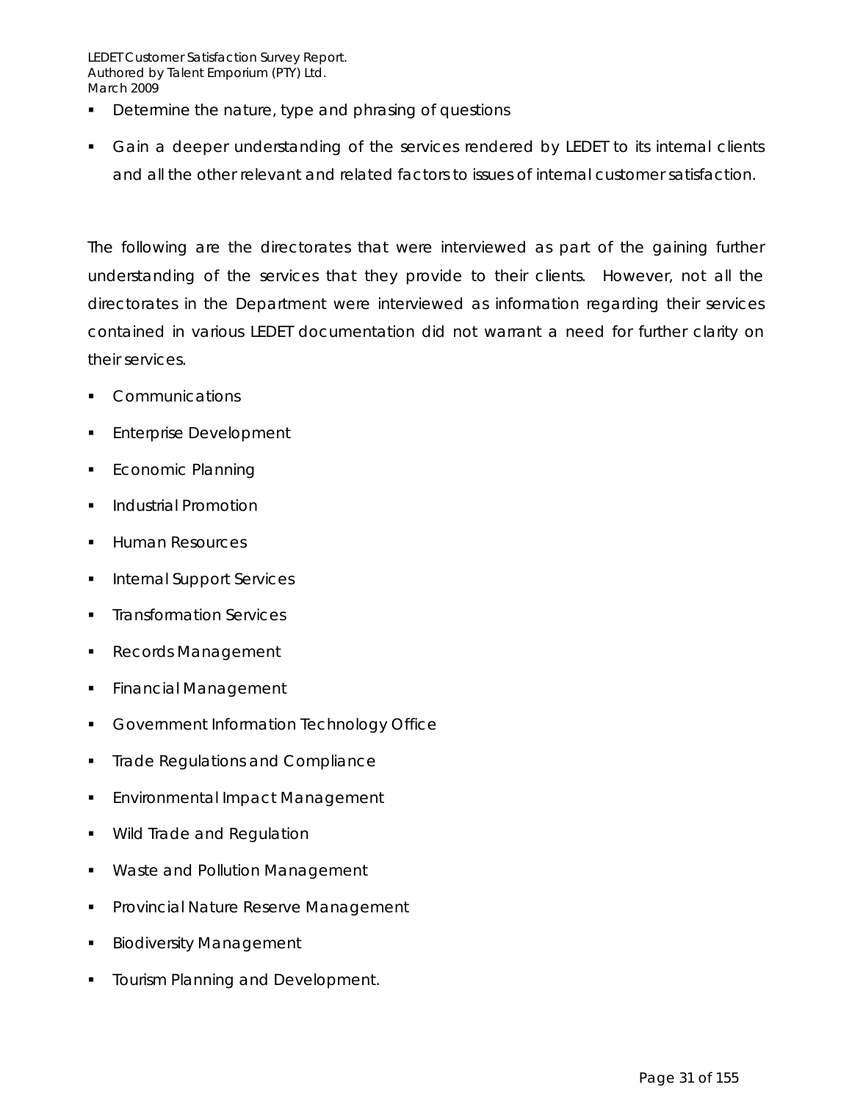- **•** Determine the nature, type and phrasing of questions
- Gain a deeper understanding of the services rendered by LEDET to its internal clients and all the other relevant and related factors to issues of internal customer satisfaction.

The following are the directorates that were interviewed as part of the gaining further understanding of the services that they provide to their clients. However, not all the directorates in the Department were interviewed as information regarding their services contained in various LEDET documentation did not warrant a need for further clarity on their services.

- **Communications**
- Enterprise Development
- **Economic Planning**
- Industrial Promotion
- **Human Resources**
- **Internal Support Services**
- **Transformation Services**
- Records Management
- **Financial Management**
- **Government Information Technology Office**
- **Trade Regulations and Compliance**
- **Environmental Impact Management**
- **Wild Trade and Regulation**
- **Waste and Pollution Management**
- Provincial Nature Reserve Management
- Biodiversity Management
- Tourism Planning and Development.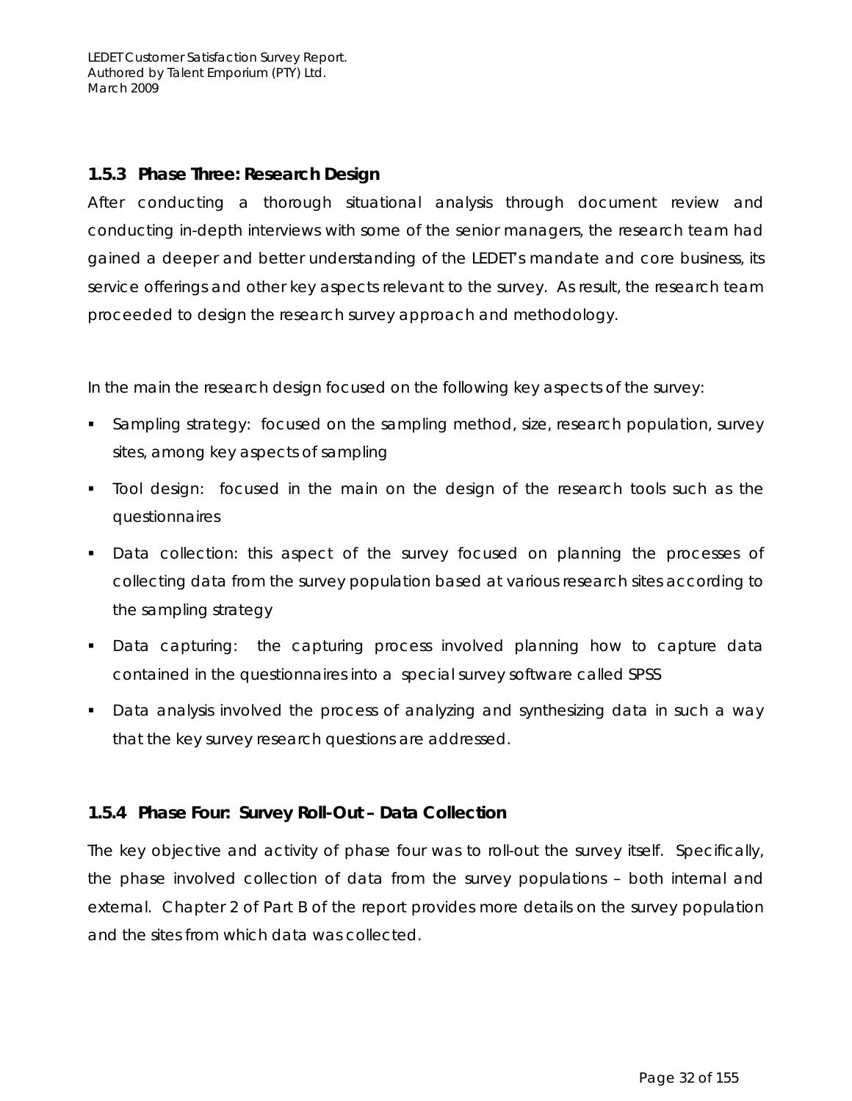## *1.5.3 Phase Three: Research Design*

After conducting a thorough situational analysis through document review and conducting in-depth interviews with some of the senior managers, the research team had gained a deeper and better understanding of the LEDET's mandate and core business, its service offerings and other key aspects relevant to the survey. As result, the research team proceeded to design the research survey approach and methodology.

In the main the research design focused on the following key aspects of the survey:

- **Sampling strategy: focused on the sampling method, size, research population, survey** sites, among key aspects of sampling
- Tool design: focused in the main on the design of the research tools such as the questionnaires
- Data collection: this aspect of the survey focused on planning the processes of collecting data from the survey population based at various research sites according to the sampling strategy
- Data capturing: the capturing process involved planning how to capture data contained in the questionnaires into a special survey software called SPSS
- Data analysis involved the process of analyzing and synthesizing data in such a way that the key survey research questions are addressed.

## *1.5.4 Phase Four: Survey Roll-Out – Data Collection*

The key objective and activity of phase four was to roll-out the survey itself. Specifically, the phase involved collection of data from the survey populations – both internal and external. Chapter 2 of Part B of the report provides more details on the survey population and the sites from which data was collected.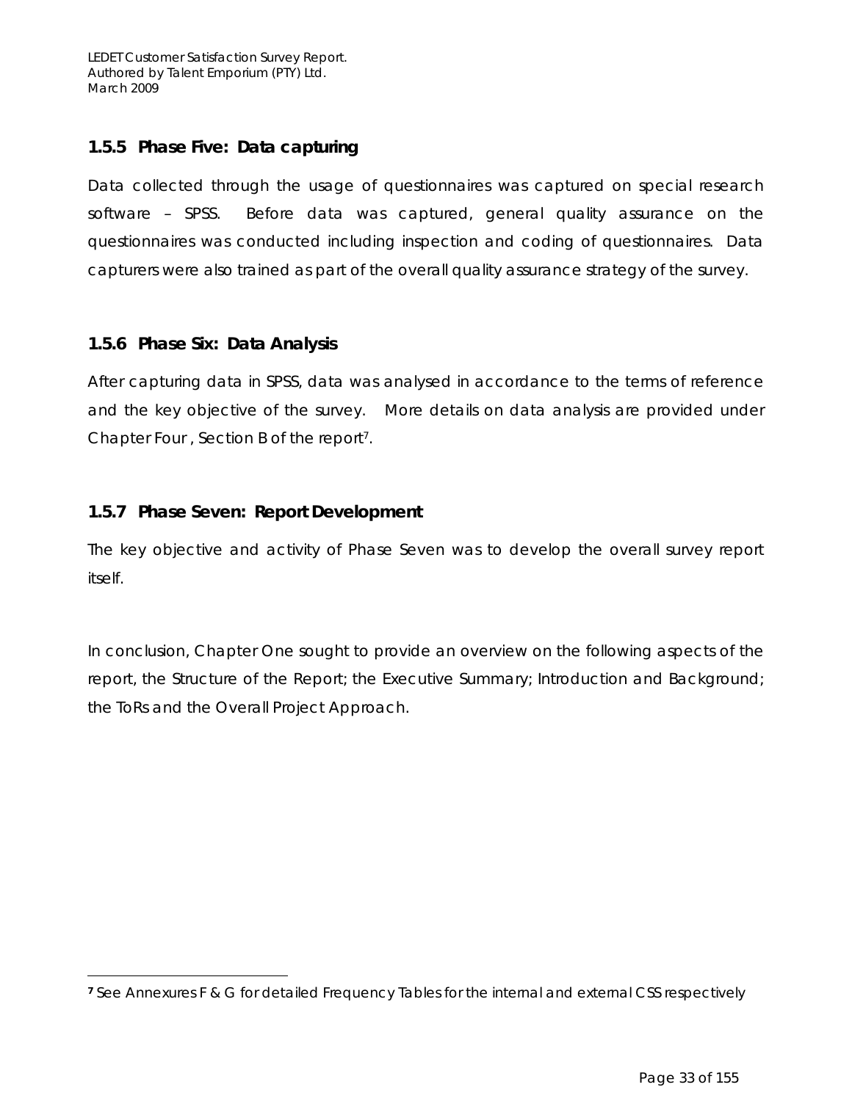## *1.5.5 Phase Five: Data capturing*

Data collected through the usage of questionnaires was captured on special research software – SPSS. Before data was captured, general quality assurance on the questionnaires was conducted including inspection and coding of questionnaires. Data capturers were also trained as part of the overall quality assurance strategy of the survey.

## *1.5.6 Phase Six: Data Analysis*

 $\overline{a}$ 

After capturing data in SPSS, data was analysed in accordance to the terms of reference and the key objective of the survey. More details on data analysis are provided under Chapter Four , Section B of the report7.

## *1.5.7 Phase Seven: Report Development*

The key objective and activity of Phase Seven was to develop the overall survey report itself.

In conclusion, Chapter One sought to provide an overview on the following aspects of the report, the Structure of the Report; the Executive Summary; Introduction and Background; the ToRs and the Overall Project Approach.

**<sup>7</sup>** See Annexures F & G for detailed Frequency Tables for the internal and external CSS respectively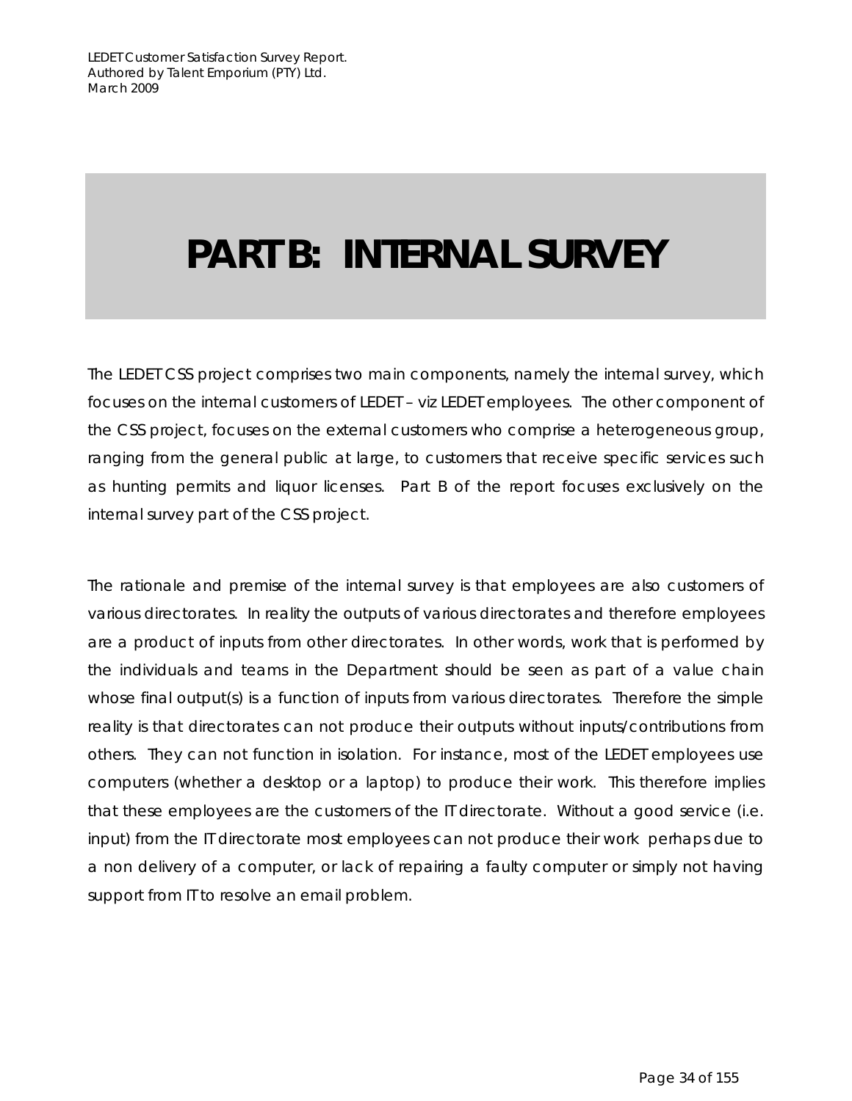# **PART B: INTERNAL SURVEY**

The LEDET CSS project comprises two main components, namely the internal survey, which focuses on the internal customers of LEDET – *viz* LEDET employees. The other component of the CSS project, focuses on the external customers who comprise a heterogeneous group, ranging from the general public at large, to customers that receive specific services such as hunting permits and liquor licenses. Part B of the report focuses exclusively on the internal survey part of the CSS project.

The rationale and premise of the internal survey is that employees are also customers of various directorates. In reality the outputs of various directorates and therefore employees are a product of inputs from other directorates. In other words, work that is performed by the individuals and teams in the Department should be seen as part of a value chain whose final output(s) is a function of inputs from various directorates. Therefore the simple reality is that directorates can not produce their outputs without inputs/contributions from others. They can not function in isolation. For instance, most of the LEDET employees use computers (whether a desktop or a laptop) to produce their work. This therefore implies that these employees are the customers of the IT directorate. Without a good service (i.e. input) from the IT directorate most employees can not produce their work perhaps due to a non delivery of a computer, or lack of repairing a faulty computer or simply not having support from IT to resolve an email problem.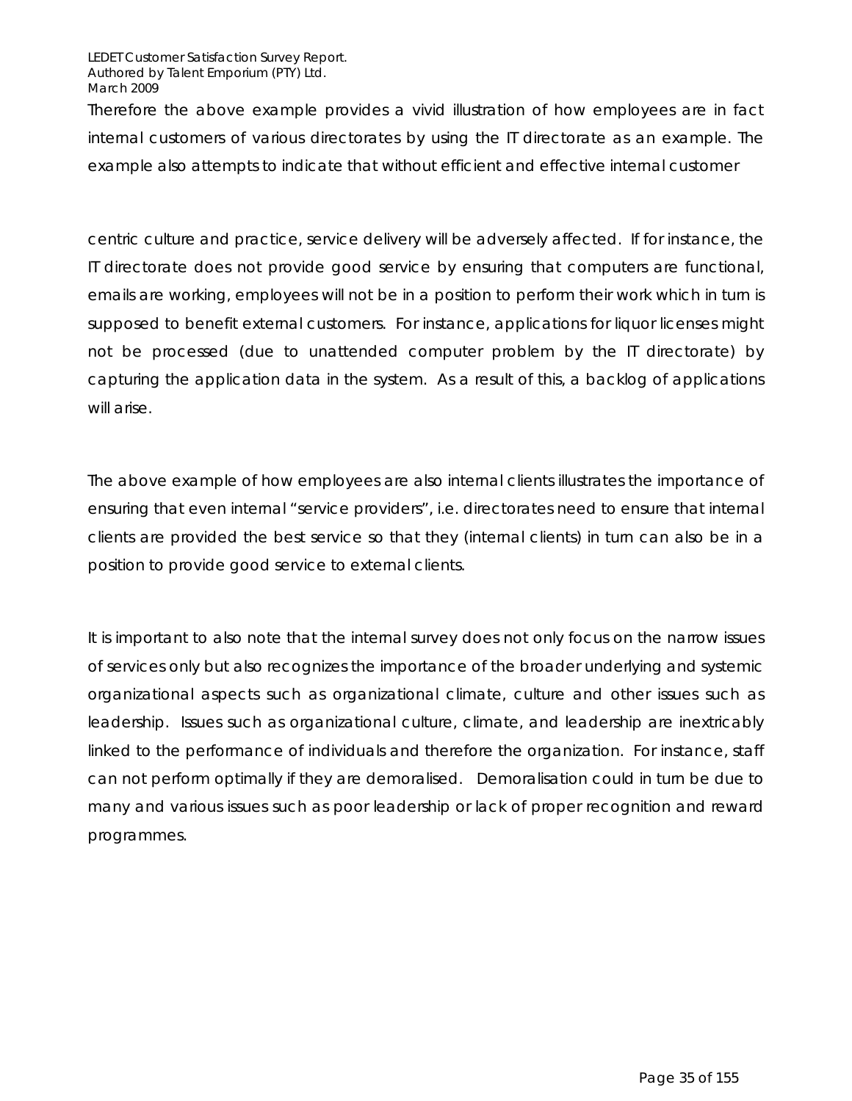Therefore the above example provides a vivid illustration of how employees are in fact internal customers of various directorates by using the IT directorate as an example. The example also attempts to indicate that without efficient and effective internal customer

centric culture and practice, service delivery will be adversely affected. If for instance, the IT directorate does not provide good service by ensuring that computers are functional, emails are working, employees will not be in a position to perform their work which in turn is supposed to benefit external customers. For instance, applications for liquor licenses might not be processed (due to unattended computer problem by the IT directorate) by capturing the application data in the system. As a result of this, a backlog of applications will arise.

The above example of how employees are also internal clients illustrates the importance of ensuring that even internal "service providers", i.e. directorates need to ensure that internal clients are provided the best service so that they (internal clients) in turn can also be in a position to provide good service to external clients.

It is important to also note that the internal survey does not only focus on the narrow issues of services only but also recognizes the importance of the broader underlying and systemic organizational aspects such as organizational climate, culture and other issues such as leadership. Issues such as organizational culture, climate, and leadership are inextricably linked to the performance of individuals and therefore the organization. For instance, staff can not perform optimally if they are demoralised. Demoralisation could in turn be due to many and various issues such as poor leadership or lack of proper recognition and reward programmes.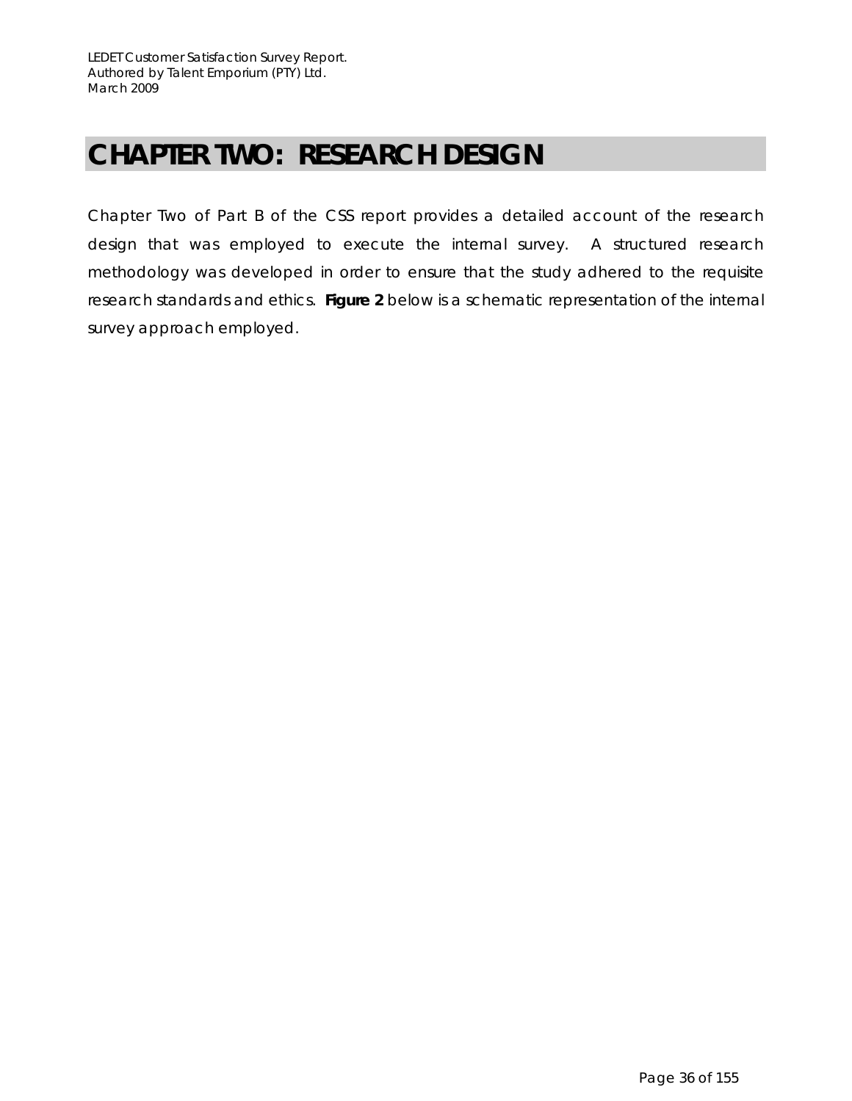# **CHAPTER TWO: RESEARCH DESIGN**

Chapter Two of Part B of the CSS report provides a detailed account of the research design that was employed to execute the internal survey. A structured research methodology was developed in order to ensure that the study adhered to the requisite research standards and ethics. **Figure 2** below is a schematic representation of the internal survey approach employed.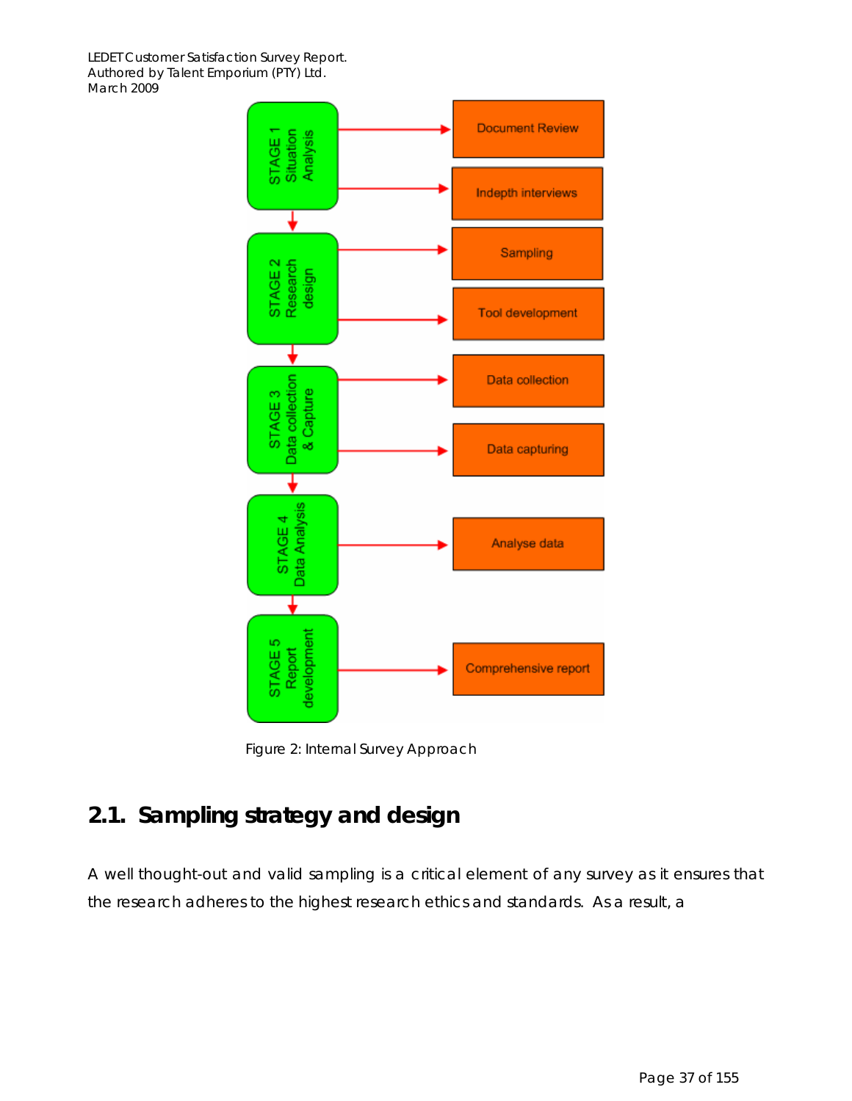

Figure 2: Internal Survey Approach

## **2.1. Sampling strategy and design**

A well thought-out and valid sampling is a critical element of any survey as it ensures that the research adheres to the highest research ethics and standards. As a result, a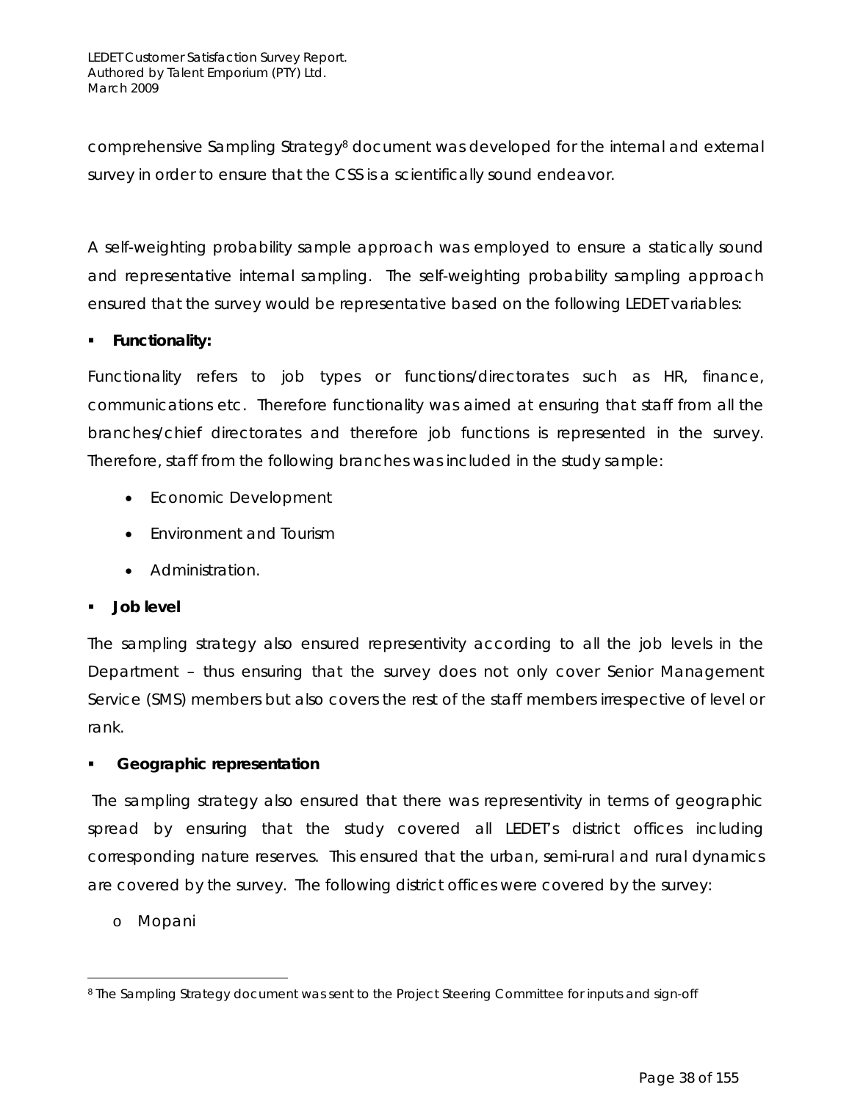comprehensive Sampling Strategy8 document was developed for the internal and external survey in order to ensure that the CSS is a scientifically sound endeavor.

A self-weighting probability sample approach was employed to ensure a statically sound and representative internal sampling. The self-weighting probability sampling approach ensured that the survey would be representative based on the following LEDET variables:

#### *Functionality***:**

Functionality refers to job types or functions/directorates such as HR, finance, communications etc. Therefore functionality was aimed at ensuring that staff from all the branches/chief directorates and therefore job functions is represented in the survey. Therefore, staff from the following branches was included in the study sample:

- Economic Development
- Environment and Tourism
- Administration.

#### *Job level*

The sampling strategy also ensured representivity according to all the job levels in the Department – thus ensuring that the survey does not only cover Senior Management Service (SMS) members but also covers the rest of the staff members irrespective of level or rank.

#### *Geographic representation*

The sampling strategy also ensured that there was representivity in terms of geographic spread by ensuring that the study covered all LEDET's district offices including corresponding nature reserves. This ensured that the urban, semi-rural and rural dynamics are covered by the survey. The following district offices were covered by the survey:

#### o Mopani

 $\overline{a}$ <sup>8</sup> The Sampling Strategy document was sent to the Project Steering Committee for inputs and sign-off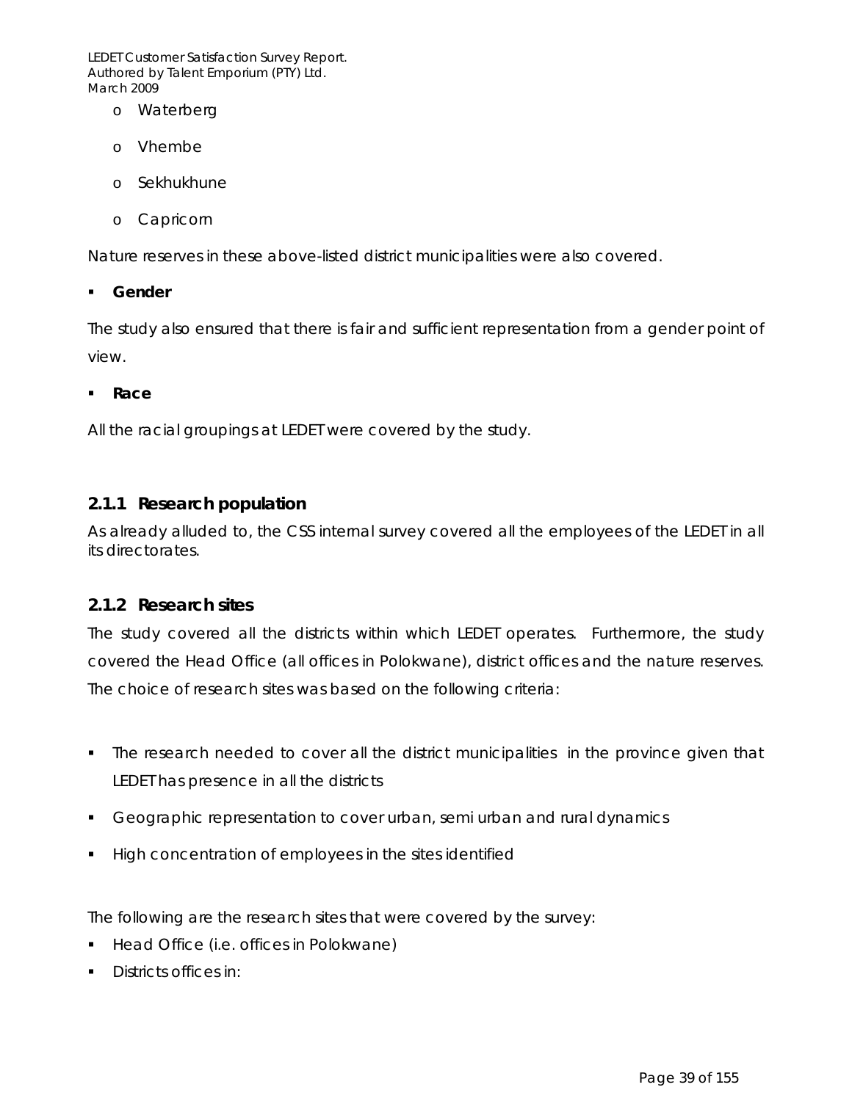- o Waterberg
- o Vhembe
- o Sekhukhune
- o Capricorn

Nature reserves in these above-listed district municipalities were also covered.

*Gender* 

The study also ensured that there is fair and sufficient representation from a gender point of view.

*Race* 

All the racial groupings at LEDET were covered by the study.

#### *2.1.1 Research population*

As already alluded to, the CSS internal survey covered all the employees of the LEDET in all its directorates.

#### *2.1.2 Research sites*

The study covered all the districts within which LEDET operates. Furthermore, the study covered the Head Office (all offices in Polokwane), district offices and the nature reserves. The choice of research sites was based on the following criteria:

- The research needed to cover all the district municipalities in the province given that LEDET has presence in all the districts
- **Geographic representation to cover urban, semi urban and rural dynamics**
- **High concentration of employees in the sites identified**

The following are the research sites that were covered by the survey:

- **Head Office (i.e. offices in Polokwane)**
- Districts offices in: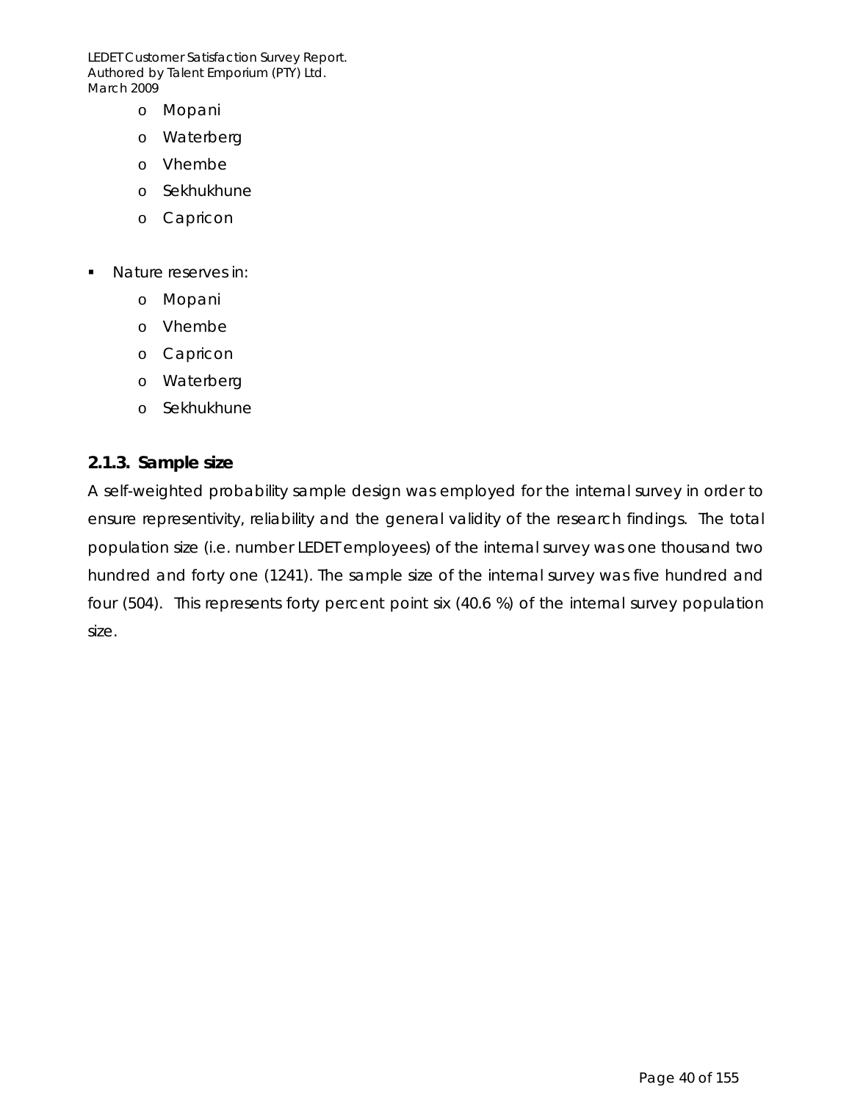- o Mopani
- o Waterberg
- o Vhembe
- o Sekhukhune
- o Capricon
- **Nature reserves in:** 
	- o Mopani
	- o Vhembe
	- o Capricon
	- o Waterberg
	- o Sekhukhune

#### *2.1.3. Sample size*

A self-weighted probability sample design was employed for the internal survey in order to ensure representivity, reliability and the general validity of the research findings. The total population size (i.e. number LEDET employees) of the internal survey was one thousand two hundred and forty one (1241). The sample size of the internal survey was five hundred and four (504). This represents forty percent point six (40.6 %) of the internal survey population size.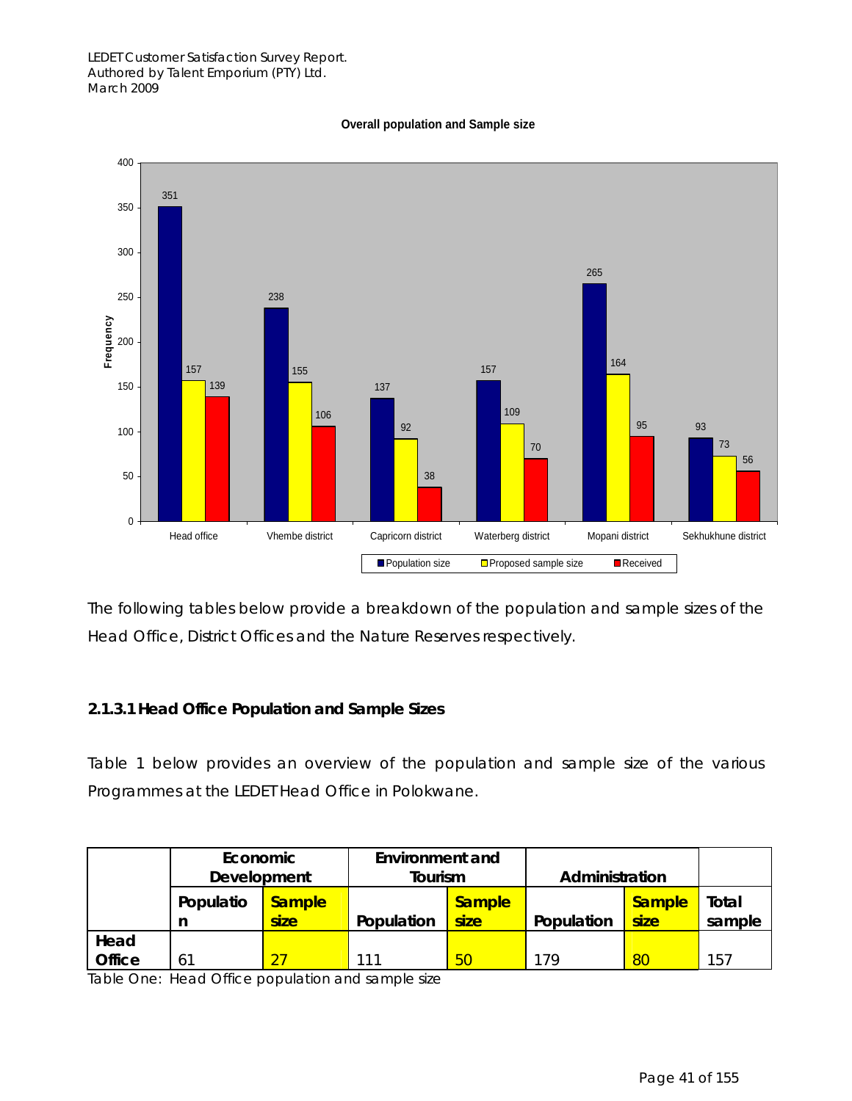#### **Overall population and Sample size**



The following tables below provide a breakdown of the population and sample sizes of the Head Office, District Offices and the Nature Reserves respectively.

#### *2.1.3.1 Head Office Population and Sample Sizes*

Table 1 below provides an overview of the population and sample size of the various Programmes at the LEDET Head Office in Polokwane.

|                       | Economic<br>Development |                       | <b>Environment and</b><br>Tourism |                       | Administration |                       |                 |
|-----------------------|-------------------------|-----------------------|-----------------------------------|-----------------------|----------------|-----------------------|-----------------|
|                       | Populatio               | <b>Sample</b><br>size | Population                        | <b>Sample</b><br>size | Population     | <b>Sample</b><br>size | Total<br>sample |
| Head<br><b>Office</b> | 61                      |                       | 111                               | 50                    | 179            | 80                    | 157             |

Table One: Head Office population and sample size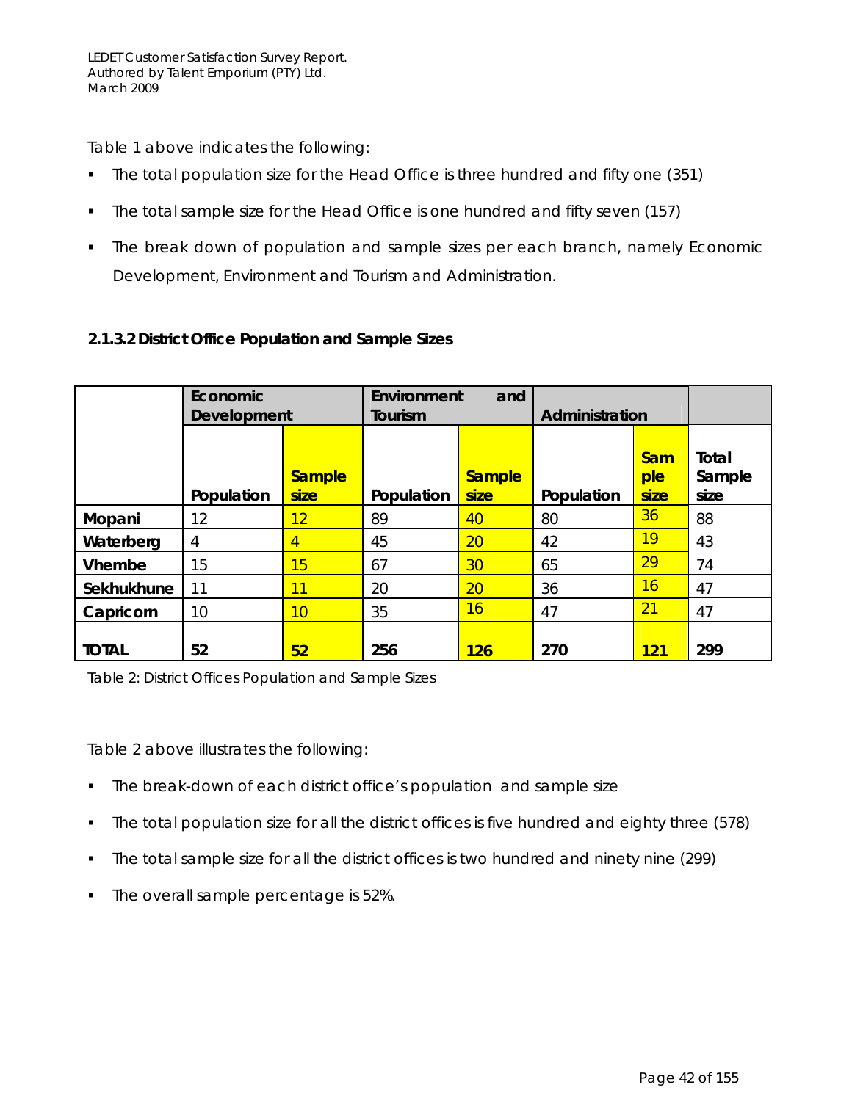Table 1 above indicates the following:

- The total population size for the Head Office is three hundred and fifty one (351)
- The total sample size for the Head Office is one hundred and fifty seven (157)
- The break down of population and sample sizes per each branch, namely Economic Development, Environment and Tourism and Administration.

|               | Economic<br>Development |                       | Environment<br>and<br>Tourism |                       | Administration |                           |                         |
|---------------|-------------------------|-----------------------|-------------------------------|-----------------------|----------------|---------------------------|-------------------------|
|               | Population              | <b>Sample</b><br>size | Population                    | <b>Sample</b><br>size | Population     | <b>Sam</b><br>ple<br>size | Total<br>Sample<br>size |
| Mopani        | 12                      | 12                    | 89                            | 40                    | 80             | 36                        | 88                      |
| Waterberg     | 4                       | $\vert 4 \vert$       | 45                            | 20                    | 42             | 19                        | 43                      |
| <b>Vhembe</b> | 15                      | 15                    | 67                            | 30 <sup>°</sup>       | 65             | 29                        | 74                      |
| Sekhukhune    | 11                      | 11                    | 20                            | 20                    | 36             | 16                        | 47                      |
| Capricorn     | 10                      | $10 \,$               | 35                            | 16                    | 47             | 21                        | 47                      |
| <b>TOTAL</b>  | 52                      | 52                    | 256                           | 126                   | 270            | 121                       | 299                     |

#### *2.1.3.2 District Office Population and Sample Sizes*

Table 2: District Offices Population and Sample Sizes

Table 2 above illustrates the following:

- The break-down of each district office's population and sample size
- The total population size for all the district offices is five hundred and eighty three (578)
- The total sample size for all the district offices is two hundred and ninety nine (299)
- The overall sample percentage is 52%.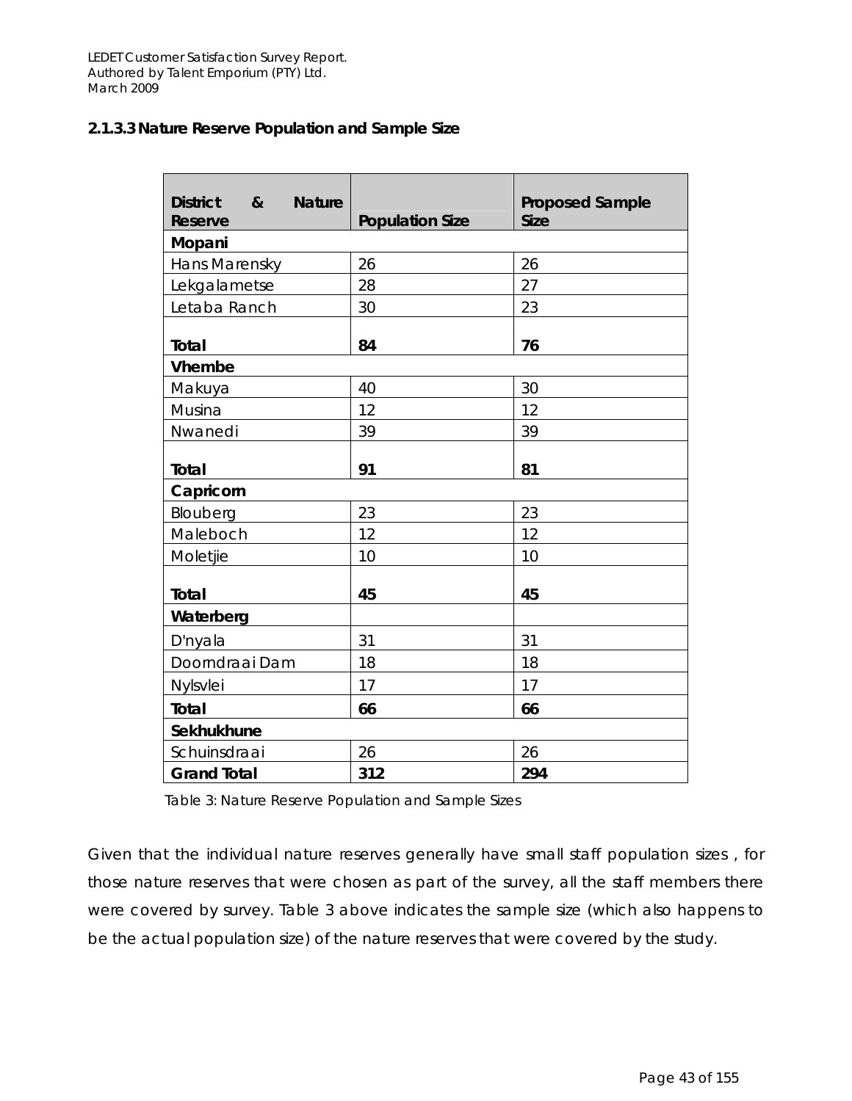#### *2.1.3.3 Nature Reserve Population and Sample Size*

| <b>District</b><br>$\boldsymbol{\alpha}$<br><b>Nature</b><br><b>Reserve</b> | <b>Population Size</b> | <b>Proposed Sample</b><br><b>Size</b> |
|-----------------------------------------------------------------------------|------------------------|---------------------------------------|
| Mopani                                                                      |                        |                                       |
| Hans Marensky                                                               | 26                     | 26                                    |
| Lekgalametse                                                                | 28                     | 27                                    |
| Letaba Ranch                                                                | 30                     | 23                                    |
| Total                                                                       | 84                     | 76                                    |
| <b>Vhembe</b>                                                               |                        |                                       |
| Makuya                                                                      | 40                     | 30                                    |
| Musina                                                                      | 12                     | 12                                    |
| Nwanedi                                                                     | 39                     | 39                                    |
| Total                                                                       | 91                     | 81                                    |
| Capricorn                                                                   |                        |                                       |
| Blouberg                                                                    | 23                     | 23                                    |
| Maleboch                                                                    | 12                     | 12                                    |
| Moletjie                                                                    | 10                     | 10                                    |
| <b>Total</b>                                                                | 45                     | 45                                    |
| Waterberg                                                                   |                        |                                       |
| D'nyala                                                                     | 31                     | 31                                    |
| Doorndraai Dam                                                              | 18                     | 18                                    |
| Nylsvlei                                                                    | 17                     | 17                                    |
| <b>Total</b>                                                                | 66                     | 66                                    |
| Sekhukhune                                                                  |                        |                                       |
| Schuinsdraai                                                                | 26                     | 26                                    |
| <b>Grand Total</b>                                                          | 312                    | 294                                   |

Table 3: Nature Reserve Population and Sample Sizes

Given that the individual nature reserves generally have small staff population sizes , for those nature reserves that were chosen as part of the survey, all the staff members there were covered by survey. Table 3 above indicates the sample size (which also happens to be the actual population size) of the nature reserves that were covered by the study.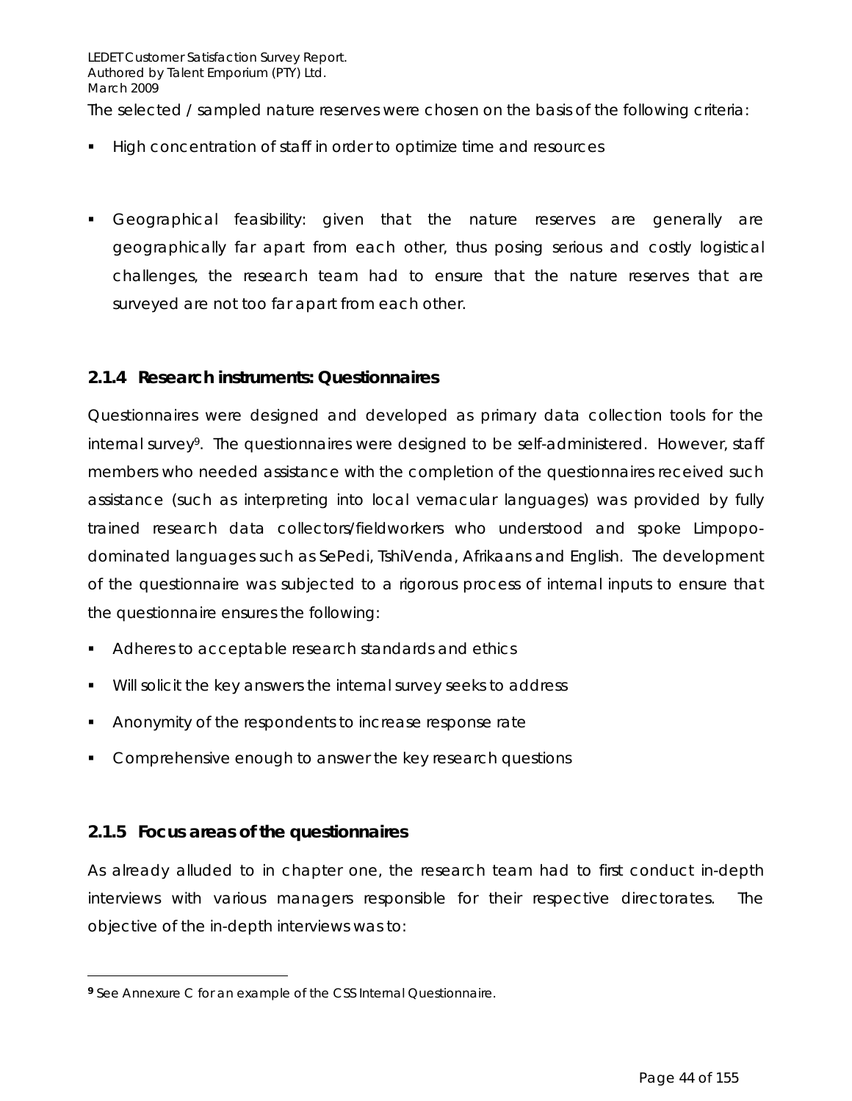The selected / sampled nature reserves were chosen on the basis of the following criteria:

- **High concentration of staff in order to optimize time and resources**
- Geographical feasibility: given that the nature reserves are generally are geographically far apart from each other, thus posing serious and costly logistical challenges, the research team had to ensure that the nature reserves that are surveyed are not too far apart from each other.

#### *2.1.4 Research instruments: Questionnaires*

Questionnaires were designed and developed as primary data collection tools for the internal survey9. The questionnaires were designed to be self-administered. However, staff members who needed assistance with the completion of the questionnaires received such assistance (such as interpreting into local vernacular languages) was provided by fully trained research data collectors/fieldworkers who understood and spoke Limpopodominated languages such as SePedi, TshiVenda, Afrikaans and English. The development of the questionnaire was subjected to a rigorous process of internal inputs to ensure that the questionnaire ensures the following:

- Adheres to acceptable research standards and ethics
- **Will solicit the key answers the internal survey seeks to address**
- **Anonymity of the respondents to increase response rate**
- **Comprehensive enough to answer the key research questions**

### *2.1.5 Focus areas of the questionnaires*

 $\overline{a}$ 

As already alluded to in chapter one, the research team had to first conduct in-depth interviews with various managers responsible for their respective directorates. The objective of the in-depth interviews was to:

**<sup>9</sup>** See Annexure C for an example of the CSS Internal Questionnaire.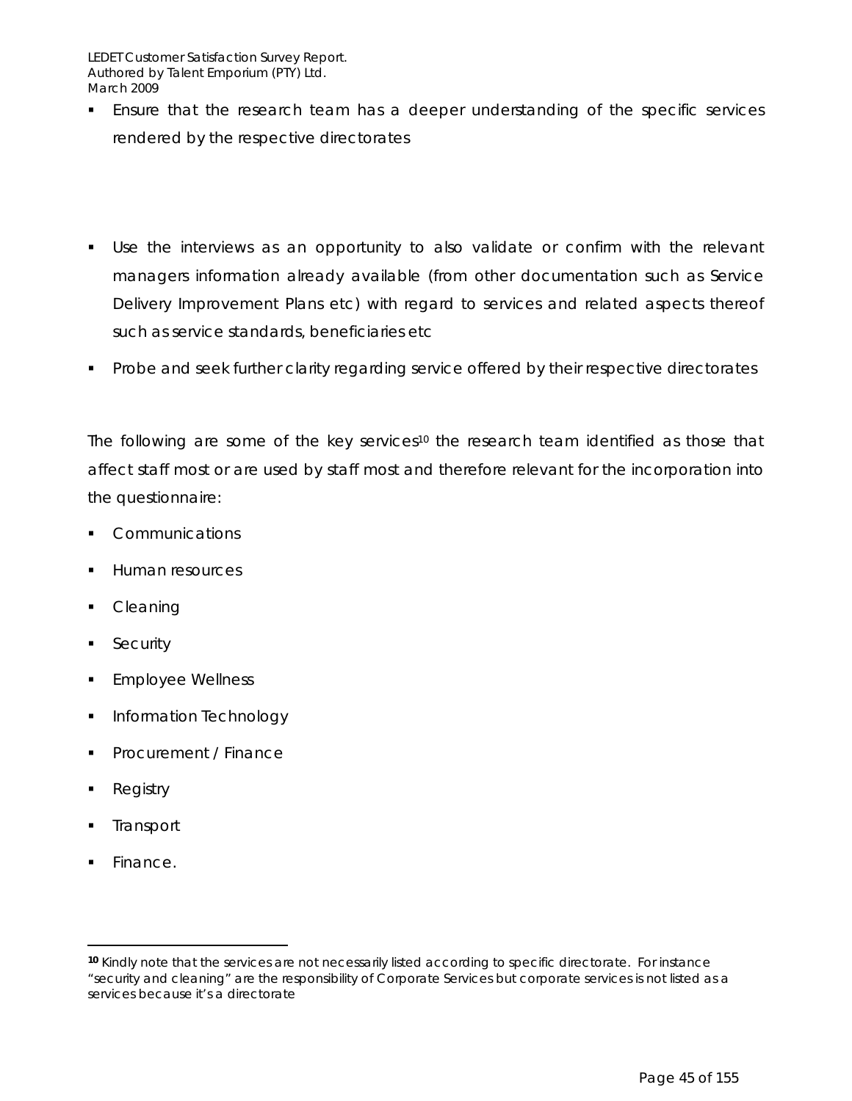- **Ensure that the research team has a deeper understanding of the specific services** rendered by the respective directorates
- Use the interviews as an opportunity to also validate or confirm with the relevant managers information already available (from other documentation such as Service Delivery Improvement Plans etc) with regard to services and related aspects thereof such as service standards, beneficiaries etc
- **Probe and seek further clarity regarding service offered by their respective directorates**

The following are some of the key services<sup>10</sup> the research team identified as those that affect staff most or are used by staff most and therefore relevant for the incorporation into the questionnaire:

- **Communications**
- **Human resources**
- Cleaning
- **Security**
- Employee Wellness
- **Information Technology**
- Procurement / Finance
- Registry
- **Transport**
- Finance.

 $\overline{a}$ 

**<sup>10</sup>** Kindly note that the services are not necessarily listed according to specific directorate. For instance "security and cleaning" are the responsibility of Corporate Services but corporate services is not listed as a services because it's a directorate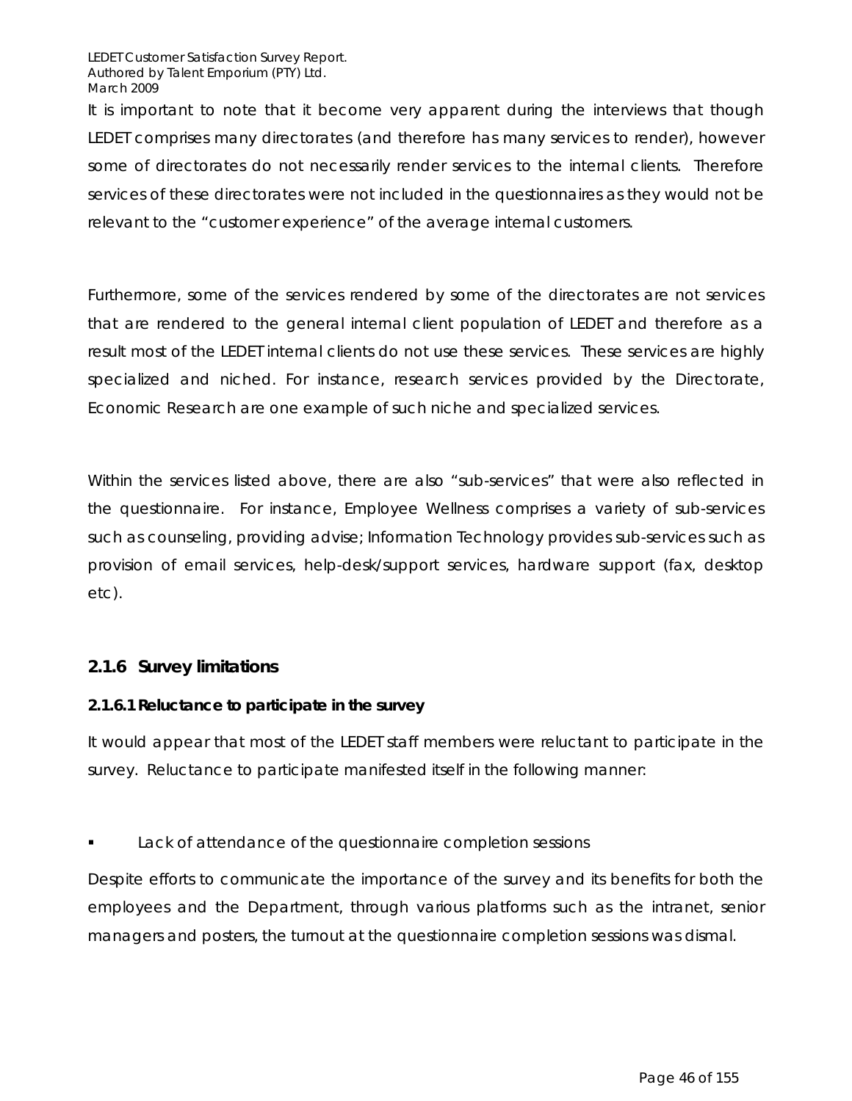It is important to note that it become very apparent during the interviews that though LEDET comprises many directorates (and therefore has many services to render), however some of directorates do not necessarily render services to the internal clients. Therefore services of these directorates were not included in the questionnaires as they would not be relevant to the "customer experience" of the average internal customers.

Furthermore, some of the services rendered by some of the directorates are not services that are rendered to the general internal client population of LEDET and therefore as a result most of the LEDET internal clients do not use these services. These services are highly specialized and niched. For instance, research services provided by the Directorate, Economic Research are one example of such niche and specialized services.

Within the services listed above, there are also "sub-services" that were also reflected in the questionnaire. For instance, Employee Wellness comprises a variety of sub-services such as counseling, providing advise; Information Technology provides sub-services such as provision of email services, help-desk/support services, hardware support (fax, desktop etc).

#### *2.1.6 Survey limitations*

#### **2.1.6.1 Reluctance to participate in the survey**

It would appear that most of the LEDET staff members were reluctant to participate in the survey. Reluctance to participate manifested itself in the following manner:

Lack of attendance of the questionnaire completion sessions

Despite efforts to communicate the importance of the survey and its benefits for both the employees and the Department, through various platforms such as the intranet, senior managers and posters, the turnout at the questionnaire completion sessions was dismal.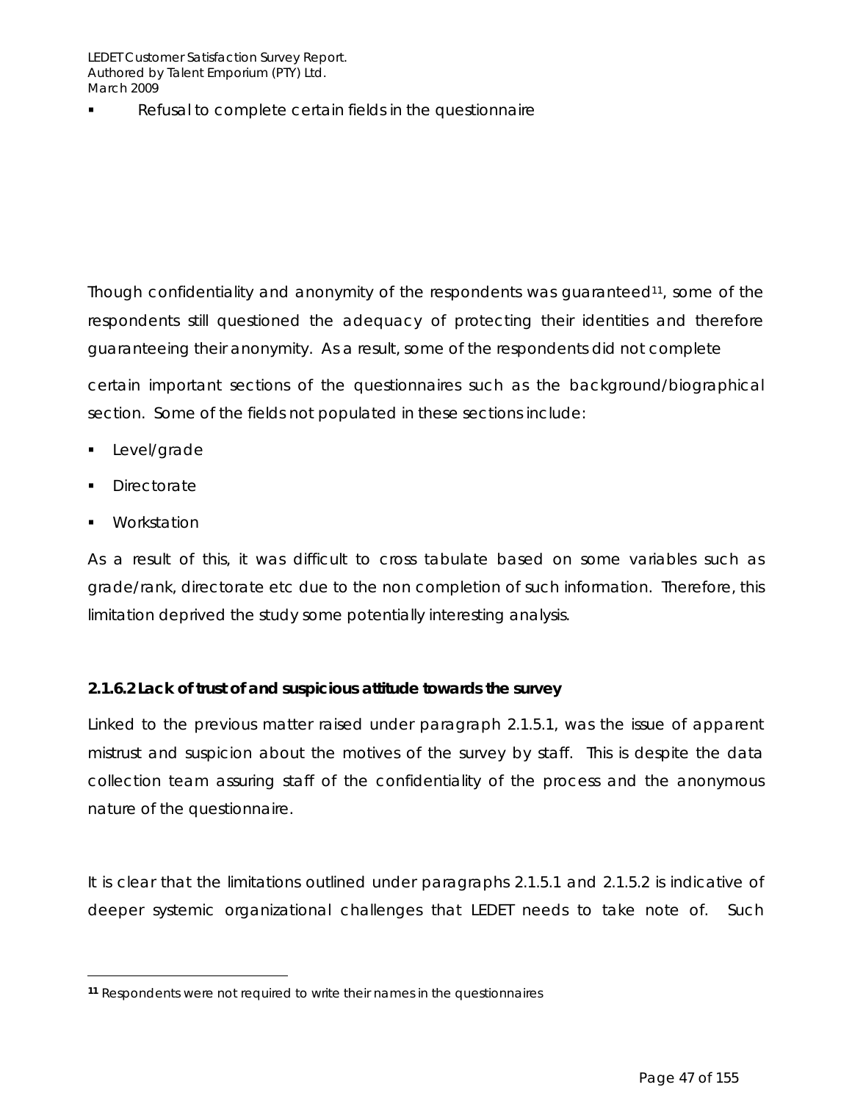Refusal to complete certain fields in the questionnaire

Though confidentiality and anonymity of the respondents was quaranteed<sup>11</sup>, some of the respondents still questioned the adequacy of protecting their identities and therefore guaranteeing their anonymity. As a result, some of the respondents did not complete

certain important sections of the questionnaires such as the background/biographical section. Some of the fields not populated in these sections include:

- **Level/grade**
- Directorate
- Workstation

 $\overline{a}$ 

As a result of this, it was difficult to cross tabulate based on some variables such as grade/rank, directorate etc due to the non completion of such information. Therefore, this limitation deprived the study some potentially interesting analysis.

#### **2.1.6.2 Lack of trust of and suspicious attitude towards the survey**

Linked to the previous matter raised under paragraph 2.1.5.1, was the issue of apparent mistrust and suspicion about the motives of the survey by staff. This is despite the data collection team assuring staff of the confidentiality of the process and the anonymous nature of the questionnaire.

It is clear that the limitations outlined under paragraphs 2.1.5.1 and 2.1.5.2 is indicative of deeper systemic organizational challenges that LEDET needs to take note of. Such

**<sup>11</sup>** Respondents were not required to write their names in the questionnaires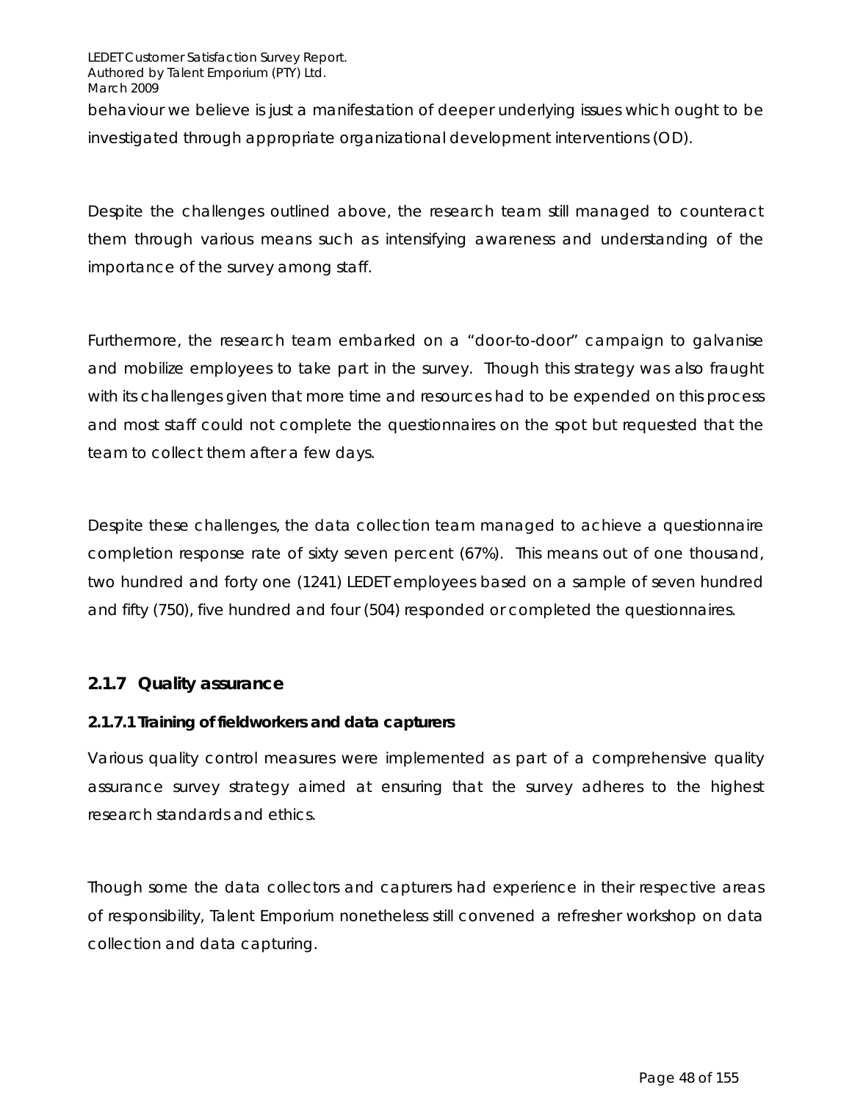behaviour we believe is just a manifestation of deeper underlying issues which ought to be investigated through appropriate organizational development interventions (OD).

Despite the challenges outlined above, the research team still managed to counteract them through various means such as intensifying awareness and understanding of the importance of the survey among staff.

Furthermore, the research team embarked on a "door-to-door" campaign to galvanise and mobilize employees to take part in the survey. Though this strategy was also fraught with its challenges given that more time and resources had to be expended on this process and most staff could not complete the questionnaires on the spot but requested that the team to collect them after a few days.

Despite these challenges, the data collection team managed to achieve a questionnaire completion response rate of sixty seven percent (67%). This means out of one thousand, two hundred and forty one (1241) LEDET employees based on a sample of seven hundred and fifty (750), five hundred and four (504) responded or completed the questionnaires.

#### *2.1.7 Quality assurance*

#### **2.1.7.1 Training of fieldworkers and data capturers**

Various quality control measures were implemented as part of a comprehensive quality assurance survey strategy aimed at ensuring that the survey adheres to the highest research standards and ethics.

Though some the data collectors and capturers had experience in their respective areas of responsibility, Talent Emporium nonetheless still convened a refresher workshop on data collection and data capturing.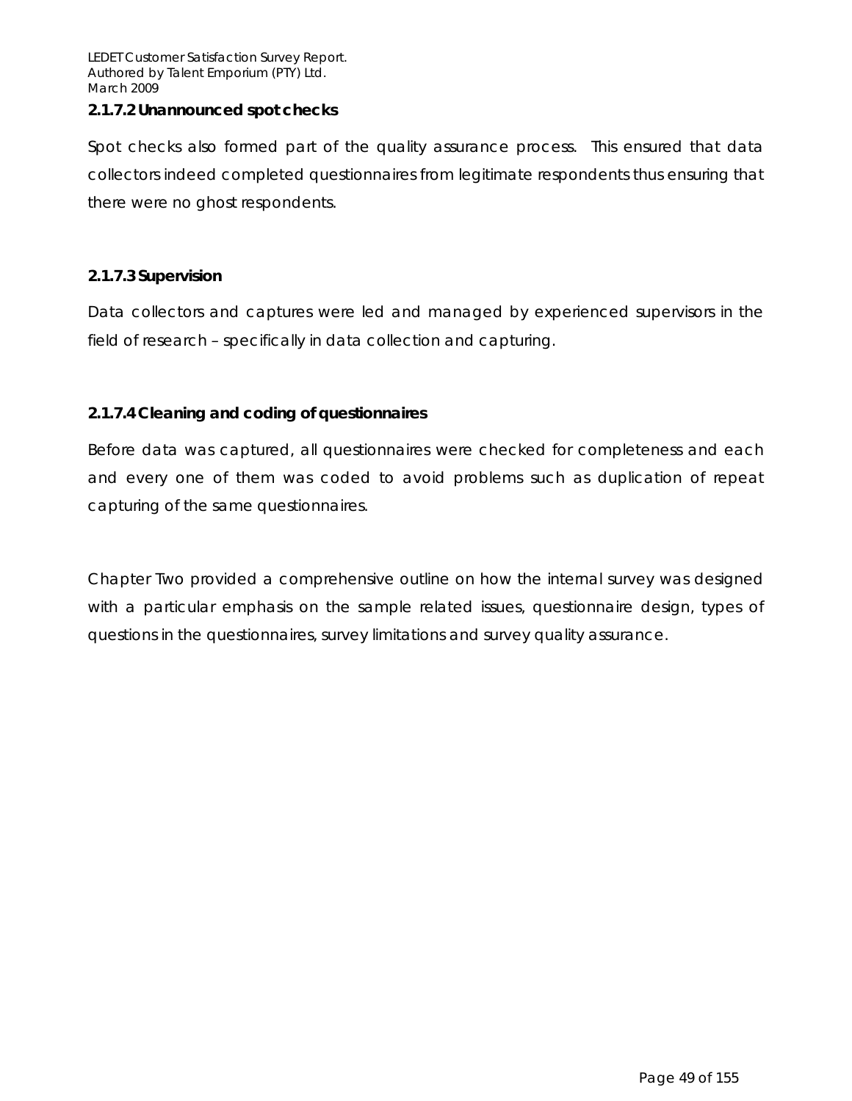#### **2.1.7.2 Unannounced spot checks**

Spot checks also formed part of the quality assurance process. This ensured that data collectors indeed completed questionnaires from legitimate respondents thus ensuring that there were no ghost respondents.

#### **2.1.7.3 Supervision**

Data collectors and captures were led and managed by experienced supervisors in the field of research – specifically in data collection and capturing.

#### **2.1.7.4 Cleaning and coding of questionnaires**

Before data was captured, all questionnaires were checked for completeness and each and every one of them was coded to avoid problems such as duplication of repeat capturing of the same questionnaires.

Chapter Two provided a comprehensive outline on how the internal survey was designed with a particular emphasis on the sample related issues, questionnaire design, types of questions in the questionnaires, survey limitations and survey quality assurance.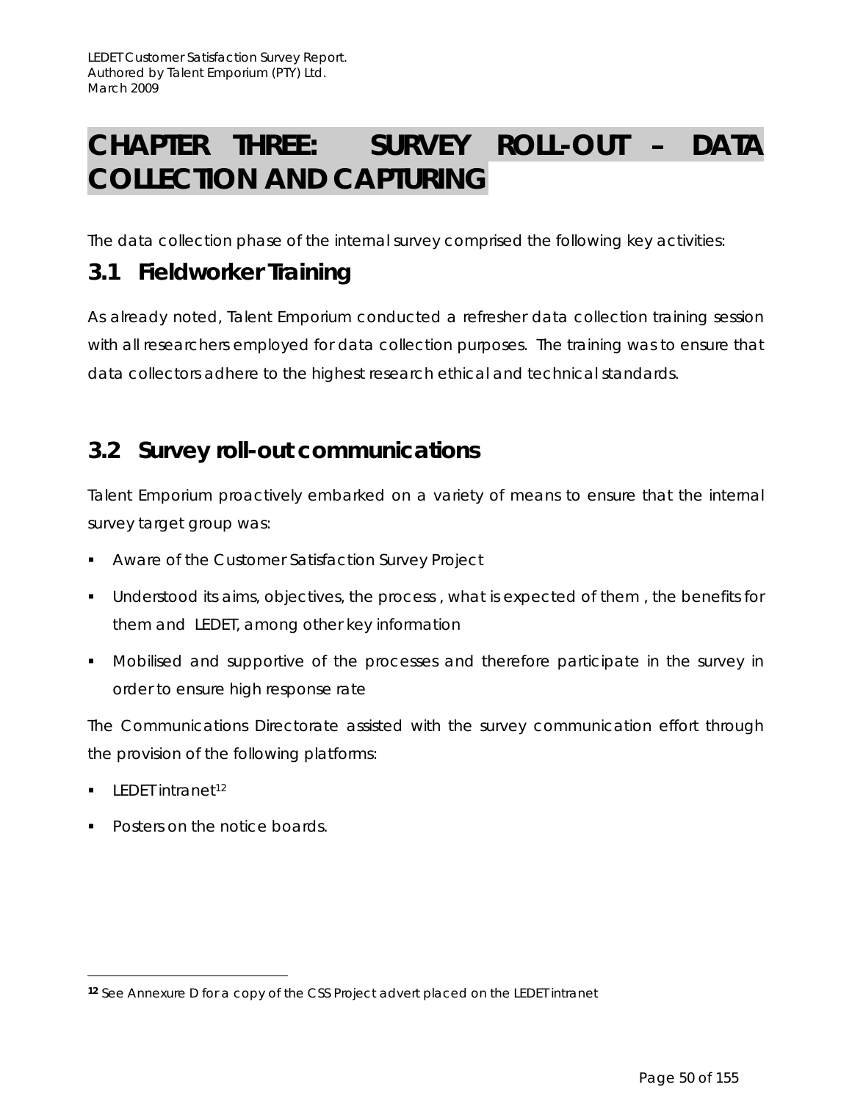# **CHAPTER THREE: SURVEY ROLL-OUT – DATA COLLECTION AND CAPTURING**

The data collection phase of the internal survey comprised the following key activities:

## **3.1 Fieldworker Training**

As already noted, Talent Emporium conducted a refresher data collection training session with all researchers employed for data collection purposes. The training was to ensure that data collectors adhere to the highest research ethical and technical standards.

## **3.2 Survey roll-out communications**

Talent Emporium proactively embarked on a variety of means to ensure that the internal survey target group was:

- **Aware of the Customer Satisfaction Survey Project**
- **Understood its aims, objectives, the process, what is expected of them, the benefits for** them and LEDET, among other key information
- Mobilised and supportive of the processes and therefore participate in the survey in order to ensure high response rate

The Communications Directorate assisted with the survey communication effort through the provision of the following platforms:

 $\blacksquare$  LEDET intranet<sup>12</sup>

 $\overline{a}$ 

Posters on the notice boards.

**<sup>12</sup>** See Annexure D for a copy of the CSS Project advert placed on the LEDET intranet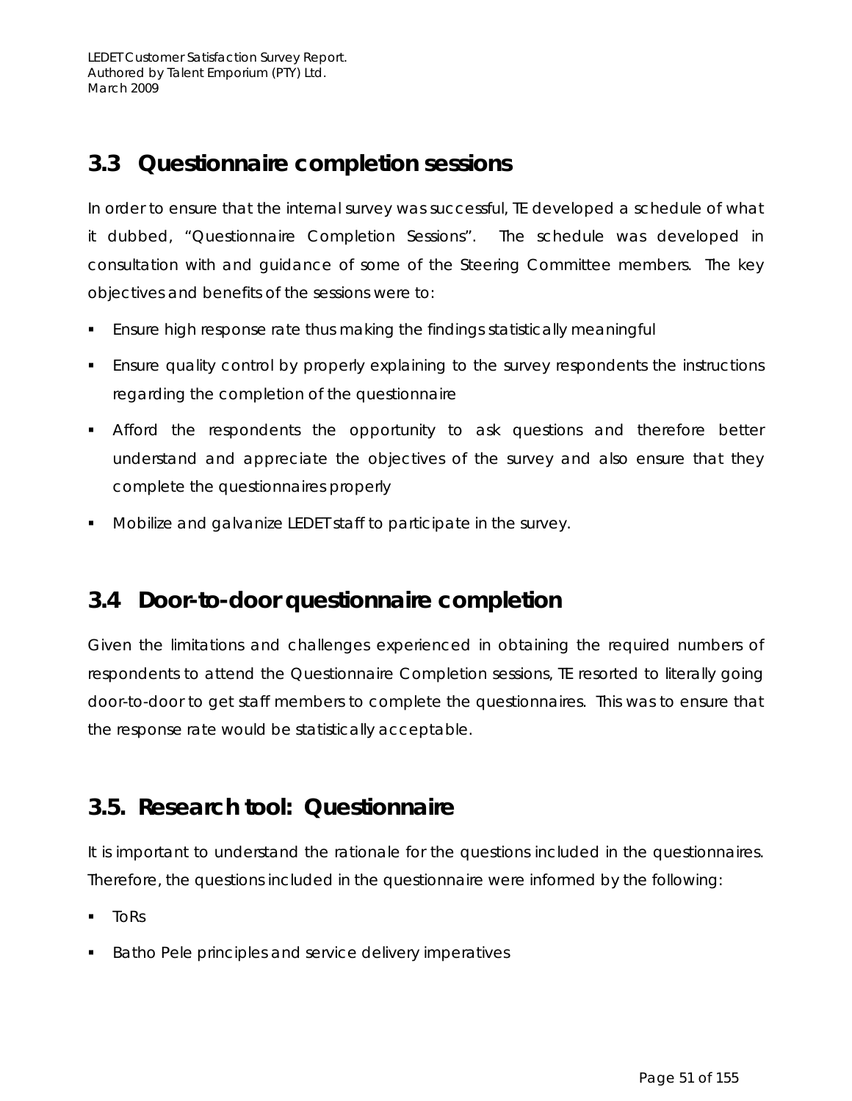## **3.3 Questionnaire completion sessions**

In order to ensure that the internal survey was successful, TE developed a schedule of what it dubbed, "Questionnaire Completion Sessions". The schedule was developed in consultation with and guidance of some of the Steering Committee members. The key objectives and benefits of the sessions were to:

- Ensure high response rate thus making the findings statistically meaningful
- **Ensure quality control by properly explaining to the survey respondents the instructions** regarding the completion of the questionnaire
- Afford the respondents the opportunity to ask questions and therefore better understand and appreciate the objectives of the survey and also ensure that they complete the questionnaires properly
- Mobilize and galvanize LEDET staff to participate in the survey.

## **3.4 Door-to-door questionnaire completion**

Given the limitations and challenges experienced in obtaining the required numbers of respondents to attend the Questionnaire Completion sessions, TE resorted to literally going door-to-door to get staff members to complete the questionnaires. This was to ensure that the response rate would be statistically acceptable.

## **3.5. Research tool: Questionnaire**

It is important to understand the rationale for the questions included in the questionnaires. Therefore, the questions included in the questionnaire were informed by the following:

- ToRs
- Batho Pele principles and service delivery imperatives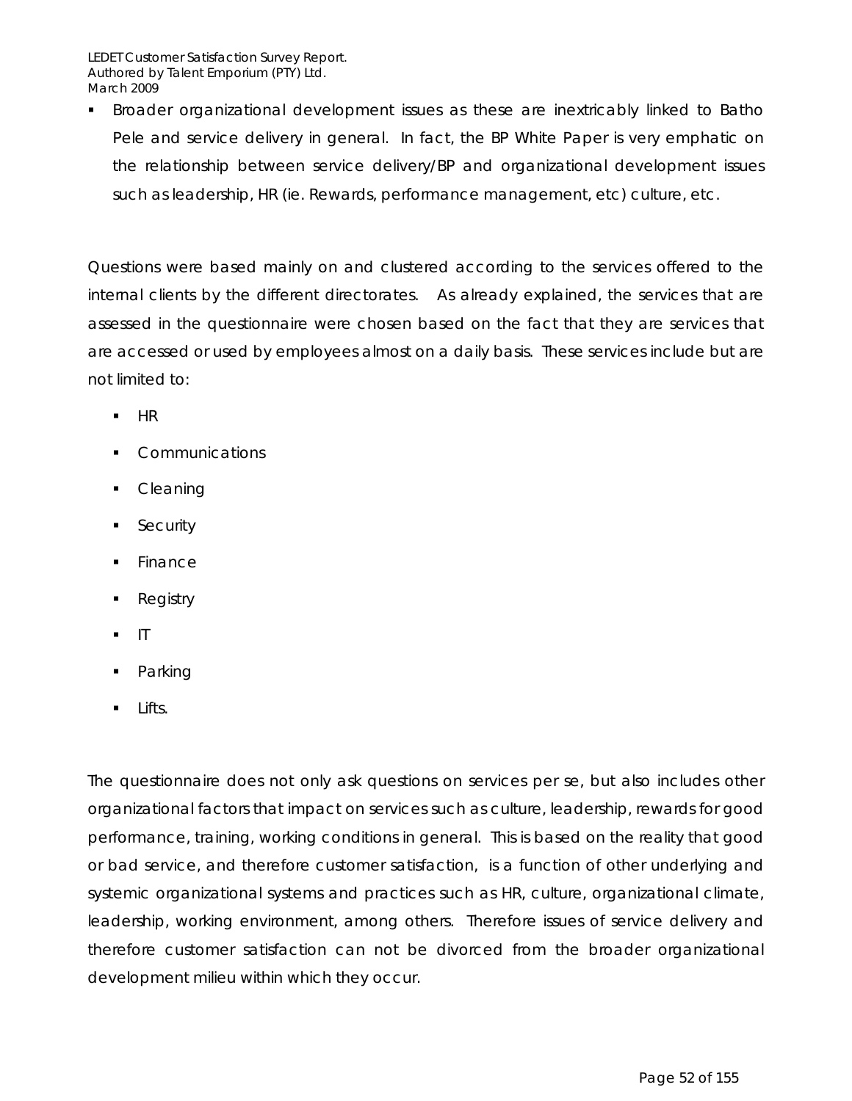Broader organizational development issues as these are inextricably linked to Batho Pele and service delivery in general. In fact, the BP White Paper is very emphatic on the relationship between service delivery/BP and organizational development issues such as leadership, HR (ie. Rewards, performance management, etc) culture, etc.

Questions were based mainly on and clustered according to the services offered to the internal clients by the different directorates. As already explained, the services that are assessed in the questionnaire were chosen based on the fact that they are services that are accessed or used by employees almost on a daily basis. These services include but are not limited to:

- $-HR$
- **Communications**
- **Cleaning**
- **Security**
- Finance
- **Registry**
- IT
- Parking
- $\blacksquare$  Lifts.

The questionnaire does not only ask questions on services per se, but also includes other organizational factors that impact on services such as culture, leadership, rewards for good performance, training, working conditions in general. This is based on the reality that good or bad service, and therefore customer satisfaction, is a function of other underlying and systemic organizational systems and practices such as HR, culture, organizational climate, leadership, working environment, among others. Therefore issues of service delivery and therefore customer satisfaction can not be divorced from the broader organizational development milieu within which they occur.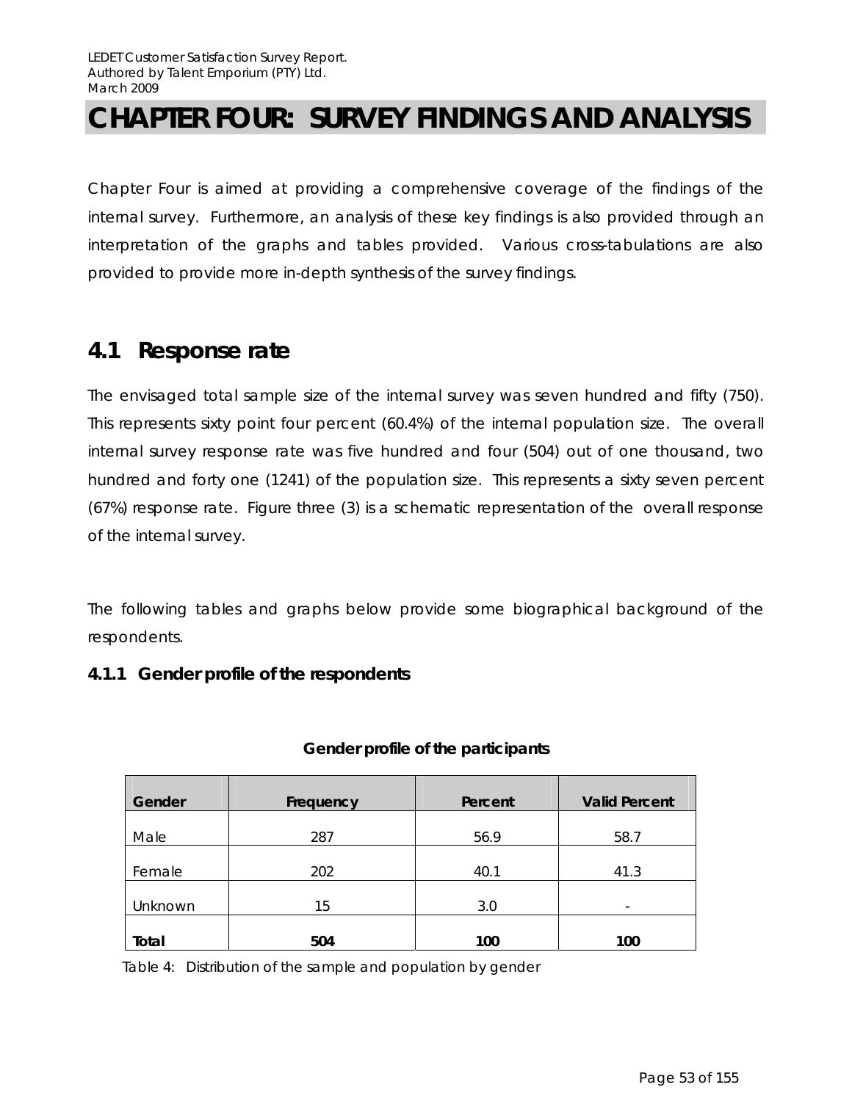# **CHAPTER FOUR: SURVEY FINDINGS AND ANALYSIS**

Chapter Four is aimed at providing a comprehensive coverage of the findings of the internal survey. Furthermore, an analysis of these key findings is also provided through an interpretation of the graphs and tables provided. Various cross-tabulations are also provided to provide more in-depth synthesis of the survey findings.

## **4.1 Response rate**

The envisaged total sample size of the internal survey was seven hundred and fifty (750). This represents sixty point four percent (60.4%) of the internal population size. The overall internal survey response rate was five hundred and four (504) out of one thousand, two hundred and forty one (1241) of the population size. This represents a sixty seven percent (67%) response rate. Figure three (3) is a schematic representation of the overall response of the internal survey.

The following tables and graphs below provide some biographical background of the respondents.

#### **4.1.1 Gender profile of the respondents**

| Gender  | Frequency | Percent | <b>Valid Percent</b>     |
|---------|-----------|---------|--------------------------|
| Male    | 287       | 56.9    | 58.7                     |
| Female  | 202       | 40.1    | 41.3                     |
| Unknown | 15        | 3.0     | $\overline{\phantom{a}}$ |
| Total   | 504       | 100     | 100                      |

#### **Gender profile of the participants**

Table 4: Distribution of the sample and population by gender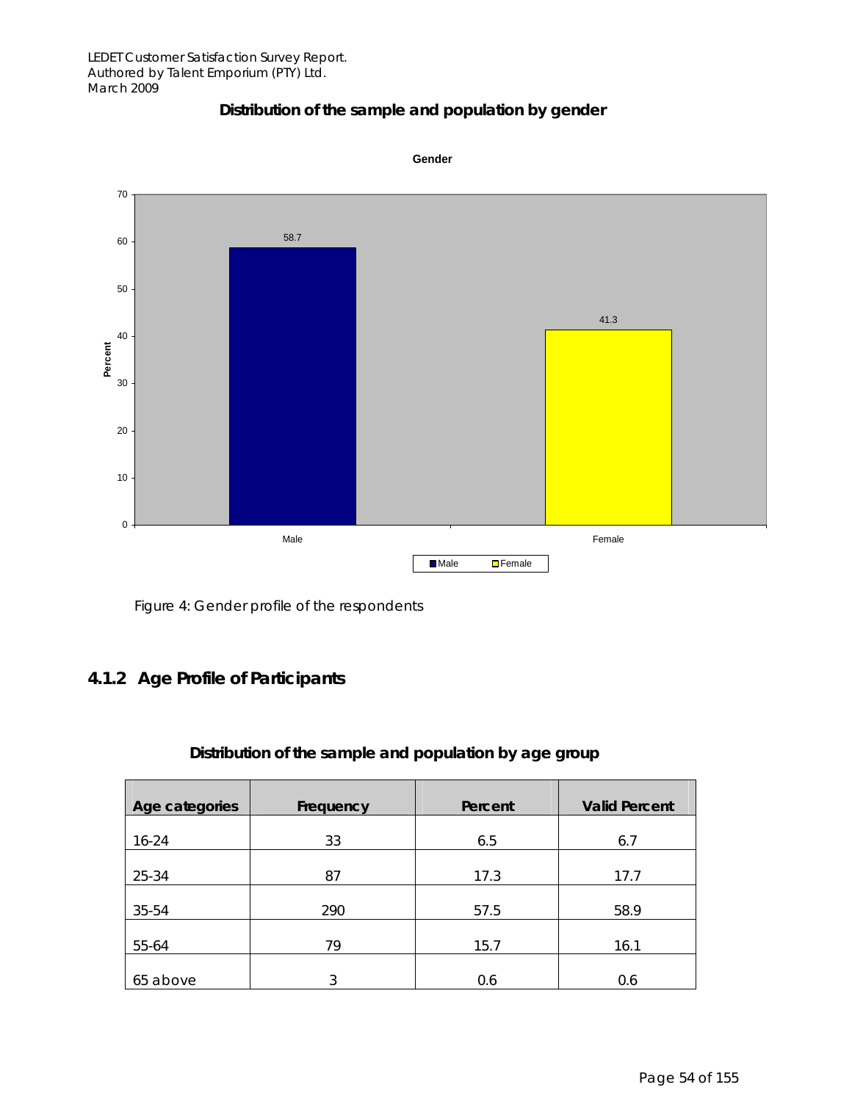### **Distribution of the sample and population by gender**





### **4.1.2 Age Profile of Participants**

### **Distribution of the sample and population by age group**

| Age categories | Frequency | Percent | <b>Valid Percent</b> |
|----------------|-----------|---------|----------------------|
|                |           |         |                      |
| $16 - 24$      | 33        | 6.5     | 6.7                  |
|                |           |         |                      |
| 25-34          | 87        | 17.3    | 17.7                 |
|                |           |         |                      |
| 35-54          | 290       | 57.5    | 58.9                 |
|                |           |         |                      |
| 55-64          | 79        | 15.7    | 16.1                 |
|                |           |         |                      |
| 65 above       | 3         | 0.6     | 0.6                  |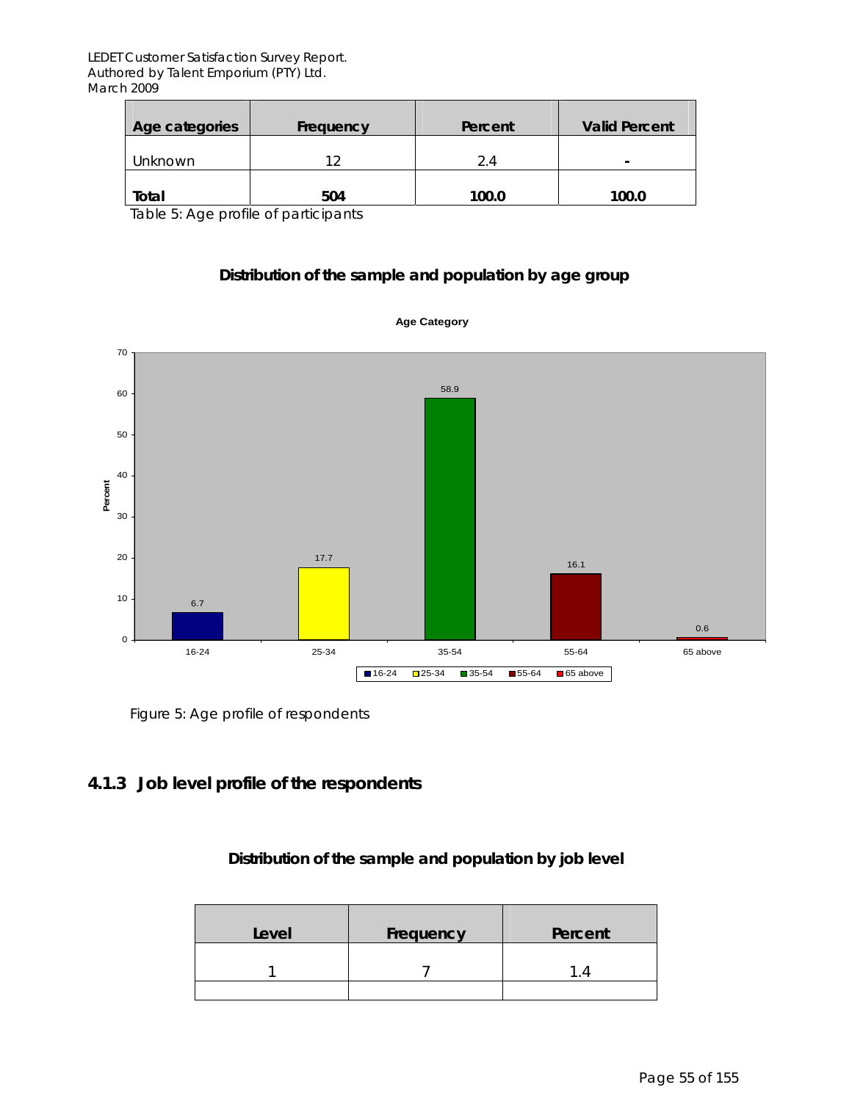| Age categories | Frequency | Percent | <b>Valid Percent</b> |
|----------------|-----------|---------|----------------------|
| Unknown        |           | 2.4     | $\sim$               |
| Total          | 504       | 100.0   | 100.0                |

Table 5: Age profile of participants

#### **Distribution of the sample and population by age group**



**Age Category**

Figure 5: Age profile of respondents

#### **4.1.3 Job level profile of the respondents**

#### **Distribution of the sample and population by job level**

| Level | Frequency | Percent |
|-------|-----------|---------|
|       |           |         |
|       |           |         |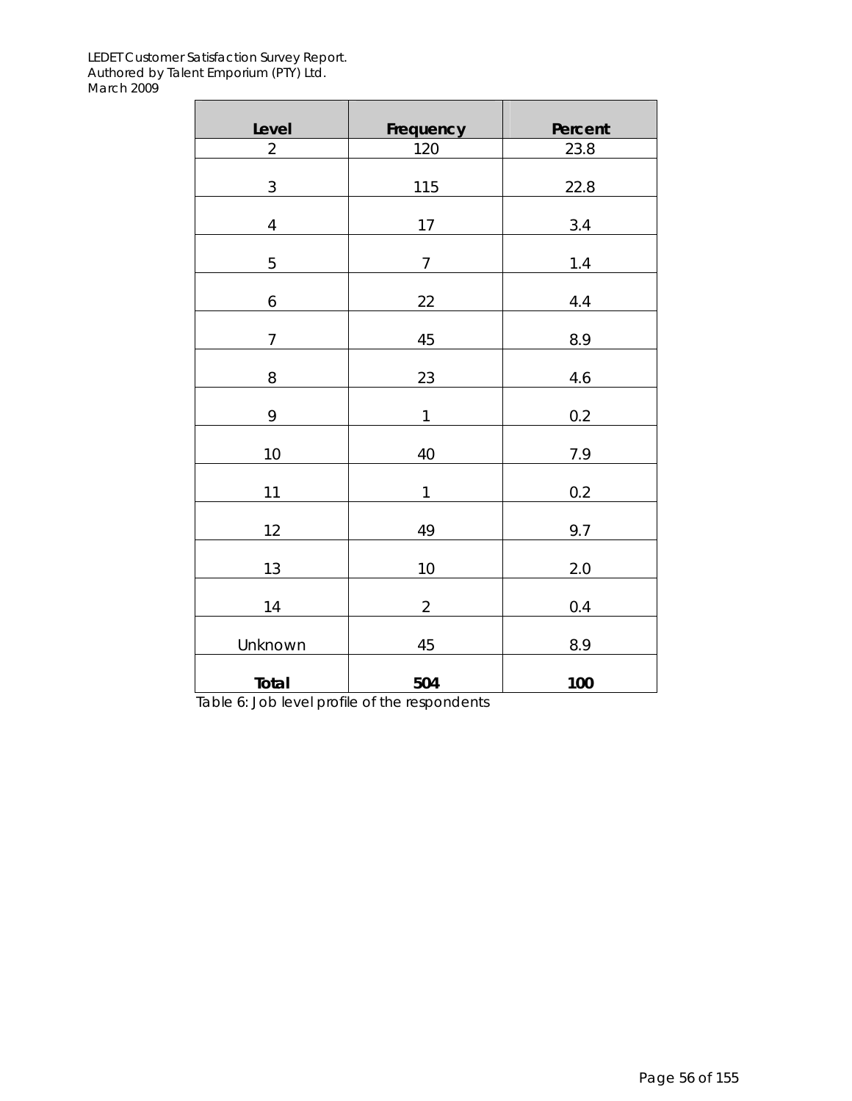| Level          | Frequency      | Percent |
|----------------|----------------|---------|
| $\overline{2}$ | 120            | 23.8    |
| $\sqrt{3}$     | 115            | 22.8    |
|                |                |         |
| $\sqrt{4}$     | 17             | 3.4     |
| 5              | $\overline{7}$ | $1.4$   |
| 6              | 22             | 4.4     |
| $\overline{7}$ | 45             | 8.9     |
| 8              | 23             | 4.6     |
| 9              | $\mathbf 1$    | 0.2     |
| 10             | 40             | 7.9     |
| 11             | $\mathbf 1$    | 0.2     |
| 12             | 49             | 9.7     |
| 13             | $10\,$         | 2.0     |
| 14             | $\overline{2}$ | 0.4     |
| Unknown        | 45             | 8.9     |
| Total          | 504            | 100     |

Table 6: Job level profile of the respondents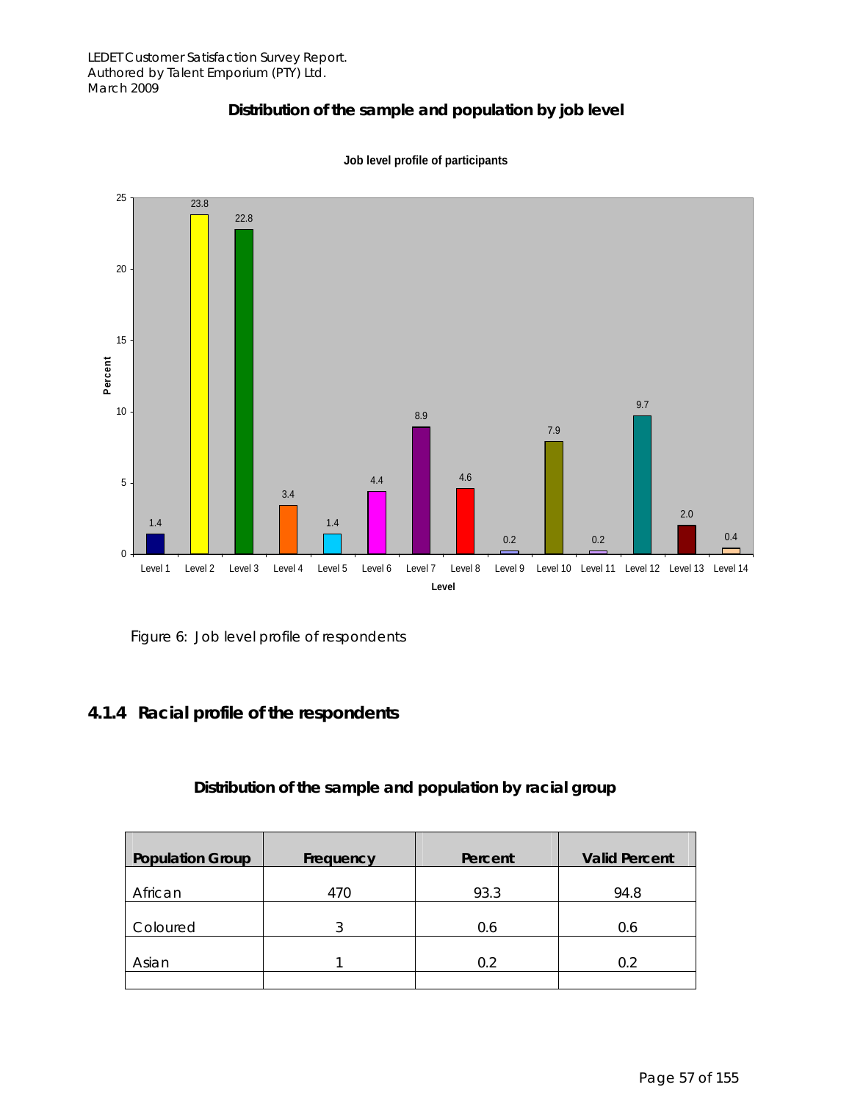### **Distribution of the sample and population by job level**



**Job level profile of participants**

Figure 6: Job level profile of respondents

### **4.1.4 Racial profile of the respondents**

#### **Distribution of the sample and population by racial group**

| <b>Population Group</b> | Frequency | Percent | <b>Valid Percent</b> |
|-------------------------|-----------|---------|----------------------|
| African                 | 470       | 93.3    | 94.8                 |
| Coloured                |           | 0.6     | 0.6                  |
| Asian                   |           | 0.2     | 0.2                  |
|                         |           |         |                      |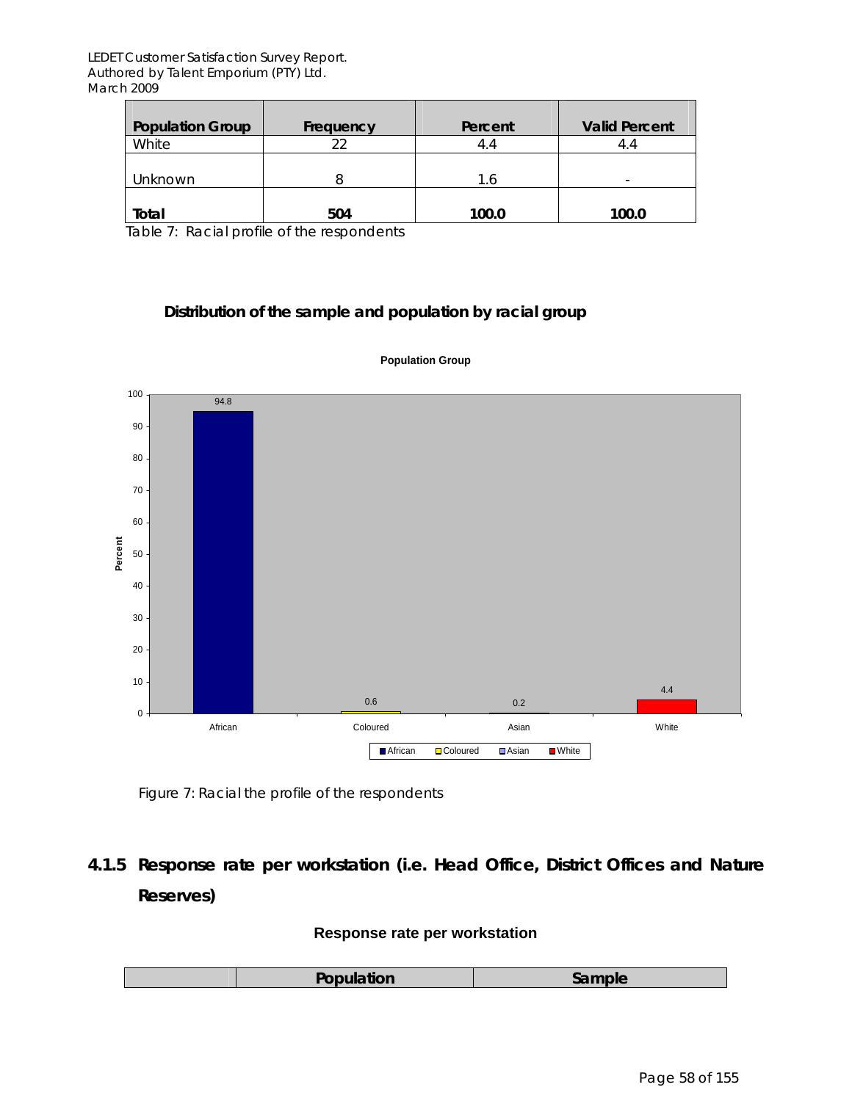| <b>Population Group</b> | Frequency | Percent    | <b>Valid Percent</b> |
|-------------------------|-----------|------------|----------------------|
| White                   | つつ        |            | 4.4                  |
| Unknown                 |           | $\cdot$ .6 | -                    |
| Total                   | 504       | 100.0      | 100.0                |

Table 7: Racial profile of the respondents

#### **Distribution of the sample and population by racial group**



#### **Population Group**

Figure 7: Racial the profile of the respondents

## **4.1.5 Response rate per workstation (i.e. Head Office, District Offices and Nature Reserves)**

#### **Response rate per workstation**

|  | Population<br>`amnl≙ |
|--|----------------------|
|--|----------------------|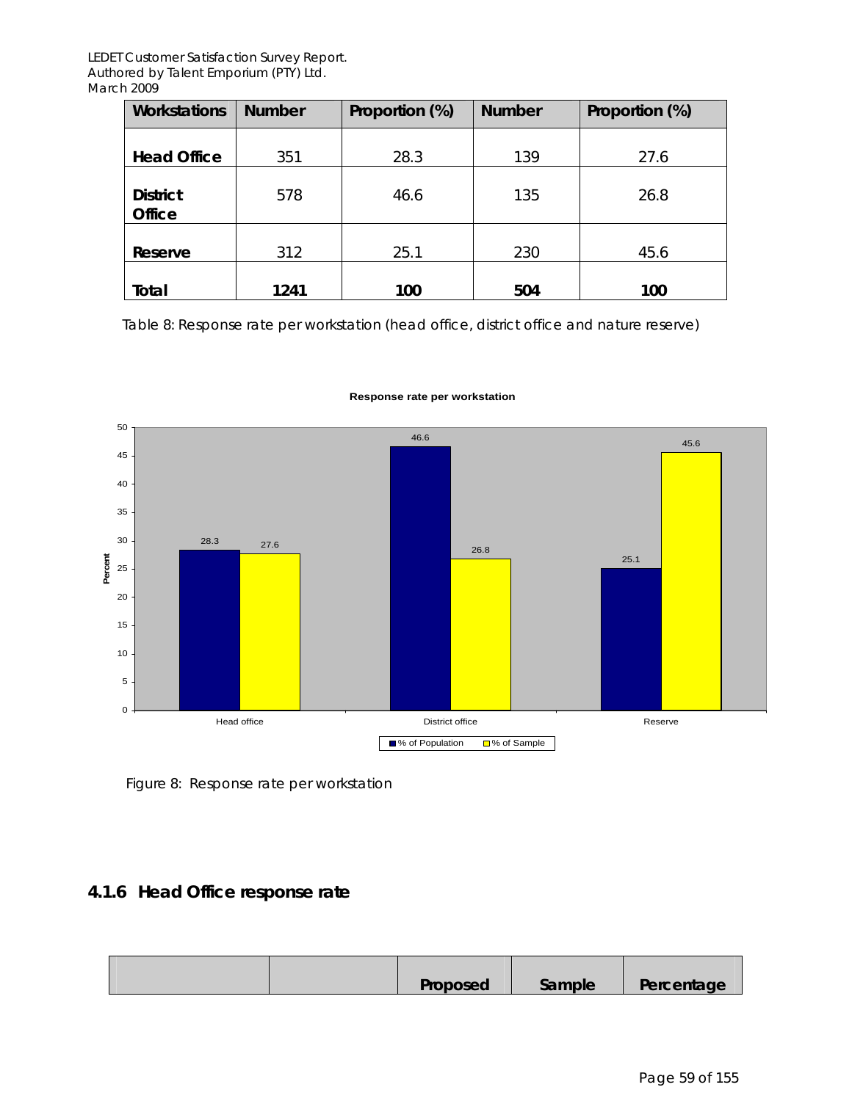| <b>Workstations</b>              | <b>Number</b> | Proportion (%) | <b>Number</b> | Proportion (%) |
|----------------------------------|---------------|----------------|---------------|----------------|
| <b>Head Office</b>               | 351           | 28.3           | 139           | 27.6           |
| <b>District</b><br><b>Office</b> | 578           | 46.6           | 135           | 26.8           |
| Reserve                          | 312           | 25.1           | 230           | 45.6           |
| Total                            | 1241          | 100            | 504           | 100            |

Table 8: Response rate per workstation (head office, district office and nature reserve)



#### **Response rate per workstation**

Figure 8: Response rate per workstation

### **4.1.6 Head Office response rate**

| Proposed | Sample | Percentage |
|----------|--------|------------|
|----------|--------|------------|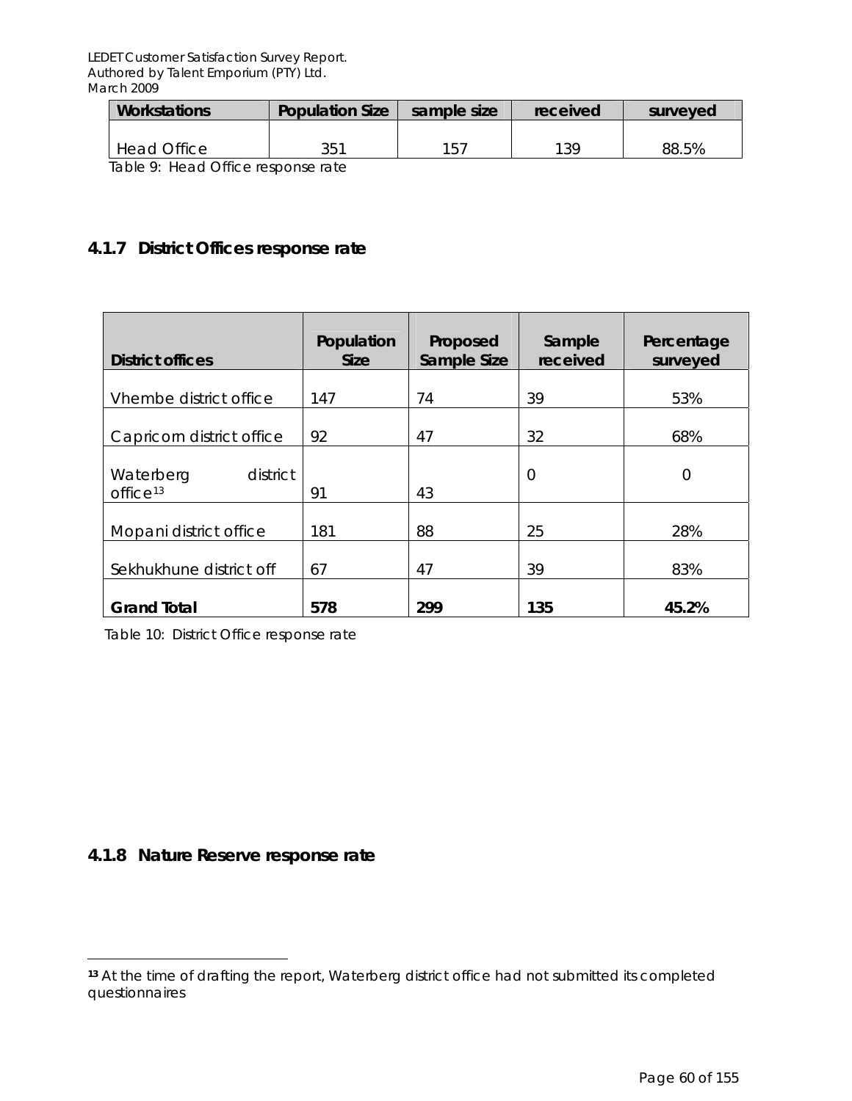| <b>Workstations</b>                | <b>Population Size</b> | sample size | received | surveyed |
|------------------------------------|------------------------|-------------|----------|----------|
| Head Office                        | 351                    | 157         | 139      | 88.5%    |
| Table 0: Head Office response rate |                        |             |          |          |

Table 9: Head Office response rate

### **4.1.7 District Offices response rate**

| <b>District offices</b>                       | Population<br><b>Size</b> | Proposed<br>Sample Size | Sample<br>received | Percentage<br>surveyed |
|-----------------------------------------------|---------------------------|-------------------------|--------------------|------------------------|
| Vhembe district office                        | 147                       | 74                      | 39                 | 53%                    |
| Capricorn district office                     | 92                        | 47                      | 32                 | 68%                    |
| district<br>Waterberg<br>office <sup>13</sup> | 91                        | 43                      | $\overline{0}$     | $\overline{0}$         |
| Mopani district office                        | 181                       | 88                      | 25                 | 28%                    |
| Sekhukhune district off                       | 67                        | 47                      | 39                 | 83%                    |
| <b>Grand Total</b>                            | 578                       | 299                     | 135                | 45.2%                  |

Table 10: District Office response rate

### **4.1.8 Nature Reserve response rate**

 $\overline{a}$ 

**<sup>13</sup>** At the time of drafting the report, Waterberg district office had not submitted its completed questionnaires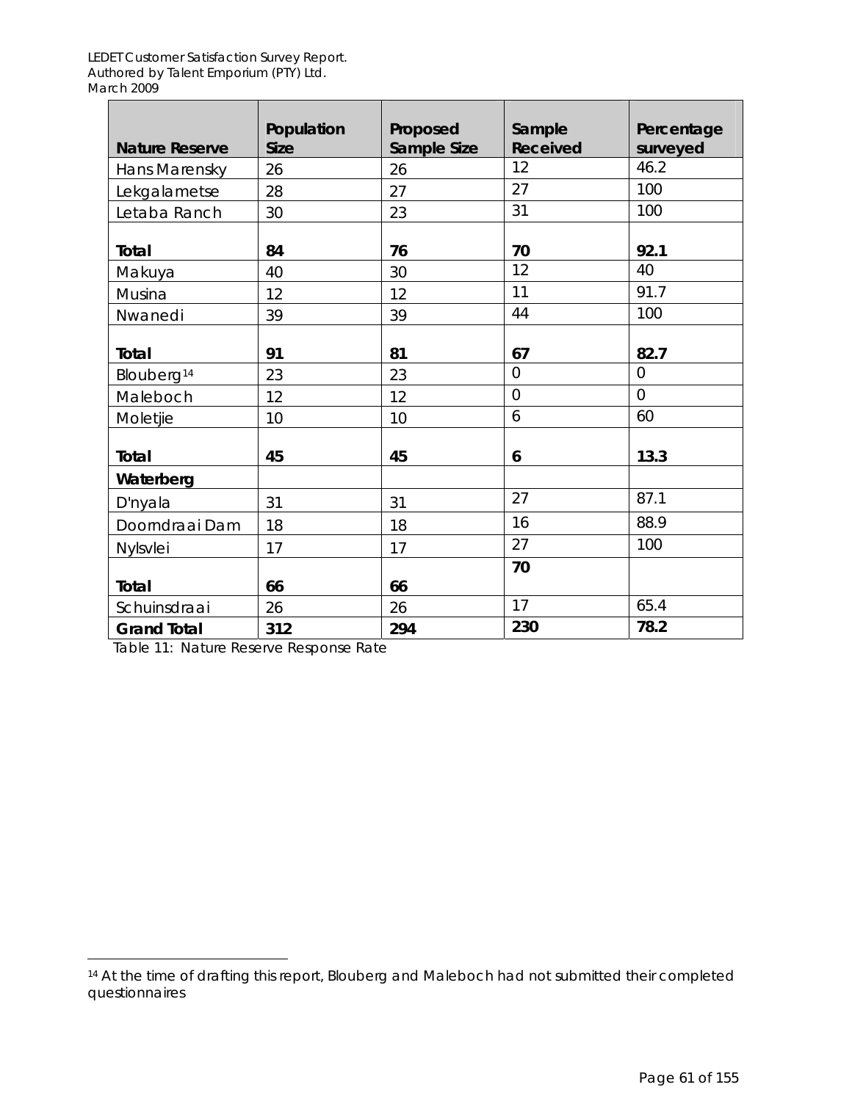|                        | Population  | Proposed    | Sample                | Percentage       |
|------------------------|-------------|-------------|-----------------------|------------------|
| <b>Nature Reserve</b>  | <b>Size</b> | Sample Size | <b>Received</b><br>12 | surveyed<br>46.2 |
| Hans Marensky          | 26          | 26          |                       |                  |
| Lekgalametse           | 28          | 27          | 27                    | 100              |
| Letaba Ranch           | 30          | 23          | 31                    | 100              |
| Total                  | 84          | 76          | 70                    | 92.1             |
| Makuya                 | 40          | 30          | 12                    | 40               |
| Musina                 | 12          | 12          | 11                    | 91.7             |
| Nwanedi                | 39          | 39          | 44                    | 100              |
| Total                  | 91          | 81          | 67                    | 82.7             |
| Blouberg <sup>14</sup> | 23          | 23          | $\overline{0}$        | $\overline{0}$   |
| Maleboch               | 12          | 12          | $\overline{0}$        | $\overline{0}$   |
| Moletjie               | 10          | 10          | 6                     | 60               |
| Total                  | 45          | 45          | 6                     | 13.3             |
| Waterberg              |             |             |                       |                  |
| D'nyala                | 31          | 31          | 27                    | 87.1             |
| Doorndraai Dam         | 18          | 18          | 16                    | 88.9             |
| Nylsvlei               | 17          | 17          | 27                    | 100              |
|                        |             |             | 70                    |                  |
| Total                  | 66          | 66          |                       |                  |
| Schuinsdraai           | 26          | 26          | 17                    | 65.4             |
| <b>Grand Total</b>     | 312         | 294         | 230                   | 78.2             |

Table 11: Nature Reserve Response Rate

 $\overline{a}$ 

<sup>14</sup> At the time of drafting this report, Blouberg and Maleboch had not submitted their completed questionnaires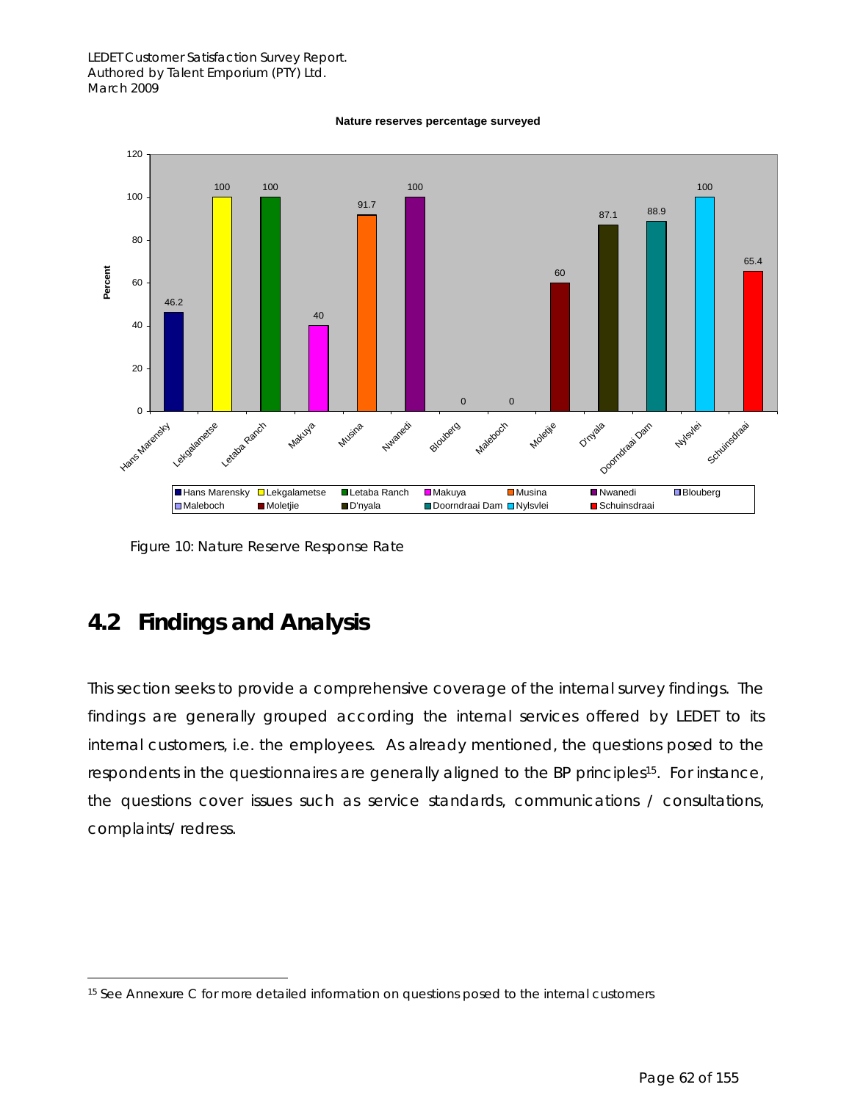#### **Nature reserves percentage surveyed**



Figure 10: Nature Reserve Response Rate

## **4.2 Findings and Analysis**

This section seeks to provide a comprehensive coverage of the internal survey findings. The findings are generally grouped according the internal services offered by LEDET to its internal customers, i.e. the employees. As already mentioned, the questions posed to the respondents in the questionnaires are generally aligned to the BP principles<sup>15</sup>. For instance, the questions cover issues such as service standards, communications / consultations, complaints/ redress.

 $\overline{a}$ <sup>15</sup> See Annexure C for more detailed information on questions posed to the internal customers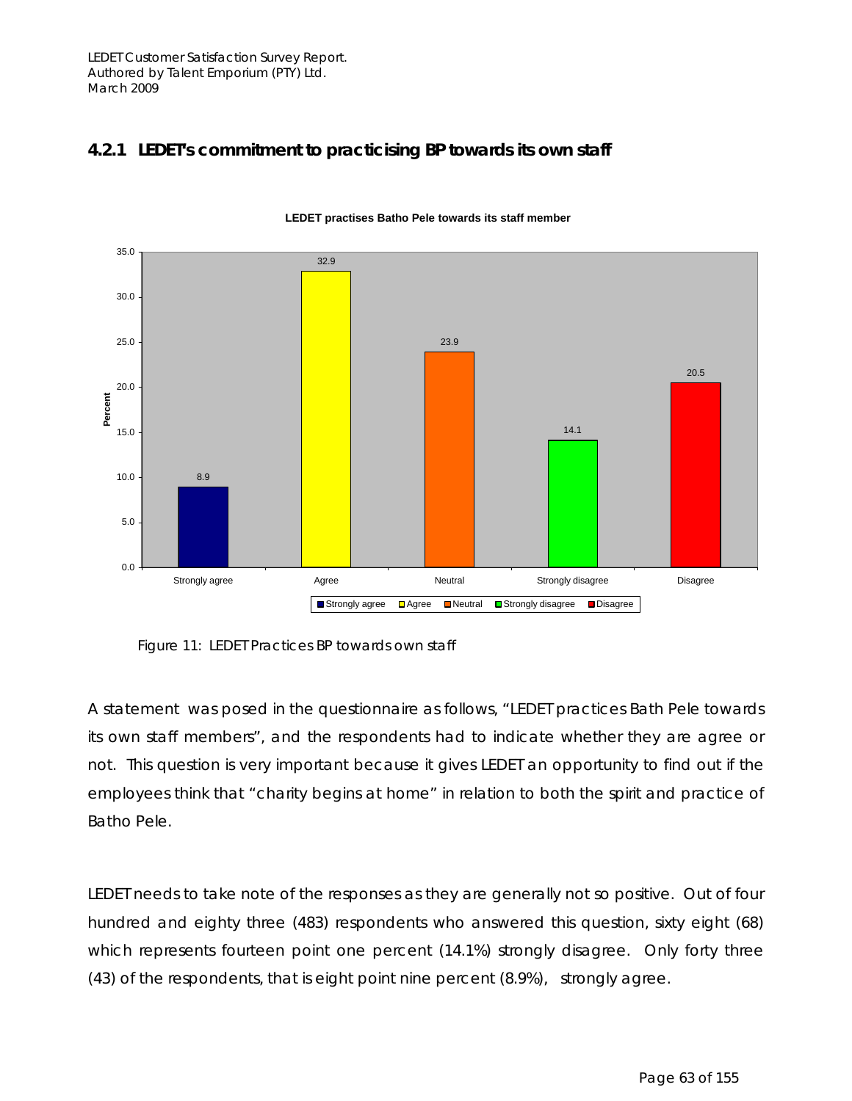### *4.2.1 LEDET's commitment to practicising BP towards its own staff*



**LEDET practises Batho Pele towards its staff member**

Figure 11: LEDET Practices BP towards own staff

A statement was posed in the questionnaire as follows, "LEDET practices Bath Pele towards its own staff members", and the respondents had to indicate whether they are agree or not. This question is very important because it gives LEDET an opportunity to find out if the employees think that "charity begins at home" in relation to both the spirit and practice of Batho Pele.

LEDET needs to take note of the responses as they are generally not so positive. Out of four hundred and eighty three (483) respondents who answered this question, sixty eight (68) which represents fourteen point one percent (14.1%) strongly disagree. Only forty three (43) of the respondents, that is eight point nine percent (8.9%), strongly agree.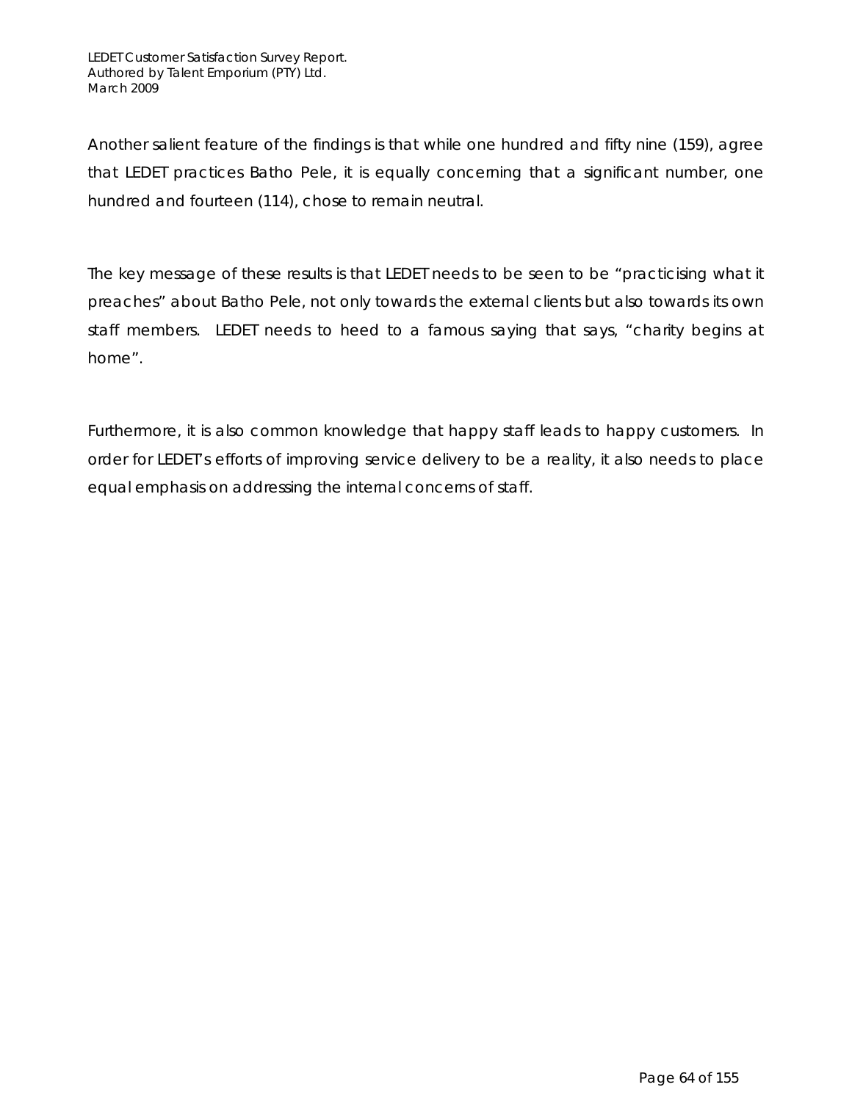Another salient feature of the findings is that while one hundred and fifty nine (159), agree that LEDET practices Batho Pele, it is equally concerning that a significant number, one hundred and fourteen (114), chose to remain neutral.

The key message of these results is that LEDET needs to be seen to be "practicising what it preaches" about Batho Pele, not only towards the external clients but also towards its own staff members. LEDET needs to heed to a famous saying that says, "charity begins at home".

Furthermore, it is also common knowledge that happy staff leads to happy customers. In order for LEDET's efforts of improving service delivery to be a reality, it also needs to place equal emphasis on addressing the internal concerns of staff.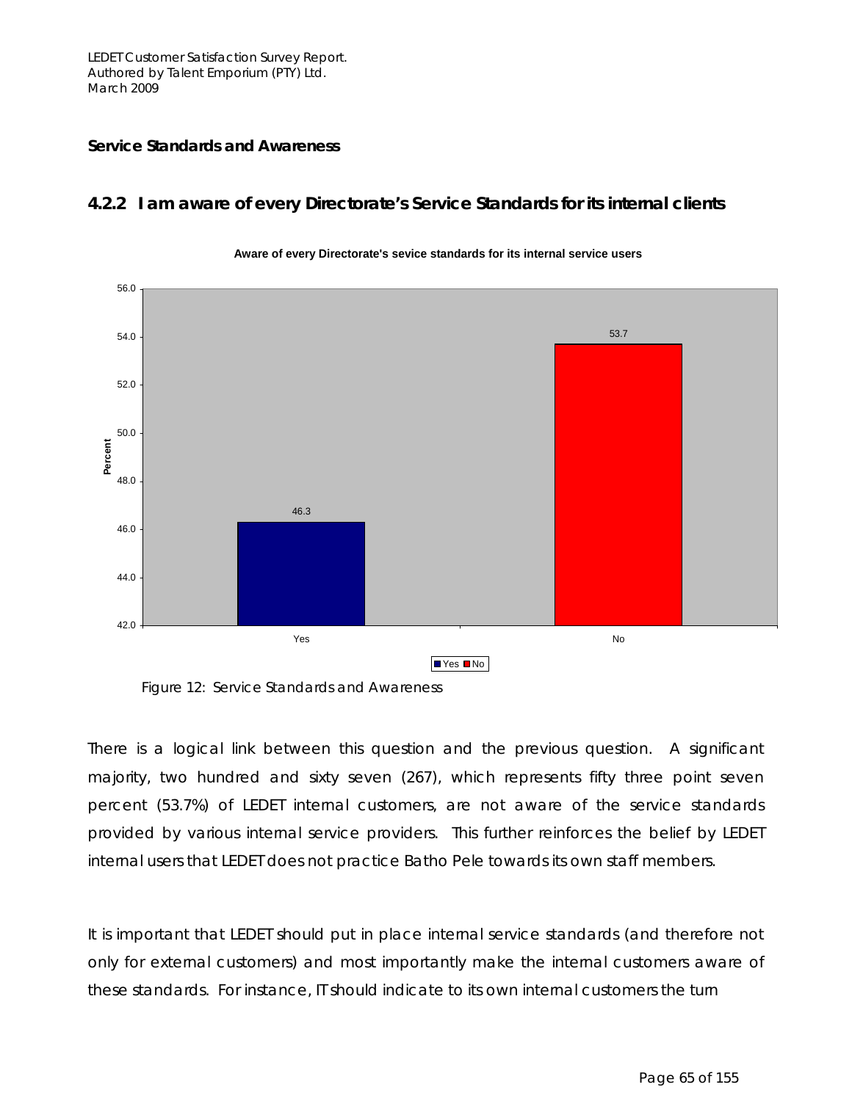#### **Service Standards and Awareness**

#### *4.2.2 I am aware of every Directorate's Service Standards for its internal clients*



#### **Aware of every Directorate's sevice standards for its internal service users**

Figure 12: Service Standards and Awareness

There is a logical link between this question and the previous question. A significant majority, two hundred and sixty seven (267), which represents fifty three point seven percent (53.7%) of LEDET internal customers, are not aware of the service standards provided by various internal service providers. This further reinforces the belief by LEDET internal users that LEDET does not practice Batho Pele towards its own staff members.

It is important that LEDET should put in place internal service standards (and therefore not only for external customers) and most importantly make the internal customers aware of these standards. For instance, IT should indicate to its own internal customers the turn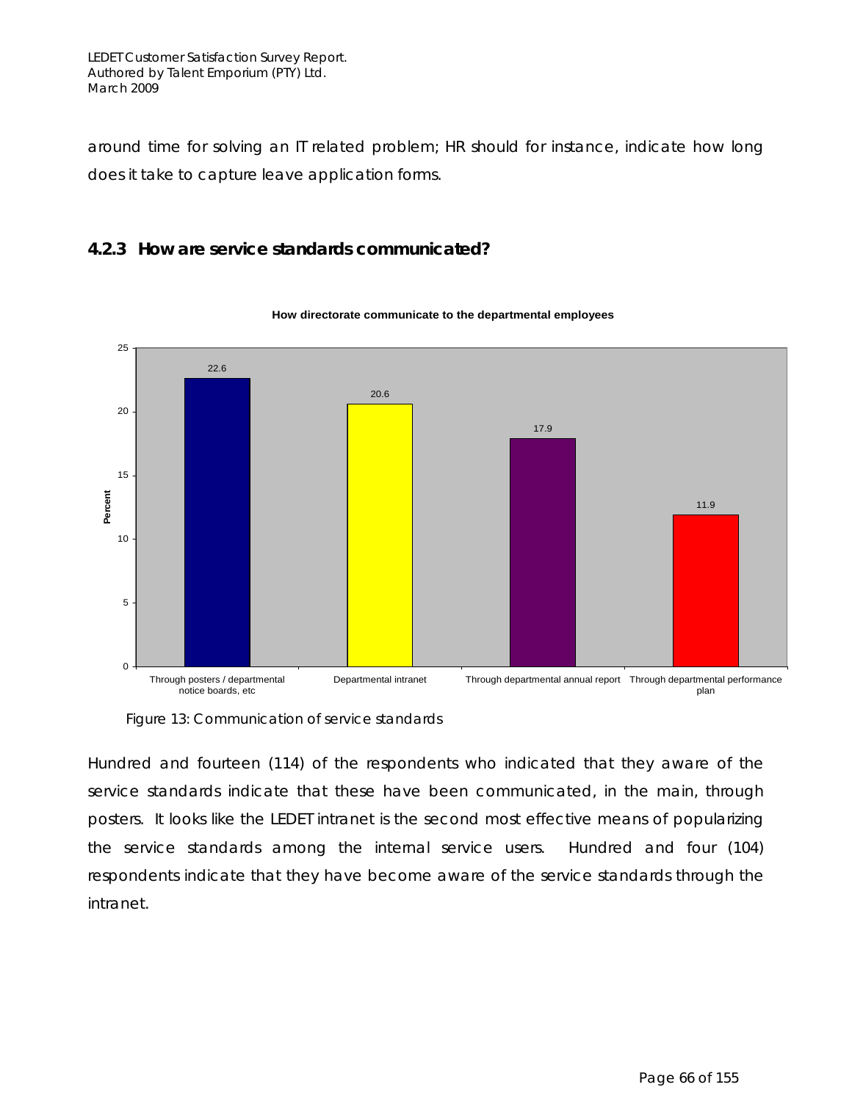around time for solving an IT related problem; HR should for instance, indicate how long does it take to capture leave application forms.

#### **4.2.3 How are service standards communicated?**



#### **How directorate communicate to the departmental employees**

Figure 13: Communication of service standards

Hundred and fourteen (114) of the respondents who indicated that they aware of the service standards indicate that these have been communicated, in the main, through posters. It looks like the LEDET intranet is the second most effective means of popularizing the service standards among the internal service users. Hundred and four (104) respondents indicate that they have become aware of the service standards through the intranet.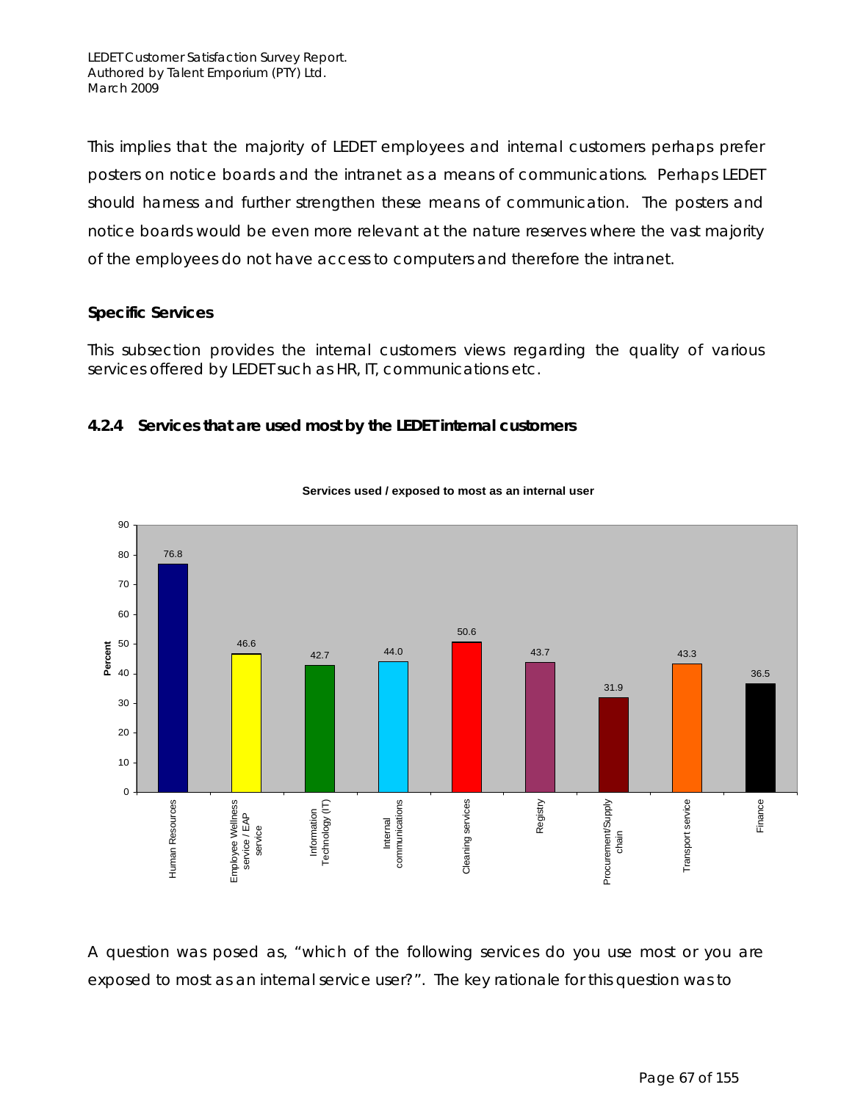This implies that the majority of LEDET employees and internal customers perhaps prefer posters on notice boards and the intranet as a means of communications. Perhaps LEDET should harness and further strengthen these means of communication. The posters and notice boards would be even more relevant at the nature reserves where the vast majority of the employees do not have access to computers and therefore the intranet.

#### **Specific Services**

This subsection provides the internal customers views regarding the quality of various services offered by LEDET such as HR, IT, communications etc.

#### **4.2.4 Services that are used most by the LEDET internal customers**



#### **Services used / exposed to most as an internal user**

A question was posed as, "which of the following services do you use most or you are exposed to most as an internal service user?". The key rationale for this question was to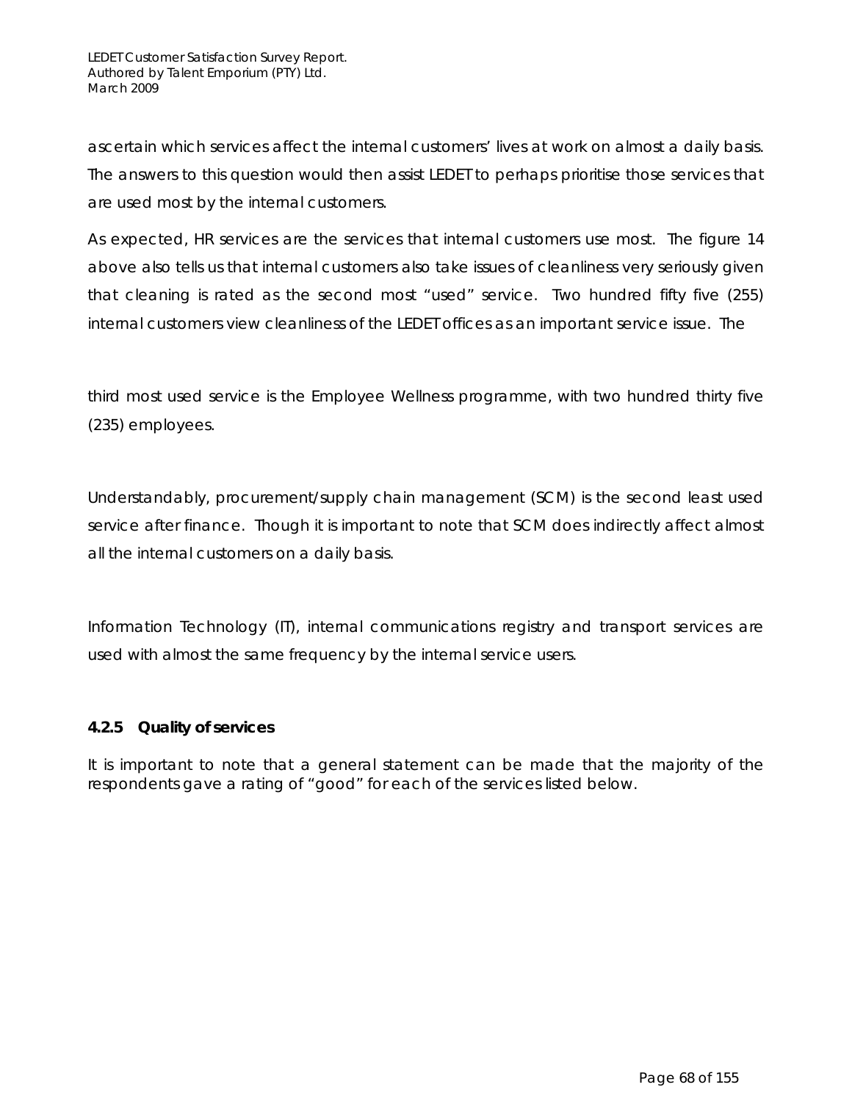ascertain which services affect the internal customers' lives at work on almost a daily basis. The answers to this question would then assist LEDET to perhaps prioritise those services that are used most by the internal customers.

As expected, HR services are the services that internal customers use most. The figure 14 above also tells us that internal customers also take issues of cleanliness very seriously given that cleaning is rated as the second most "used" service. Two hundred fifty five (255) internal customers view cleanliness of the LEDET offices as an important service issue. The

third most used service is the Employee Wellness programme, with two hundred thirty five (235) employees.

Understandably, procurement/supply chain management (SCM) is the second least used service after finance. Though it is important to note that SCM does indirectly affect almost all the internal customers on a daily basis.

Information Technology (IT), internal communications registry and transport services are used with almost the same frequency by the internal service users.

#### **4.2.5 Quality of services**

It is important to note that a general statement can be made that the majority of the respondents gave a rating of "good" for each of the services listed below.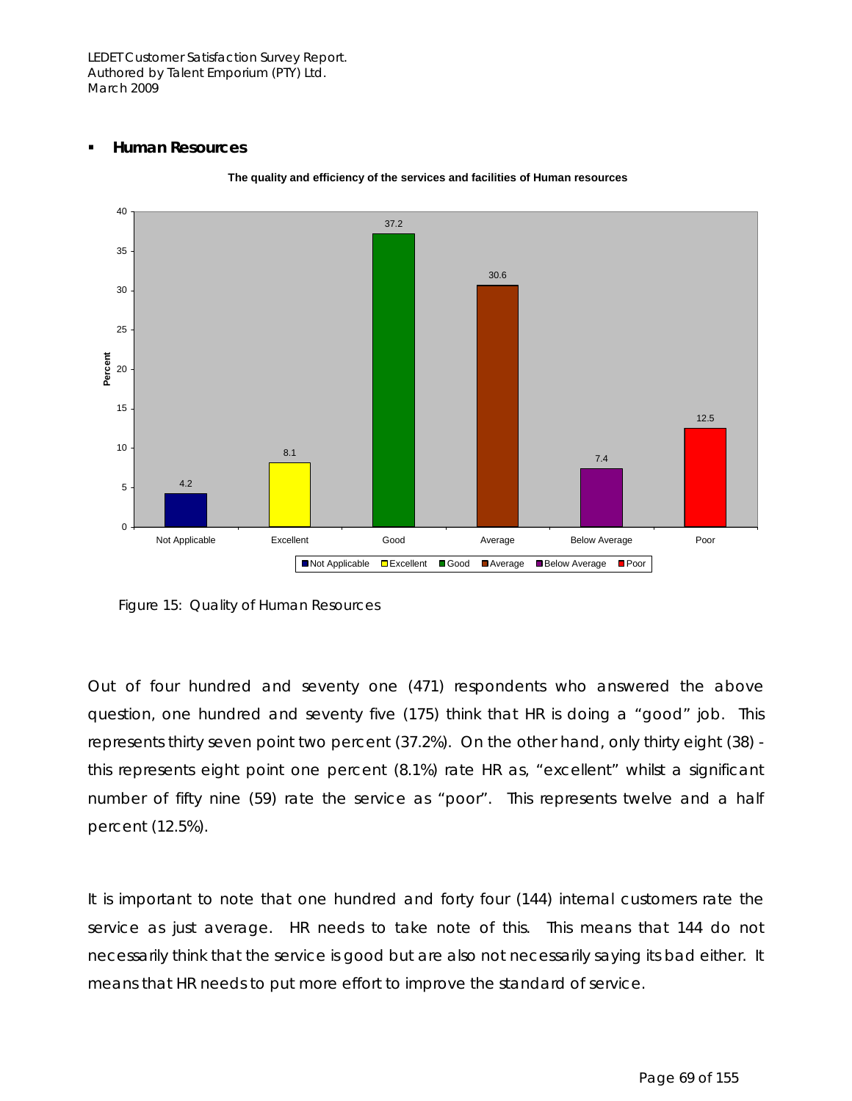#### **Human Resources**



**The quality and efficiency of the services and facilities of Human resources**

Figure 15: Quality of Human Resources

Out of four hundred and seventy one (471) respondents who answered the above question, one hundred and seventy five (175) think that HR is doing a "good" job. This represents thirty seven point two percent (37.2%). On the other hand, only thirty eight (38) this represents eight point one percent (8.1%) rate HR as, "excellent" whilst a significant number of fifty nine (59) rate the service as "poor". This represents twelve and a half percent (12.5%).

It is important to note that one hundred and forty four (144) internal customers rate the service as just average. HR needs to take note of this. This means that 144 do not necessarily think that the service is good but are also not necessarily saying its bad either. It means that HR needs to put more effort to improve the standard of service.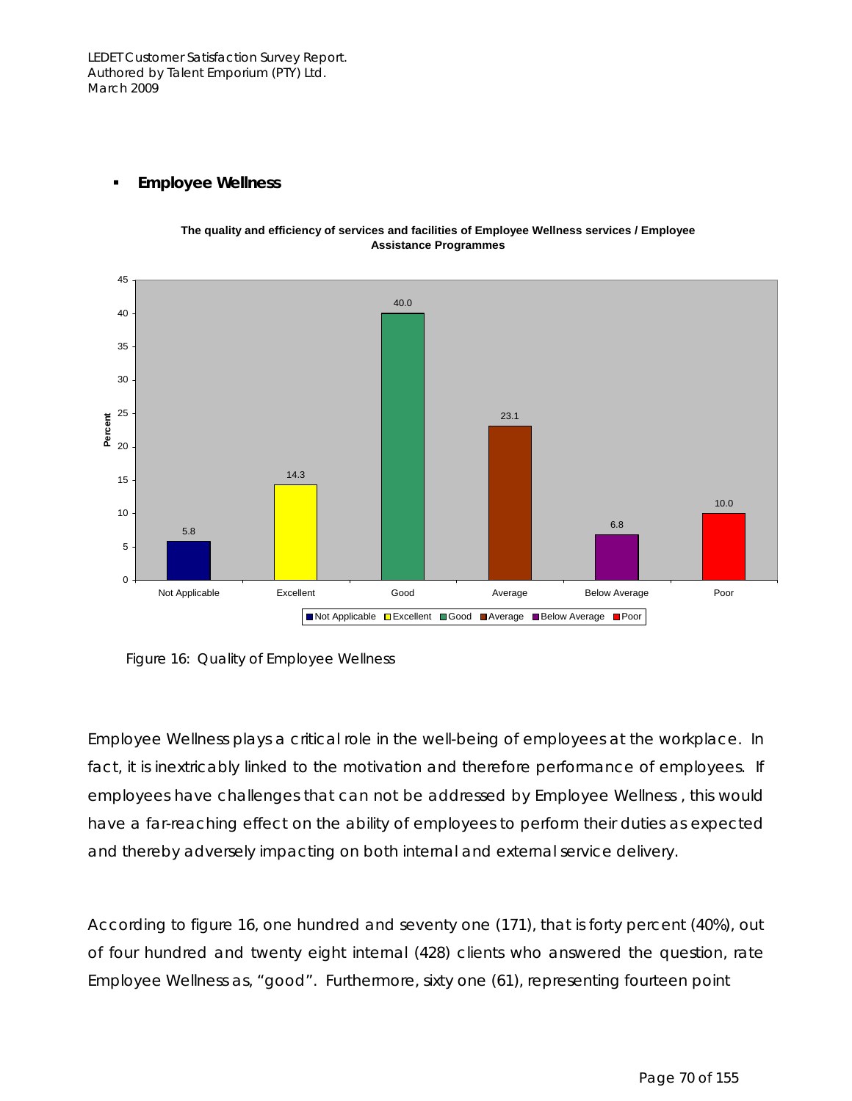

#### **Employee Wellness**

**The quality and efficiency of services and facilities of Employee Wellness services / Employee Assistance Programmes**

Figure 16: Quality of Employee Wellness

Employee Wellness plays a critical role in the well-being of employees at the workplace. In fact, it is inextricably linked to the motivation and therefore performance of employees. If employees have challenges that can not be addressed by Employee Wellness , this would have a far-reaching effect on the ability of employees to perform their duties as expected and thereby adversely impacting on both internal and external service delivery.

According to figure 16, one hundred and seventy one (171), that is forty percent (40%), out of four hundred and twenty eight internal (428) clients who answered the question, rate Employee Wellness as, "good". Furthermore, sixty one (61), representing fourteen point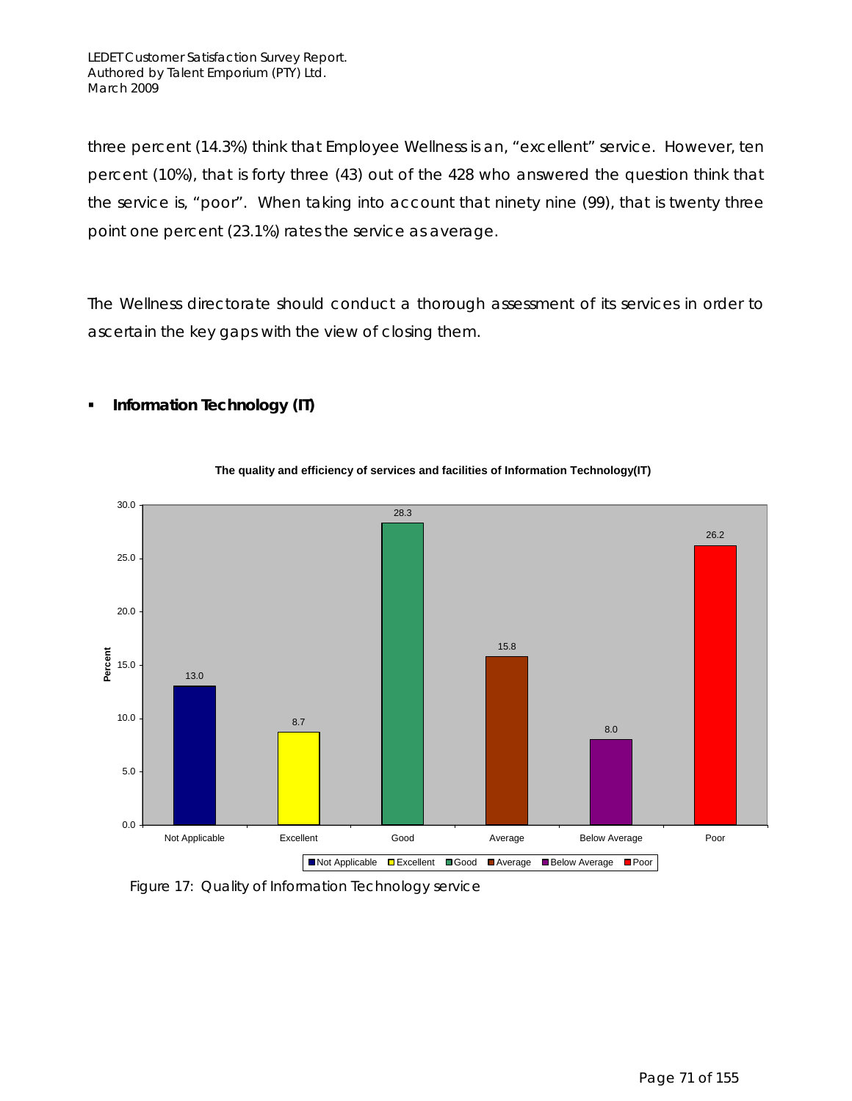**Information Technology (IT)** 

three percent (14.3%) think that Employee Wellness is an, "excellent" service. However, ten percent (10%), that is forty three (43) out of the 428 who answered the question think that the service is, "poor". When taking into account that ninety nine (99), that is twenty three point one percent (23.1%) rates the service as average.

The Wellness directorate should conduct a thorough assessment of its services in order to ascertain the key gaps with the view of closing them.



### **The quality and efficiency of services and facilities of Information Technology(IT)**

Figure 17: Quality of Information Technology service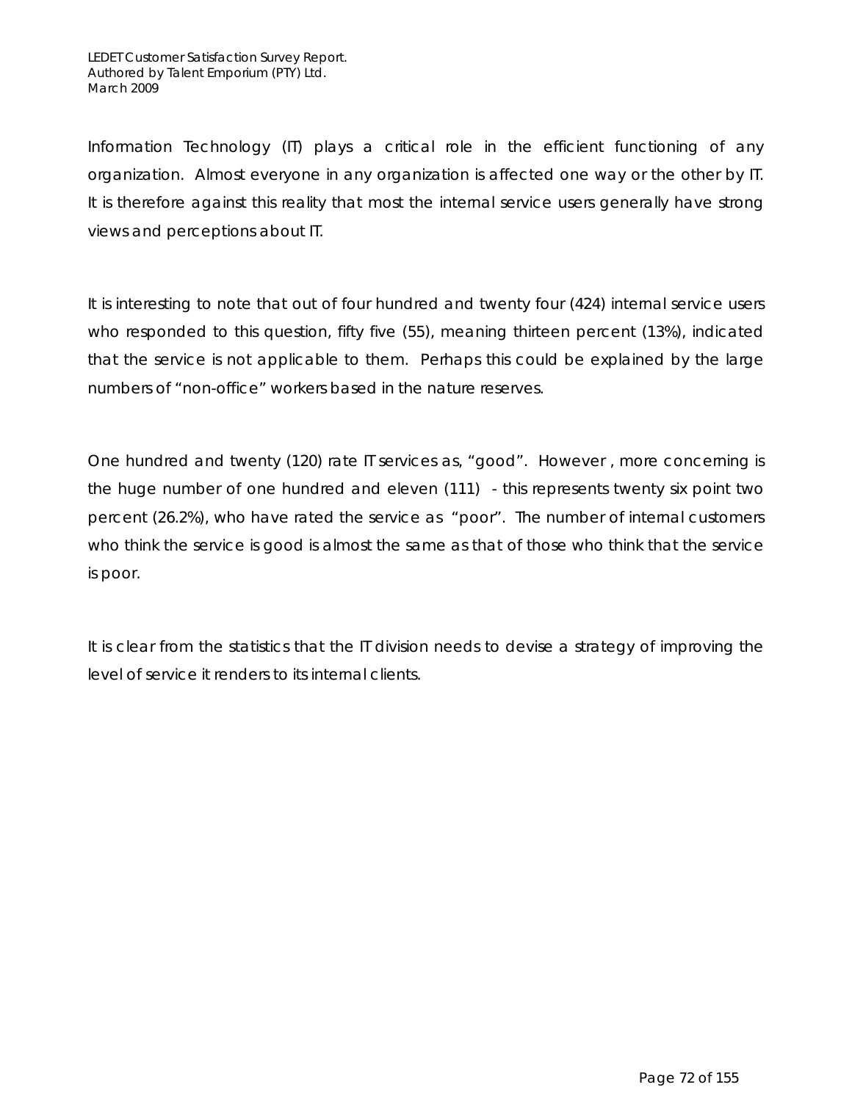Information Technology (IT) plays a critical role in the efficient functioning of any organization. Almost everyone in any organization is affected one way or the other by IT. It is therefore against this reality that most the internal service users generally have strong views and perceptions about IT.

It is interesting to note that out of four hundred and twenty four (424) internal service users who responded to this question, fifty five (55), meaning thirteen percent (13%), indicated that the service is not applicable to them. Perhaps this could be explained by the large numbers of "non-office" workers based in the nature reserves.

One hundred and twenty (120) rate IT services as, "good". However , more concerning is the huge number of one hundred and eleven (111) - this represents twenty six point two percent (26.2%), who have rated the service as "poor". The number of internal customers who think the service is good is almost the same as that of those who think that the service is poor.

It is clear from the statistics that the IT division needs to devise a strategy of improving the level of service it renders to its internal clients.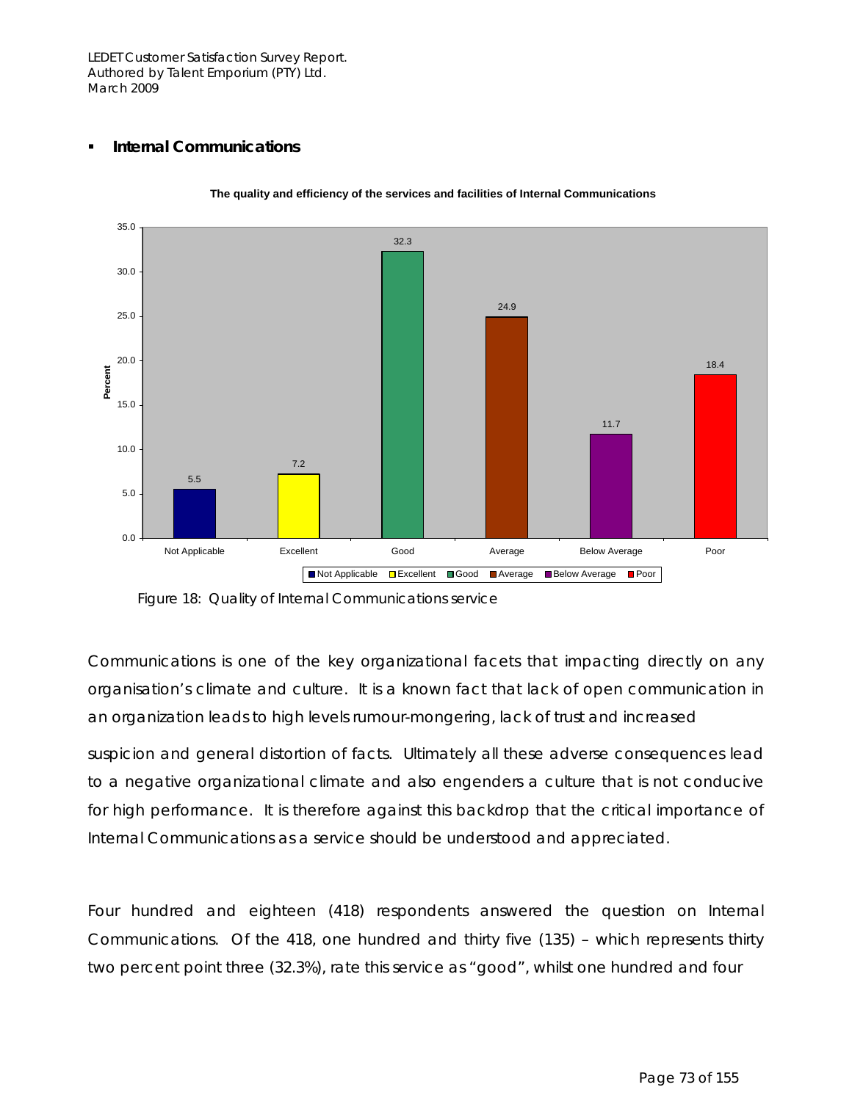### **Internal Communications**



**The quality and efficiency of the services and facilities of Internal Communications**

Communications is one of the key organizational facets that impacting directly on any organisation's climate and culture. It is a known fact that lack of open communication in an organization leads to high levels rumour-mongering, lack of trust and increased

suspicion and general distortion of facts. Ultimately all these adverse consequences lead to a negative organizational climate and also engenders a culture that is not conducive for high performance. It is therefore against this backdrop that the critical importance of Internal Communications as a service should be understood and appreciated.

Four hundred and eighteen (418) respondents answered the question on Internal Communications. Of the 418, one hundred and thirty five (135) – which represents thirty two percent point three (32.3%), rate this service as "good", whilst one hundred and four

Figure 18: Quality of Internal Communications service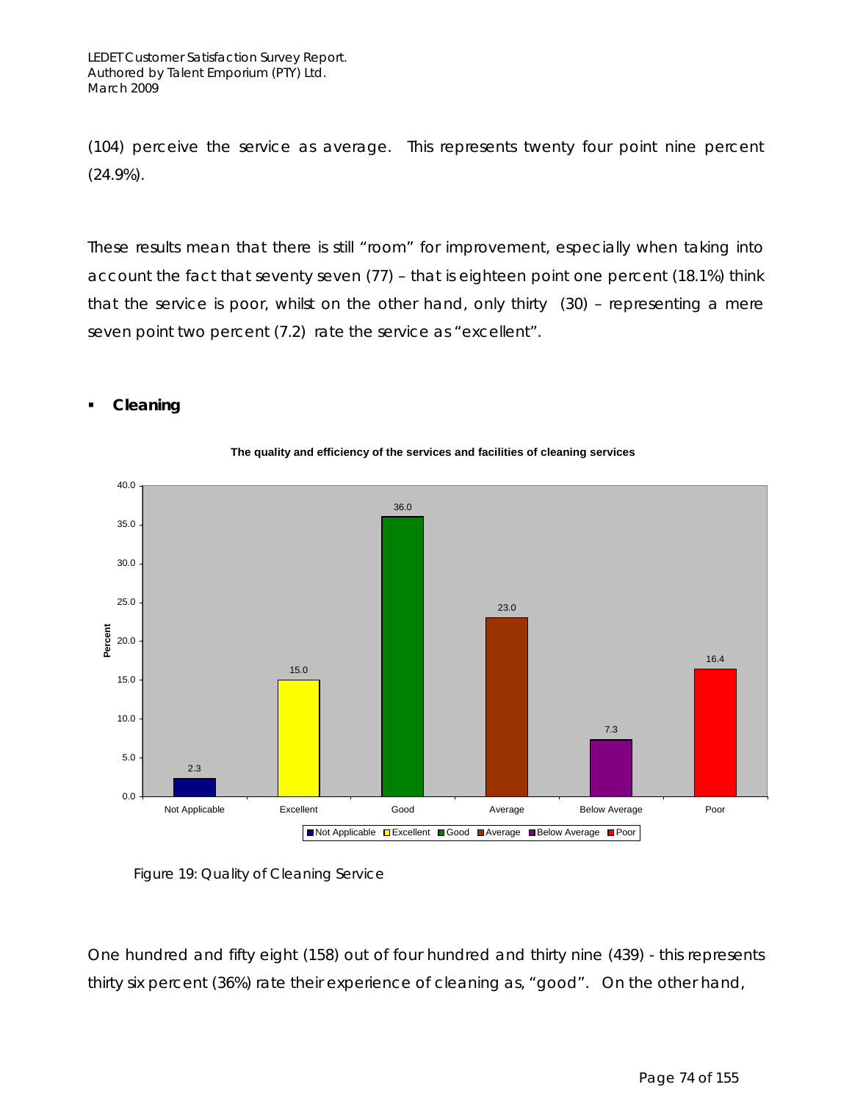(104) perceive the service as average. This represents twenty four point nine percent (24.9%).

These results mean that there is still "room" for improvement, especially when taking into account the fact that seventy seven (77) – that is eighteen point one percent (18.1%) think that the service is poor, whilst on the other hand, only thirty (30) – representing a mere seven point two percent (7.2) rate the service as "excellent".



### **Cleaning**

Figure 19: Quality of Cleaning Service

One hundred and fifty eight (158) out of four hundred and thirty nine (439) - this represents thirty six percent (36%) rate their experience of cleaning as, "good". On the other hand,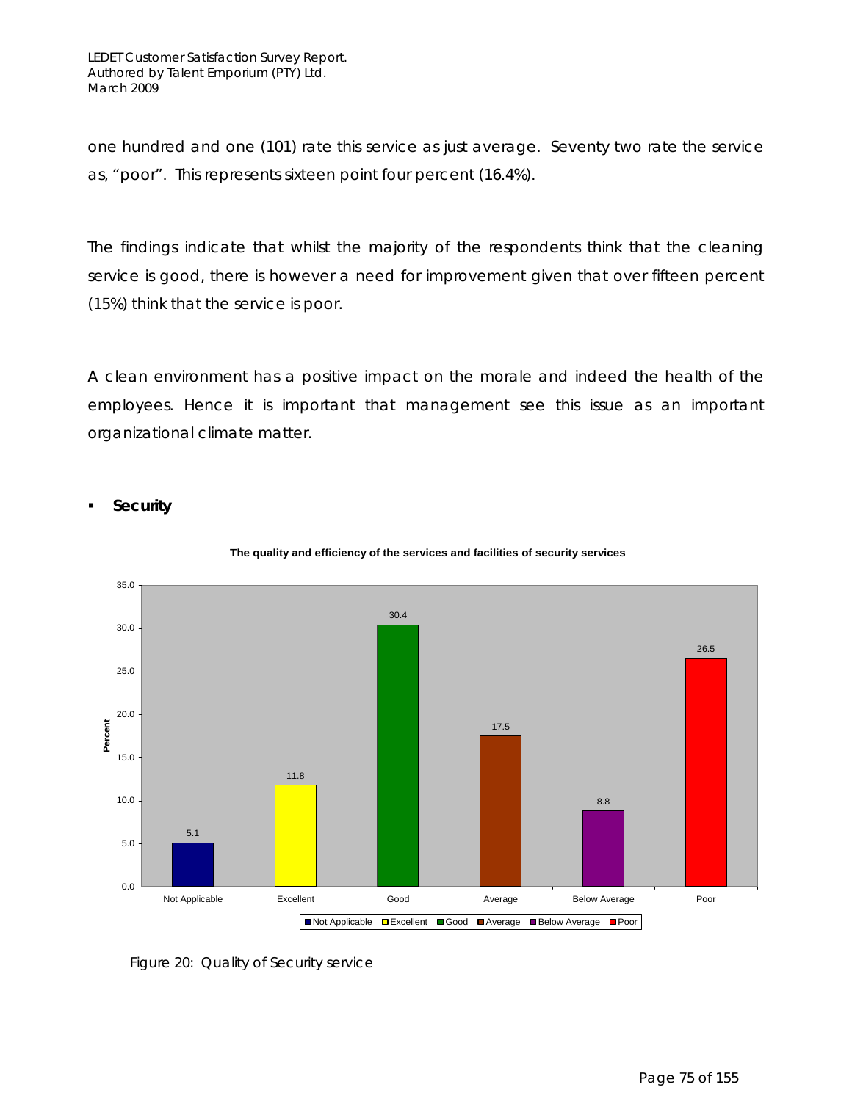one hundred and one (101) rate this service as just average. Seventy two rate the service as, "poor". This represents sixteen point four percent (16.4%).

The findings indicate that whilst the majority of the respondents think that the cleaning service is good, there is however a need for improvement given that over fifteen percent (15%) think that the service is poor.

A clean environment has a positive impact on the morale and indeed the health of the employees. Hence it is important that management see this issue as an important organizational climate matter.

### **Security**



#### **The quality and efficiency of the services and facilities of security services**

Figure 20: Quality of Security service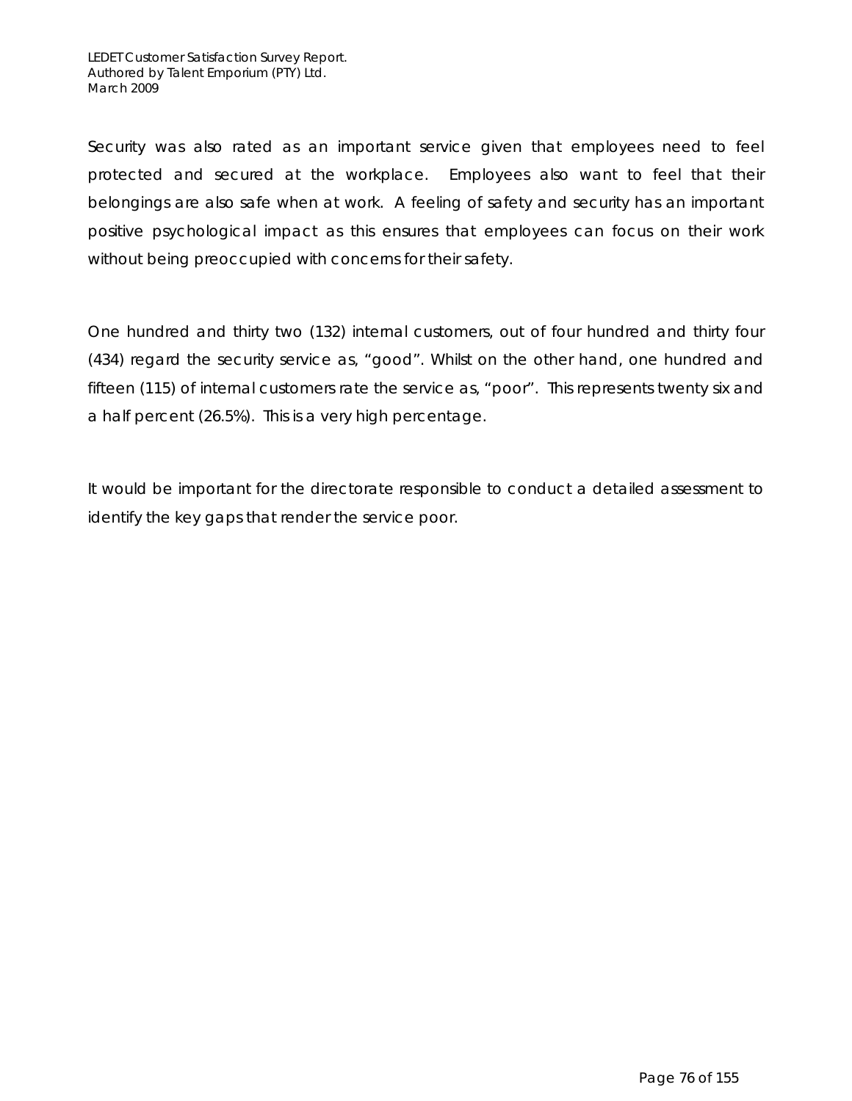Security was also rated as an important service given that employees need to feel protected and secured at the workplace. Employees also want to feel that their belongings are also safe when at work. A feeling of safety and security has an important positive psychological impact as this ensures that employees can focus on their work without being preoccupied with concerns for their safety.

One hundred and thirty two (132) internal customers, out of four hundred and thirty four (434) regard the security service as, "good". Whilst on the other hand, one hundred and fifteen (115) of internal customers rate the service as, "poor". This represents twenty six and a half percent (26.5%). This is a very high percentage.

It would be important for the directorate responsible to conduct a detailed assessment to identify the key gaps that render the service poor.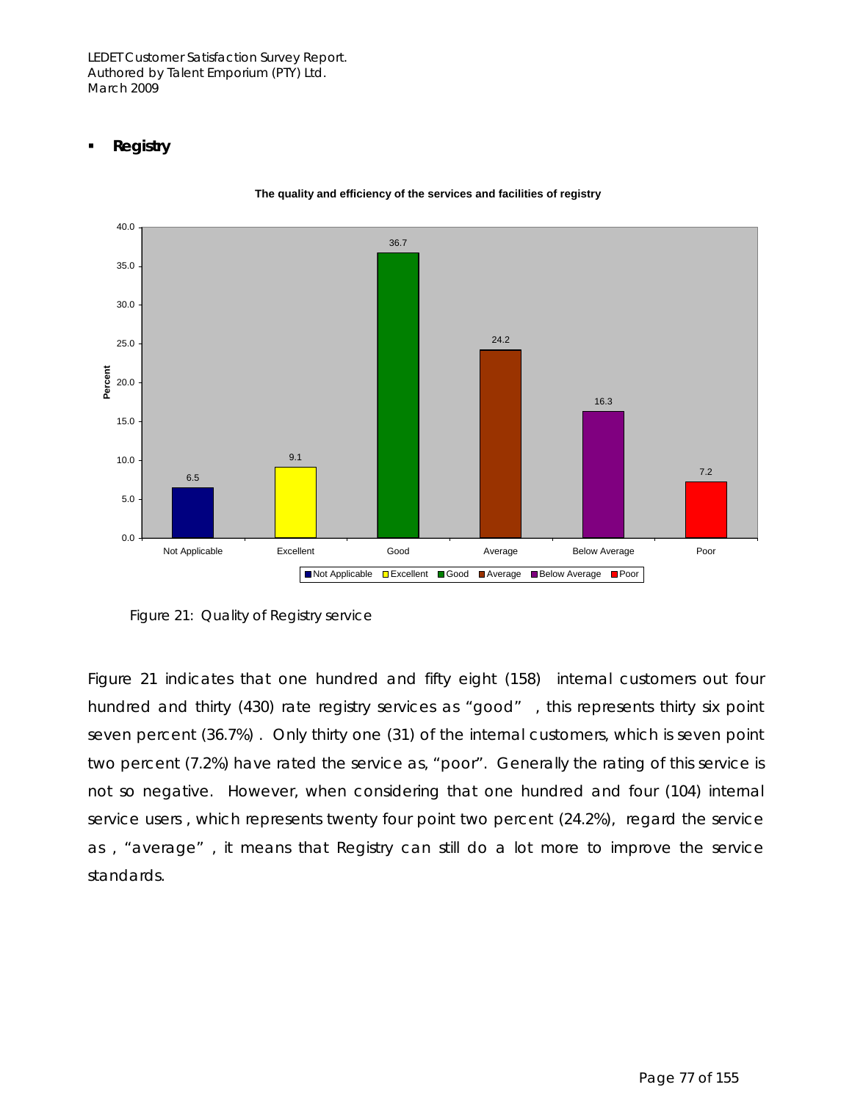### **Registry**



**The quality and efficiency of the services and facilities of registry**

Figure 21 indicates that one hundred and fifty eight (158) internal customers out four hundred and thirty (430) rate registry services as "good", this represents thirty six point seven percent (36.7%) . Only thirty one (31) of the internal customers, which is seven point two percent (7.2%) have rated the service as, "poor". Generally the rating of this service is not so negative. However, when considering that one hundred and four (104) internal service users , which represents twenty four point two percent (24.2%), regard the service as , "average" , it means that Registry can still do a lot more to improve the service standards.

Figure 21: Quality of Registry service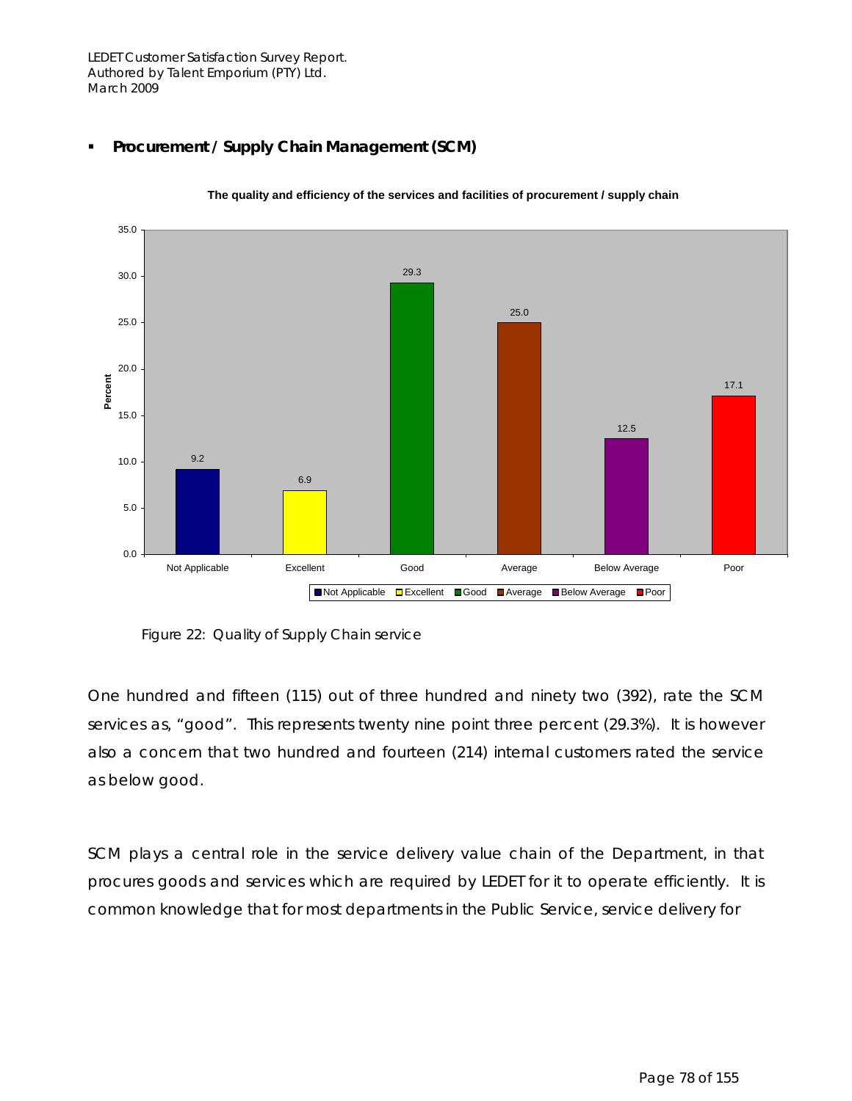

### **Procurement / Supply Chain Management (SCM)**

Figure 22: Quality of Supply Chain service

One hundred and fifteen (115) out of three hundred and ninety two (392), rate the SCM services as, "good". This represents twenty nine point three percent (29.3%). It is however also a concern that two hundred and fourteen (214) internal customers rated the service as below good.

SCM plays a central role in the service delivery value chain of the Department, in that procures goods and services which are required by LEDET for it to operate efficiently. It is common knowledge that for most departments in the Public Service, service delivery for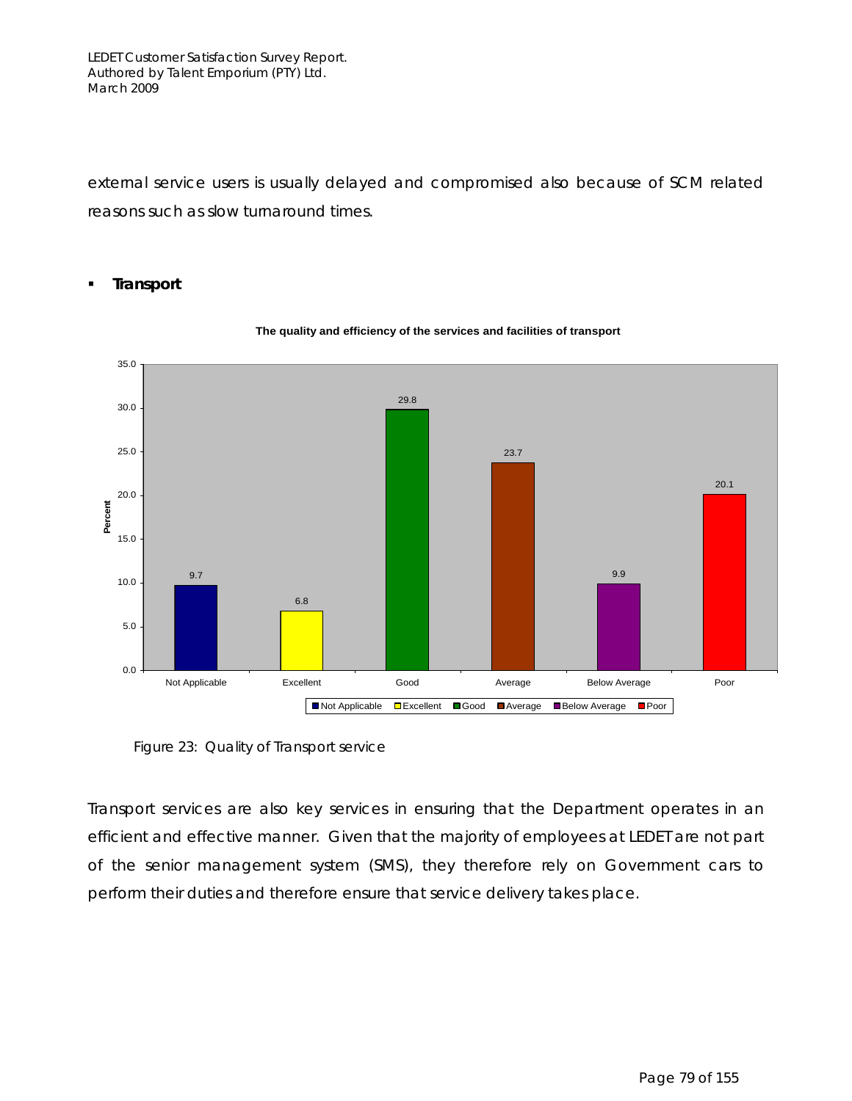external service users is usually delayed and compromised also because of SCM related reasons such as slow turnaround times.

### **Transport**



#### **The quality and efficiency of the services and facilities of transport**

Figure 23: Quality of Transport service

Transport services are also key services in ensuring that the Department operates in an efficient and effective manner. Given that the majority of employees at LEDET are not part of the senior management system (SMS), they therefore rely on Government cars to perform their duties and therefore ensure that service delivery takes place.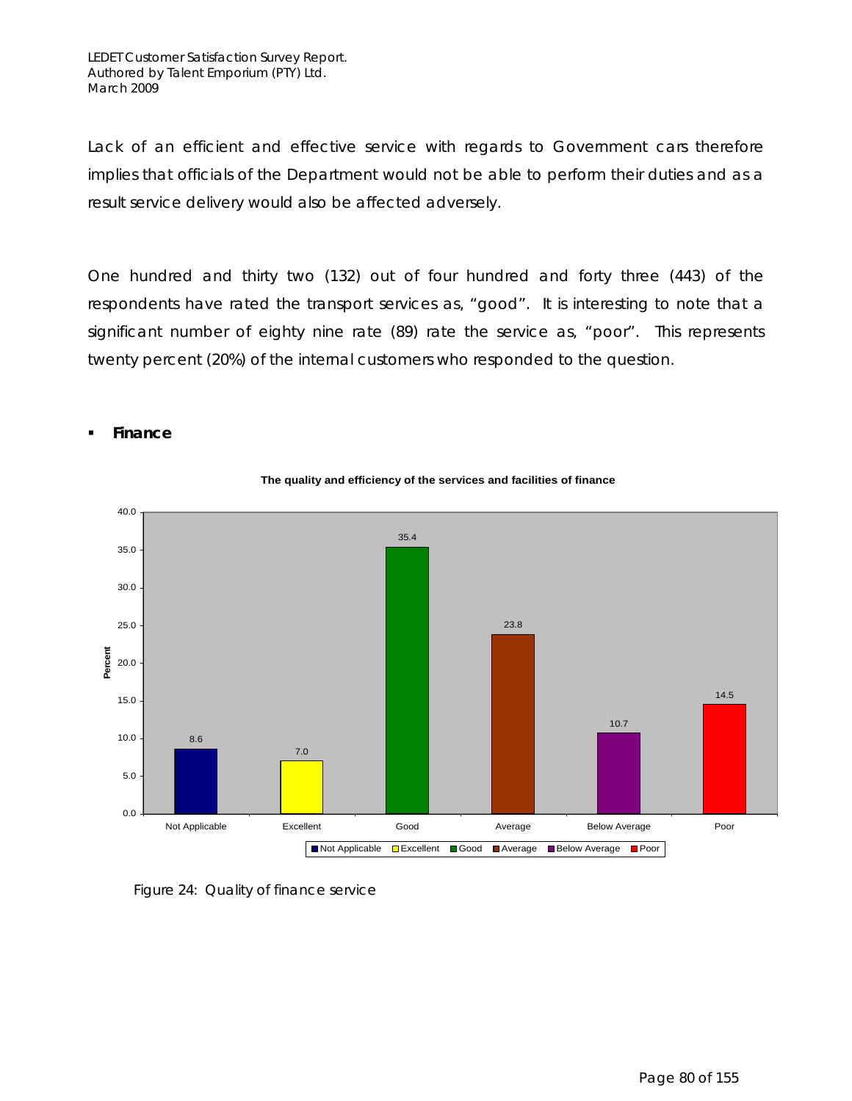Lack of an efficient and effective service with regards to Government cars therefore implies that officials of the Department would not be able to perform their duties and as a result service delivery would also be affected adversely.

One hundred and thirty two (132) out of four hundred and forty three (443) of the respondents have rated the transport services as, "good". It is interesting to note that a significant number of eighty nine rate (89) rate the service as, "poor". This represents twenty percent (20%) of the internal customers who responded to the question.



### **Finance**

Figure 24: Quality of finance service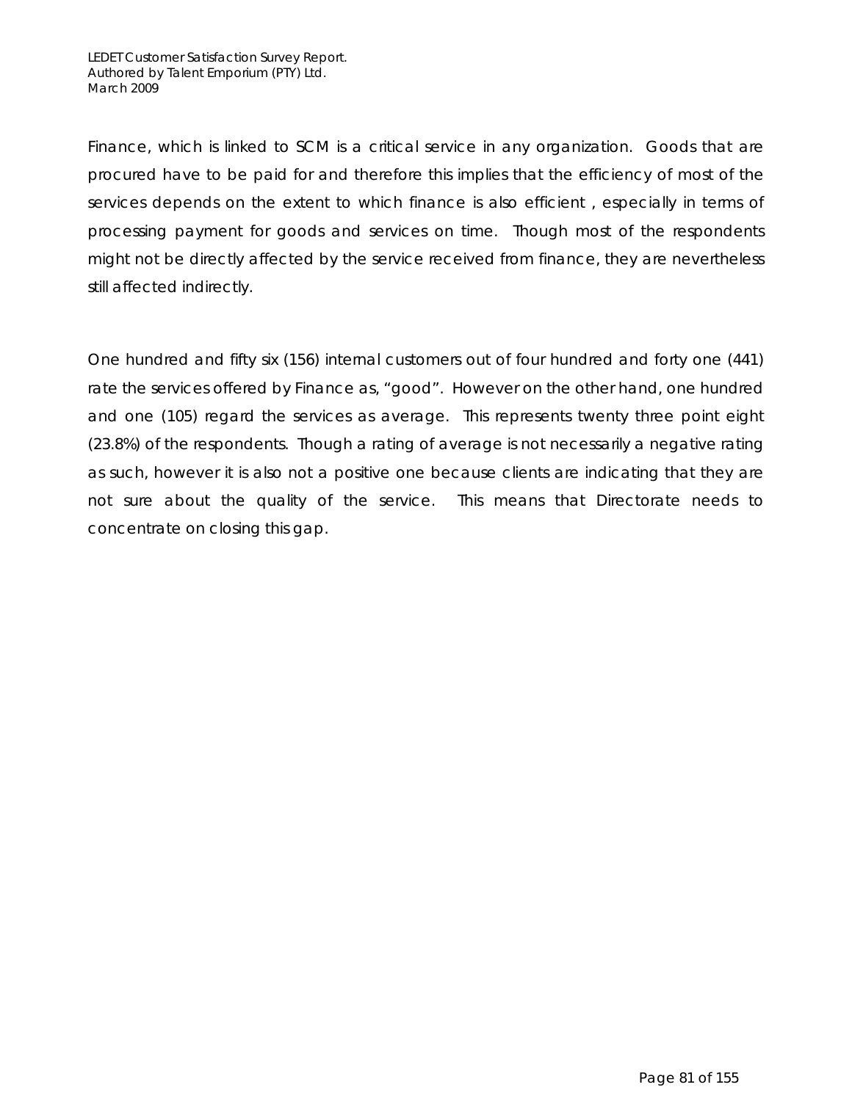Finance, which is linked to SCM is a critical service in any organization. Goods that are procured have to be paid for and therefore this implies that the efficiency of most of the services depends on the extent to which finance is also efficient , especially in terms of processing payment for goods and services on time. Though most of the respondents might not be directly affected by the service received from finance, they are nevertheless still affected indirectly.

One hundred and fifty six (156) internal customers out of four hundred and forty one (441) rate the services offered by Finance as, "good". However on the other hand, one hundred and one (105) regard the services as average. This represents twenty three point eight (23.8%) of the respondents. Though a rating of average is not necessarily a negative rating as such, however it is also not a positive one because clients are indicating that they are not sure about the quality of the service. This means that Directorate needs to concentrate on closing this gap.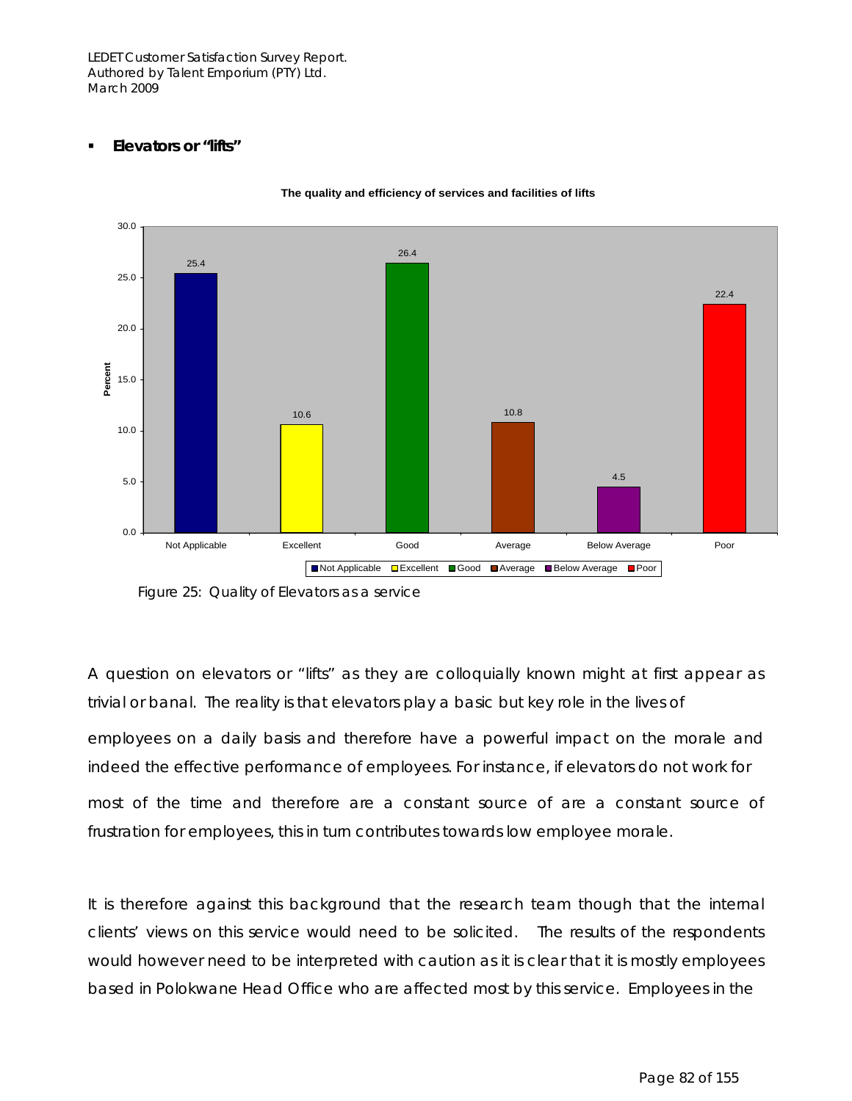**Elevators or "lifts"** 



**The quality and efficiency of services and facilities of lifts**

A question on elevators or "lifts" as they are colloquially known might at first appear as trivial or banal. The reality is that elevators play a basic but key role in the lives of employees on a daily basis and therefore have a powerful impact on the morale and indeed the effective performance of employees. For instance, if elevators do not work for most of the time and therefore are a constant source of are a constant source of frustration for employees, this in turn contributes towards low employee morale.

It is therefore against this background that the research team though that the internal clients' views on this service would need to be solicited. The results of the respondents would however need to be interpreted with caution as it is clear that it is mostly employees based in Polokwane Head Office who are affected most by this service. Employees in the

Figure 25: Quality of Elevators as a service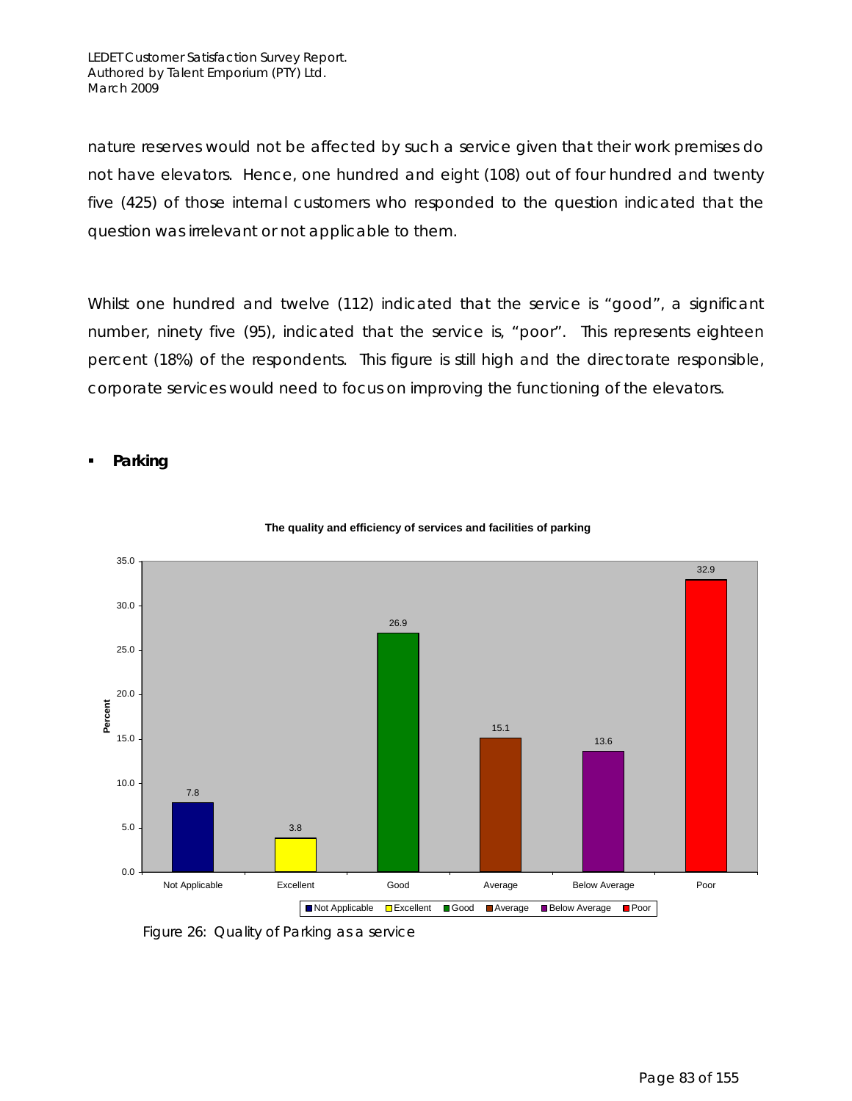nature reserves would not be affected by such a service given that their work premises do not have elevators. Hence, one hundred and eight (108) out of four hundred and twenty five (425) of those internal customers who responded to the question indicated that the question was irrelevant or not applicable to them.

Whilst one hundred and twelve (112) indicated that the service is "good", a significant number, ninety five (95), indicated that the service is, "poor". This represents eighteen percent (18%) of the respondents. This figure is still high and the directorate responsible, corporate services would need to focus on improving the functioning of the elevators.

**Parking** 



### **The quality and efficiency of services and facilities of parking**

Figure 26: Quality of Parking as a service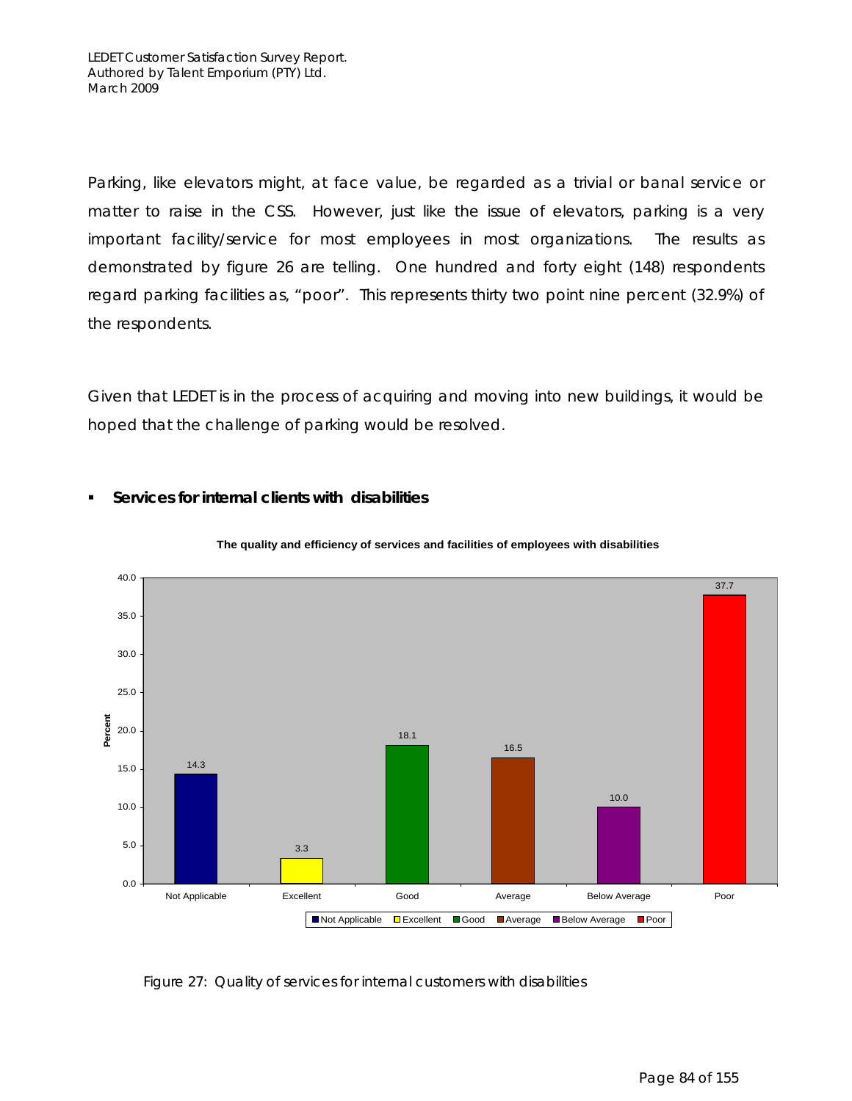**Services for internal clients with disabilities** 

Parking, like elevators might, at face value, be regarded as a trivial or banal service or matter to raise in the CSS. However, just like the issue of elevators, parking is a very important facility/service for most employees in most organizations. The results as demonstrated by figure 26 are telling. One hundred and forty eight (148) respondents regard parking facilities as, "poor". This represents thirty two point nine percent (32.9%) of the respondents.

Given that LEDET is in the process of acquiring and moving into new buildings, it would be hoped that the challenge of parking would be resolved.



### **The quality and efficiency of services and facilities of employees with disabilities**

Figure 27: Quality of services for internal customers with disabilities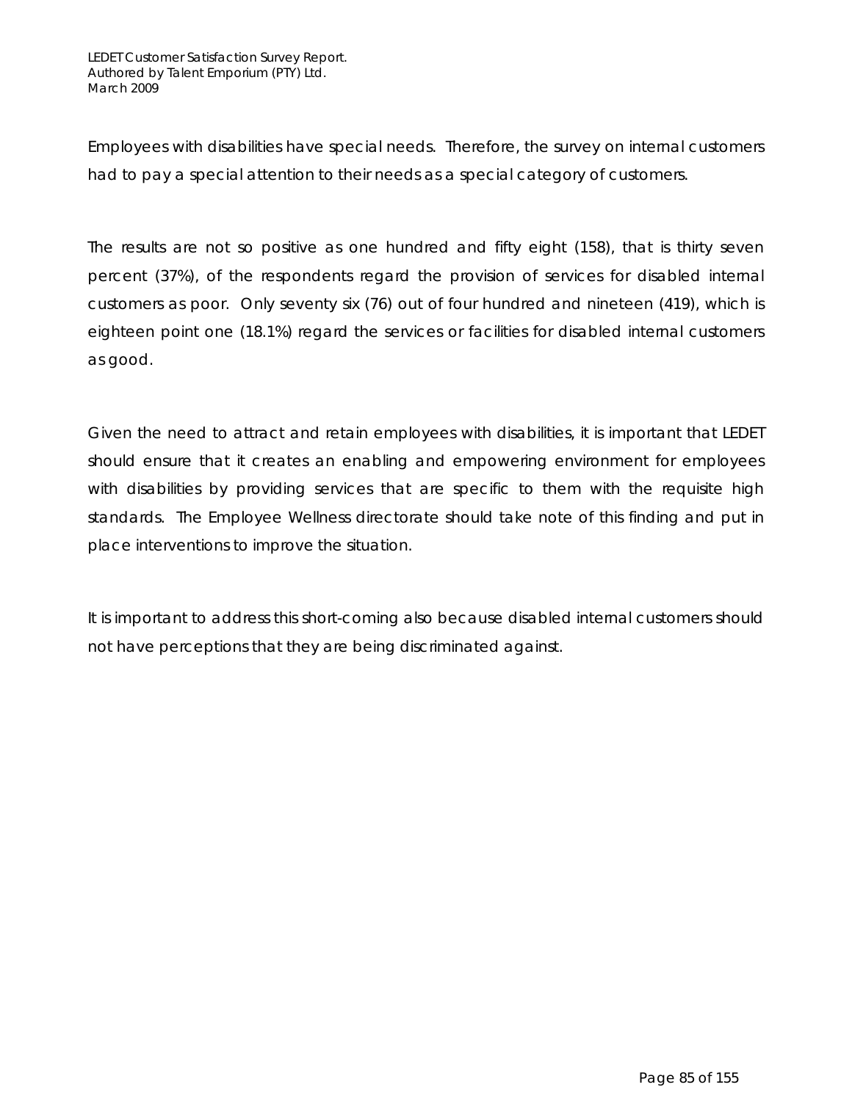Employees with disabilities have special needs. Therefore, the survey on internal customers had to pay a special attention to their needs as a special category of customers.

The results are not so positive as one hundred and fifty eight (158), that is thirty seven percent (37%), of the respondents regard the provision of services for disabled internal customers as poor. Only seventy six (76) out of four hundred and nineteen (419), which is eighteen point one (18.1%) regard the services or facilities for disabled internal customers as good.

Given the need to attract and retain employees with disabilities, it is important that LEDET should ensure that it creates an enabling and empowering environment for employees with disabilities by providing services that are specific to them with the requisite high standards. The Employee Wellness directorate should take note of this finding and put in place interventions to improve the situation.

It is important to address this short-coming also because disabled internal customers should not have perceptions that they are being discriminated against.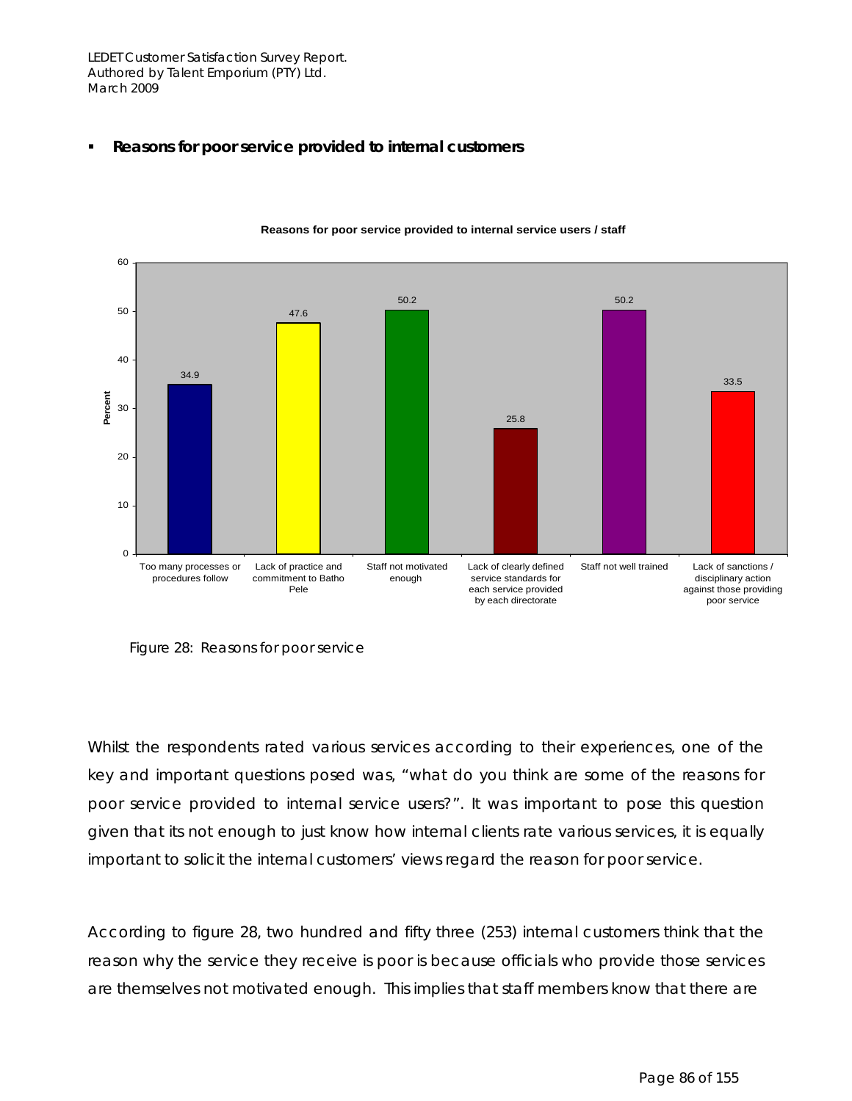**Reasons for poor service provided to internal customers** 



**Reasons for poor service provided to internal service users / staff**

Figure 28: Reasons for poor service

Whilst the respondents rated various services according to their experiences, one of the key and important questions posed was, "what do you think are some of the reasons for poor service provided to internal service users?". It was important to pose this question given that its not enough to just know how internal clients rate various services, it is equally important to solicit the internal customers' views regard the reason for poor service.

According to figure 28, two hundred and fifty three (253) internal customers think that the reason why the service they receive is poor is because officials who provide those services are themselves not motivated enough. This implies that staff members know that there are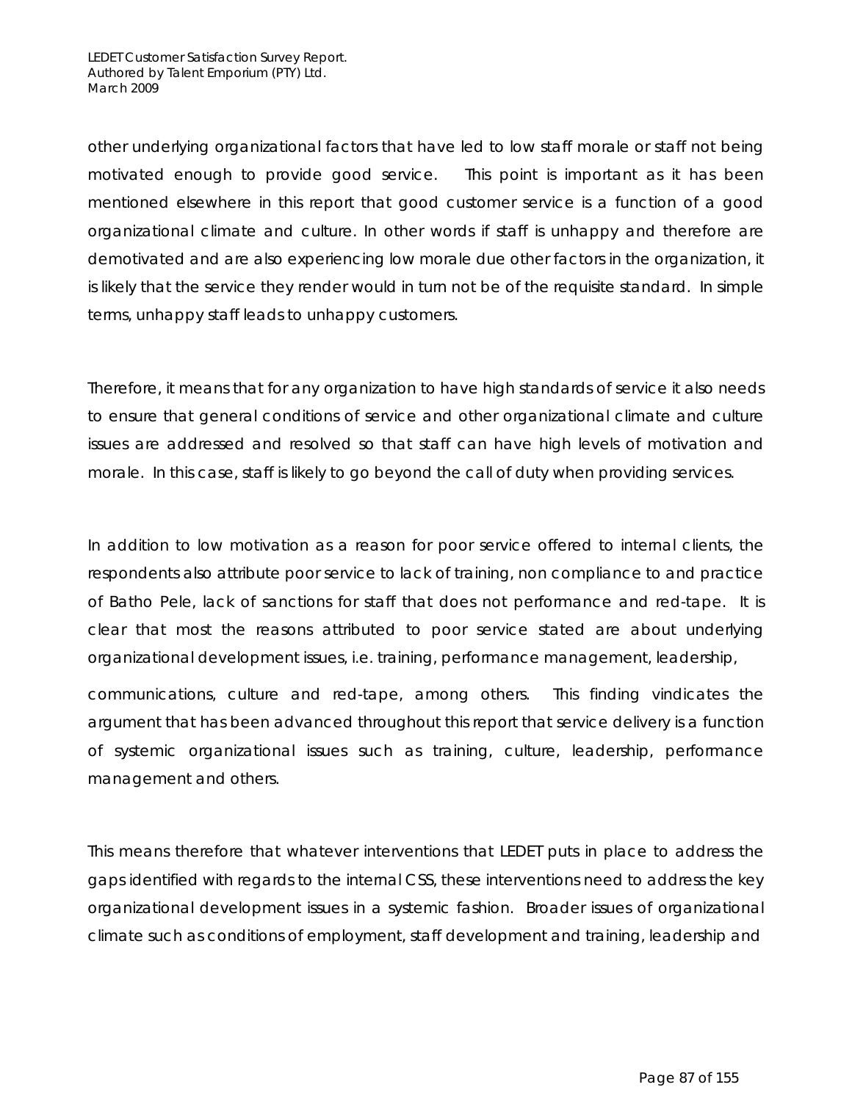other underlying organizational factors that have led to low staff morale or staff not being motivated enough to provide good service. This point is important as it has been mentioned elsewhere in this report that good customer service is a function of a good organizational climate and culture. In other words if staff is unhappy and therefore are demotivated and are also experiencing low morale due other factors in the organization, it is likely that the service they render would in turn not be of the requisite standard. In simple terms, unhappy staff leads to unhappy customers.

Therefore, it means that for any organization to have high standards of service it also needs to ensure that general conditions of service and other organizational climate and culture issues are addressed and resolved so that staff can have high levels of motivation and morale. In this case, staff is likely to go beyond the call of duty when providing services.

In addition to low motivation as a reason for poor service offered to internal clients, the respondents also attribute poor service to lack of training, non compliance to and practice of Batho Pele, lack of sanctions for staff that does not performance and red-tape. It is clear that most the reasons attributed to poor service stated are about underlying organizational development issues, i.e. training, performance management, leadership,

communications, culture and red-tape, among others. This finding vindicates the argument that has been advanced throughout this report that service delivery is a function of systemic organizational issues such as training, culture, leadership, performance management and others.

This means therefore that whatever interventions that LEDET puts in place to address the gaps identified with regards to the internal CSS, these interventions need to address the key organizational development issues in a systemic fashion. Broader issues of organizational climate such as conditions of employment, staff development and training, leadership and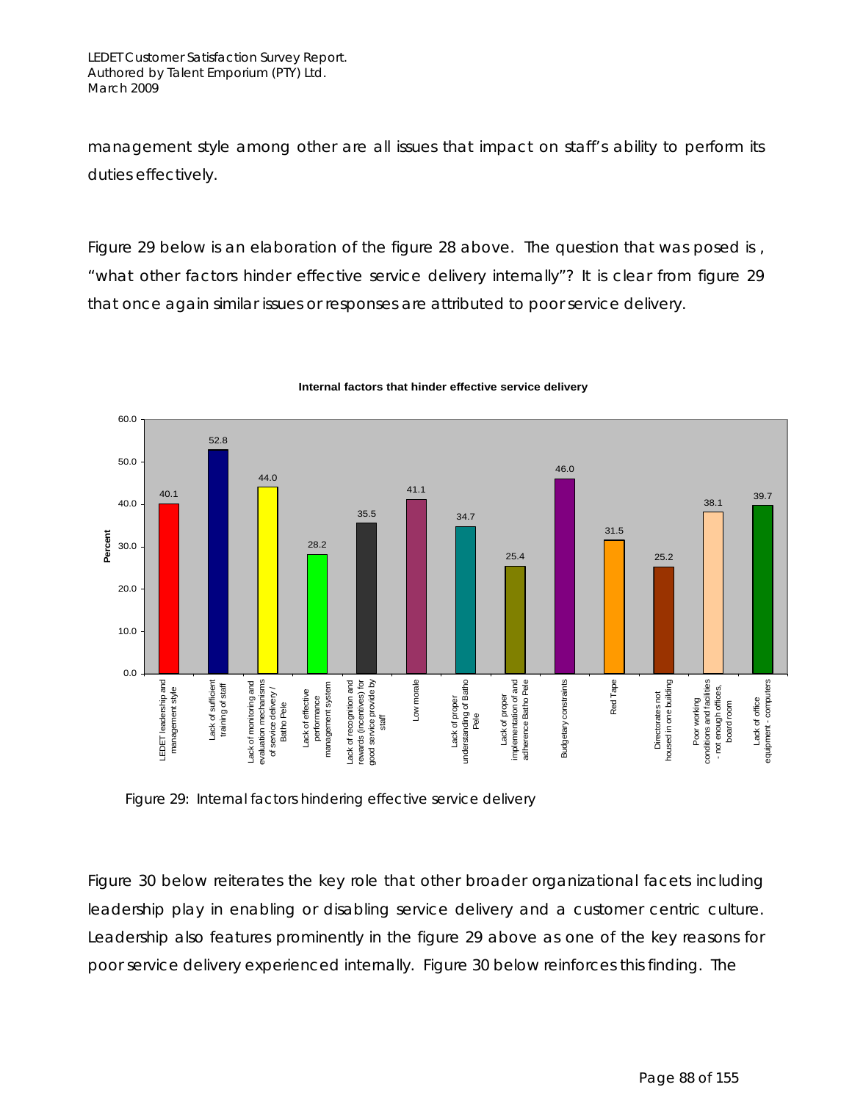management style among other are all issues that impact on staff's ability to perform its duties effectively.

Figure 29 below is an elaboration of the figure 28 above. The question that was posed is , "what other factors hinder effective service delivery internally"? It is clear from figure 29 that once again similar issues or responses are attributed to poor service delivery.



### **Internal factors that hinder effective service delivery**

Figure 29: Internal factors hindering effective service delivery

Figure 30 below reiterates the key role that other broader organizational facets including leadership play in enabling or disabling service delivery and a customer centric culture. Leadership also features prominently in the figure 29 above as one of the key reasons for poor service delivery experienced internally. Figure 30 below reinforces this finding. The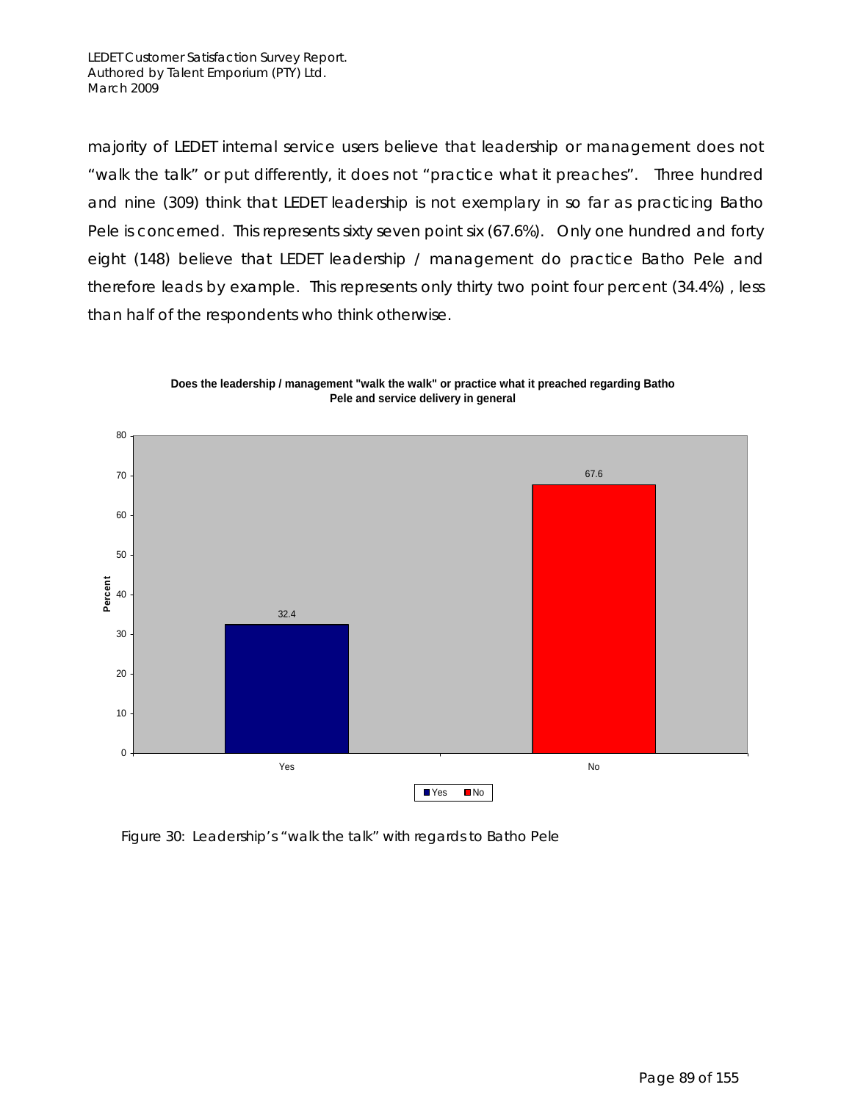majority of LEDET internal service users believe that leadership or management does not "walk the talk" or put differently, it does not "practice what it preaches". Three hundred and nine (309) think that LEDET leadership is not exemplary in so far as practicing Batho Pele is concerned. This represents sixty seven point six (67.6%). Only one hundred and forty eight (148) believe that LEDET leadership / management do practice Batho Pele and therefore leads by example. This represents only thirty two point four percent (34.4%) , less than half of the respondents who think otherwise.



**Does the leadership / management "walk the walk" or practice what it preached regarding Batho Pele and service delivery in general**

Figure 30: Leadership's "walk the talk" with regards to Batho Pele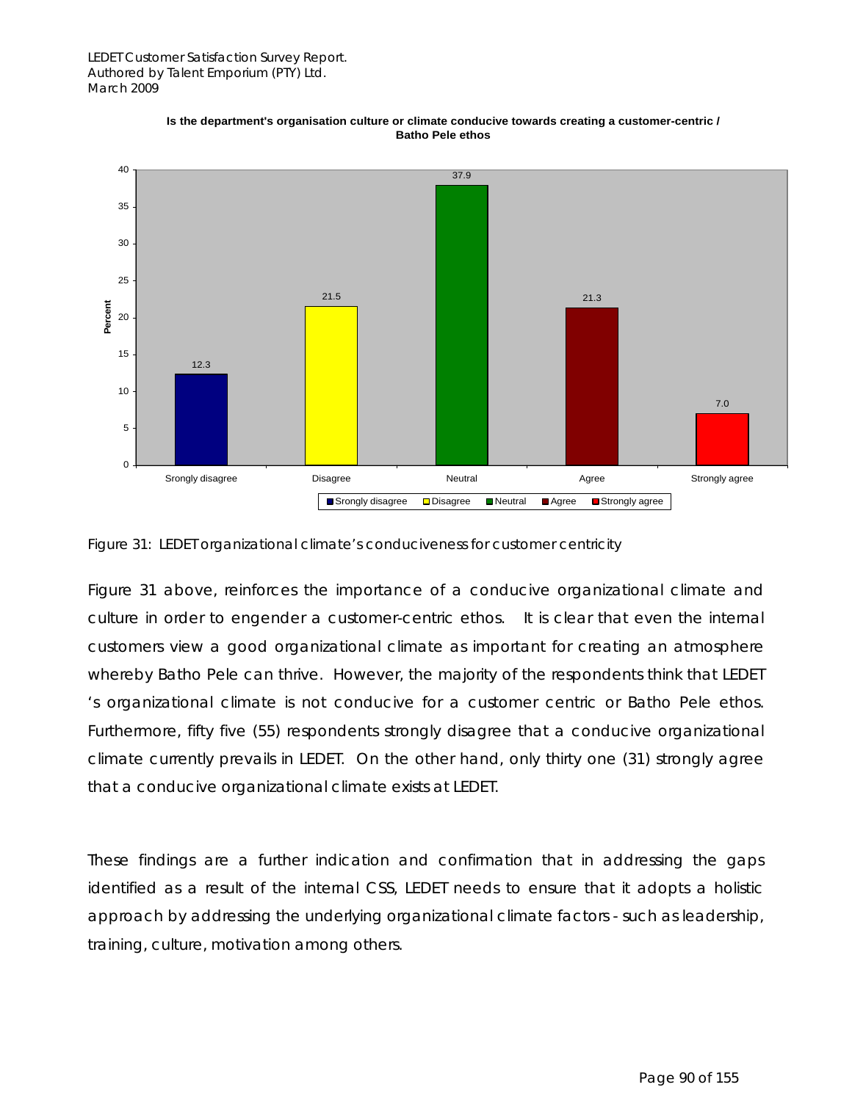

**Is the department's organisation culture or climate conducive towards creating a customer-centric / Batho Pele ethos**



Figure 31 above, reinforces the importance of a conducive organizational climate and culture in order to engender a customer-centric ethos. It is clear that even the internal customers view a good organizational climate as important for creating an atmosphere whereby Batho Pele can thrive. However, the majority of the respondents think that LEDET 's organizational climate is not conducive for a customer centric or Batho Pele ethos. Furthermore, fifty five (55) respondents strongly disagree that a conducive organizational climate currently prevails in LEDET. On the other hand, only thirty one (31) strongly agree that a conducive organizational climate exists at LEDET.

These findings are a further indication and confirmation that in addressing the gaps identified as a result of the internal CSS, LEDET needs to ensure that it adopts a holistic approach by addressing the underlying organizational climate factors - such as leadership, training, culture, motivation among others.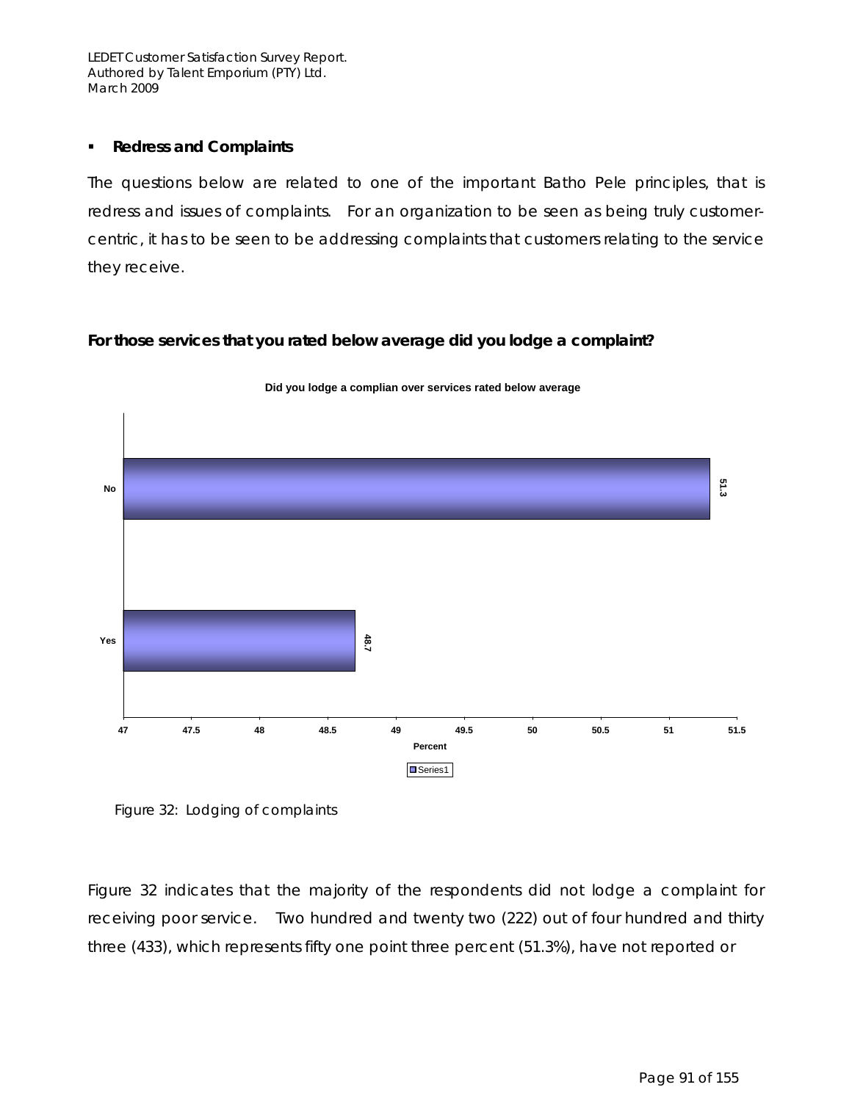### **Redress and Complaints**

The questions below are related to one of the important Batho Pele principles, that is redress and issues of complaints. For an organization to be seen as being truly customercentric, it has to be seen to be addressing complaints that customers relating to the service they receive.

### **For those services that you rated below average did you lodge a complaint?**



**Did you lodge a complian over services rated below average**

Figure 32: Lodging of complaints

Figure 32 indicates that the majority of the respondents did not lodge a complaint for receiving poor service. Two hundred and twenty two (222) out of four hundred and thirty three (433), which represents fifty one point three percent (51.3%), have not reported or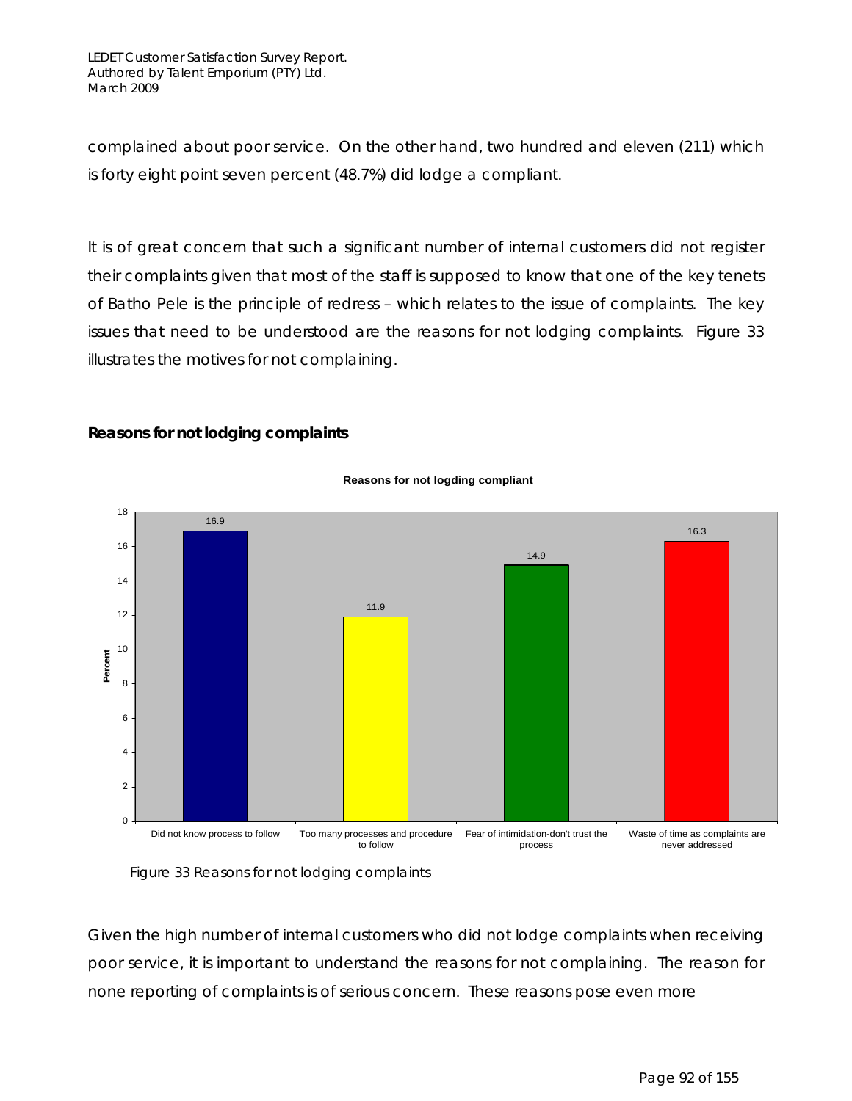complained about poor service. On the other hand, two hundred and eleven (211) which is forty eight point seven percent (48.7%) did lodge a compliant.

It is of great concern that such a significant number of internal customers did not register their complaints given that most of the staff is supposed to know that one of the key tenets of Batho Pele is the principle of redress – which relates to the issue of complaints. The key issues that need to be understood are the reasons for not lodging complaints. Figure 33 illustrates the motives for not complaining.

### **Reasons for not lodging complaints**



### **Reasons for not logding compliant**

Figure 33 Reasons for not lodging complaints

Given the high number of internal customers who did not lodge complaints when receiving poor service, it is important to understand the reasons for not complaining. The reason for none reporting of complaints is of serious concern. These reasons pose even more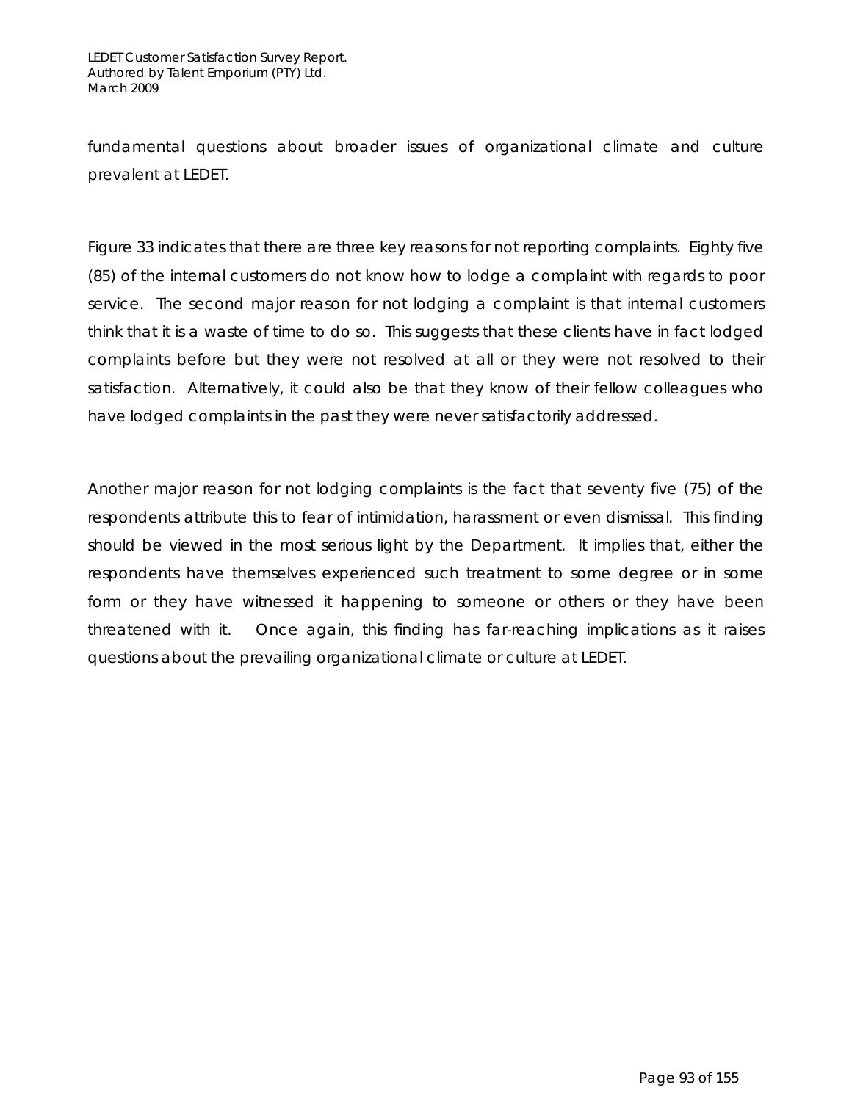fundamental questions about broader issues of organizational climate and culture prevalent at LEDET.

Figure 33 indicates that there are three key reasons for not reporting complaints. Eighty five (85) of the internal customers do not know how to lodge a complaint with regards to poor service. The second major reason for not lodging a complaint is that internal customers think that it is a waste of time to do so. This suggests that these clients have in fact lodged complaints before but they were not resolved at all or they were not resolved to their satisfaction. Alternatively, it could also be that they know of their fellow colleagues who have lodged complaints in the past they were never satisfactorily addressed.

Another major reason for not lodging complaints is the fact that seventy five (75) of the respondents attribute this to fear of intimidation, harassment or even dismissal. This finding should be viewed in the most serious light by the Department. It implies that, either the respondents have themselves experienced such treatment to some degree or in some form or they have witnessed it happening to someone or others or they have been threatened with it. Once again, this finding has far-reaching implications as it raises questions about the prevailing organizational climate or culture at LEDET.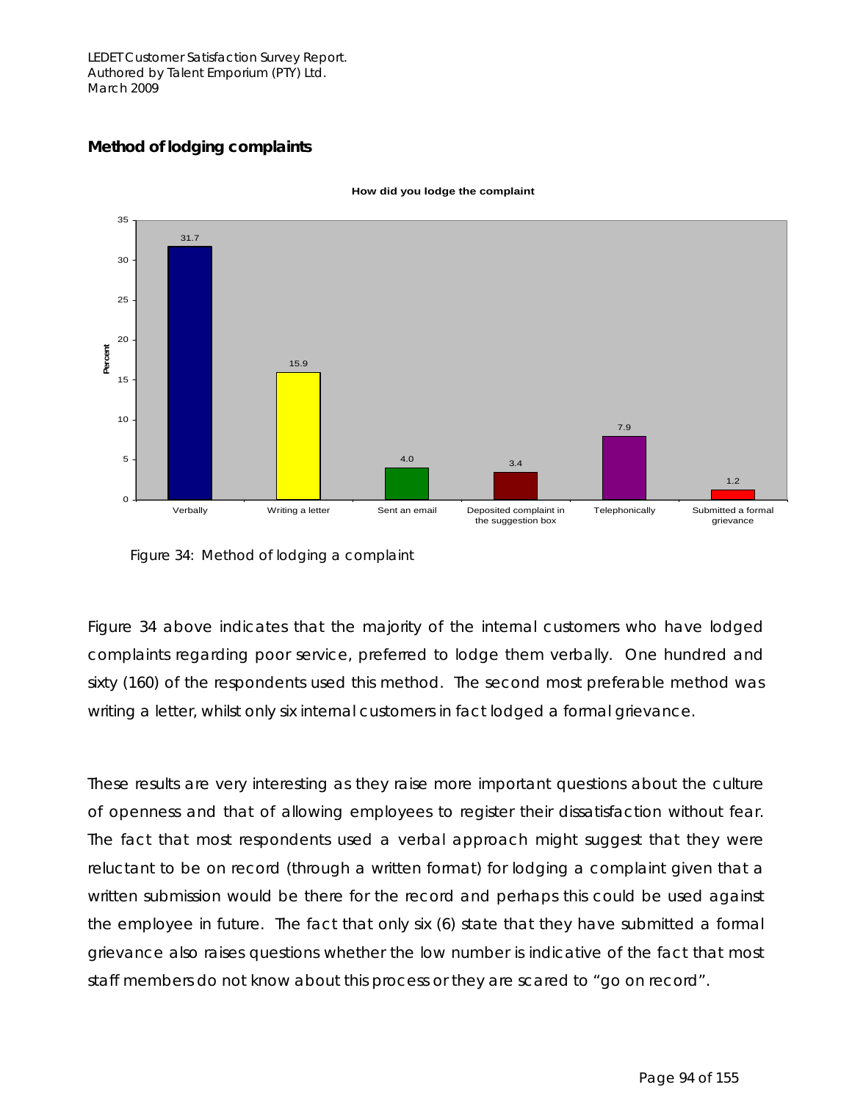### **Method of lodging complaints**



**How did you lodge the complaint**

Figure 34: Method of lodging a complaint

Figure 34 above indicates that the majority of the internal customers who have lodged complaints regarding poor service, preferred to lodge them verbally. One hundred and sixty (160) of the respondents used this method. The second most preferable method was writing a letter, whilst only six internal customers in fact lodged a formal grievance.

These results are very interesting as they raise more important questions about the culture of openness and that of allowing employees to register their dissatisfaction without fear. The fact that most respondents used a verbal approach might suggest that they were reluctant to be on record (through a written format) for lodging a complaint given that a written submission would be there for the record and perhaps this could be used against the employee in future. The fact that only six (6) state that they have submitted a formal grievance also raises questions whether the low number is indicative of the fact that most staff members do not know about this process or they are scared to "go on record".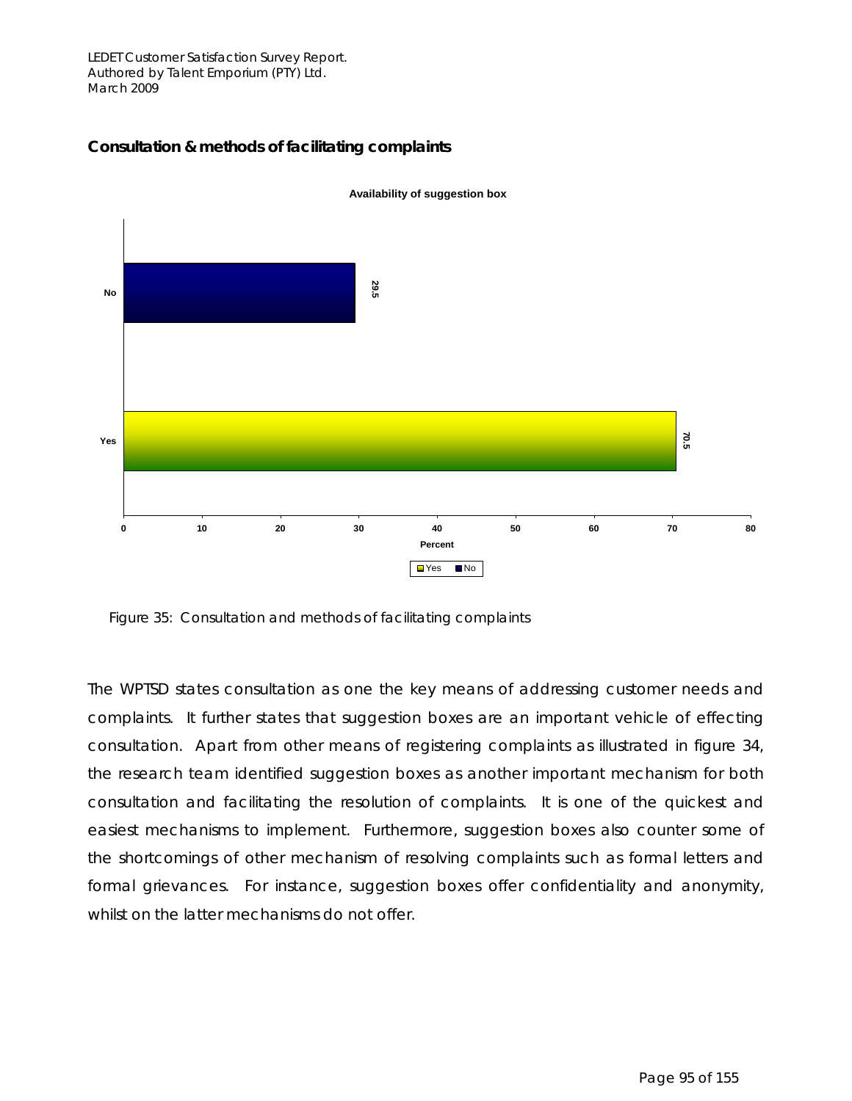

### **Consultation & methods of facilitating complaints**

Figure 35: Consultation and methods of facilitating complaints

The WPTSD states consultation as one the key means of addressing customer needs and complaints. It further states that suggestion boxes are an important vehicle of effecting consultation. Apart from other means of registering complaints as illustrated in figure 34, the research team identified suggestion boxes as another important mechanism for both consultation and facilitating the resolution of complaints. It is one of the quickest and easiest mechanisms to implement. Furthermore, suggestion boxes also counter some of the shortcomings of other mechanism of resolving complaints such as formal letters and formal grievances. For instance, suggestion boxes offer confidentiality and anonymity, whilst on the latter mechanisms do not offer.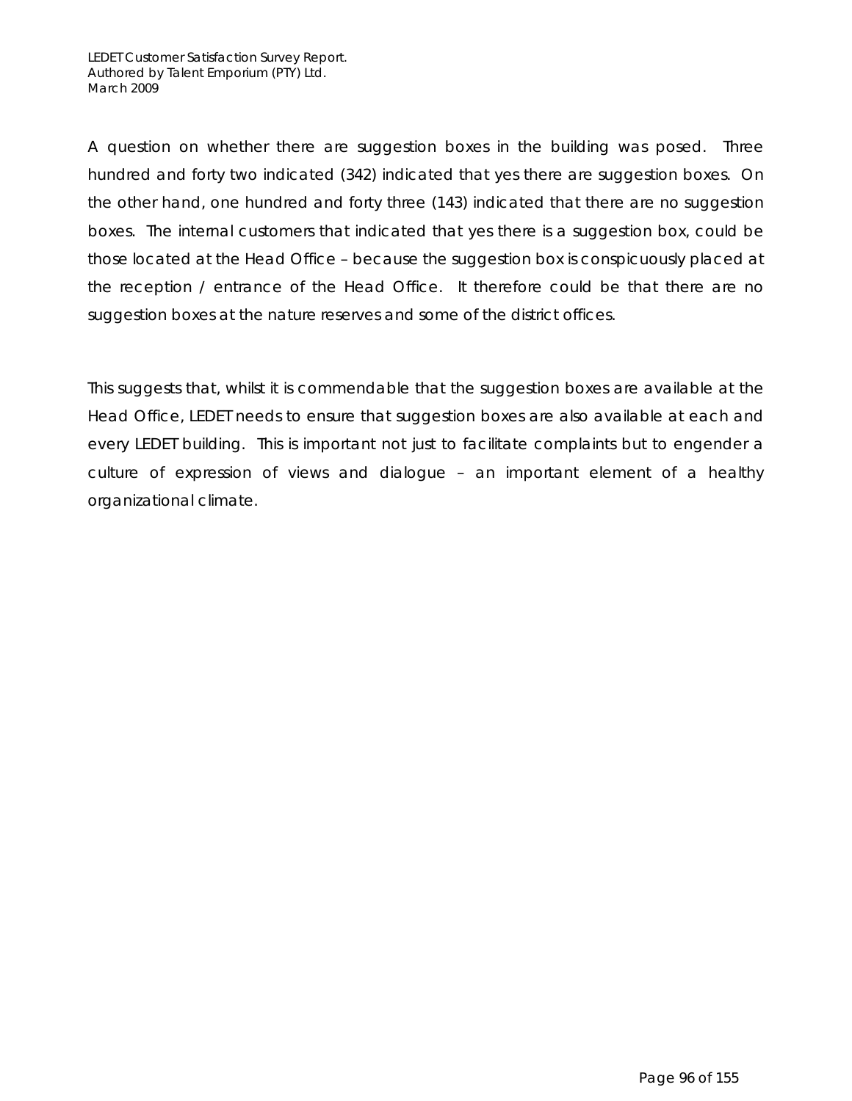A question on whether there are suggestion boxes in the building was posed. Three hundred and forty two indicated (342) indicated that yes there are suggestion boxes. On the other hand, one hundred and forty three (143) indicated that there are no suggestion boxes. The internal customers that indicated that yes there is a suggestion box, could be those located at the Head Office – because the suggestion box is conspicuously placed at the reception / entrance of the Head Office. It therefore could be that there are no suggestion boxes at the nature reserves and some of the district offices.

This suggests that, whilst it is commendable that the suggestion boxes are available at the Head Office, LEDET needs to ensure that suggestion boxes are also available at each and every LEDET building. This is important not just to facilitate complaints but to engender a culture of expression of views and dialogue – an important element of a healthy organizational climate.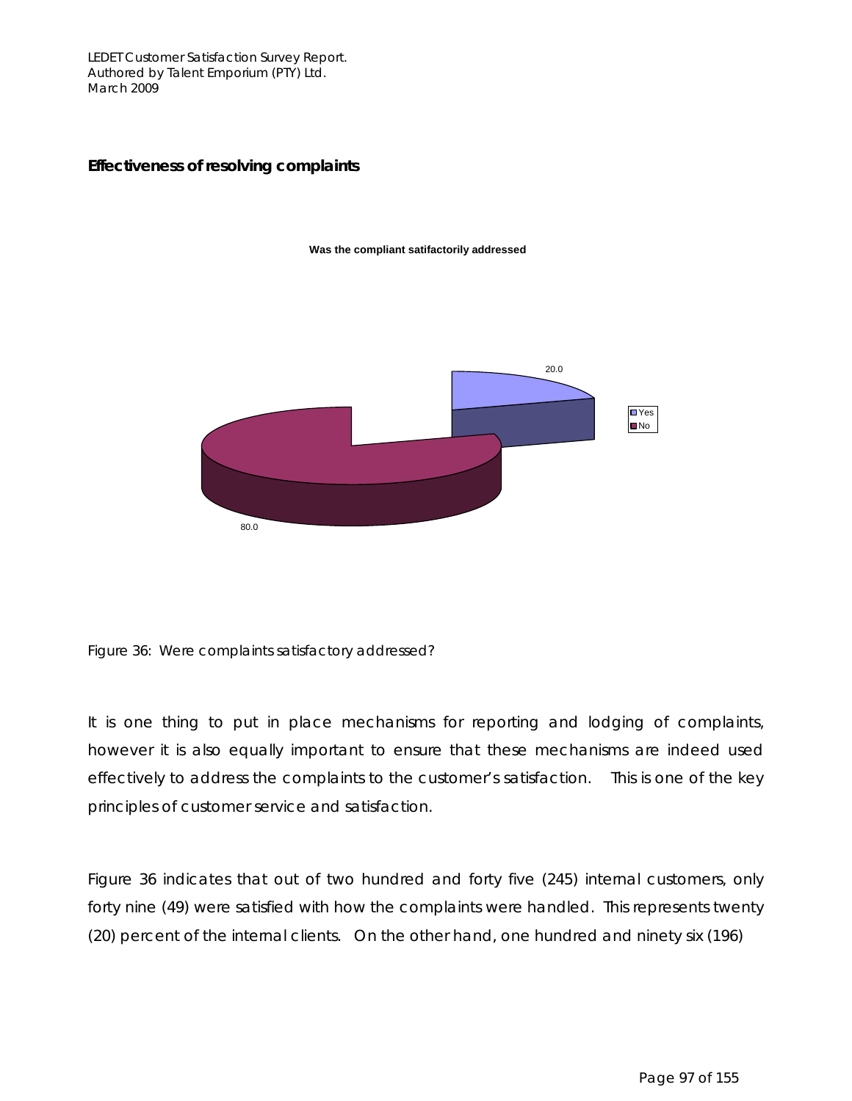### **Effectiveness of resolving complaints**



**Was the compliant satifactorily addressed**

Figure 36: Were complaints satisfactory addressed?

It is one thing to put in place mechanisms for reporting and lodging of complaints, however it is also equally important to ensure that these mechanisms are indeed used effectively to address the complaints to the customer's satisfaction. This is one of the key principles of customer service and satisfaction.

Figure 36 indicates that out of two hundred and forty five (245) internal customers, only forty nine (49) were satisfied with how the complaints were handled. This represents twenty (20) percent of the internal clients. On the other hand, one hundred and ninety six (196)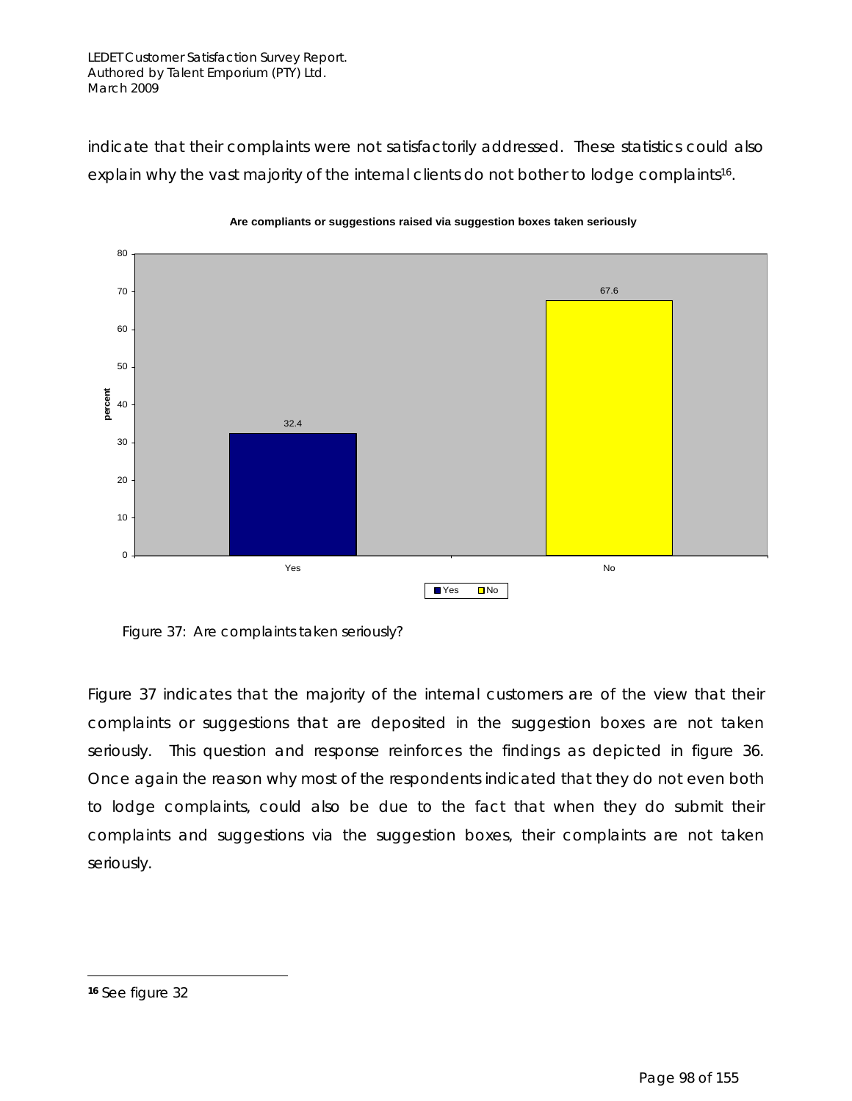indicate that their complaints were not satisfactorily addressed. These statistics could also explain why the vast majority of the internal clients do not bother to lodge complaints<sup>16</sup>.



**Are compliants or suggestions raised via suggestion boxes taken seriously**

Figure 37: Are complaints taken seriously?

Figure 37 indicates that the majority of the internal customers are of the view that their complaints or suggestions that are deposited in the suggestion boxes are not taken seriously. This question and response reinforces the findings as depicted in figure 36. Once again the reason why most of the respondents indicated that they do not even both to lodge complaints, could also be due to the fact that when they do submit their complaints and suggestions via the suggestion boxes, their complaints are not taken seriously.

 $\overline{a}$ 

**<sup>16</sup>** See figure 32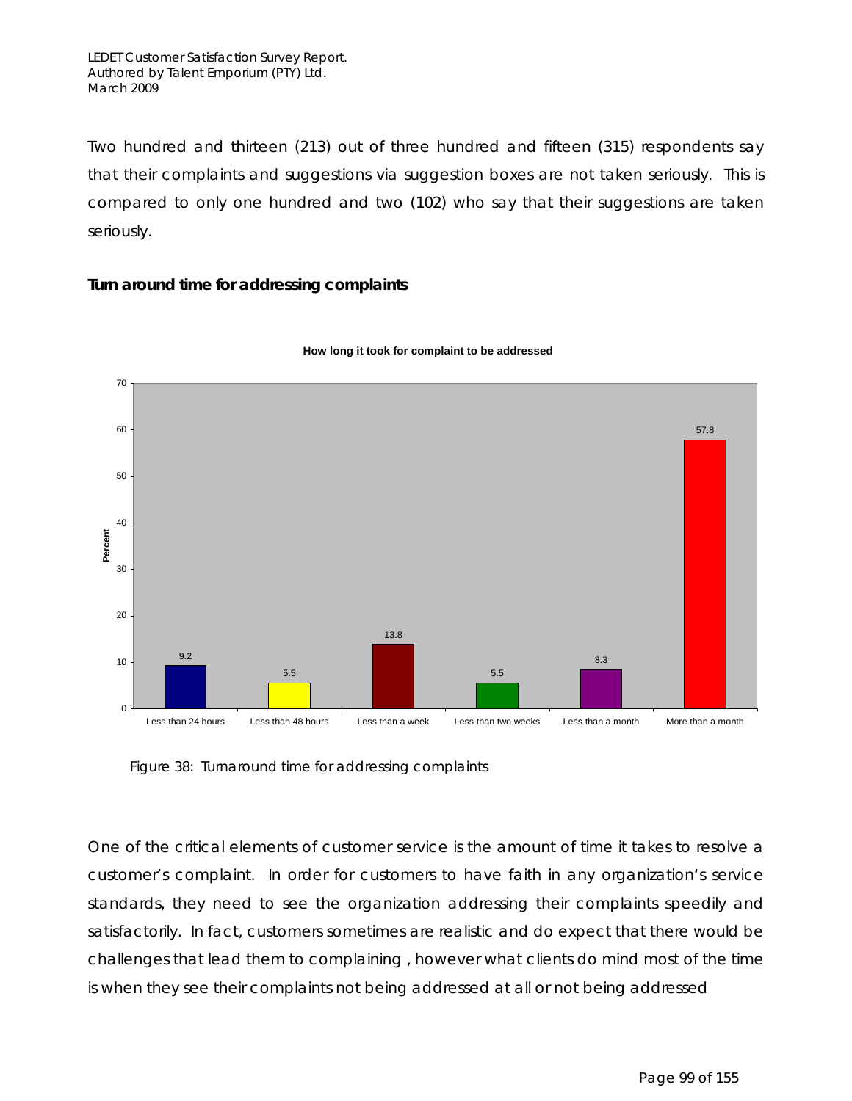Two hundred and thirteen (213) out of three hundred and fifteen (315) respondents say that their complaints and suggestions via suggestion boxes are not taken seriously. This is compared to only one hundred and two (102) who say that their suggestions are taken seriously.

### **Turn around time for addressing complaints**





Figure 38: Turnaround time for addressing complaints

One of the critical elements of customer service is the amount of time it takes to resolve a customer's complaint. In order for customers to have faith in any organization's service standards, they need to see the organization addressing their complaints speedily and satisfactorily. In fact, customers sometimes are realistic and do expect that there would be challenges that lead them to complaining , however what clients do mind most of the time is when they see their complaints not being addressed at all or not being addressed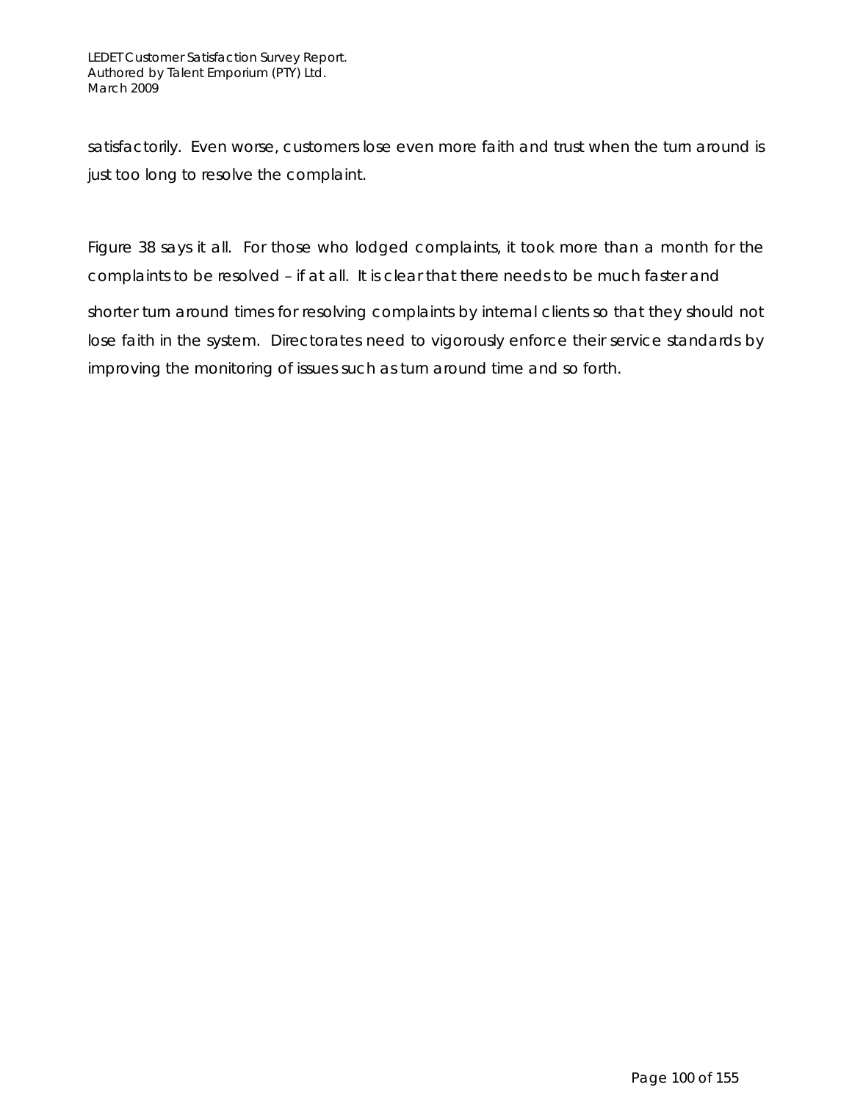satisfactorily. Even worse, customers lose even more faith and trust when the turn around is just too long to resolve the complaint.

Figure 38 says it all. For those who lodged complaints, it took more than a month for the complaints to be resolved – if at all. It is clear that there needs to be much faster and

shorter turn around times for resolving complaints by internal clients so that they should not lose faith in the system. Directorates need to vigorously enforce their service standards by improving the monitoring of issues such as turn around time and so forth.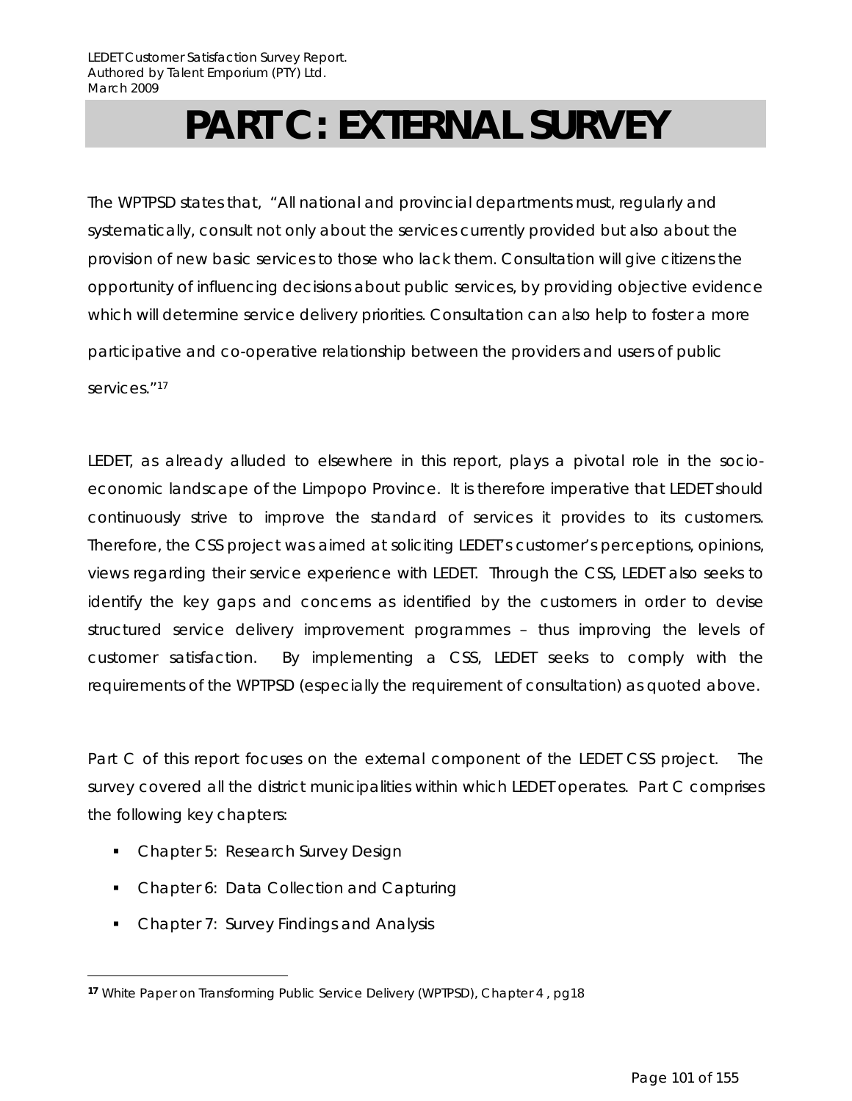# **PART C: EXTERNAL SURVEY**

The WPTPSD states that*, "*All national and provincial departments must, regularly and systematically, consult not only about the services currently provided but also about the provision of new basic services to those who lack them*.* Consultation will give citizens the opportunity of influencing decisions about public services, by providing objective evidence which will determine service delivery priorities. Consultation can also help to foster a more

participative and co-operative relationship between the providers and users of public services."<sup>17</sup>

LEDET, as already alluded to elsewhere in this report, plays a pivotal role in the socioeconomic landscape of the Limpopo Province. It is therefore imperative that LEDET should continuously strive to improve the standard of services it provides to its customers. Therefore, the CSS project was aimed at soliciting LEDET's customer's perceptions, opinions, views regarding their service experience with LEDET. Through the CSS, LEDET also seeks to identify the key gaps and concerns as identified by the customers in order to devise structured service delivery improvement programmes – thus improving the levels of customer satisfaction. By implementing a CSS, LEDET seeks to comply with the requirements of the WPTPSD (especially the requirement of consultation) as quoted above.

Part C of this report focuses on the external component of the LEDET CSS project. The survey covered all the district municipalities within which LEDET operates. Part C comprises the following key chapters:

• Chapter 5: Research Survey Design

 $\overline{a}$ 

- Chapter 6: Data Collection and Capturing
- Chapter 7: Survey Findings and Analysis

**<sup>17</sup>** White Paper on Transforming Public Service Delivery (WPTPSD), Chapter 4 , pg18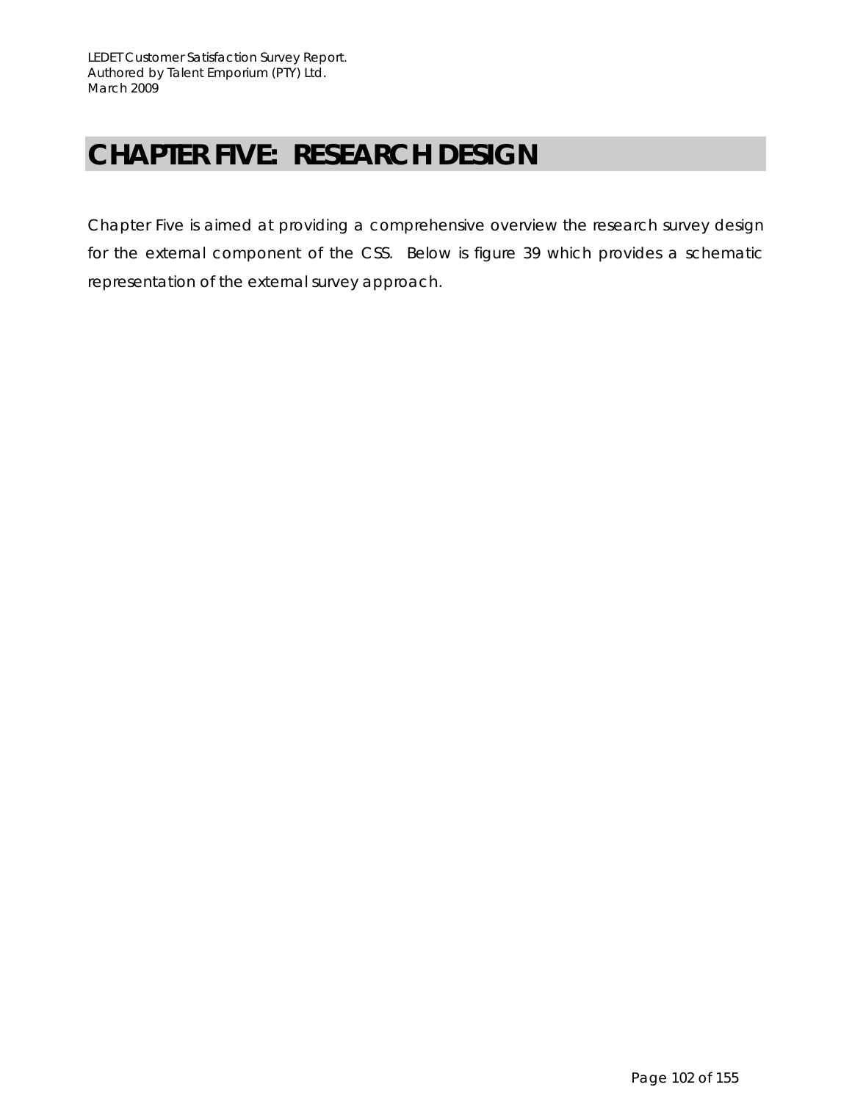# **CHAPTER FIVE: RESEARCH DESIGN**

Chapter Five is aimed at providing a comprehensive overview the research survey design for the external component of the CSS. Below is figure 39 which provides a schematic representation of the external survey approach.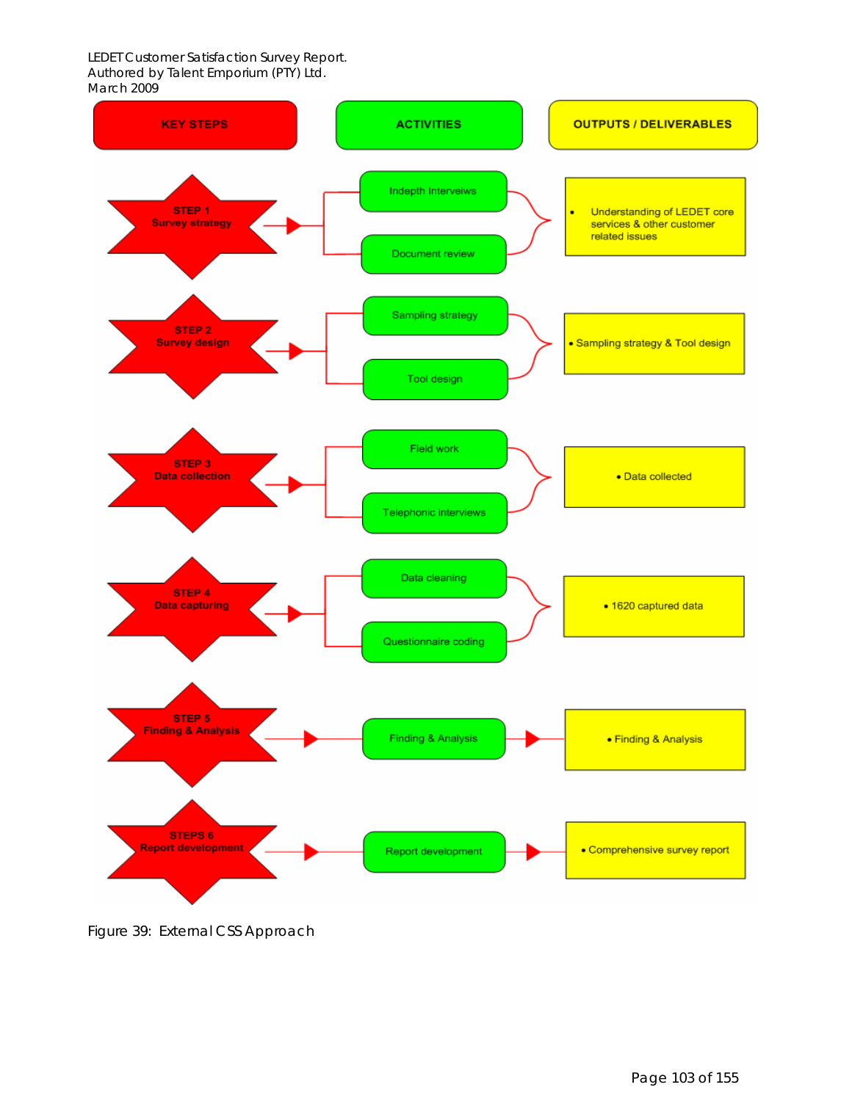

Figure 39: External CSS Approach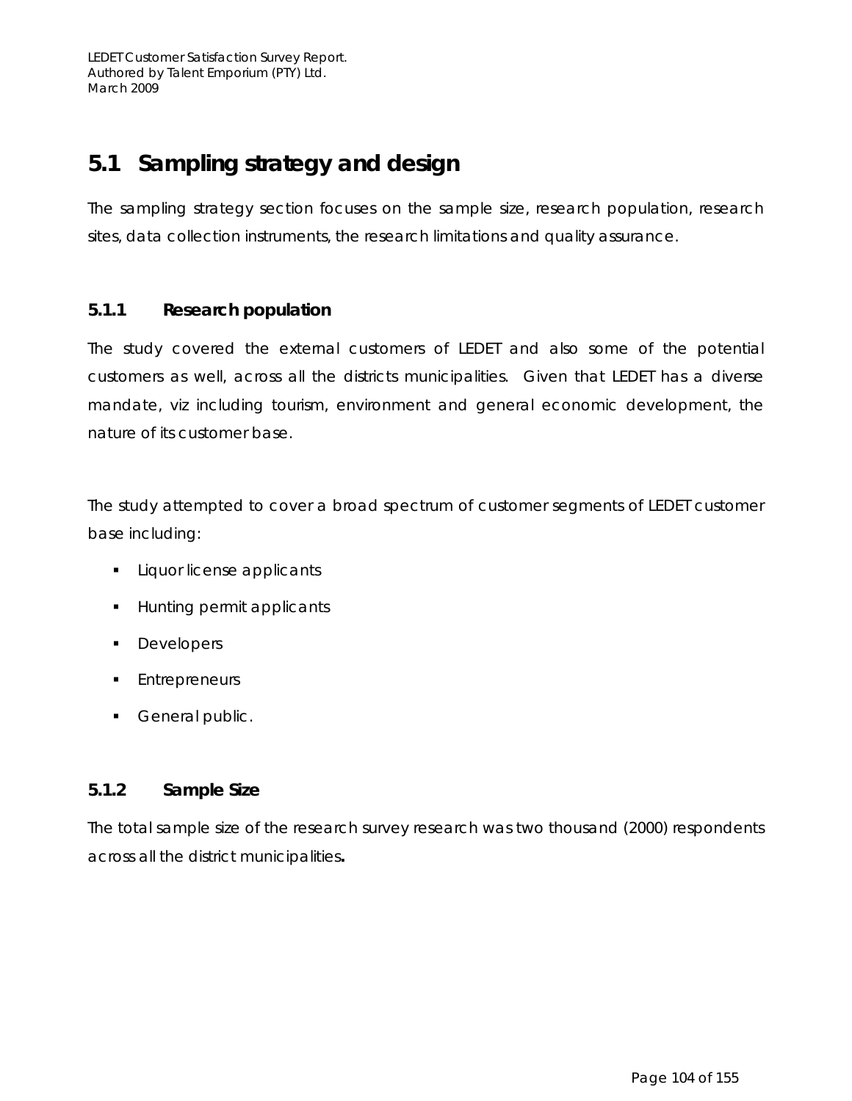# **5.1 Sampling strategy and design**

The sampling strategy section focuses on the sample size, research population, research sites, data collection instruments, the research limitations and quality assurance.

# **5.1.1 Research population**

The study covered the external customers of LEDET and also some of the potential customers as well, across all the districts municipalities. Given that LEDET has a diverse mandate, *viz* including tourism, environment and general economic development, the nature of its customer base.

The study attempted to cover a broad spectrum of customer segments of LEDET customer base including:

- **Liquor license applicants**
- **Hunting permit applicants**
- **Developers**
- Entrepreneurs
- General public.

# **5.1.2 Sample Size**

The total sample size of the research survey research was two thousand (2000) respondents across all the district municipalities**.**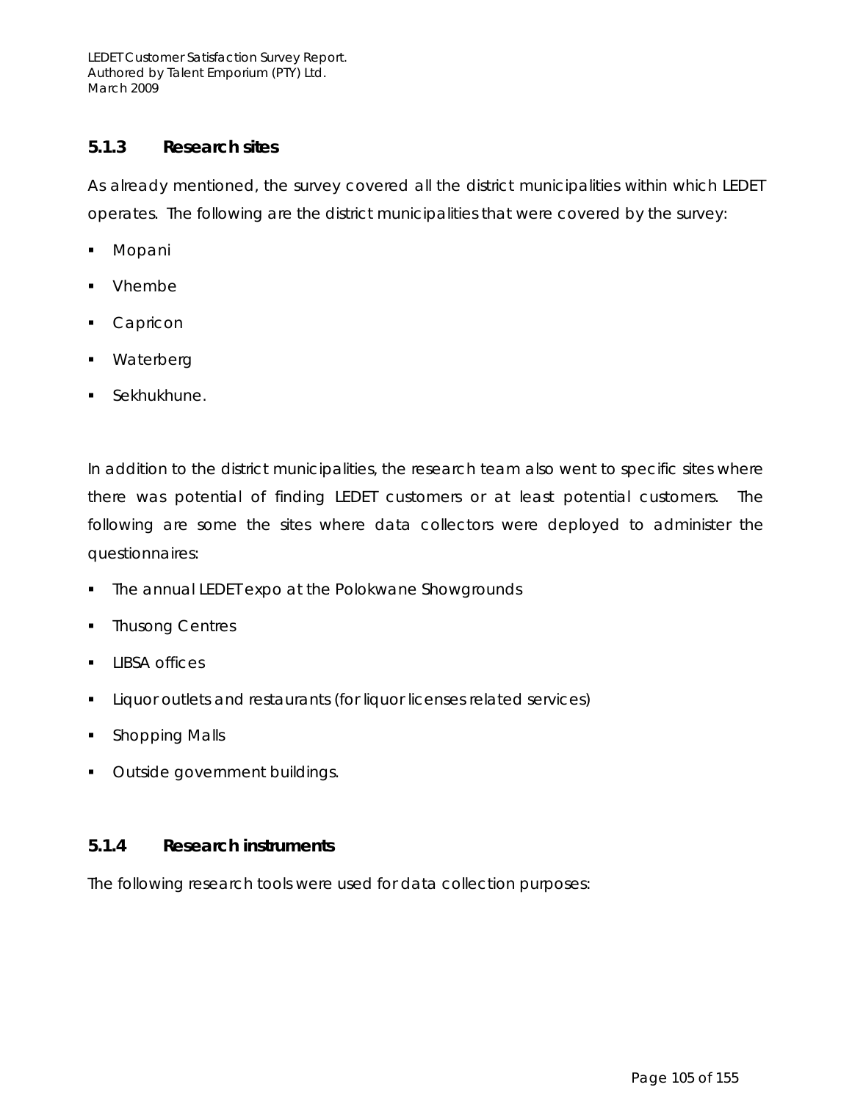### **5.1.3 Research sites**

As already mentioned, the survey covered all the district municipalities within which LEDET operates. The following are the district municipalities that were covered by the survey:

- Mopani
- Vhembe
- Capricon
- Waterberg
- **Sekhukhune.**

In addition to the district municipalities, the research team also went to specific sites where there was potential of finding LEDET customers or at least potential customers. The following are some the sites where data collectors were deployed to administer the questionnaires:

- The annual LEDET expo at the Polokwane Showgrounds
- Thusong Centres
- **LIBSA offices**
- **EXECT** Liquor outlets and restaurants (for liquor licenses related services)
- Shopping Malls
- **Outside government buildings.**

### **5.1.4 Research instruments**

The following research tools were used for data collection purposes: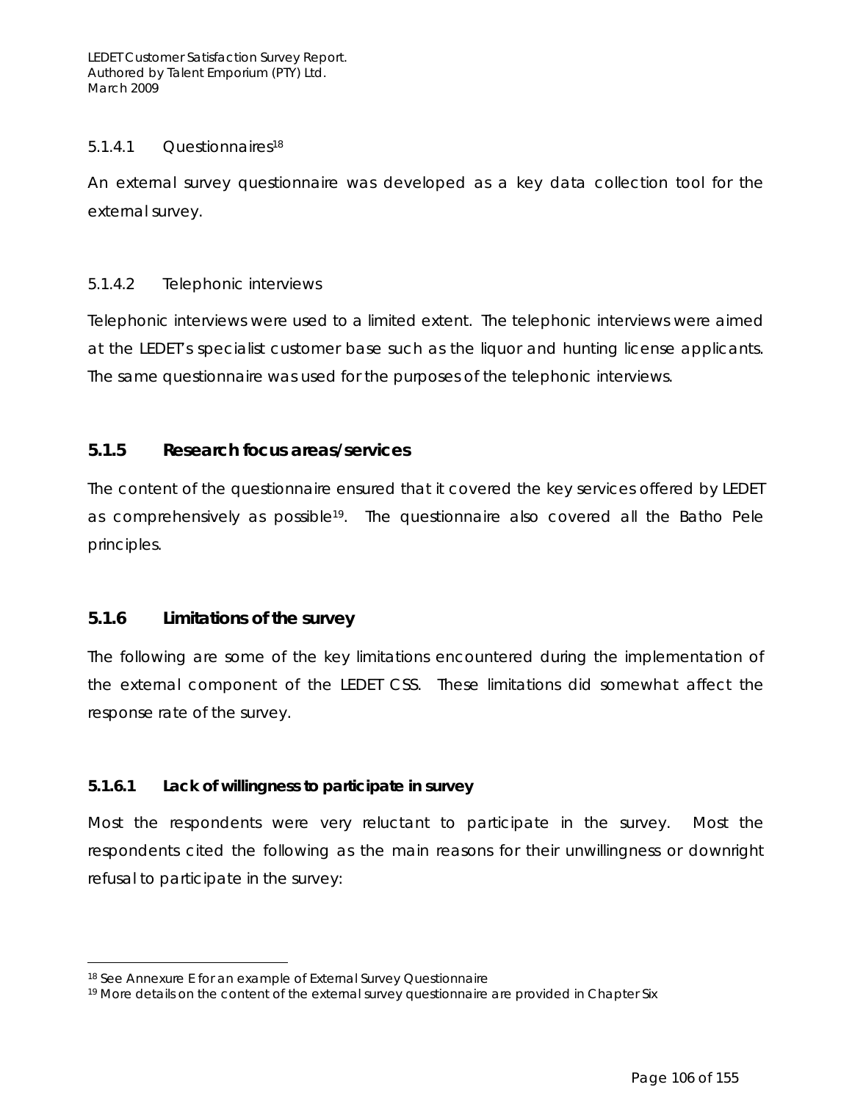### 5.1.4.1 Questionnaires18

An external survey questionnaire was developed as a key data collection tool for the external survey.

### 5.1.4.2 Telephonic interviews

Telephonic interviews were used to a limited extent. The telephonic interviews were aimed at the LEDET's specialist customer base such as the liquor and hunting license applicants. The same questionnaire was used for the purposes of the telephonic interviews.

### **5.1.5 Research focus areas/services**

The content of the questionnaire ensured that it covered the key services offered by LEDET as comprehensively as possible19. The questionnaire also covered all the Batho Pele principles.

### **5.1.6 Limitations of the survey**

 $\overline{a}$ 

The following are some of the key limitations encountered during the implementation of the external component of the LEDET CSS. These limitations did somewhat affect the response rate of the survey.

### **5.1.6.1 Lack of willingness to participate in survey**

Most the respondents were very reluctant to participate in the survey. Most the respondents cited the following as the main reasons for their unwillingness or downright refusal to participate in the survey:

<sup>18</sup> See Annexure E for an example of External Survey Questionnaire

<sup>&</sup>lt;sup>19</sup> More details on the content of the external survey questionnaire are provided in Chapter Six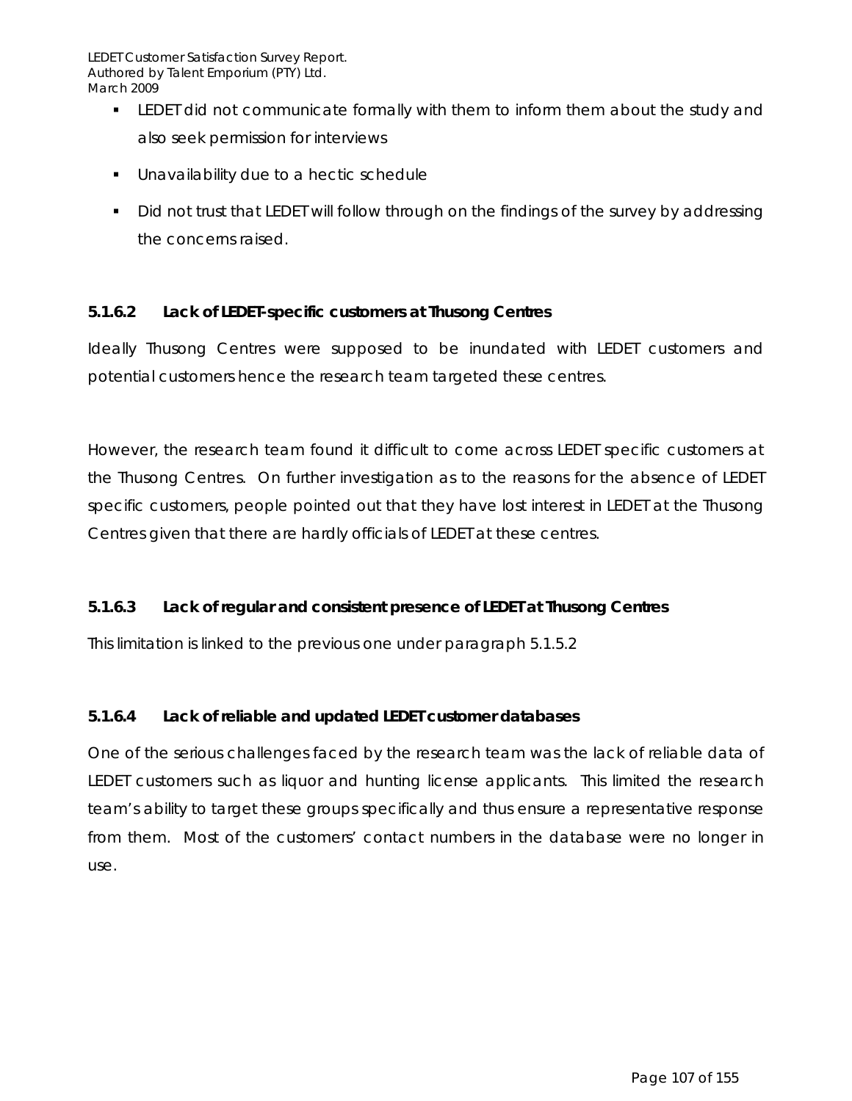- LEDET did not communicate formally with them to inform them about the study and also seek permission for interviews
- Unavailability due to a hectic schedule
- Did not trust that LEDET will follow through on the findings of the survey by addressing the concerns raised.

# **5.1.6.2 Lack of LEDET-specific customers at Thusong Centres**

Ideally Thusong Centres were supposed to be inundated with LEDET customers and potential customers hence the research team targeted these centres.

However, the research team found it difficult to come across LEDET specific customers at the Thusong Centres. On further investigation as to the reasons for the absence of LEDET specific customers, people pointed out that they have lost interest in LEDET at the Thusong Centres given that there are hardly officials of LEDET at these centres.

# **5.1.6.3 Lack of regular and consistent presence of LEDET at Thusong Centres**

This limitation is linked to the previous one under paragraph 5.1.5.2

# **5.1.6.4 Lack of reliable and updated LEDET customer databases**

One of the serious challenges faced by the research team was the lack of reliable data of LEDET customers such as liquor and hunting license applicants. This limited the research team's ability to target these groups specifically and thus ensure a representative response from them. Most of the customers' contact numbers in the database were no longer in use.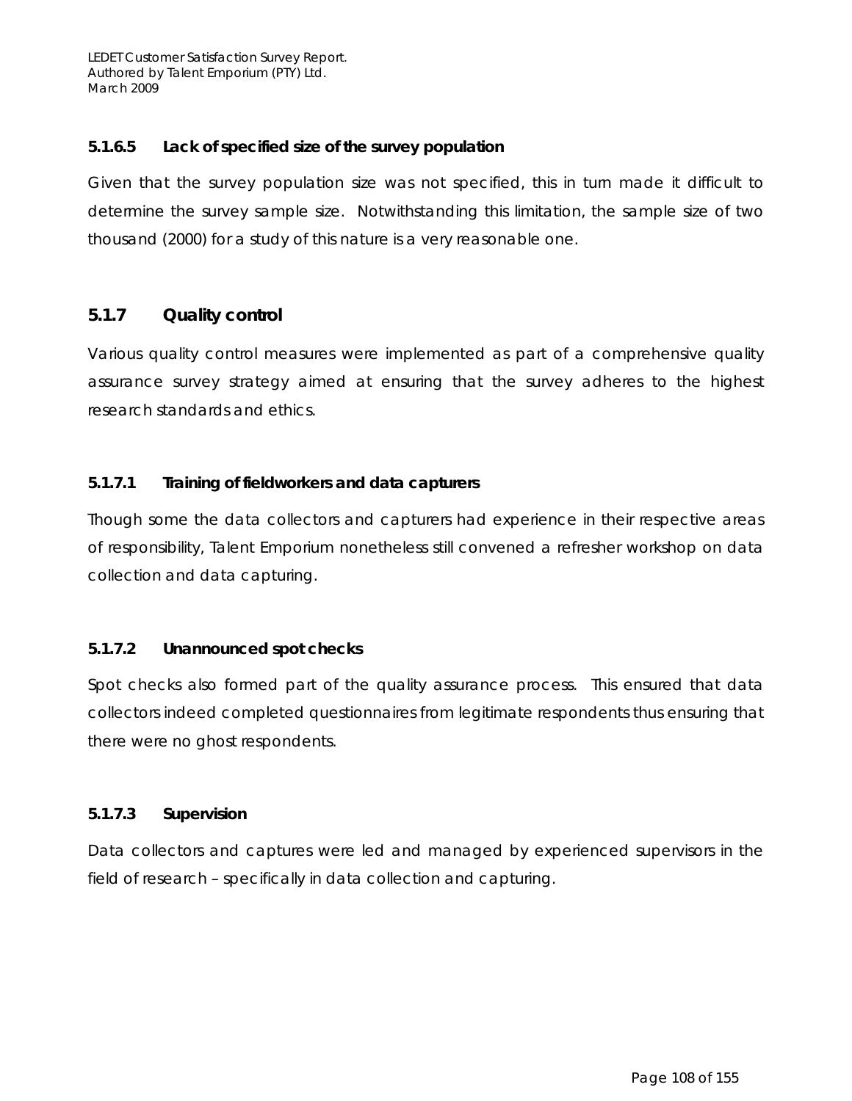### **5.1.6.5 Lack of specified size of the survey population**

Given that the survey population size was not specified, this in turn made it difficult to determine the survey sample size. Notwithstanding this limitation, the sample size of two thousand (2000) for a study of this nature is a very reasonable one.

### **5.1.7 Quality control**

Various quality control measures were implemented as part of a comprehensive quality assurance survey strategy aimed at ensuring that the survey adheres to the highest research standards and ethics.

### **5.1.7.1 Training of fieldworkers and data capturers**

Though some the data collectors and capturers had experience in their respective areas of responsibility, Talent Emporium nonetheless still convened a refresher workshop on data collection and data capturing.

### **5.1.7.2 Unannounced spot checks**

Spot checks also formed part of the quality assurance process. This ensured that data collectors indeed completed questionnaires from legitimate respondents thus ensuring that there were no ghost respondents.

### **5.1.7.3 Supervision**

Data collectors and captures were led and managed by experienced supervisors in the field of research – specifically in data collection and capturing.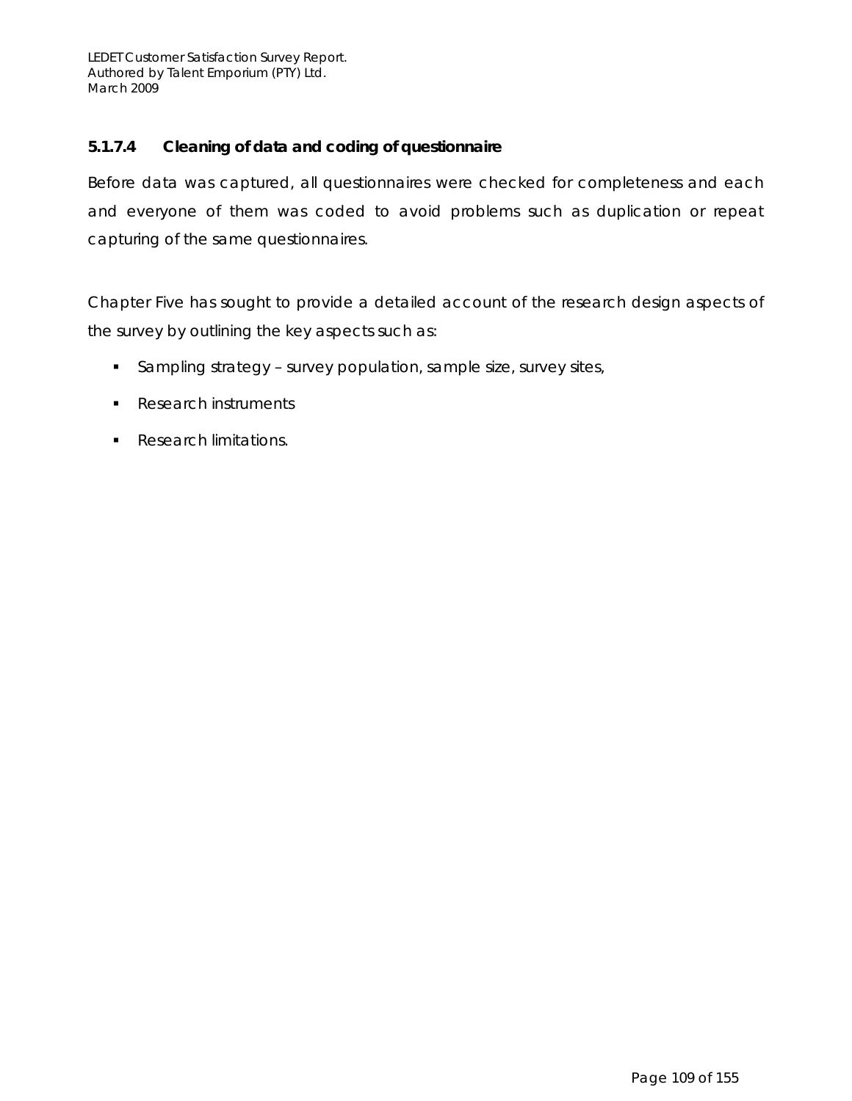#### **5.1.7.4 Cleaning of data and coding of questionnaire**

Before data was captured, all questionnaires were checked for completeness and each and everyone of them was coded to avoid problems such as duplication or repeat capturing of the same questionnaires.

Chapter Five has sought to provide a detailed account of the research design aspects of the survey by outlining the key aspects such as:

- **Sampling strategy survey population, sample size, survey sites,**
- Research instruments
- **Research limitations.**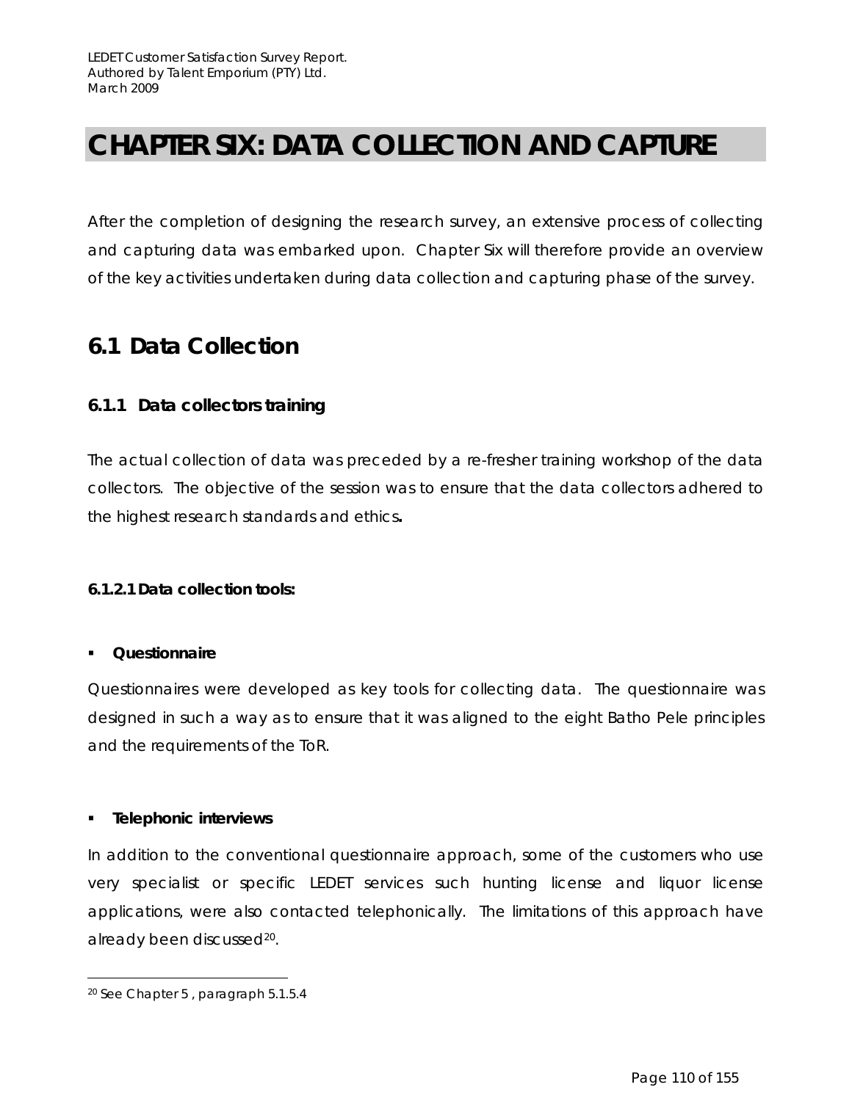## **CHAPTER SIX: DATA COLLECTION AND CAPTURE**

After the completion of designing the research survey, an extensive process of collecting and capturing data was embarked upon. Chapter Six will therefore provide an overview of the key activities undertaken during data collection and capturing phase of the survey.

## **6.1 Data Collection**

#### **6.1.1 Data collectors training**

The actual collection of data was preceded by a re-fresher training workshop of the data collectors. The objective of the session was to ensure that the data collectors adhered to the highest research standards and ethics**.** 

#### **6.1.2.1 Data collection tools:**

#### **Questionnaire**

Questionnaires were developed as key tools for collecting data. The questionnaire was designed in such a way as to ensure that it was aligned to the eight Batho Pele principles and the requirements of the ToR.

#### **Telephonic interviews**

In addition to the conventional questionnaire approach, some of the customers who use very specialist or specific LEDET services such hunting license and liquor license applications, were also contacted telephonically. The limitations of this approach have already been discussed<sup>20</sup>.

 $\overline{a}$ 

<sup>20</sup> See Chapter 5 , paragraph 5.1.5.4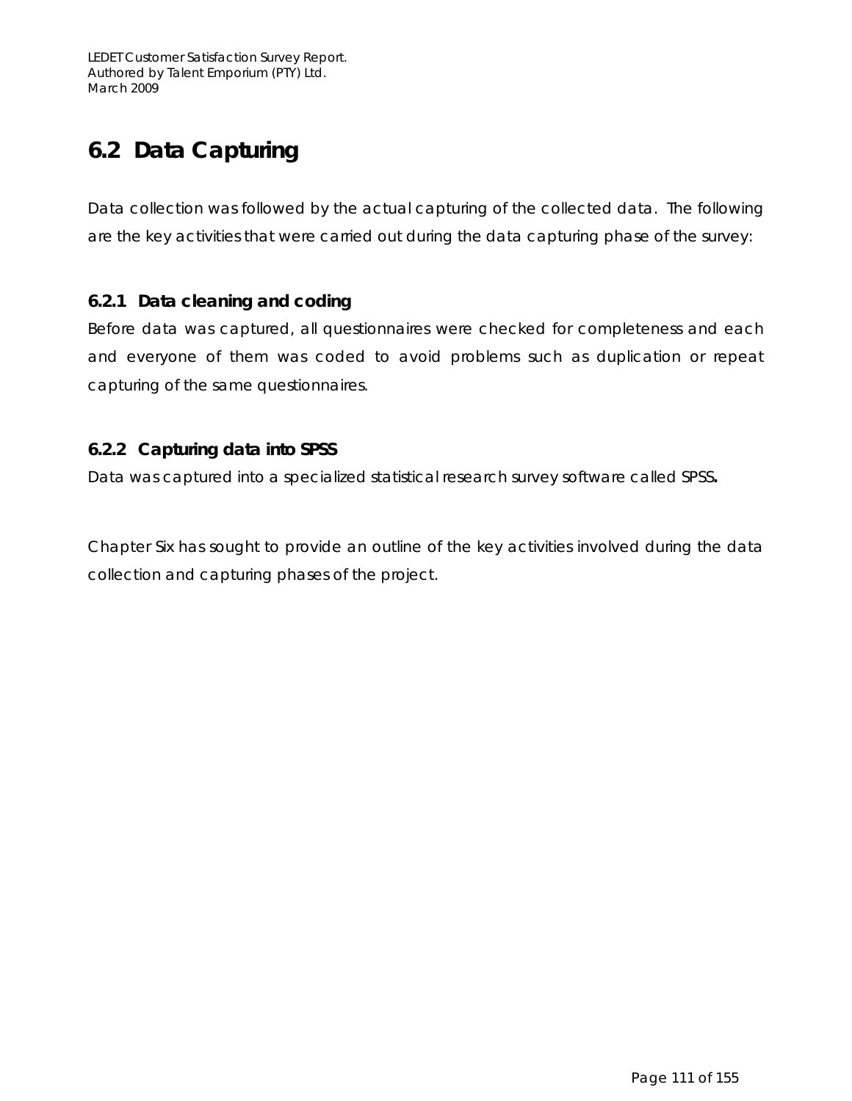## **6.2 Data Capturing**

Data collection was followed by the actual capturing of the collected data. The following are the key activities that were carried out during the data capturing phase of the survey:

### **6.2.1 Data cleaning and coding**

Before data was captured, all questionnaires were checked for completeness and each and everyone of them was coded to avoid problems such as duplication or repeat capturing of the same questionnaires.

### **6.2.2 Capturing data into SPSS**

Data was captured into a specialized statistical research survey software called SPSS**.** 

Chapter Six has sought to provide an outline of the key activities involved during the data collection and capturing phases of the project.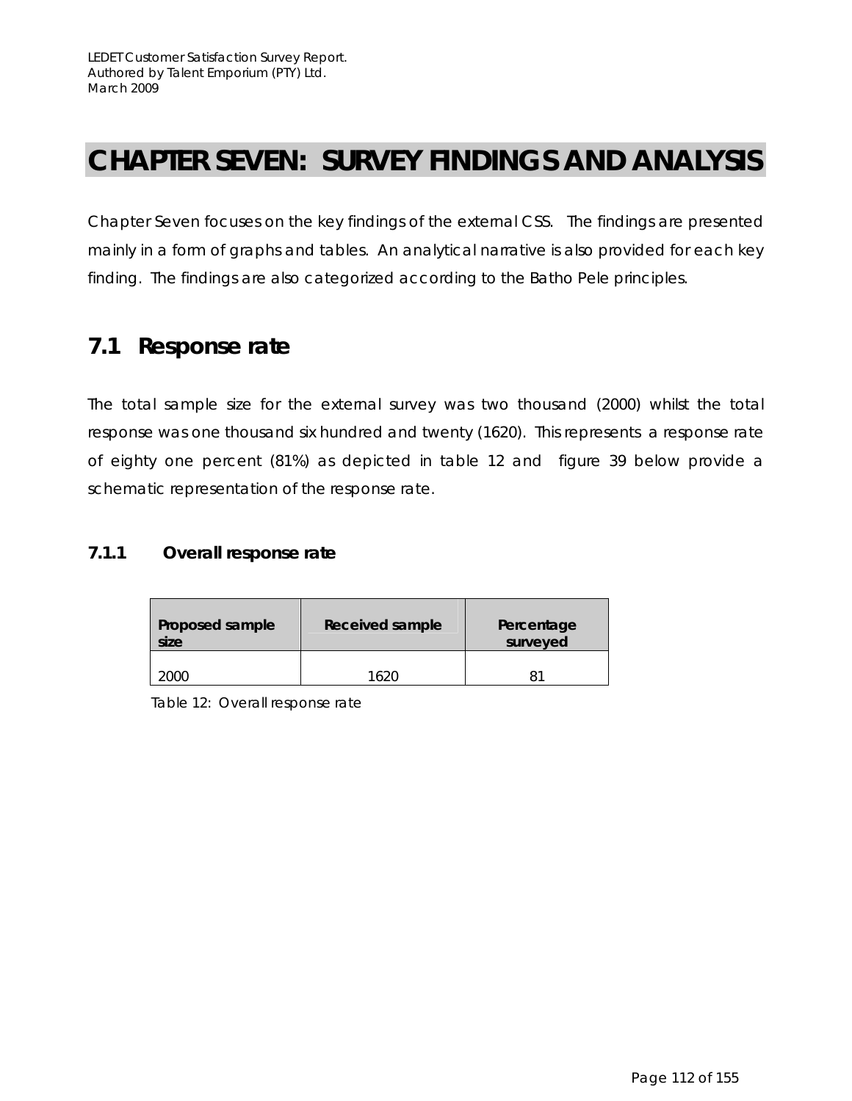## **CHAPTER SEVEN: SURVEY FINDINGS AND ANALYSIS**

Chapter Seven focuses on the key findings of the external CSS. The findings are presented mainly in a form of graphs and tables. An analytical narrative is also provided for each key finding. The findings are also categorized according to the Batho Pele principles.

## **7.1 Response rate**

The total sample size for the external survey was two thousand (2000) whilst the total response was one thousand six hundred and twenty (1620). This represents a response rate of eighty one percent (81%) as depicted in table 12 and figure 39 below provide a schematic representation of the response rate.

### **7.1.1 Overall response rate**

| Proposed sample<br>size | Received sample | Percentage<br>surveyed |
|-------------------------|-----------------|------------------------|
| ∩∩רי                    | 1620            |                        |

Table 12: Overall response rate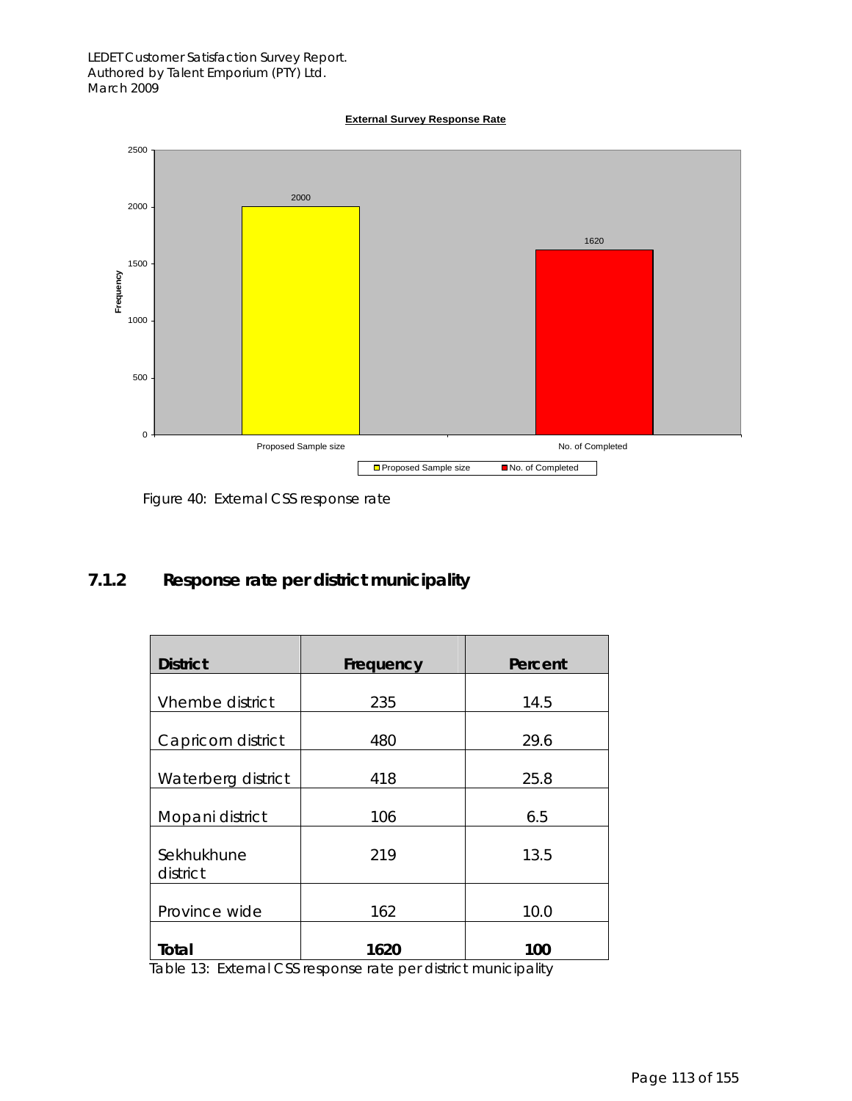#### LEDET Customer Satisfaction Survey Report. Authored by Talent Emporium (PTY) Ltd. March 2009





Figure 40: External CSS response rate

## **7.1.2 Response rate per district municipality**

| <b>District</b>        | Frequency | Percent |
|------------------------|-----------|---------|
| Vhembe district        | 235       | 14.5    |
| Capricorn district     | 480       | 29.6    |
| Waterberg district     | 418       | 25.8    |
| Mopani district        | 106       | 6.5     |
| Sekhukhune<br>district | 219       | 13.5    |
| Province wide          | 162       | 10.0    |
| Total                  | 1620      | 100     |

Table 13: External CSS response rate per district municipality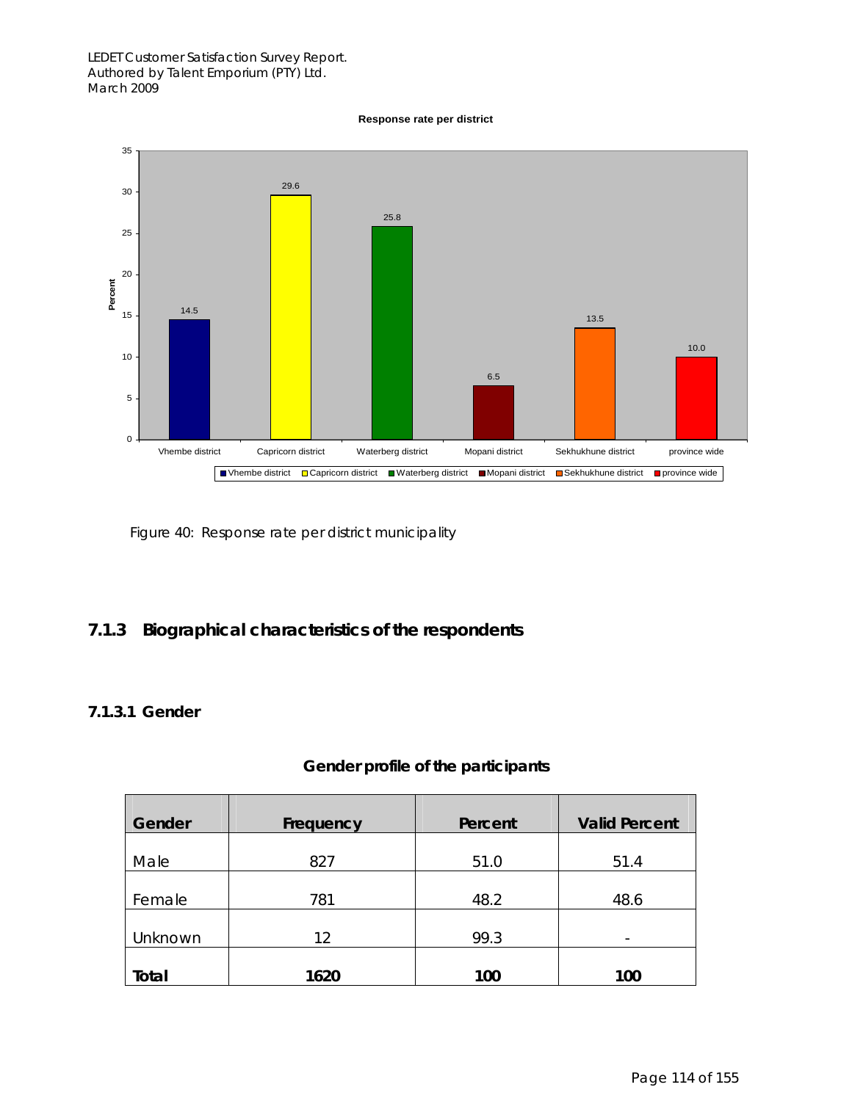#### LEDET Customer Satisfaction Survey Report. Authored by Talent Emporium (PTY) Ltd. March 2009

**Response rate per district**



Figure 40: Response rate per district municipality

## **7.1.3 Biographical characteristics of the respondents**

### **7.1.3.1 Gender**

| Gender  | Frequency | Percent | <b>Valid Percent</b> |
|---------|-----------|---------|----------------------|
| Male    | 827       | 51.0    | 51.4                 |
| Female  | 781       | 48.2    | 48.6                 |
| Unknown | 12        | 99.3    |                      |
| Total   | 1620      | 100     | 100                  |

#### **Gender profile of the participants**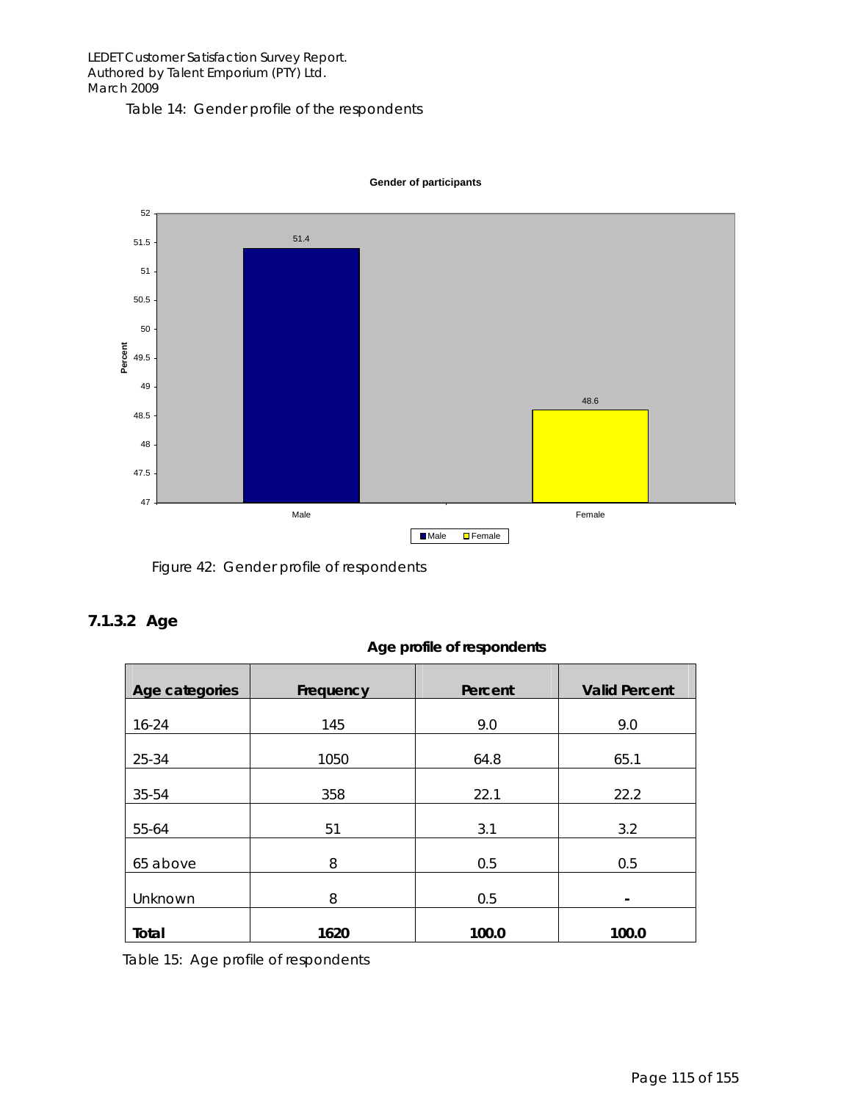Table 14: Gender profile of the respondents



**Gender of participants**

Figure 42: Gender profile of respondents

#### **7.1.3.2 Age**

| Age profile of respondents |
|----------------------------|
|                            |

| Age categories | Frequency | Percent | <b>Valid Percent</b> |
|----------------|-----------|---------|----------------------|
| $16 - 24$      | 145       | 9.0     | 9.0                  |
| 25-34          | 1050      | 64.8    | 65.1                 |
| 35-54          | 358       | 22.1    | 22.2                 |
| 55-64          | 51        | 3.1     | 3.2                  |
| 65 above       | 8         | 0.5     | 0.5                  |
| Unknown        | 8         | 0.5     | -                    |
| Total          | 1620      | 100.0   | 100.0                |

Table 15: Age profile of respondents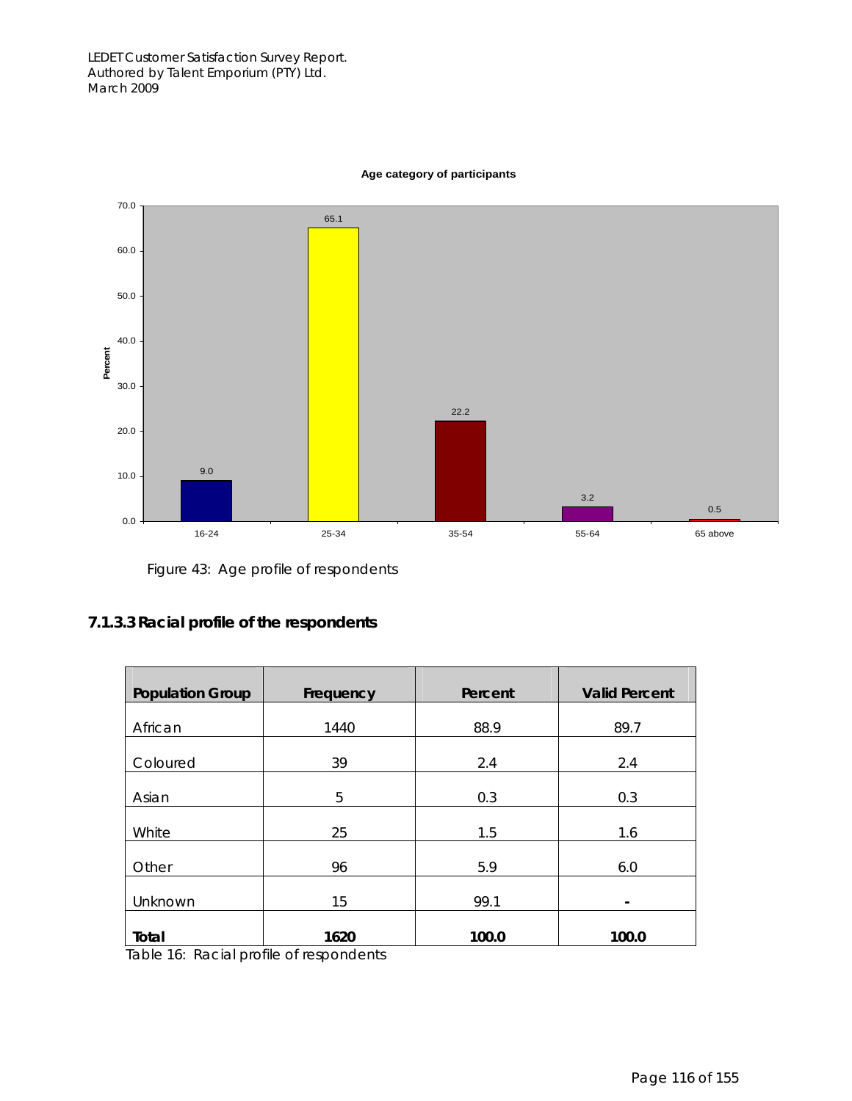

#### **Age category of participants**

Figure 43: Age profile of respondents

#### **7.1.3.3 Racial profile of the respondents**

| <b>Population Group</b> | Frequency                | Percent | <b>Valid Percent</b> |
|-------------------------|--------------------------|---------|----------------------|
| African                 | 1440                     | 88.9    | 89.7                 |
| Coloured                | 39                       | 2.4     | 2.4                  |
| Asian                   | 5                        | 0.3     | 0.3                  |
| White                   | 25                       | 1.5     | 1.6                  |
| Other                   | 96                       | 5.9     | 6.0                  |
| Unknown                 | 15                       | 99.1    | -                    |
| Total<br>$\sim$ $\sim$  | 1620<br>$\sim$<br>$\sim$ | 100.0   | 100.0                |

Table 16: Racial profile of respondents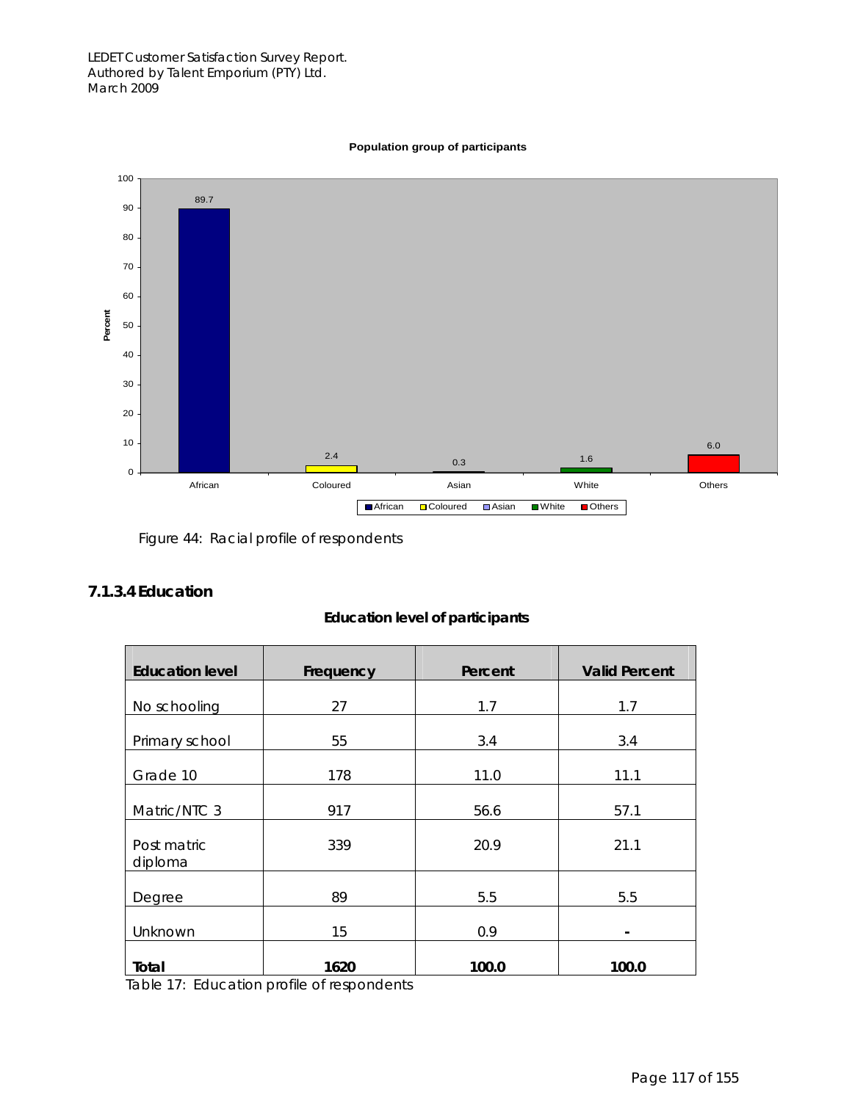

#### **Population group of participants**

Figure 44: Racial profile of respondents

#### **7.1.3.4 Education**

| <b>Education level of participants</b> |  |  |  |  |  |
|----------------------------------------|--|--|--|--|--|
|----------------------------------------|--|--|--|--|--|

| <b>Education level</b> | Frequency                            | Percent | <b>Valid Percent</b> |
|------------------------|--------------------------------------|---------|----------------------|
| No schooling           | 27                                   | 1.7     | 1.7                  |
| Primary school         | 55                                   | 3.4     | 3.4                  |
| Grade 10               | 178                                  | 11.0    | 11.1                 |
| Matric/NTC 3           | 917                                  | 56.6    | 57.1                 |
| Post matric<br>diploma | 339                                  | 20.9    | 21.1                 |
| Degree                 | 89                                   | 5.5     | 5.5                  |
| Unknown                | 15                                   | 0.9     |                      |
| Total                  | 1620<br>$\sim$ $\sim$<br>$\sim$<br>. | 100.0   | 100.0                |

Table 17: Education profile of respondents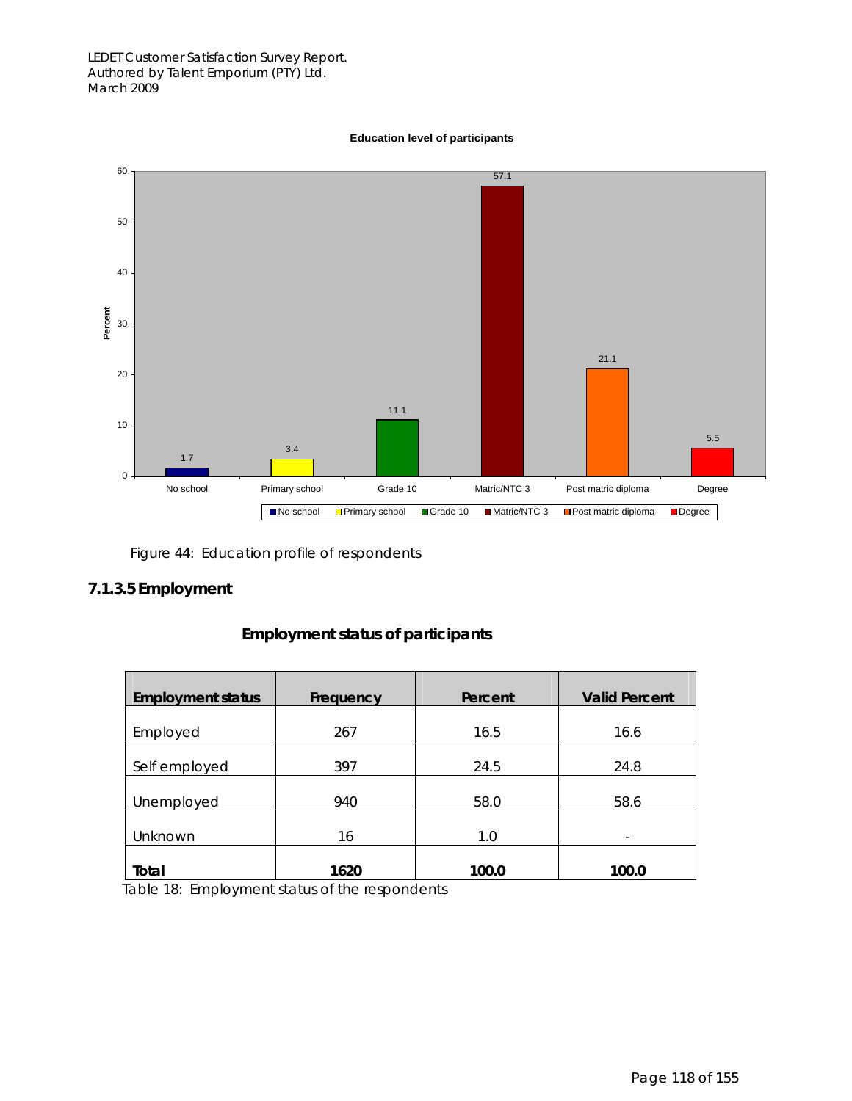#### **Education level of participants**



Figure 44: Education profile of respondents

#### **7.1.3.5 Employment**

| <b>Employment status</b> | Frequency | Percent | <b>Valid Percent</b> |
|--------------------------|-----------|---------|----------------------|
| Employed                 | 267       | 16.5    | 16.6                 |
| Self employed            | 397       | 24.5    | 24.8                 |
| Unemployed               | 940       | 58.0    | 58.6                 |
| Unknown                  | 16        | 1.0     |                      |
| Total                    | 1620      | 100.0   | 100.0                |

#### **Employment status of participants**

Table 18: Employment status of the respondents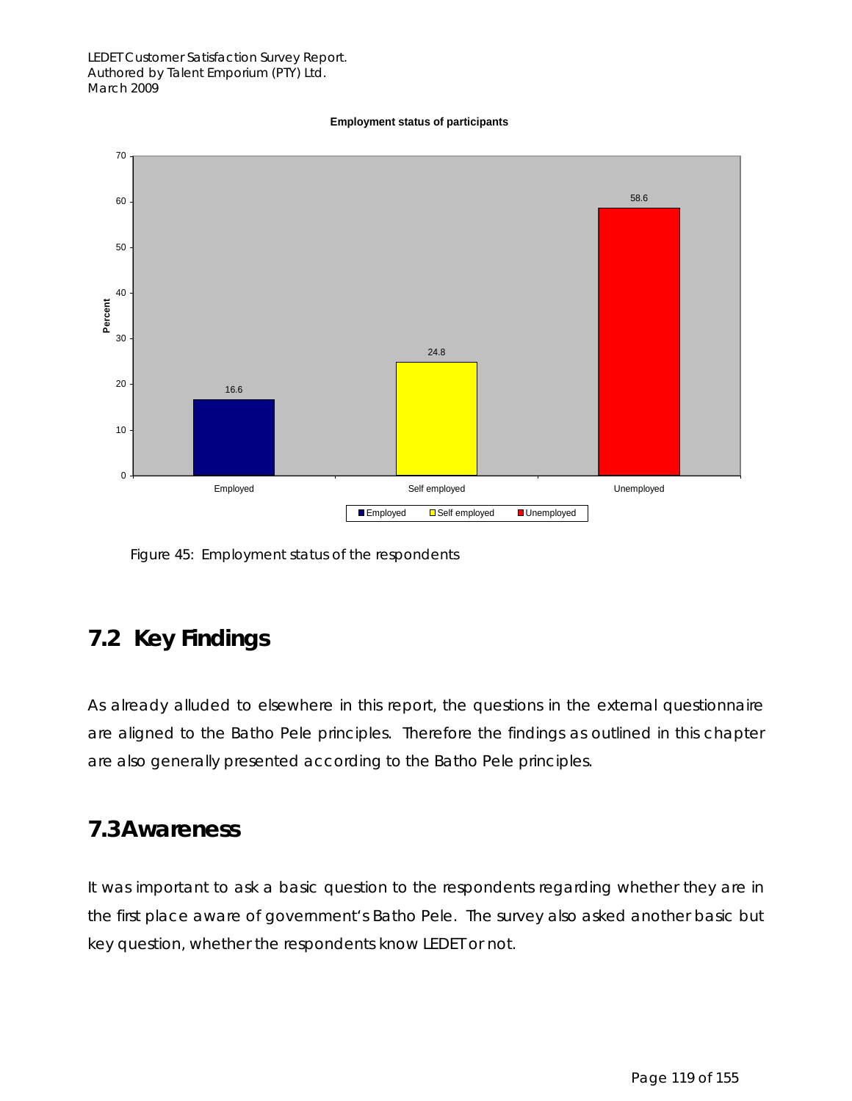#### **Employment status of participants**



Figure 45: Employment status of the respondents

## **7.2 Key Findings**

As already alluded to elsewhere in this report, the questions in the external questionnaire are aligned to the Batho Pele principles. Therefore the findings as outlined in this chapter are also generally presented according to the Batho Pele principles.

## **7.3Awareness**

It was important to ask a basic question to the respondents regarding whether they are in the first place aware of government's Batho Pele. The survey also asked another basic but key question, whether the respondents know LEDET or not.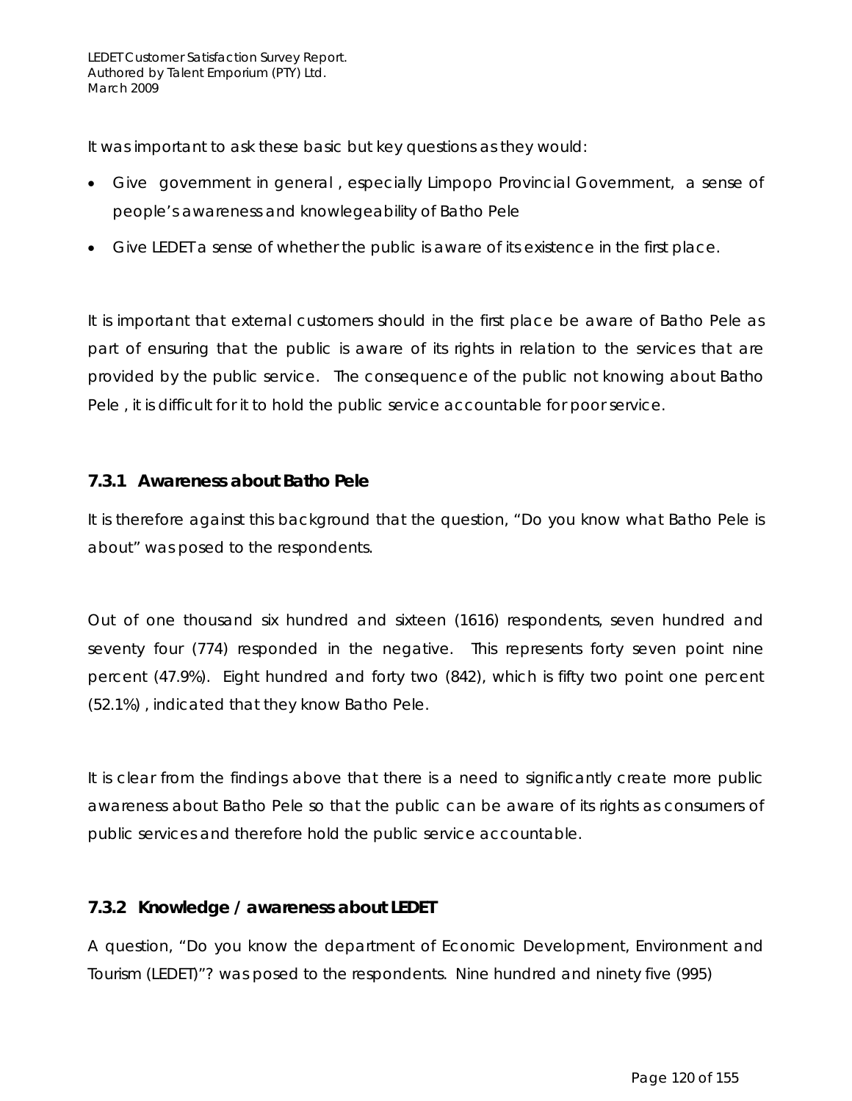It was important to ask these basic but key questions as they would:

- Give government in general , especially Limpopo Provincial Government, a sense of people's awareness and knowlegeability of Batho Pele
- Give LEDET a sense of whether the public is aware of its existence in the first place.

It is important that external customers should in the first place be aware of Batho Pele as part of ensuring that the public is aware of its rights in relation to the services that are provided by the public service. The consequence of the public not knowing about Batho Pele , it is difficult for it to hold the public service accountable for poor service.

#### **7.3.1 Awareness about Batho Pele**

It is therefore against this background that the question, "Do you know what Batho Pele is about" was posed to the respondents.

Out of one thousand six hundred and sixteen (1616) respondents, seven hundred and seventy four (774) responded in the negative. This represents forty seven point nine percent (47.9%). Eight hundred and forty two (842), which is fifty two point one percent (52.1%) , indicated that they know Batho Pele.

It is clear from the findings above that there is a need to significantly create more public awareness about Batho Pele so that the public can be aware of its rights as consumers of public services and therefore hold the public service accountable.

#### **7.3.2 Knowledge / awareness about LEDET**

A question, "Do you know the department of Economic Development, Environment and Tourism (LEDET)"? was posed to the respondents. Nine hundred and ninety five (995)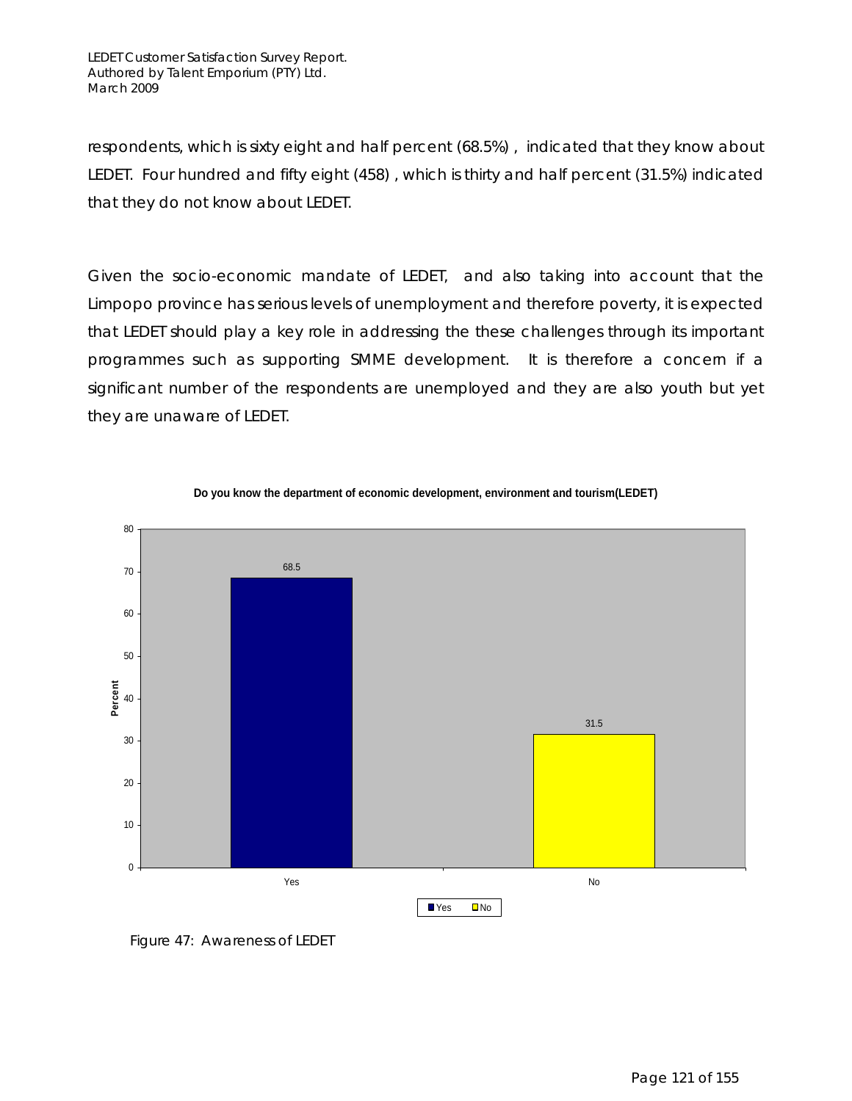respondents, which is sixty eight and half percent (68.5%) , indicated that they know about LEDET. Four hundred and fifty eight (458) , which is thirty and half percent (31.5%) indicated that they do not know about LEDET.

Given the socio-economic mandate of LEDET, and also taking into account that the Limpopo province has serious levels of unemployment and therefore poverty, it is expected that LEDET should play a key role in addressing the these challenges through its important programmes such as supporting SMME development. It is therefore a concern if a significant number of the respondents are unemployed and they are also youth but yet they are unaware of LEDET.





Figure 47: Awareness of LEDET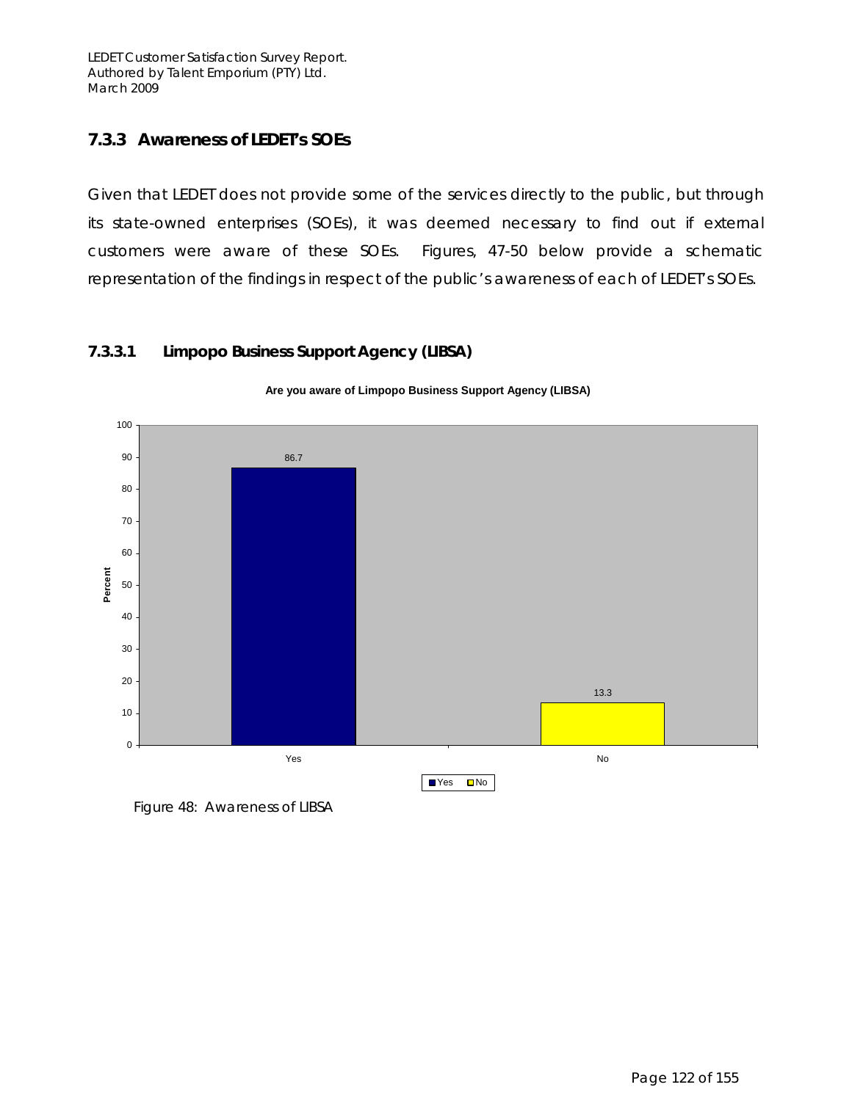LEDET Customer Satisfaction Survey Report. Authored by Talent Emporium (PTY) Ltd. March 2009

### **7.3.3 Awareness of LEDET's SOEs**

Given that LEDET does not provide some of the services directly to the public, but through its state-owned enterprises (SOEs), it was deemed necessary to find out if external customers were aware of these SOEs. Figures, 47-50 below provide a schematic representation of the findings in respect of the public's awareness of each of LEDET's SOEs.

#### **7.3.3.1 Limpopo Business Support Agency (LIBSA)**



**Are you aware of Limpopo Business Support Agency (LIBSA)**

Figure 48: Awareness of LIBSA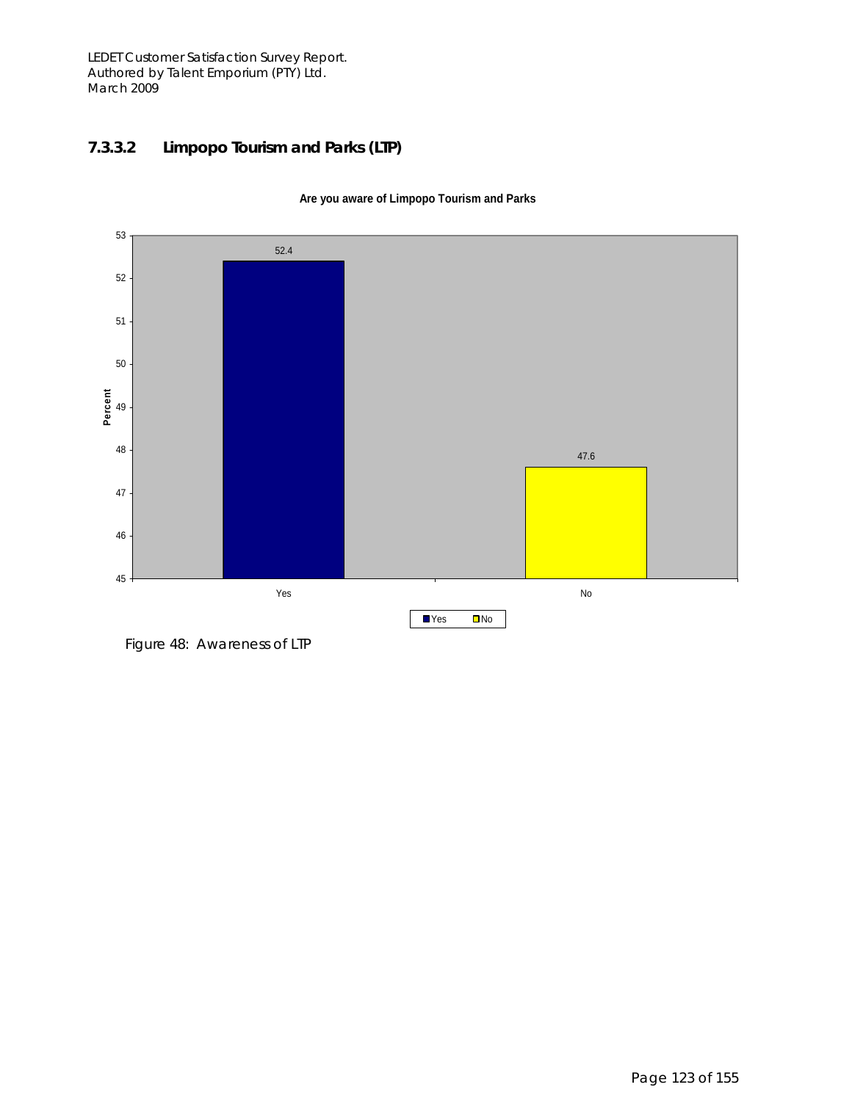LEDET Customer Satisfaction Survey Report. Authored by Talent Emporium (PTY) Ltd. March 2009

### **7.3.3.2 Limpopo Tourism and Parks (LTP)**



**Are you aware of Limpopo Tourism and Parks**

Figure 48: Awareness of LTP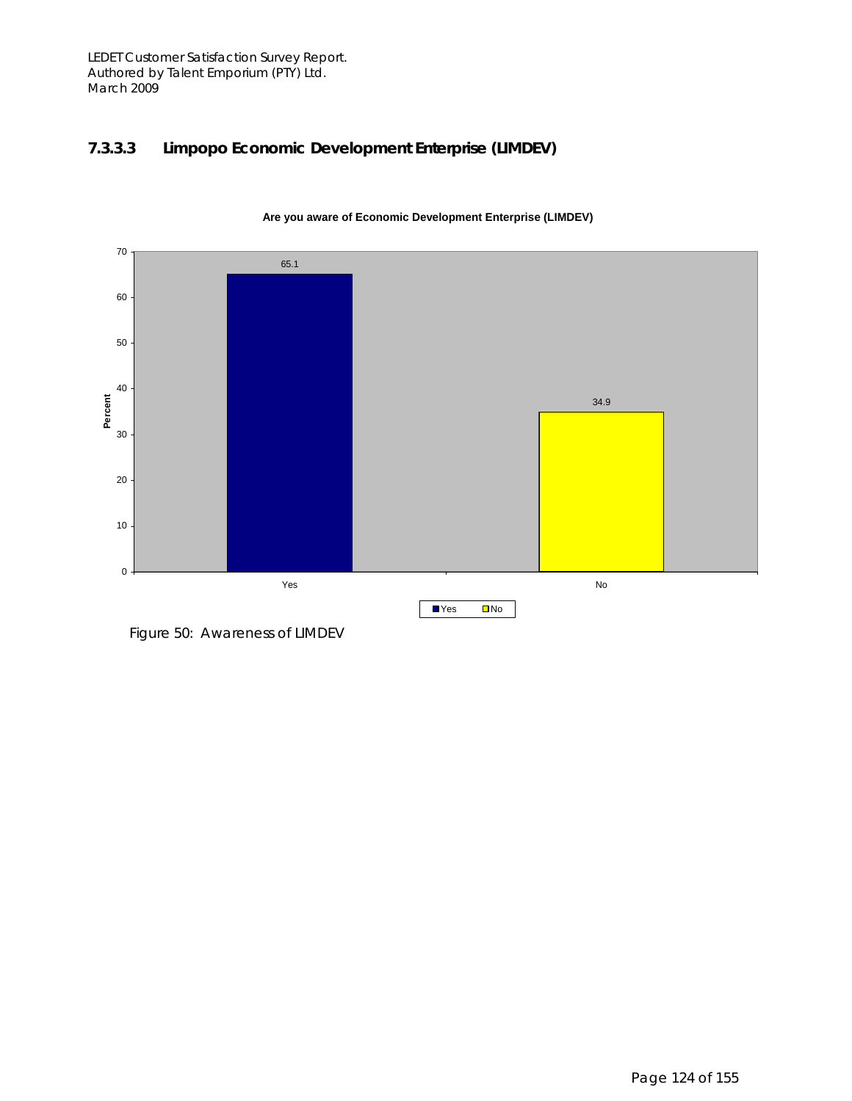### **7.3.3.3 Limpopo Economic Development Enterprise (LIMDEV)**



**Are you aware of Economic Development Enterprise (LIMDEV)**

Figure 50: Awareness of LIMDEV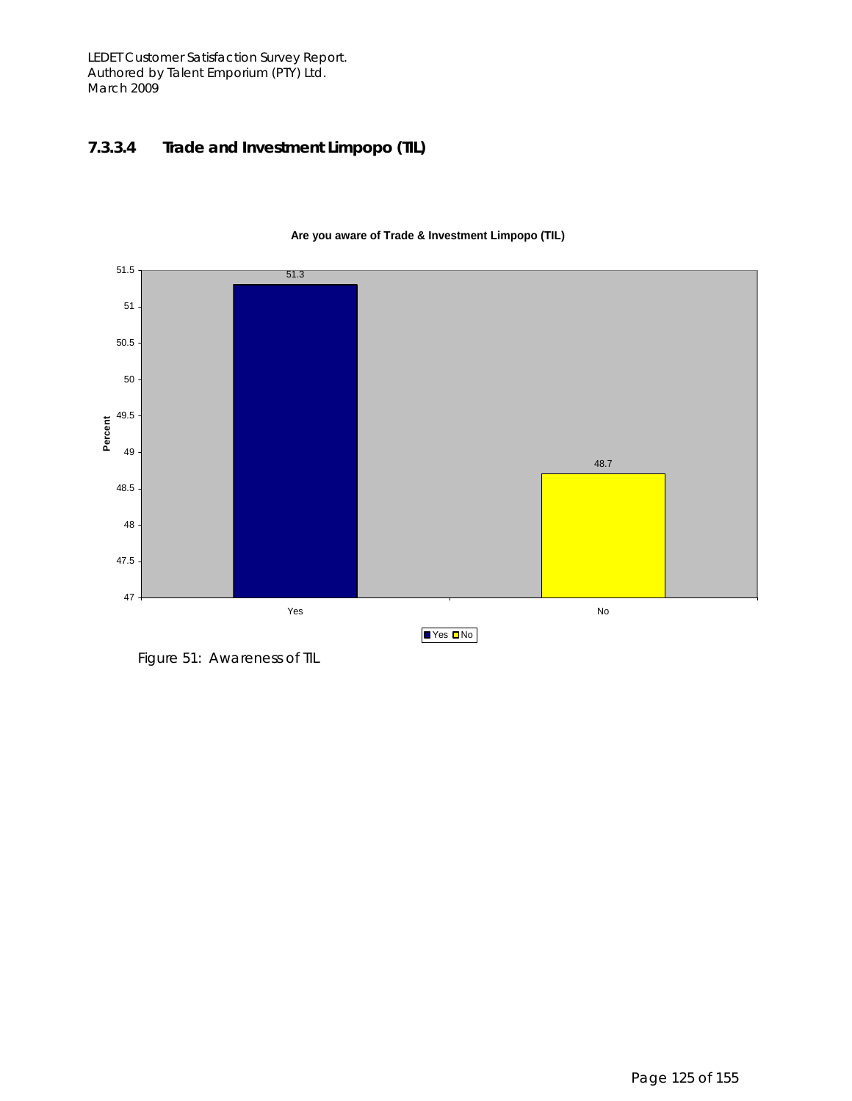LEDET Customer Satisfaction Survey Report. Authored by Talent Emporium (PTY) Ltd. March 2009

#### **7.3.3.4 Trade and Investment Limpopo (TIL)**



#### **Are you aware of Trade & Investment Limpopo (TIL)**

Figure 51: Awareness of TIL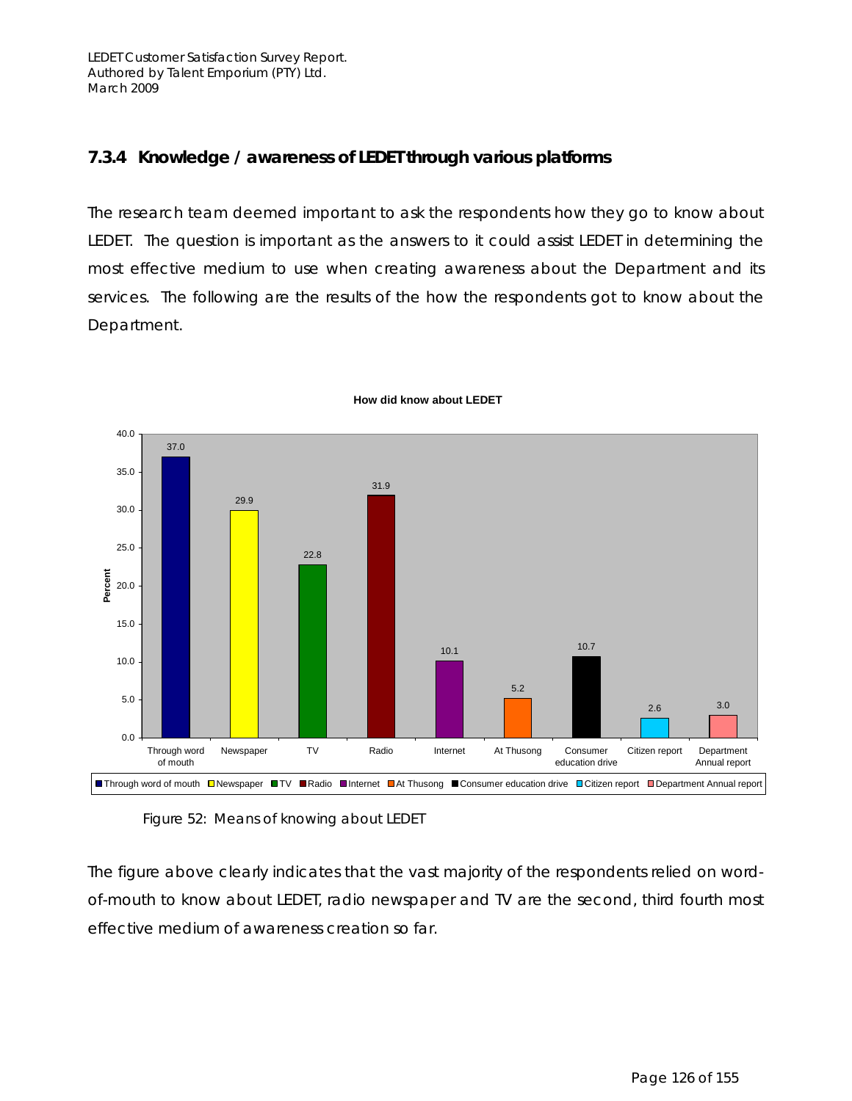### **7.3.4 Knowledge / awareness of LEDET through various platforms**

The research team deemed important to ask the respondents *how* they go to know about LEDET. The question is important as the answers to it could assist LEDET in determining the most effective medium to use when creating awareness about the Department and its services. The following are the results of the how the respondents got to know about the Department.



**How did know about LEDET**

Figure 52: Means of knowing about LEDET

The figure above clearly indicates that the vast majority of the respondents relied on wordof-mouth to know about LEDET, radio newspaper and TV are the second, third fourth most effective medium of awareness creation so far.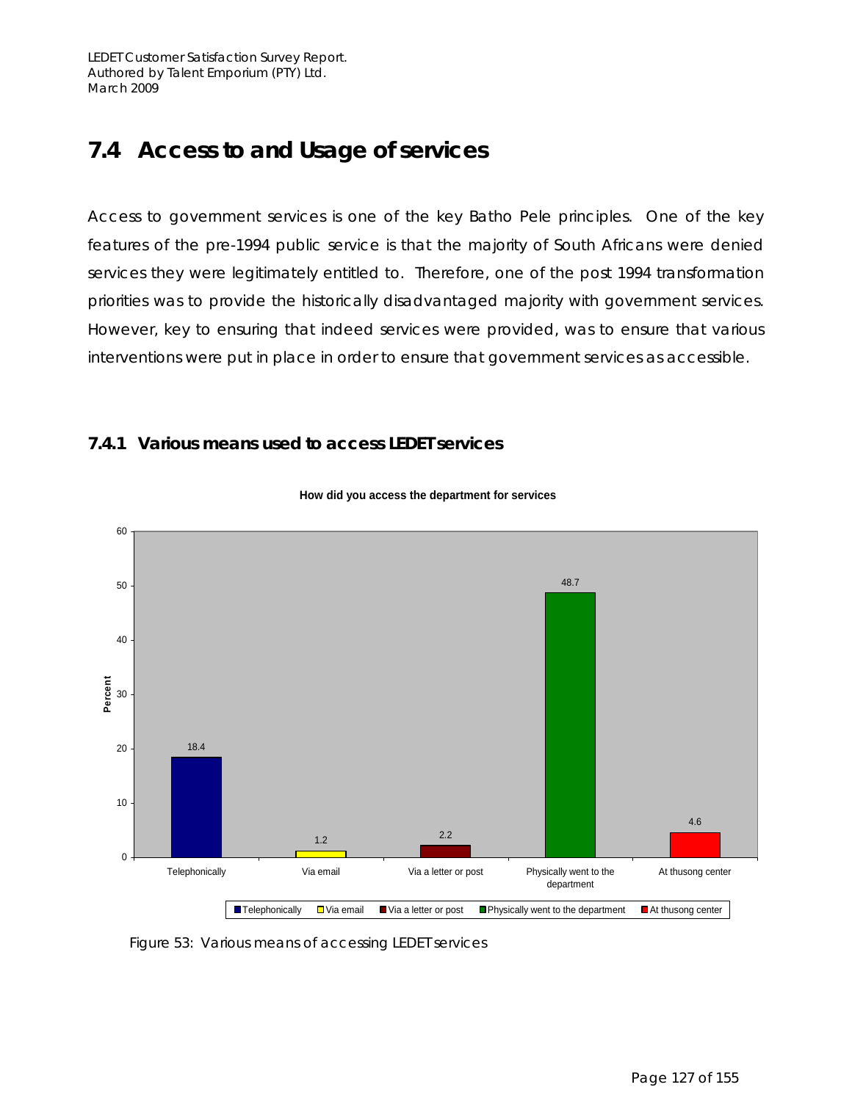## **7.4 Access to and Usage of services**

Access to government services is one of the key Batho Pele principles. One of the key features of the pre-1994 public service is that the majority of South Africans were denied services they were legitimately entitled to. Therefore, one of the post 1994 transformation priorities was to provide the historically disadvantaged majority with government services. However, key to ensuring that indeed services were provided, was to ensure that various interventions were put in place in order to ensure that government services as accessible.

### **7.4.1 Various means used to access LEDET services**



#### **How did you access the department for services**

Figure 53: Various means of accessing LEDET services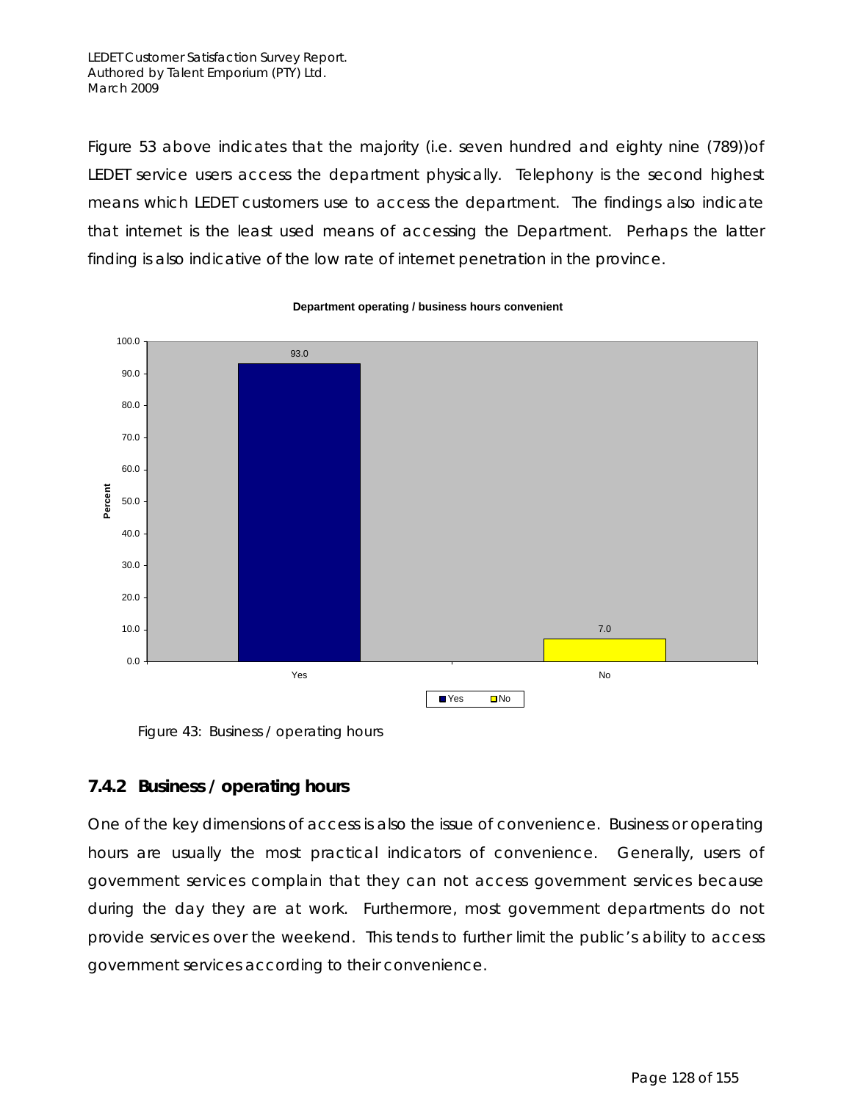Figure 53 above indicates that the majority (i.e. seven hundred and eighty nine (789))of LEDET service users access the department physically. Telephony is the second highest means which LEDET customers use to access the department. The findings also indicate that internet is the least used means of accessing the Department. Perhaps the latter finding is also indicative of the low rate of internet penetration in the province.



#### **Department operating / business hours convenient**

Figure 43: Business / operating hours

### **7.4.2 Business / operating hours**

One of the key dimensions of access is also the issue of convenience. Business or operating hours are usually the most practical indicators of convenience. Generally, users of government services complain that they can not access government services because during the day they are at work. Furthermore, most government departments do not provide services over the weekend. This tends to further limit the public's ability to access government services according to their convenience.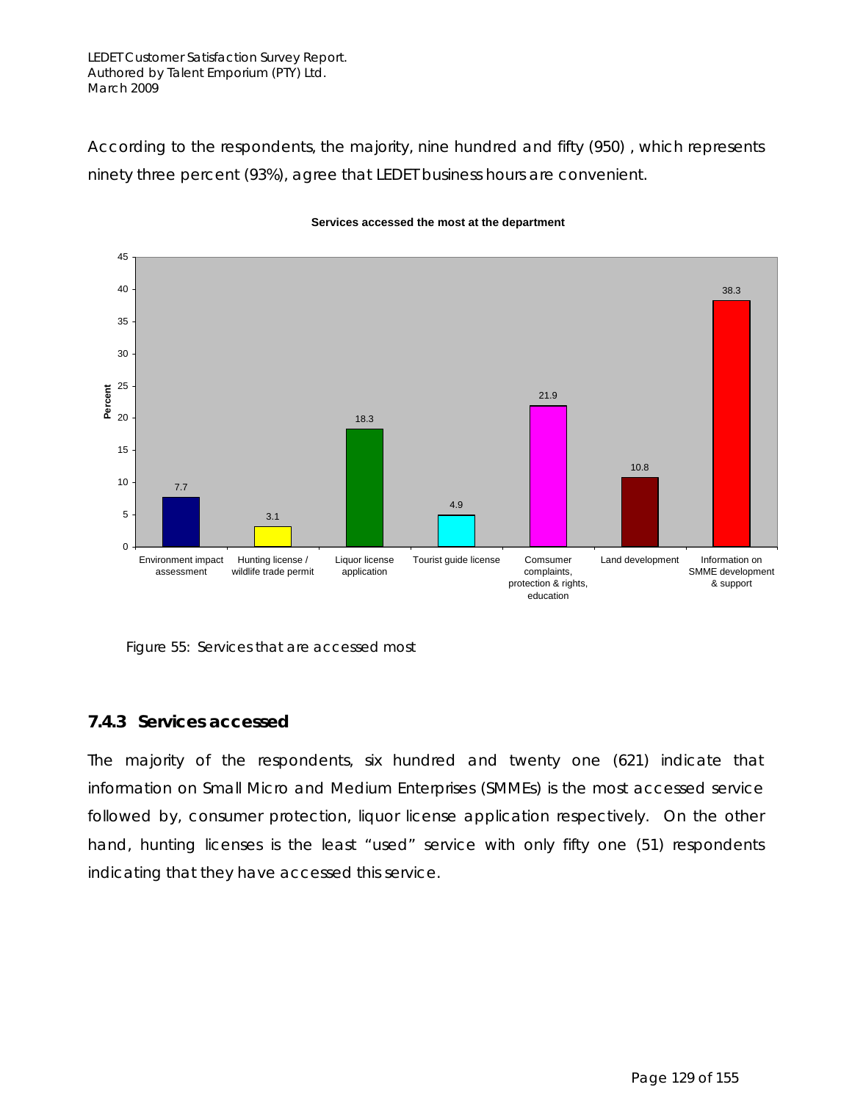#### LEDET Customer Satisfaction Survey Report. Authored by Talent Emporium (PTY) Ltd. March 2009

According to the respondents, the majority, nine hundred and fifty (950) , which represents ninety three percent (93%), agree that LEDET business hours are convenient.



#### **Services accessed the most at the department**

Figure 55: Services that are accessed most

#### **7.4.3 Services accessed**

The majority of the respondents, six hundred and twenty one (621) indicate that information on Small Micro and Medium Enterprises (SMMEs) is the most accessed service followed by, consumer protection, liquor license application respectively. On the other hand, hunting licenses is the least "used" service with only fifty one (51) respondents indicating that they have accessed this service.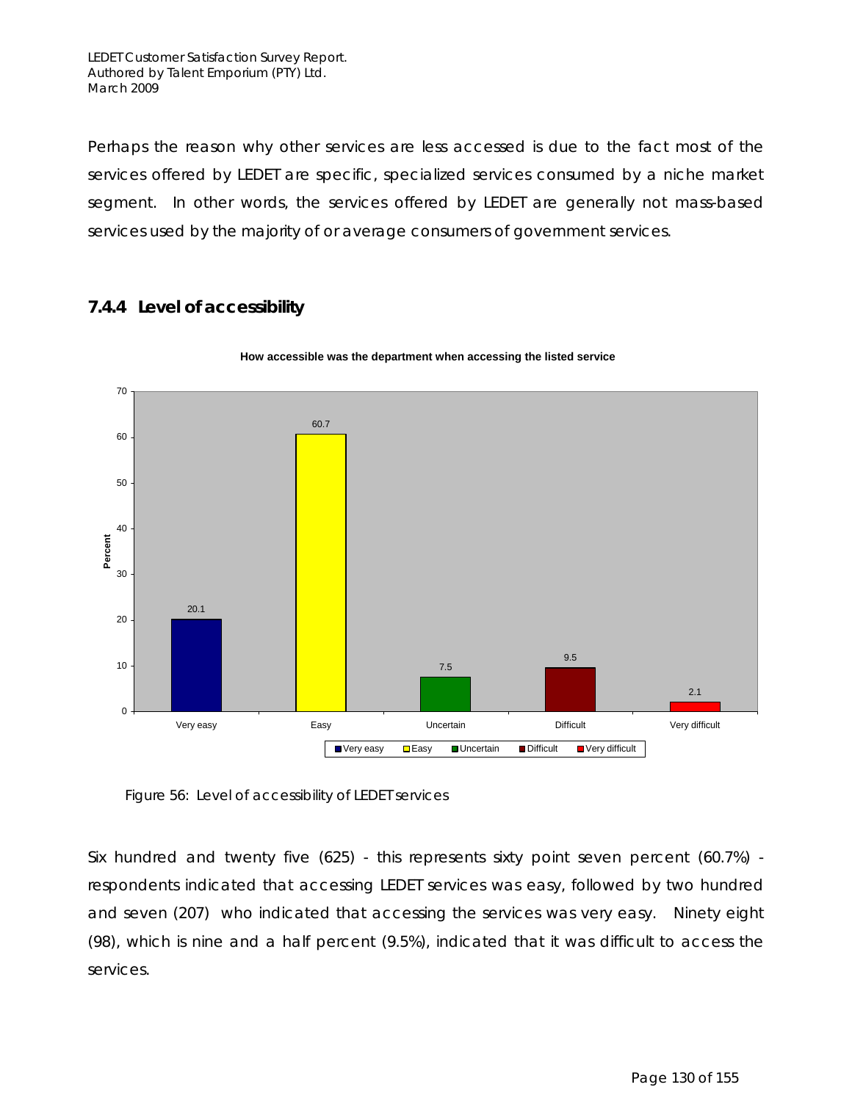Perhaps the reason why other services are less accessed is due to the fact most of the services offered by LEDET are specific, specialized services consumed by a niche market segment. In other words, the services offered by LEDET are generally not mass-based services used by the majority of or average consumers of government services.

### **7.4.4 Level of accessibility**



#### **How accessible was the department when accessing the listed service**

Figure 56: Level of accessibility of LEDET services

Six hundred and twenty five (625) - this represents sixty point seven percent (60.7%) respondents indicated that accessing LEDET services was easy, followed by two hundred and seven (207) who indicated that accessing the services was very easy. Ninety eight (98), which is nine and a half percent (9.5%), indicated that it was difficult to access the services.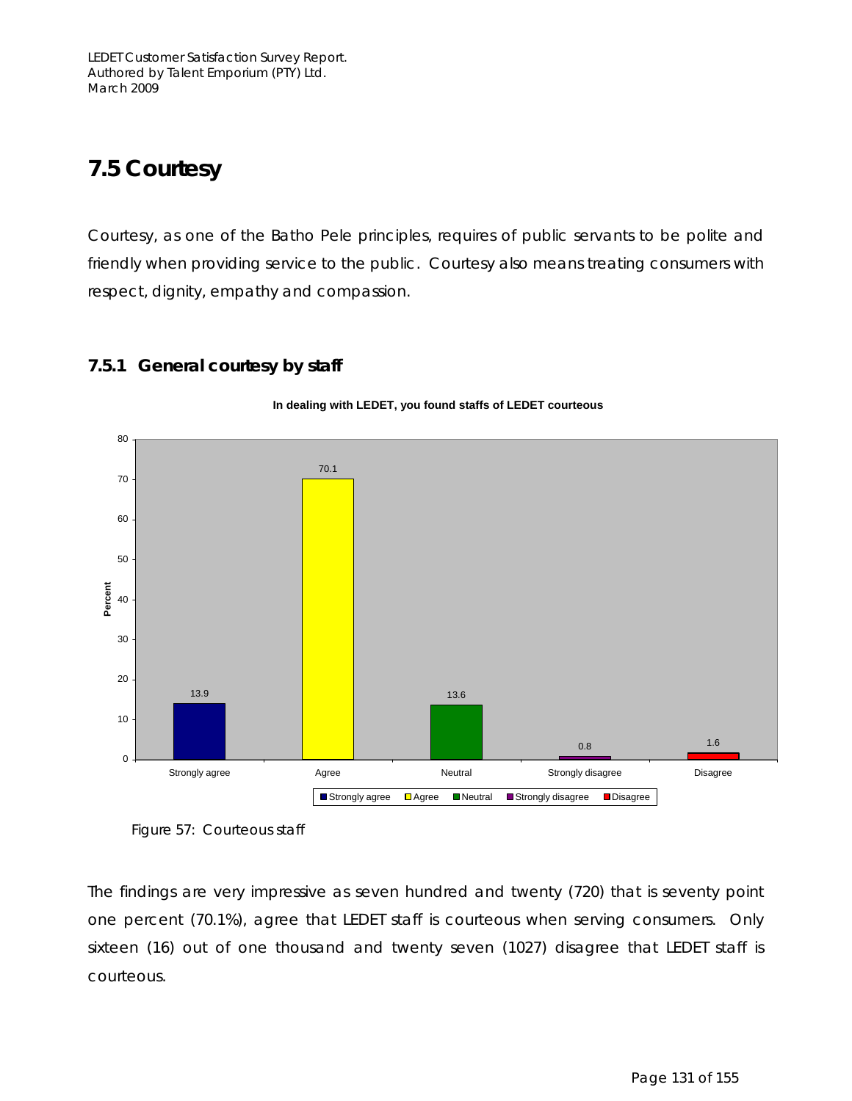## **7.5 Courtesy**

Courtesy, as one of the Batho Pele principles, requires of public servants to be polite and friendly when providing service to the public. Courtesy also means treating consumers with respect, dignity, empathy and compassion.

**In dealing with LEDET, you found staffs of LEDET courteous** 



### **7.5.1 General courtesy by staff**

The findings are very impressive as seven hundred and twenty (720) that is seventy point one percent (70.1%), agree that LEDET staff is courteous when serving consumers. Only sixteen (16) out of one thousand and twenty seven (1027) disagree that LEDET staff is courteous.

Figure 57: Courteous staff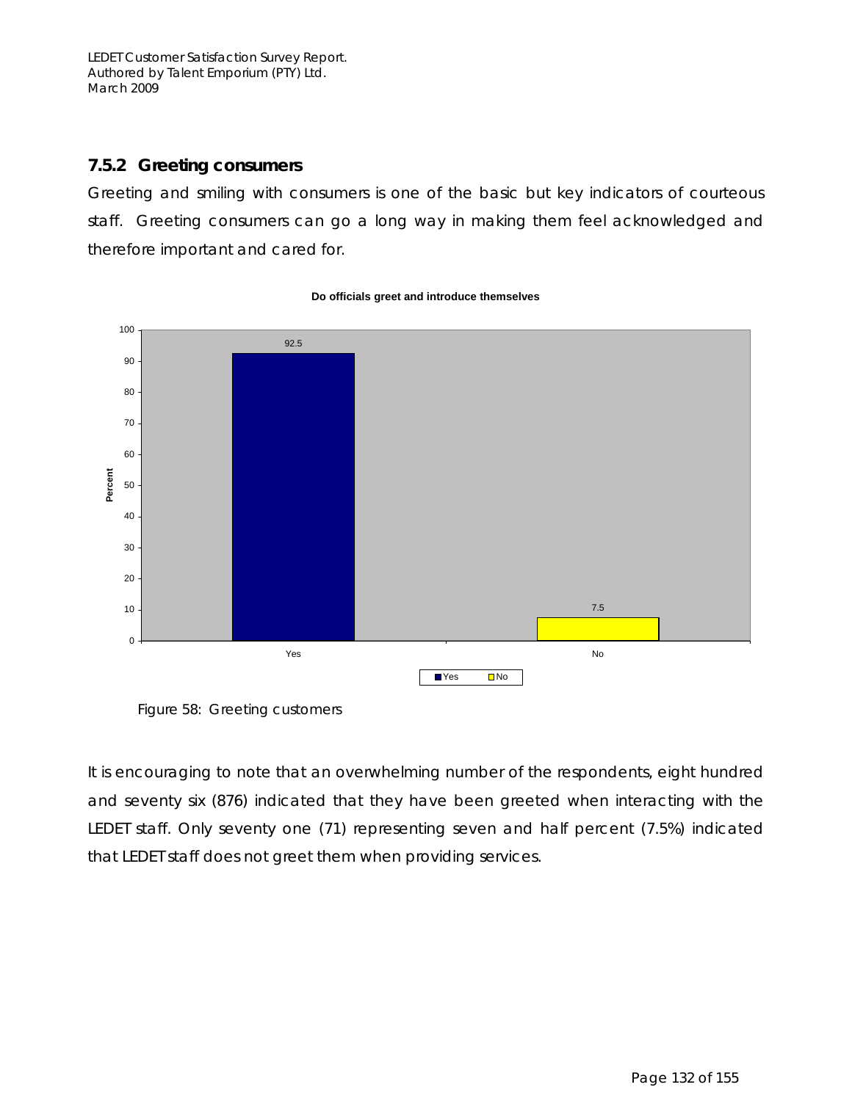### **7.5.2 Greeting consumers**

Greeting and smiling with consumers is one of the basic but key indicators of courteous staff. Greeting consumers can go a long way in making them feel acknowledged and therefore important and cared for.



#### **Do officials greet and introduce themselves**

Figure 58: Greeting customers

It is encouraging to note that an overwhelming number of the respondents, eight hundred and seventy six (876) indicated that they have been greeted when interacting with the LEDET staff. Only seventy one (71) representing seven and half percent (7.5%) indicated that LEDET staff does not greet them when providing services.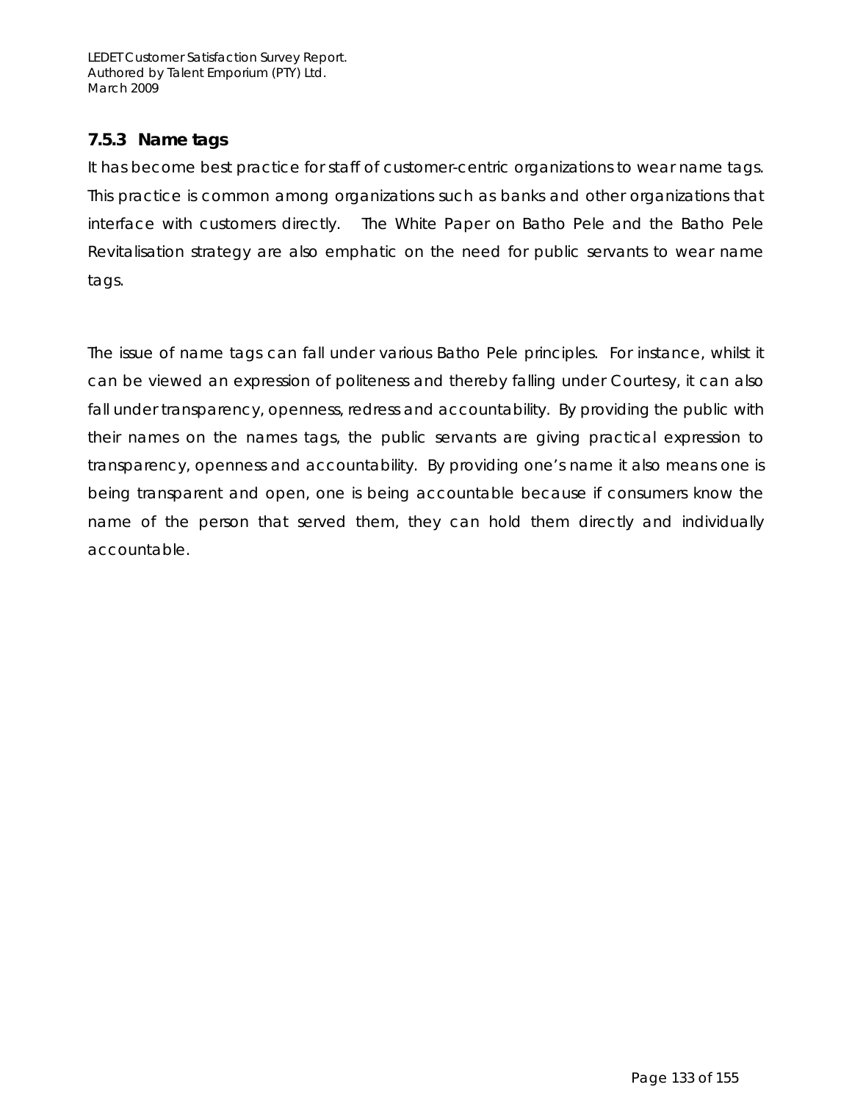## **7.5.3 Name tags**

It has become best practice for staff of customer-centric organizations to wear name tags. This practice is common among organizations such as banks and other organizations that interface with customers directly. The White Paper on Batho Pele and the Batho Pele Revitalisation strategy are also emphatic on the need for public servants to wear name tags.

The issue of name tags can fall under various Batho Pele principles. For instance, whilst it can be viewed an expression of politeness and thereby falling under Courtesy, it can also fall under transparency, openness, redress and accountability. By providing the public with their names on the names tags, the public servants are giving practical expression to transparency, openness and accountability. By providing one's name it also means one is being transparent and open, one is being accountable because if consumers know the name of the person that served them, they can hold them directly and individually accountable.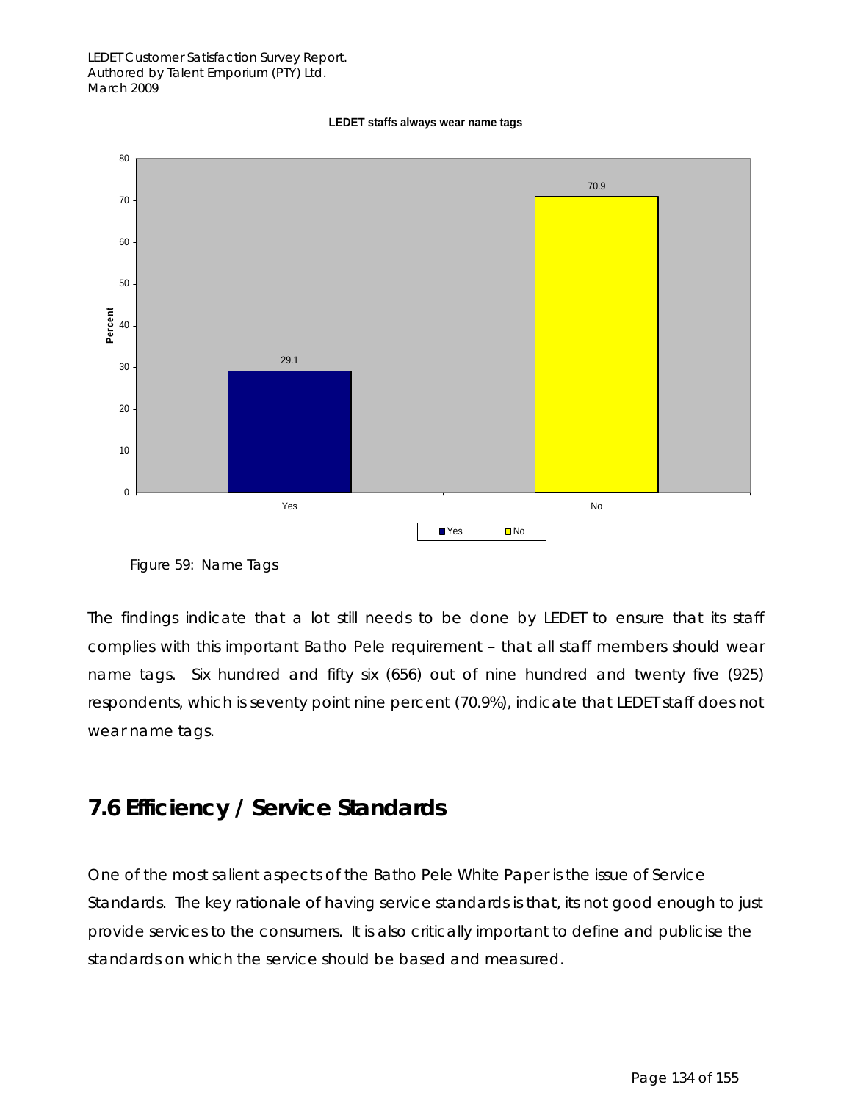



Figure 59: Name Tags

The findings indicate that a lot still needs to be done by LEDET to ensure that its staff complies with this important Batho Pele requirement – that all staff members should wear name tags. Six hundred and fifty six (656) out of nine hundred and twenty five (925) respondents, which is seventy point nine percent (70.9%), indicate that LEDET staff does not wear name tags.

## **7.6 Efficiency / Service Standards**

One of the most salient aspects of the Batho Pele White Paper is the issue of Service Standards. The key rationale of having service standards is that, its not good enough to just provide services to the consumers. It is also critically important to define and publicise the standards on which the service should be based and measured.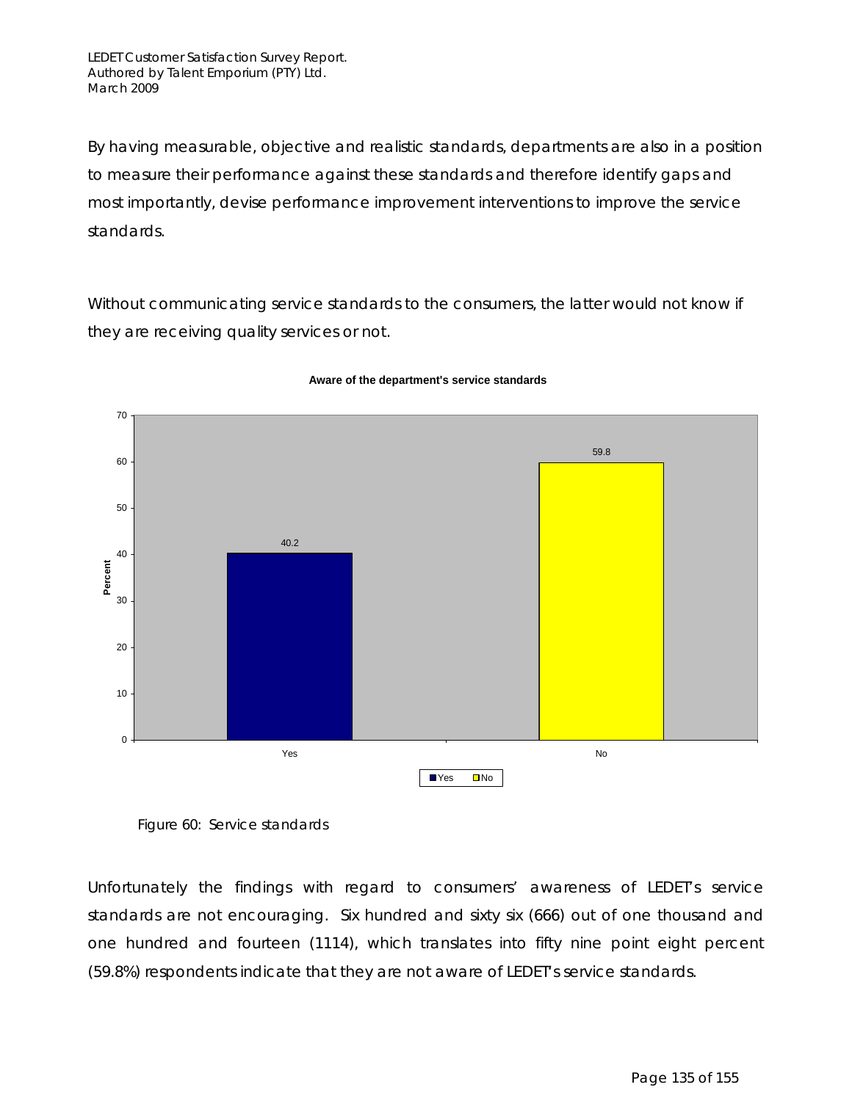By having measurable, objective and realistic standards, departments are also in a position to measure their performance against these standards and therefore identify gaps and most importantly, devise performance improvement interventions to improve the service standards.

Without communicating service standards to the consumers, the latter would not know if they are receiving quality services or not.



#### **Aware of the department's service standards**

Figure 60: Service standards

Unfortunately the findings with regard to consumers' awareness of LEDET's service standards are not encouraging. Six hundred and sixty six (666) out of one thousand and one hundred and fourteen (1114), which translates into fifty nine point eight percent (59.8%) respondents indicate that they are not aware of LEDET's service standards.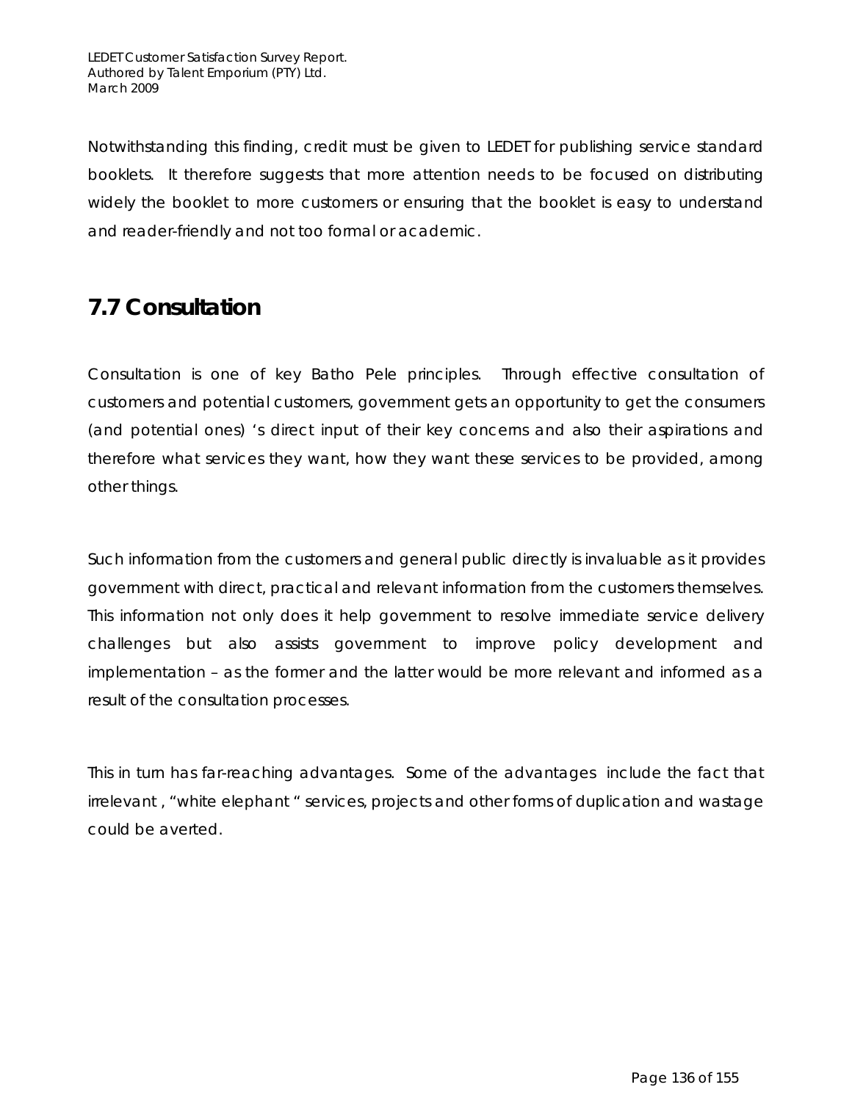Notwithstanding this finding, credit must be given to LEDET for publishing service standard booklets. It therefore suggests that more attention needs to be focused on distributing widely the booklet to more customers or ensuring that the booklet is easy to understand and reader-friendly and not too formal or academic.

## **7.7 Consultation**

Consultation is one of key Batho Pele principles. Through effective consultation of customers and potential customers, government gets an opportunity to get the consumers (and potential ones) 's direct input of their key concerns and also their aspirations and therefore what services they want, how they want these services to be provided, among other things.

Such information from the customers and general public directly is invaluable as it provides government with direct, practical and relevant information from the customers themselves. This information not only does it help government to resolve immediate service delivery challenges but also assists government to improve policy development and implementation – as the former and the latter would be more relevant and informed as a result of the consultation processes.

This in turn has far-reaching advantages. Some of the advantages include the fact that irrelevant , "white elephant " services, projects and other forms of duplication and wastage could be averted.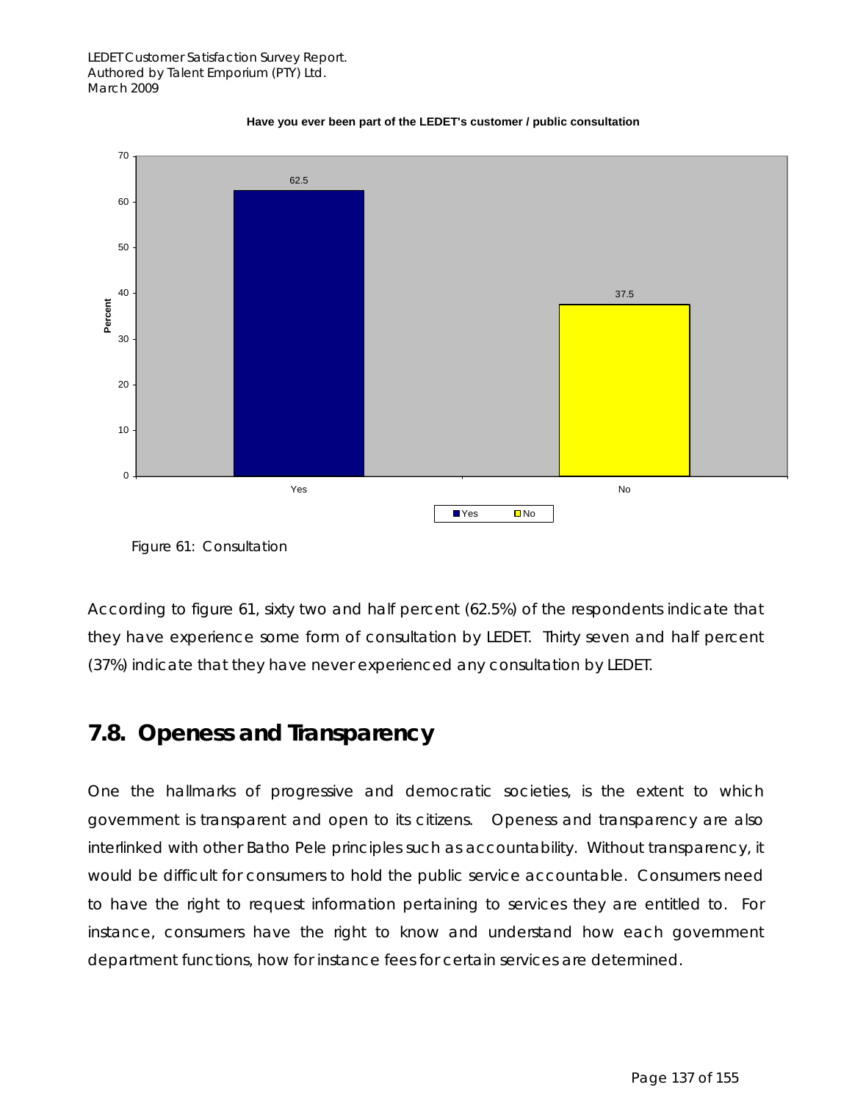

#### **Have you ever been part of the LEDET's customer / public consultation**

Figure 61: Consultation

According to figure 61, sixty two and half percent (62.5%) of the respondents indicate that they have experience some form of consultation by LEDET. Thirty seven and half percent (37%) indicate that they have never experienced any consultation by LEDET.

## **7.8. Openess and Transparency**

One the hallmarks of progressive and democratic societies, is the extent to which government is transparent and open to its citizens. Openess and transparency are also interlinked with other Batho Pele principles such as accountability. Without transparency, it would be difficult for consumers to hold the public service accountable. Consumers need to have the right to request information pertaining to services they are entitled to. For instance, consumers have the right to know and understand how each government department functions, how for instance fees for certain services are determined.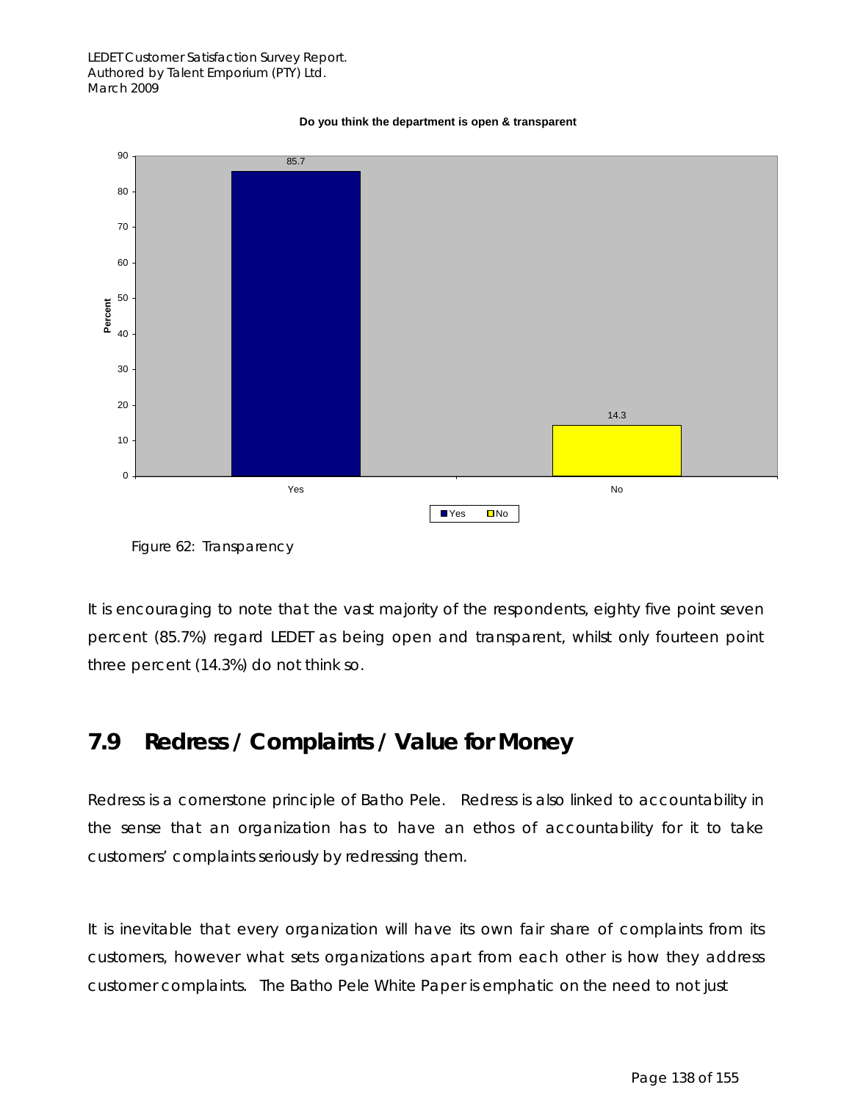

#### **Do you think the department is open & transparent**



It is encouraging to note that the vast majority of the respondents, eighty five point seven percent (85.7%) regard LEDET as being open and transparent, whilst only fourteen point three percent (14.3%) do not think so.

## **7.9 Redress / Complaints / Value for Money**

Redress is a cornerstone principle of Batho Pele. Redress is also linked to accountability in the sense that an organization has to have an ethos of accountability for it to take customers' complaints seriously by redressing them.

It is inevitable that every organization will have its own fair share of complaints from its customers, however what sets organizations apart from each other is how they address customer complaints. The Batho Pele White Paper is emphatic on the need to not just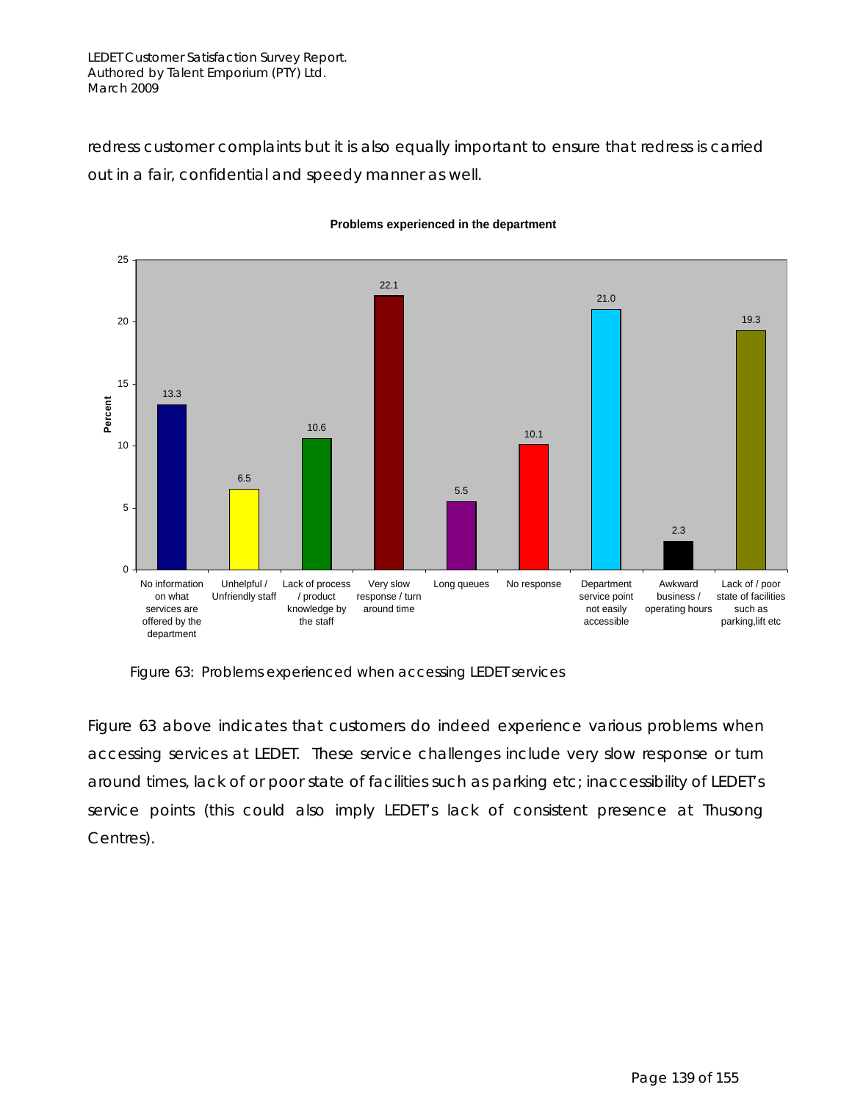LEDET Customer Satisfaction Survey Report. Authored by Talent Emporium (PTY) Ltd. March 2009

redress customer complaints but it is also equally important to ensure that redress is carried out in a fair, confidential and speedy manner as well.



#### **Problems experienced in the department**

Figure 63: Problems experienced when accessing LEDET services

Figure 63 above indicates that customers do indeed experience various problems when accessing services at LEDET. These service challenges include very slow response or turn around times, lack of or poor state of facilities such as parking etc; inaccessibility of LEDET's service points (this could also imply LEDET's lack of consistent presence at Thusong Centres).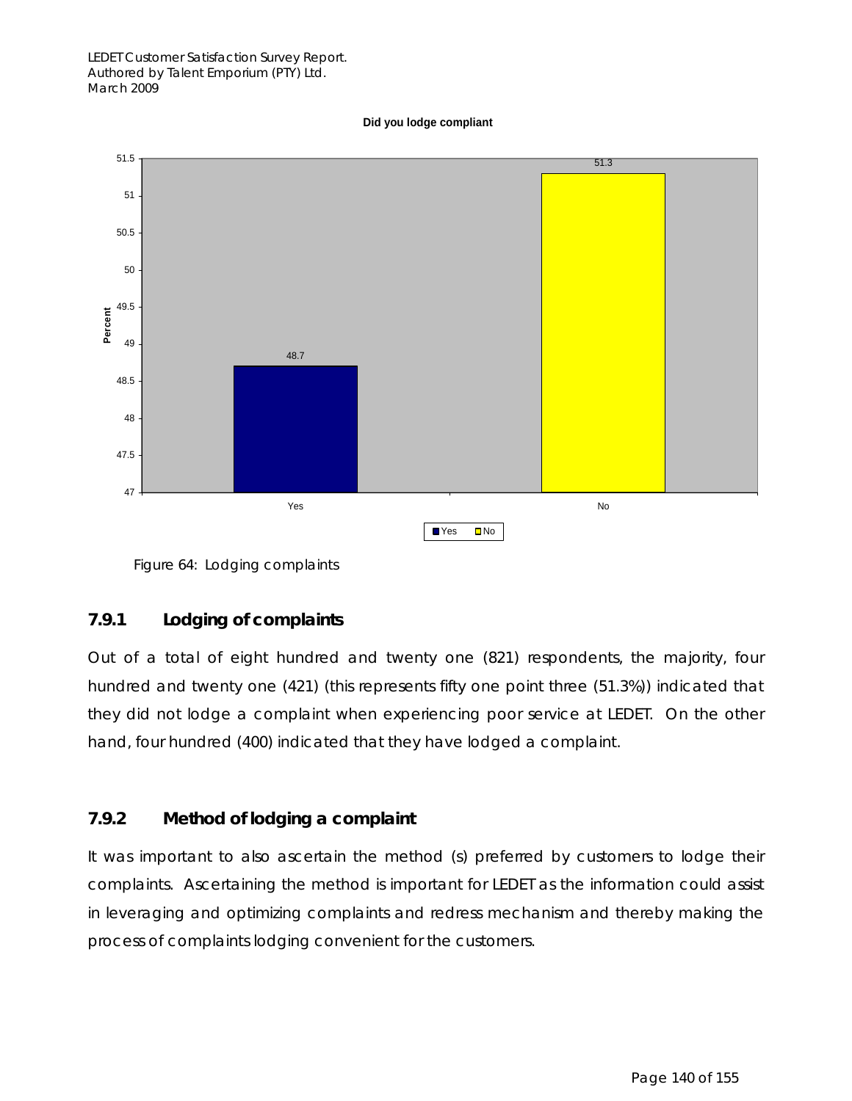**Did you lodge compliant**



Figure 64: Lodging complaints

### **7.9.1 Lodging of complaints**

Out of a total of eight hundred and twenty one (821) respondents, the majority, four hundred and twenty one (421) (this represents fifty one point three (51.3%)) indicated that they did not lodge a complaint when experiencing poor service at LEDET. On the other hand, four hundred (400) indicated that they have lodged a complaint.

## **7.9.2 Method of lodging a complaint**

It was important to also ascertain the method (s) preferred by customers to lodge their complaints. Ascertaining the method is important for LEDET as the information could assist in leveraging and optimizing complaints and redress mechanism and thereby making the process of complaints lodging convenient for the customers.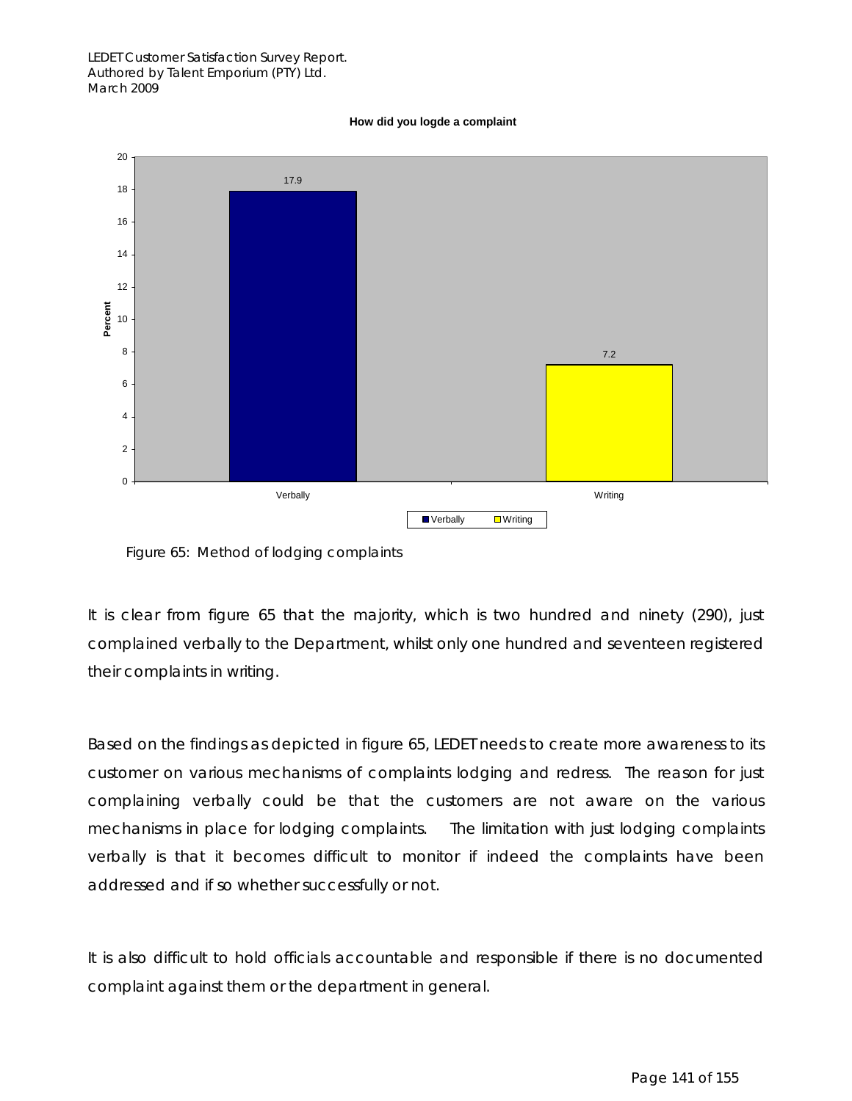#### **How did you logde a complaint**



Figure 65: Method of lodging complaints

It is clear from figure 65 that the majority, which is two hundred and ninety (290), just complained verbally to the Department, whilst only one hundred and seventeen registered their complaints in writing.

Based on the findings as depicted in figure 65, LEDET needs to create more awareness to its customer on various mechanisms of complaints lodging and redress. The reason for just complaining verbally could be that the customers are not aware on the various mechanisms in place for lodging complaints. The limitation with just lodging complaints verbally is that it becomes difficult to monitor if indeed the complaints have been addressed and if so whether successfully or not.

It is also difficult to hold officials accountable and responsible if there is no documented complaint against them or the department in general.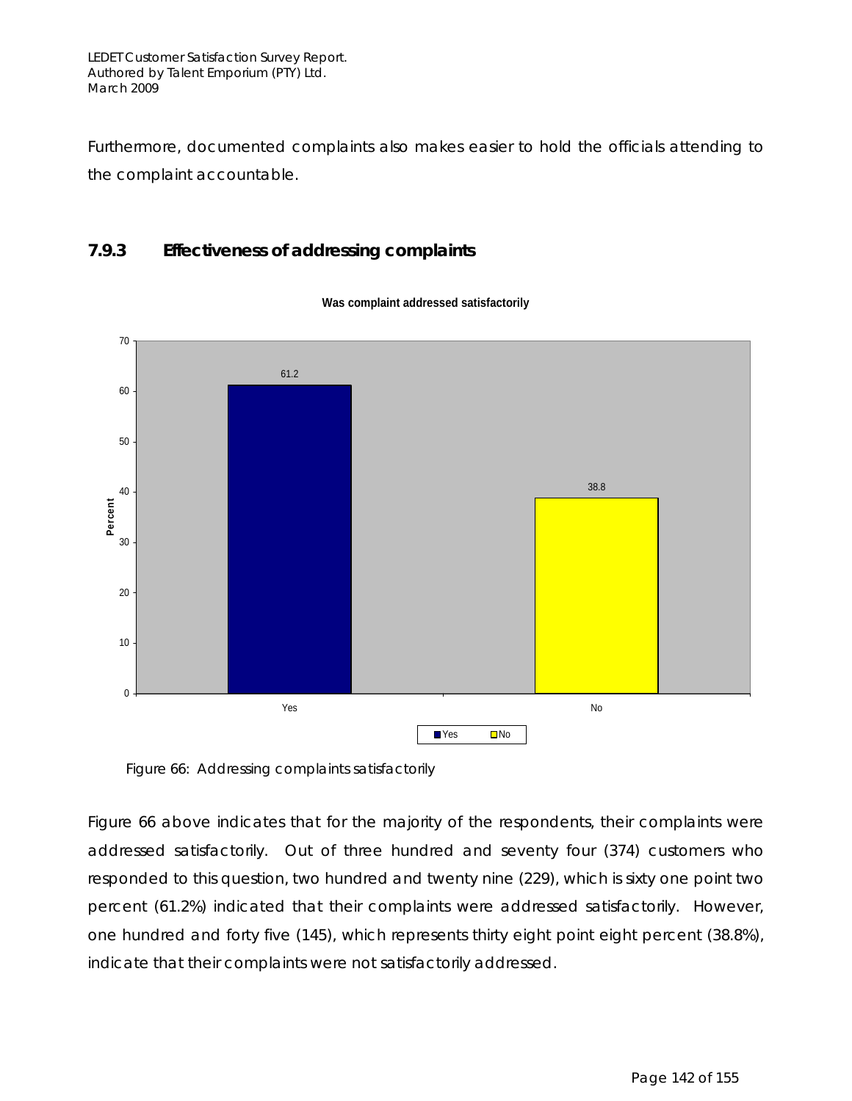Furthermore, documented complaints also makes easier to hold the officials attending to the complaint accountable.

### **7.9.3 Effectiveness of addressing complaints**



**Was complaint addressed satisfactorily**

Figure 66: Addressing complaints satisfactorily

Figure 66 above indicates that for the majority of the respondents, their complaints were addressed satisfactorily. Out of three hundred and seventy four (374) customers who responded to this question, two hundred and twenty nine (229), which is sixty one point two percent (61.2%) indicated that their complaints were addressed satisfactorily. However, one hundred and forty five (145), which represents thirty eight point eight percent (38.8%), indicate that their complaints were not satisfactorily addressed.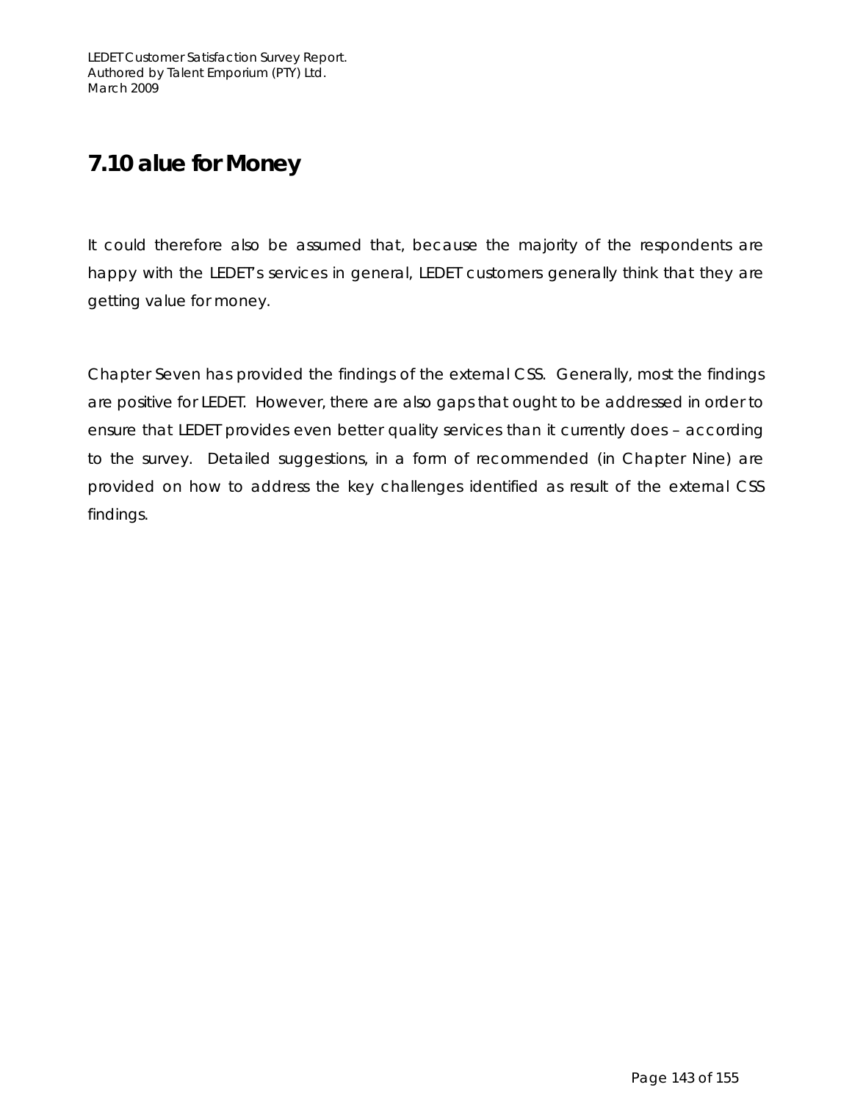## **7.10 alue for Money**

It could therefore also be assumed that, because the majority of the respondents are happy with the LEDET's services in general, LEDET customers generally think that they are getting value for money.

Chapter Seven has provided the findings of the external CSS. Generally, most the findings are positive for LEDET. However, there are also gaps that ought to be addressed in order to ensure that LEDET provides even better quality services than it currently does – according to the survey. Detailed suggestions, in a form of recommended (in Chapter Nine) are provided on how to address the key challenges identified as result of the external CSS findings.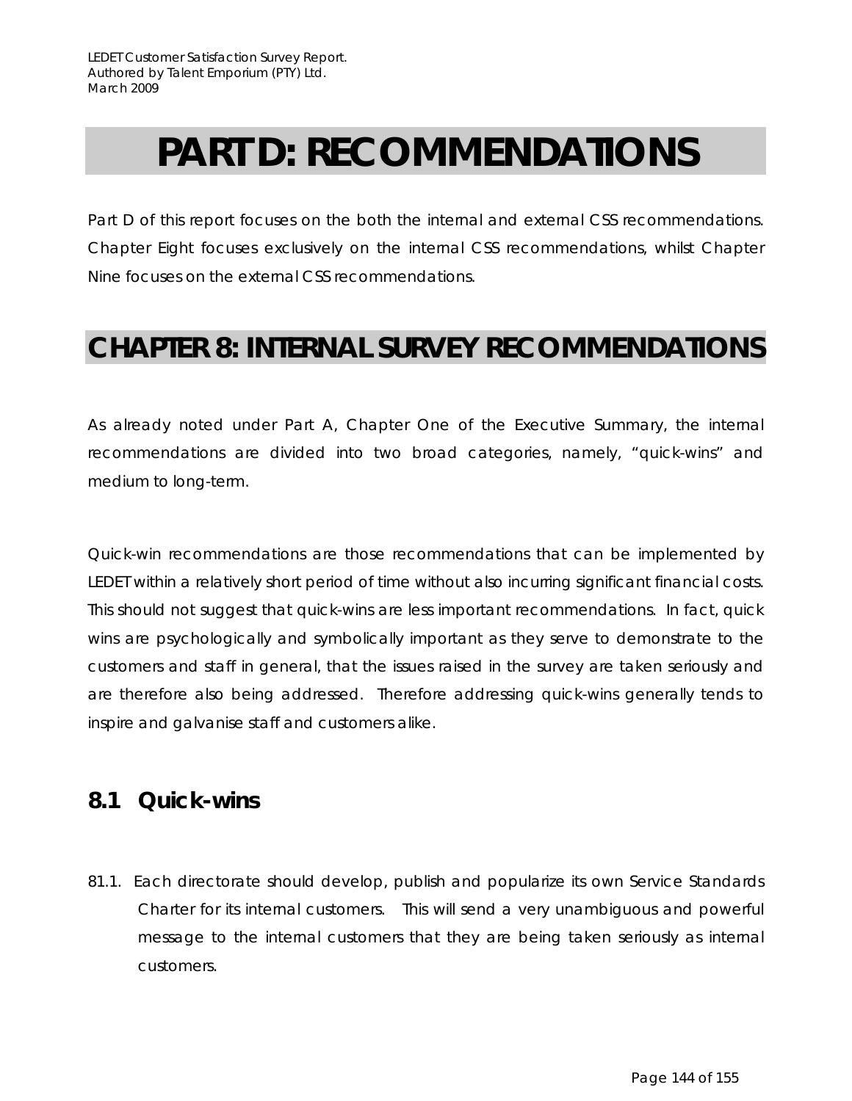# **PART D: RECOMMENDATIONS**

Part D of this report focuses on the both the internal and external CSS recommendations. Chapter Eight focuses exclusively on the internal CSS recommendations, whilst Chapter Nine focuses on the external CSS recommendations.

## **CHAPTER 8: INTERNAL SURVEY RECOMMENDATIONS**

As already noted under Part A, Chapter One of the Executive Summary, the internal recommendations are divided into two broad categories, namely, "quick-wins" and medium to long-term.

Quick-win recommendations are those recommendations that can be implemented by LEDET within a relatively short period of time without also incurring significant financial costs. This should not suggest that quick-wins are less important recommendations. In fact, quick wins are psychologically and symbolically important as they serve to demonstrate to the customers and staff in general, that the issues raised in the survey are taken seriously and are therefore also being addressed. Therefore addressing quick-wins generally tends to inspire and galvanise staff and customers alike.

## **8.1 Quick-wins**

81.1. Each directorate should develop, publish and popularize its own Service Standards Charter for its internal customers. This will send a very unambiguous and powerful message to the internal customers that they are being taken seriously as internal customers.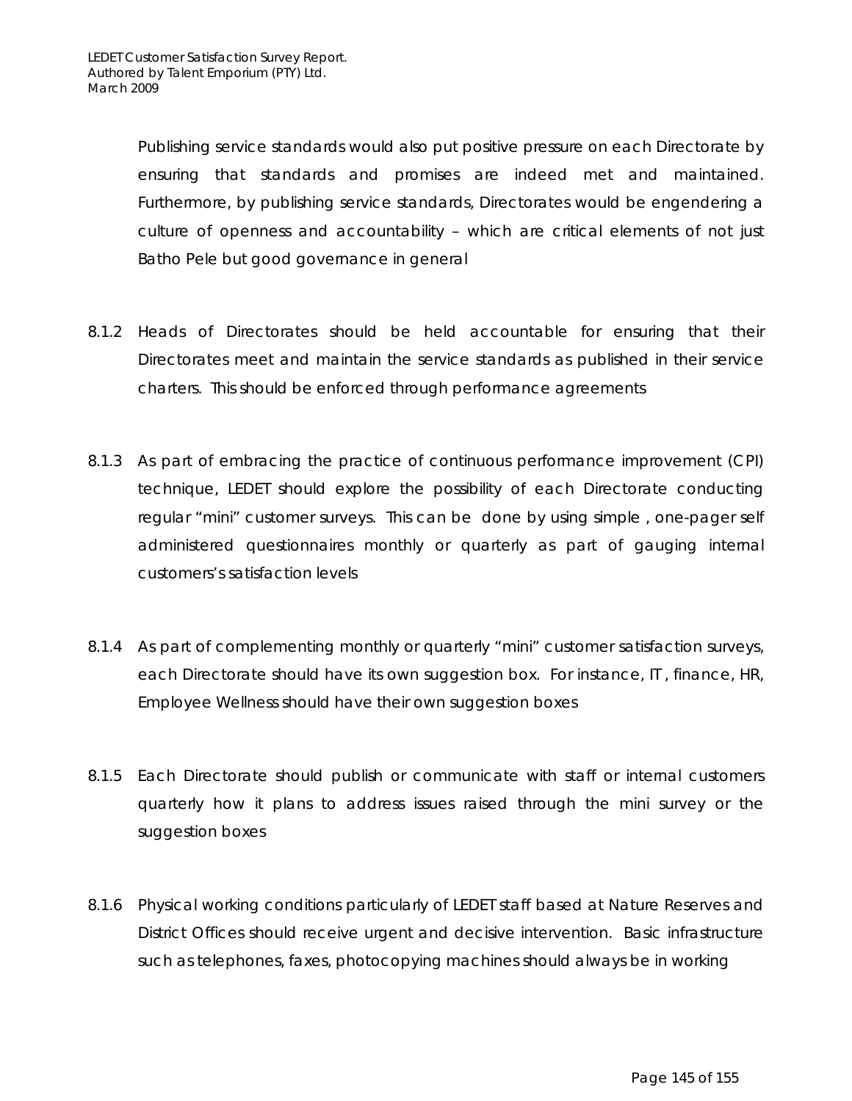Publishing service standards would also put positive pressure on each Directorate by ensuring that standards and promises are indeed met and maintained. Furthermore, by publishing service standards, Directorates would be engendering a culture of openness and accountability – which are critical elements of not just Batho Pele but good governance in general

- 8.1.2 Heads of Directorates should be held accountable for ensuring that their Directorates meet and maintain the service standards as published in their service charters. This should be enforced through performance agreements
- 8.1.3 As part of embracing the practice of continuous performance improvement (CPI) technique, LEDET should explore the possibility of each Directorate conducting regular "mini" customer surveys. This can be done by using simple , one-pager self administered questionnaires monthly or quarterly as part of gauging internal customers's satisfaction levels
- 8.1.4 As part of complementing monthly or quarterly "mini" customer satisfaction surveys, each Directorate should have its own suggestion box. For instance, IT , finance, HR, Employee Wellness should have their own suggestion boxes
- 8.1.5 Each Directorate should publish or communicate with staff or internal customers quarterly how it plans to address issues raised through the mini survey or the suggestion boxes
- 8.1.6 Physical working conditions particularly of LEDET staff based at Nature Reserves and District Offices should receive urgent and decisive intervention. Basic infrastructure such as telephones, faxes, photocopying machines should always be in working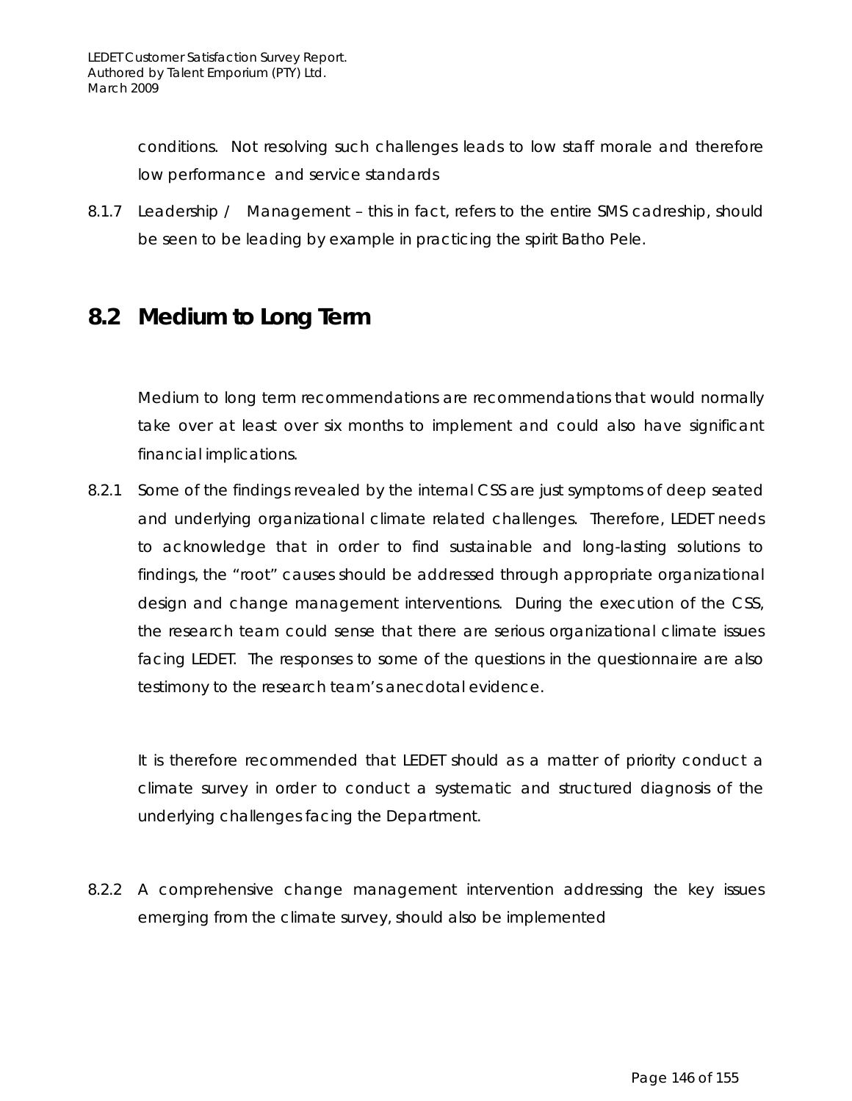conditions. Not resolving such challenges leads to low staff morale and therefore low performance and service standards

8.1.7 Leadership / Management – this in fact, refers to the entire SMS cadreship, should be seen to be leading by example in practicing the spirit Batho Pele.

### **8.2 Medium to Long Term**

Medium to long term recommendations are recommendations that would normally take over at least over six months to implement and could also have significant financial implications.

8.2.1 Some of the findings revealed by the internal CSS are just symptoms of deep seated and underlying organizational climate related challenges. Therefore, LEDET needs to acknowledge that in order to find sustainable and long-lasting solutions to findings, the "root" causes should be addressed through appropriate organizational design and change management interventions. During the execution of the CSS, the research team could sense that there are serious organizational climate issues facing LEDET. The responses to some of the questions in the questionnaire are also testimony to the research team's anecdotal evidence.

It is therefore recommended that LEDET should as a matter of priority conduct a climate survey in order to conduct a systematic and structured diagnosis of the underlying challenges facing the Department.

8.2.2 A comprehensive change management intervention addressing the key issues emerging from the climate survey, should also be implemented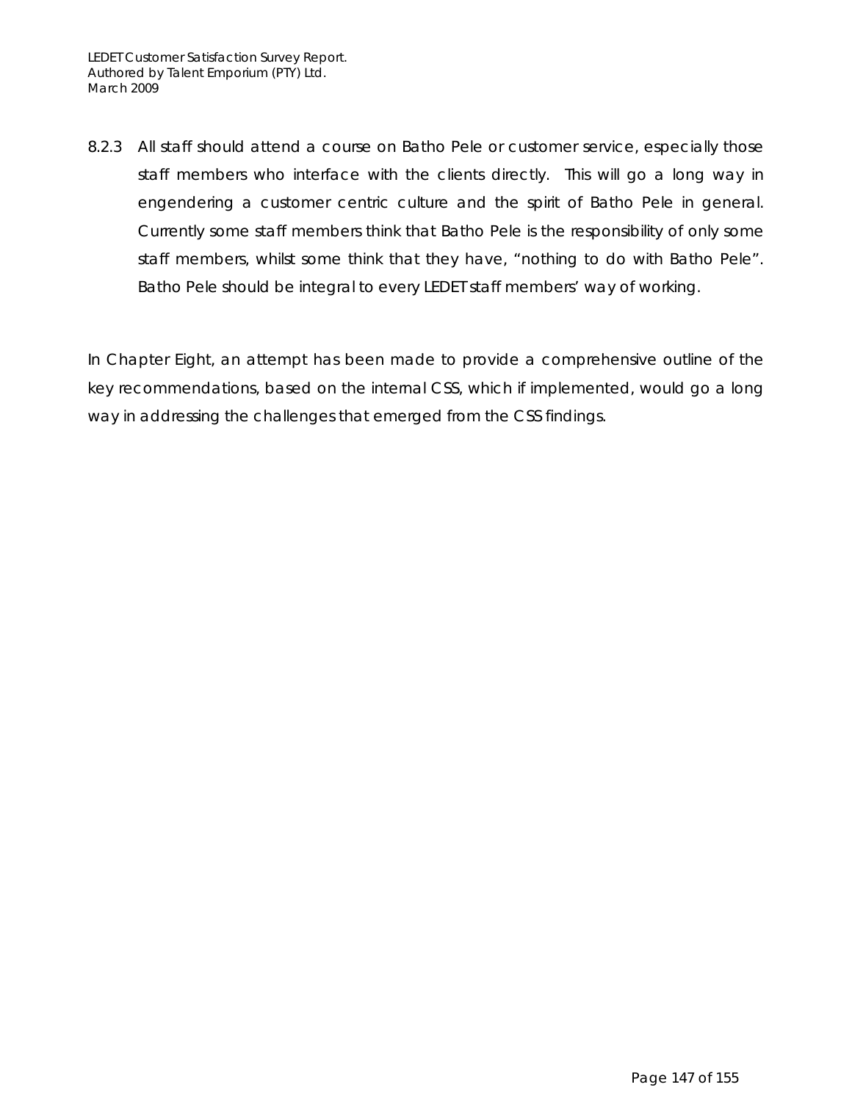8.2.3 All staff should attend a course on Batho Pele or customer service, especially those staff members who interface with the clients directly. This will go a long way in engendering a customer centric culture and the spirit of Batho Pele in general. Currently some staff members think that Batho Pele is the responsibility of only some staff members, whilst some think that they have, "nothing to do with Batho Pele". Batho Pele should be integral to every LEDET staff members' way of working.

In Chapter Eight, an attempt has been made to provide a comprehensive outline of the key recommendations, based on the internal CSS, which if implemented, would go a long way in addressing the challenges that emerged from the CSS findings.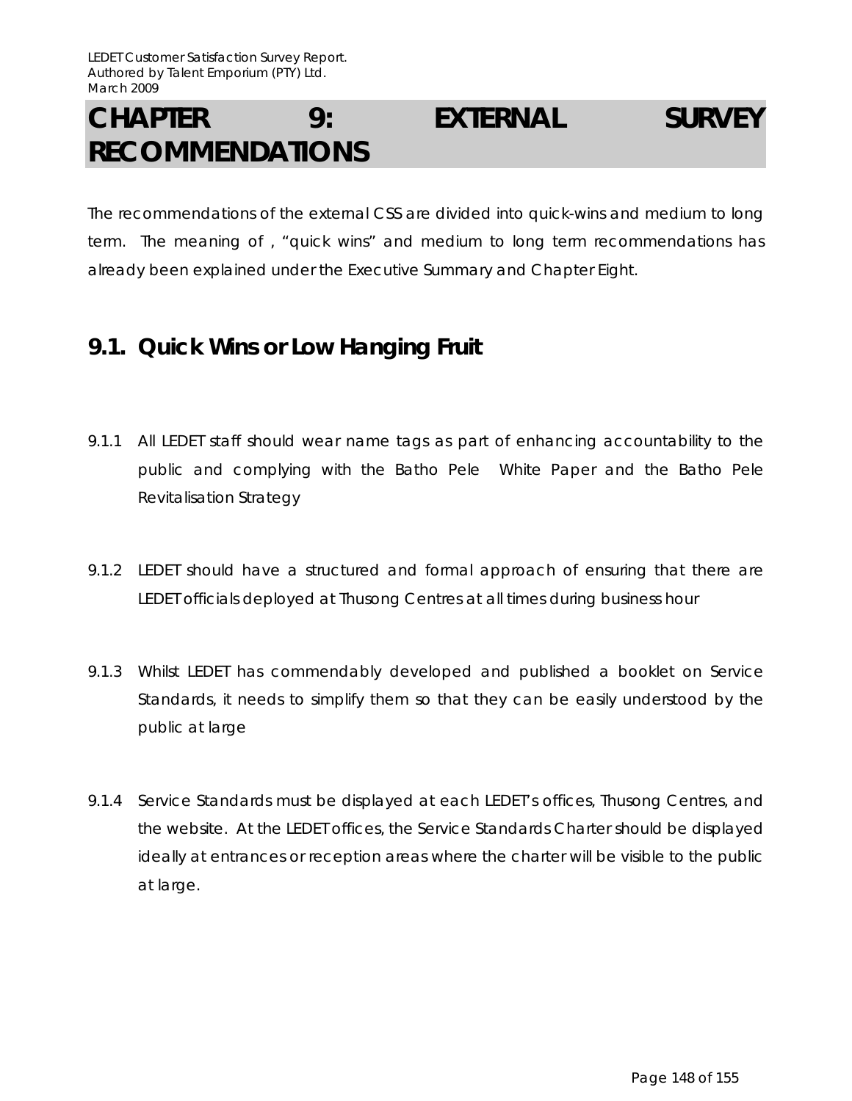## **CHAPTER 9: EXTERNAL SURVEY RECOMMENDATIONS**

The recommendations of the external CSS are divided into quick-wins and medium to long term. The meaning of , "quick wins" and medium to long term recommendations has already been explained under the Executive Summary and Chapter Eight.

### **9.1. Quick Wins or Low Hanging Fruit**

- 9.1.1 All LEDET staff should wear name tags as part of enhancing accountability to the public and complying with the Batho Pele White Paper and the Batho Pele Revitalisation Strategy
- 9.1.2 LEDET should have a structured and formal approach of ensuring that there are LEDET officials deployed at Thusong Centres at all times during business hour
- 9.1.3 Whilst LEDET has commendably developed and published a booklet on Service Standards, it needs to simplify them so that they can be easily understood by the public at large
- 9.1.4 Service Standards must be displayed at each LEDET's offices, Thusong Centres, and the website. At the LEDET offices, the Service Standards Charter should be displayed ideally at entrances or reception areas where the charter will be visible to the public at large.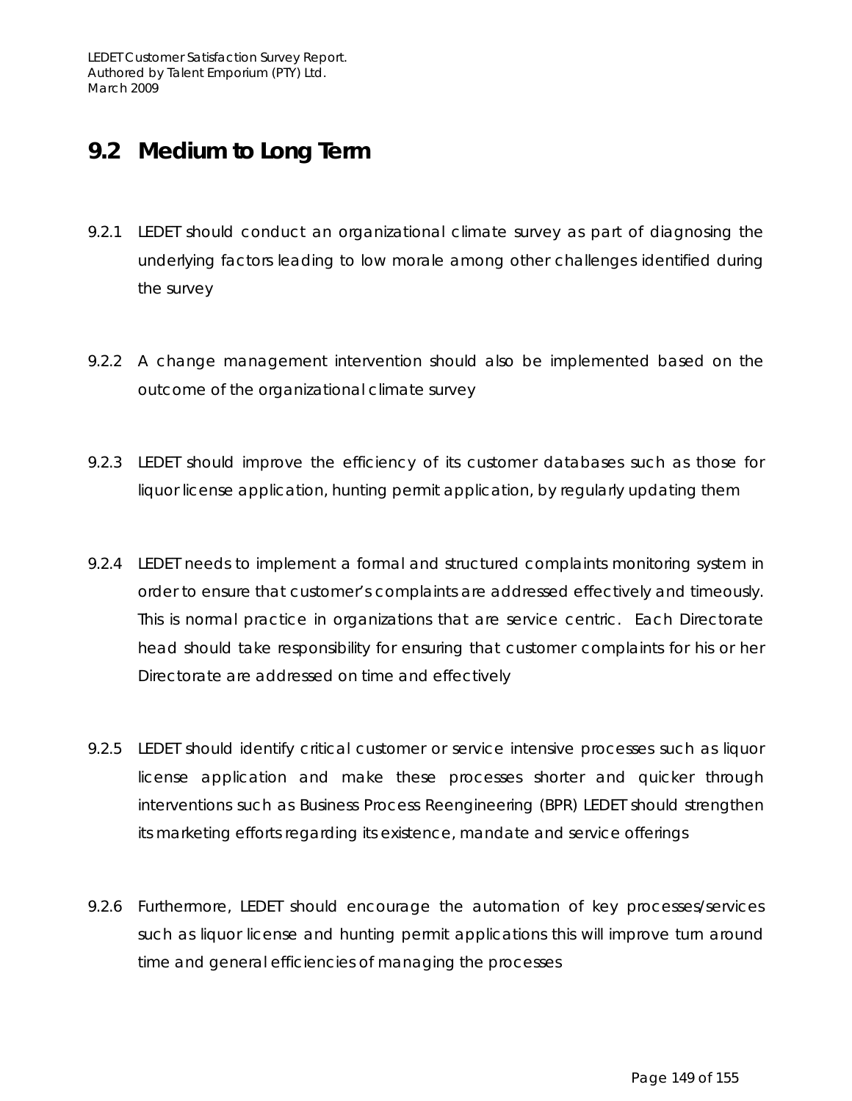### **9.2 Medium to Long Term**

- 9.2.1 LEDET should conduct an organizational climate survey as part of diagnosing the underlying factors leading to low morale among other challenges identified during the survey
- 9.2.2 A change management intervention should also be implemented based on the outcome of the organizational climate survey
- 9.2.3 LEDET should improve the efficiency of its customer databases such as those for liquor license application, hunting permit application, by regularly updating them
- 9.2.4 LEDET needs to implement a formal and structured complaints monitoring system in order to ensure that customer's complaints are addressed effectively and timeously. This is normal practice in organizations that are service centric. Each Directorate head should take responsibility for ensuring that customer complaints for his or her Directorate are addressed on time and effectively
- 9.2.5 LEDET should identify critical customer or service intensive processes such as liquor license application and make these processes shorter and quicker through interventions such as Business Process Reengineering (BPR) LEDET should strengthen its marketing efforts regarding its existence, mandate and service offerings
- 9.2.6 Furthermore, LEDET should encourage the automation of key processes/services such as liquor license and hunting permit applications this will improve turn around time and general efficiencies of managing the processes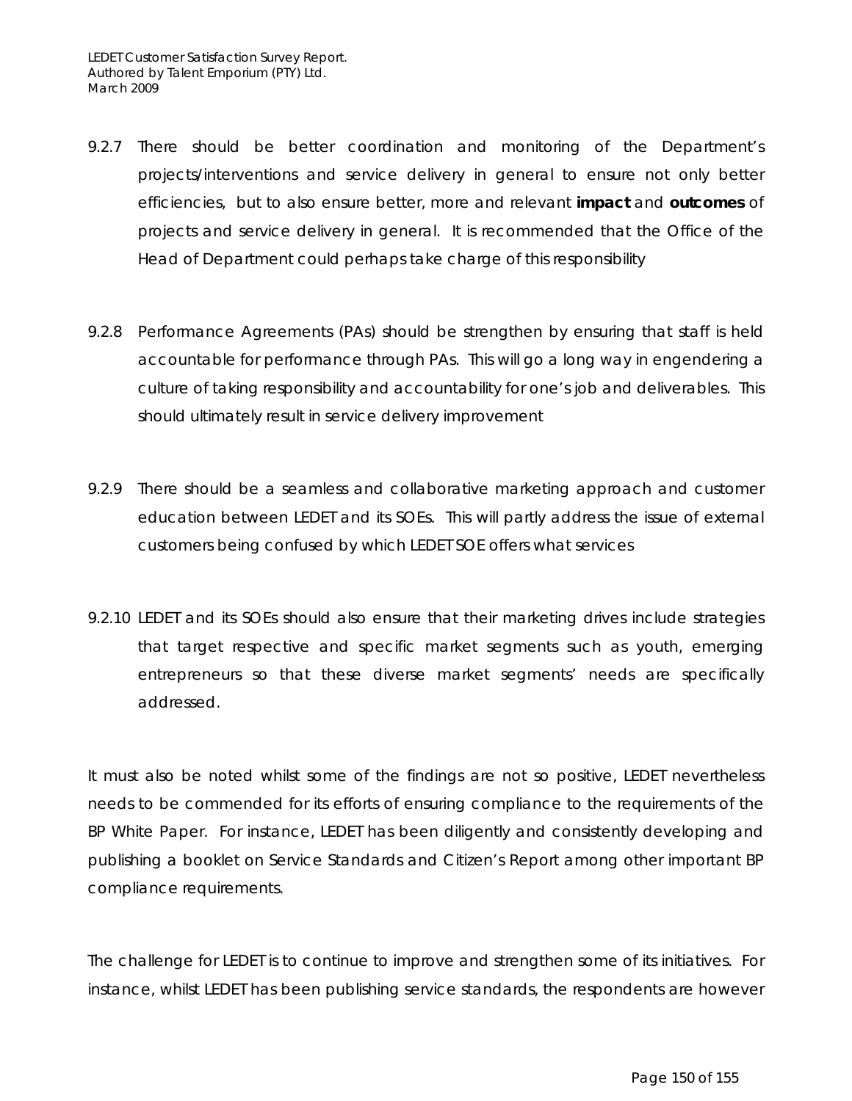- 9.2.7 There should be better coordination and monitoring of the Department's projects/interventions and service delivery in general to ensure not only better efficiencies, but to also ensure better, more and relevant **impact** and **outcomes** of projects and service delivery in general. It is recommended that the Office of the Head of Department could perhaps take charge of this responsibility
- 9.2.8 Performance Agreements (PAs) should be strengthen by ensuring that staff is held accountable for performance through PAs. This will go a long way in engendering a culture of taking responsibility and accountability for one's job and deliverables. This should ultimately result in service delivery improvement
- 9.2.9 There should be a seamless and collaborative marketing approach and customer education between LEDET and its SOEs. This will partly address the issue of external customers being confused by which LEDET SOE offers what services
- 9.2.10 LEDET and its SOEs should also ensure that their marketing drives include strategies that target respective and specific market segments such as youth, emerging entrepreneurs so that these diverse market segments' needs are specifically addressed.

It must also be noted whilst some of the findings are not so positive, LEDET nevertheless needs to be commended for its efforts of ensuring compliance to the requirements of the BP White Paper. For instance, LEDET has been diligently and consistently developing and publishing a booklet on Service Standards and Citizen's Report among other important BP compliance requirements.

The challenge for LEDET is to continue to improve and strengthen some of its initiatives. For instance, whilst LEDET has been publishing service standards, the respondents are however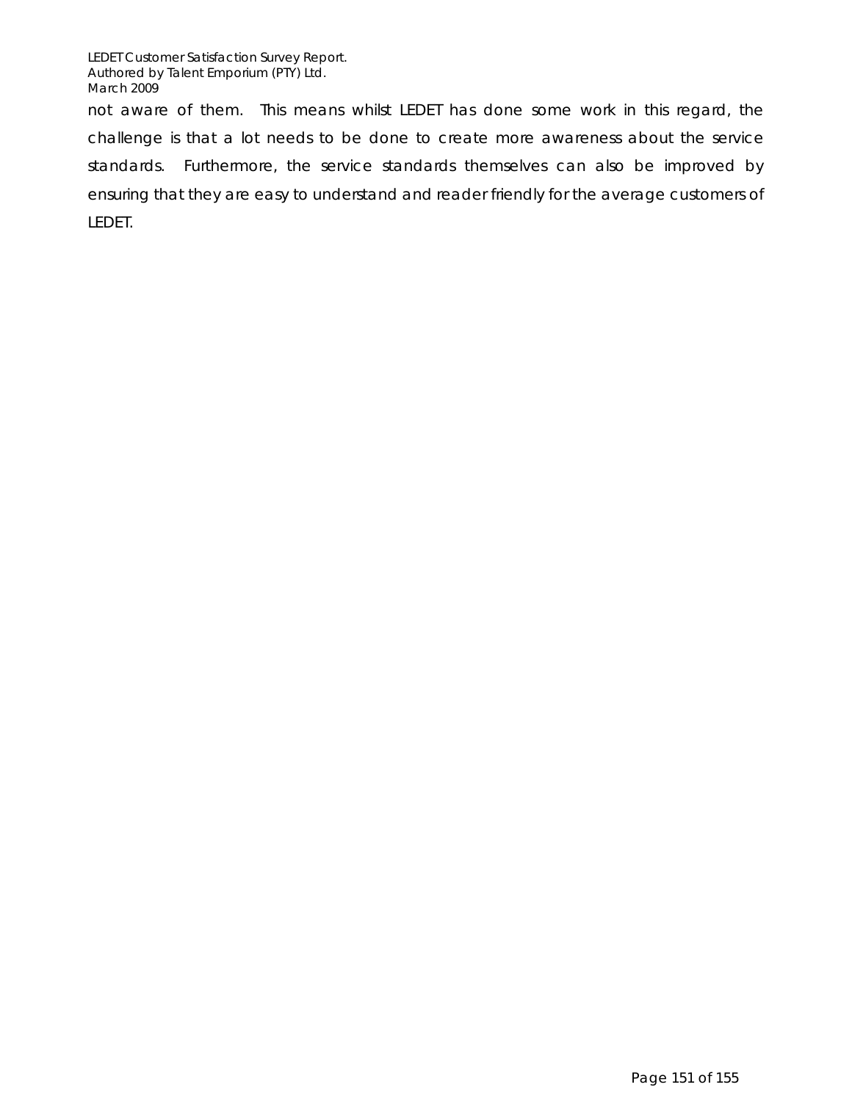LEDET Customer Satisfaction Survey Report. Authored by Talent Emporium (PTY) Ltd. March 2009

not aware of them. This means whilst LEDET has done some work in this regard, the challenge is that a lot needs to be done to create more awareness about the service standards. Furthermore, the service standards themselves can also be improved by ensuring that they are easy to understand and reader friendly for the average customers of LEDET.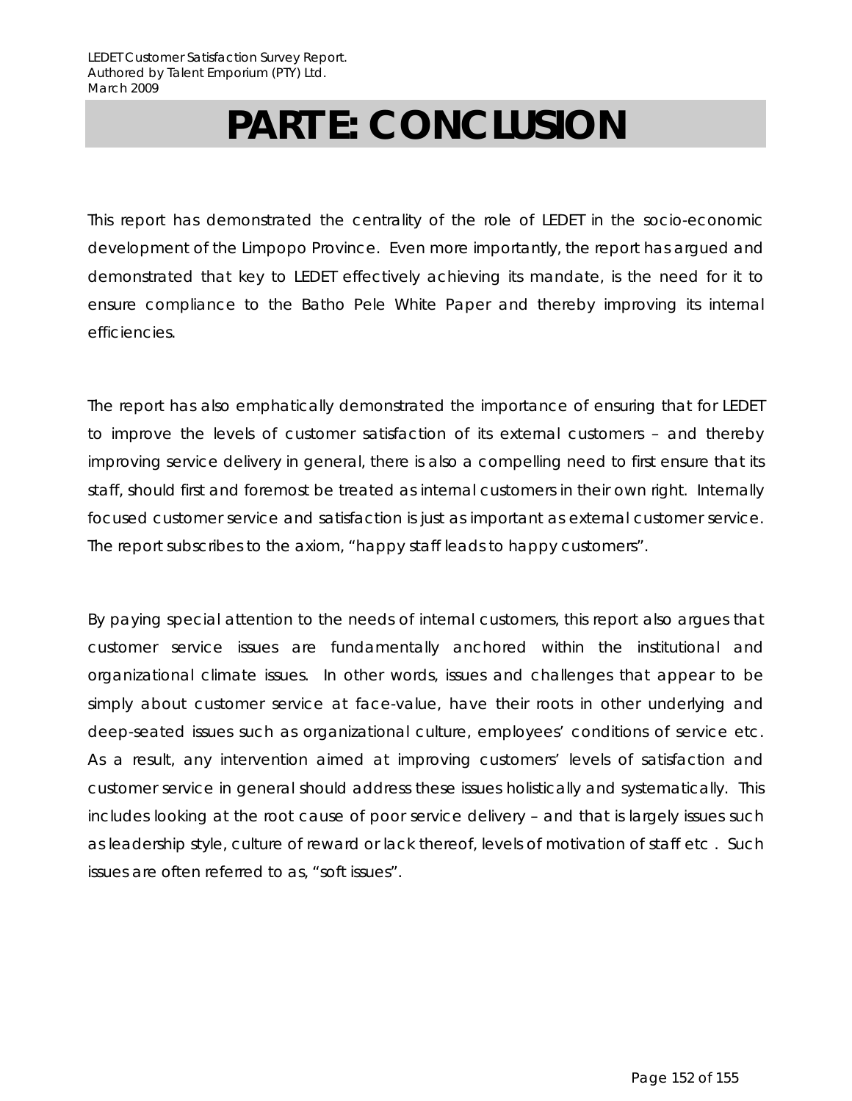# **PART E: CONCLUSION**

This report has demonstrated the centrality of the role of LEDET in the socio-economic development of the Limpopo Province. Even more importantly, the report has argued and demonstrated that key to LEDET effectively achieving its mandate, is the need for it to ensure compliance to the Batho Pele White Paper and thereby improving its internal efficiencies.

The report has also emphatically demonstrated the importance of ensuring that for LEDET to improve the levels of customer satisfaction of its external customers – and thereby improving service delivery in general, there is also a compelling need to first ensure that its staff, should first and foremost be treated as internal customers in their own right. Internally focused customer service and satisfaction is just as important as external customer service. The report subscribes to the axiom, "happy staff leads to happy customers".

By paying special attention to the needs of internal customers, this report also argues that customer service issues are fundamentally anchored within the institutional and organizational climate issues. In other words, issues and challenges that appear to be simply about customer service at face-value, have their roots in other underlying and deep-seated issues such as organizational culture, employees' conditions of service etc. As a result, any intervention aimed at improving customers' levels of satisfaction and customer service in general should address these issues holistically and systematically. This includes looking at the root cause of poor service delivery – and that is largely issues such as leadership style, culture of reward or lack thereof, levels of motivation of staff etc . Such issues are often referred to as, "soft issues".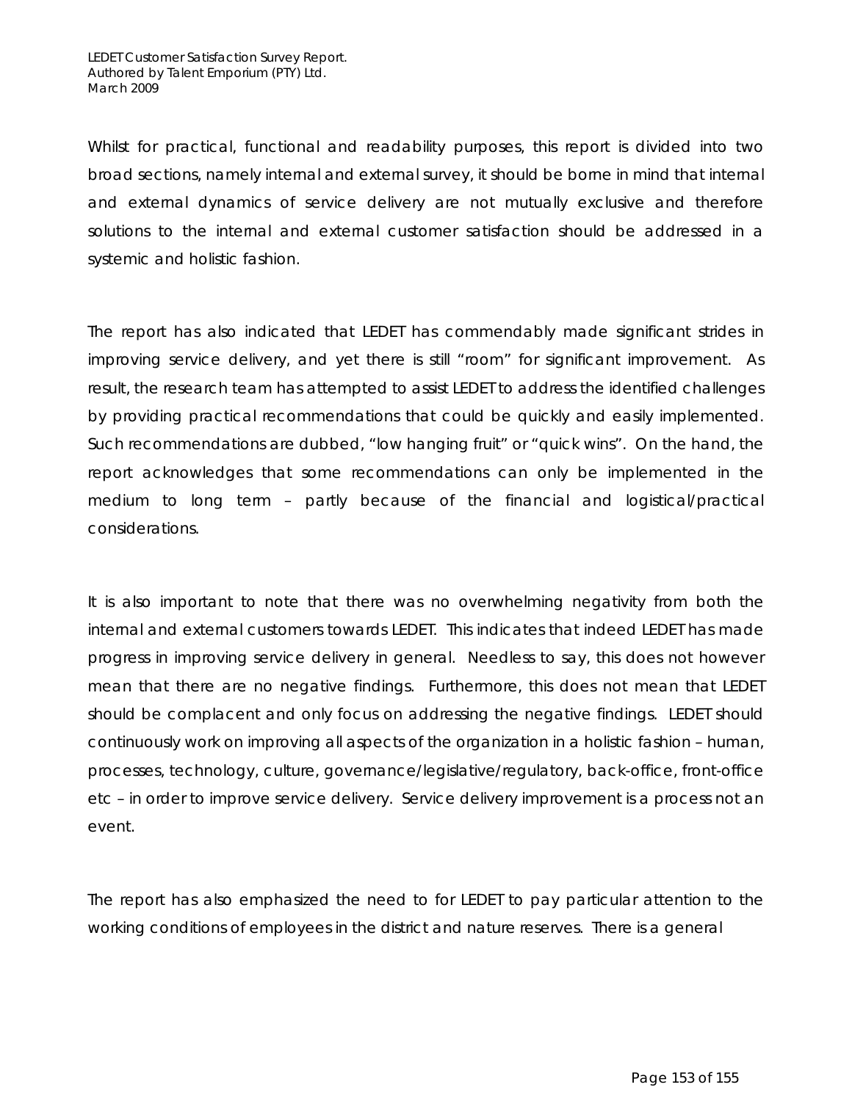Whilst for practical, functional and readability purposes, this report is divided into two broad sections, namely internal and external survey, it should be borne in mind that internal and external dynamics of service delivery are not mutually exclusive and therefore solutions to the internal and external customer satisfaction should be addressed in a systemic and holistic fashion.

The report has also indicated that LEDET has commendably made significant strides in improving service delivery, and yet there is still "room" for significant improvement. As result, the research team has attempted to assist LEDET to address the identified challenges by providing practical recommendations that could be quickly and easily implemented. Such recommendations are dubbed, "low hanging fruit" or "quick wins". On the hand, the report acknowledges that some recommendations can only be implemented in the medium to long term – partly because of the financial and logistical/practical considerations.

It is also important to note that there was no overwhelming negativity from both the internal and external customers towards LEDET. This indicates that indeed LEDET has made progress in improving service delivery in general. Needless to say, this does not however mean that there are no negative findings. Furthermore, this does not mean that LEDET should be complacent and only focus on addressing the negative findings. LEDET should continuously work on improving all aspects of the organization in a holistic fashion – human, processes, technology, culture, governance/legislative/regulatory, back-office, front-office etc – in order to improve service delivery. Service delivery improvement is a process not an event.

The report has also emphasized the need to for LEDET to pay particular attention to the working conditions of employees in the district and nature reserves. There is a general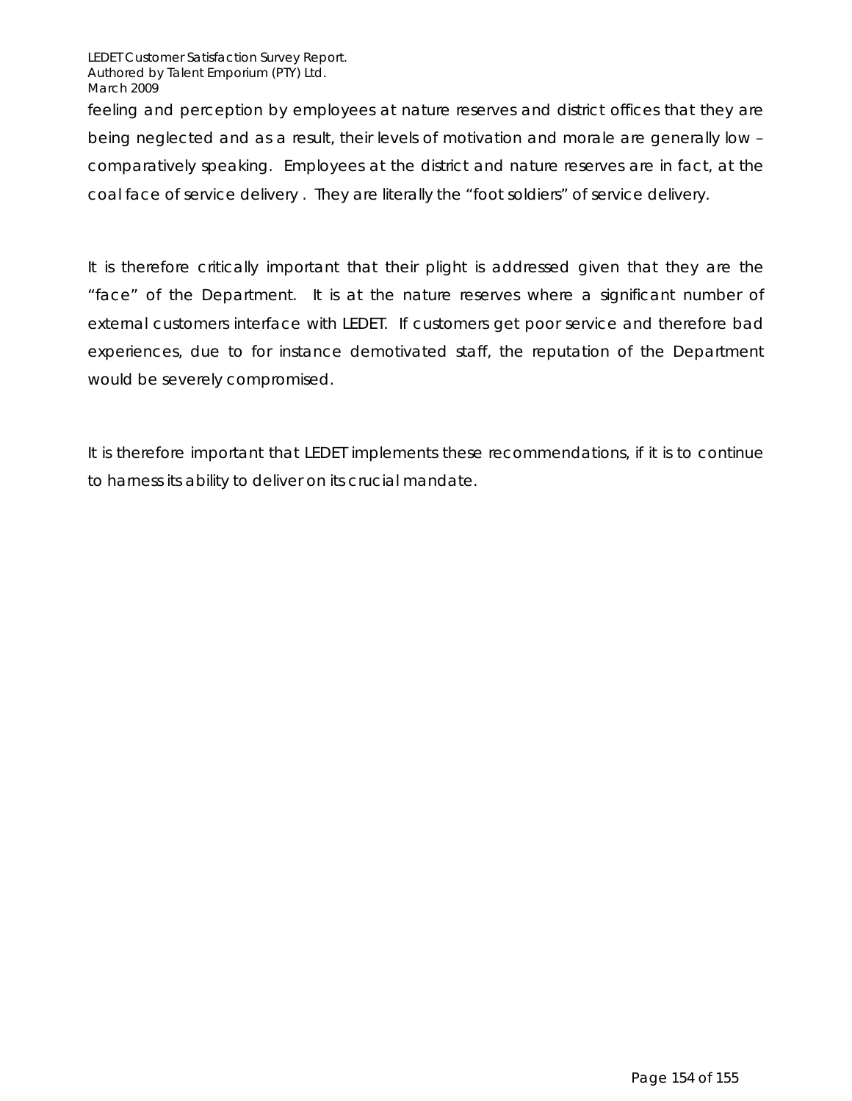LEDET Customer Satisfaction Survey Report. Authored by Talent Emporium (PTY) Ltd. March 2009

feeling and perception by employees at nature reserves and district offices that they are being neglected and as a result, their levels of motivation and morale are generally low – comparatively speaking. Employees at the district and nature reserves are in fact, at the coal face of service delivery . They are literally the "foot soldiers" of service delivery.

It is therefore critically important that their plight is addressed given that they are the "face" of the Department. It is at the nature reserves where a significant number of external customers interface with LEDET. If customers get poor service and therefore bad experiences, due to for instance demotivated staff, the reputation of the Department would be severely compromised.

It is therefore important that LEDET implements these recommendations, if it is to continue to harness its ability to deliver on its crucial mandate.